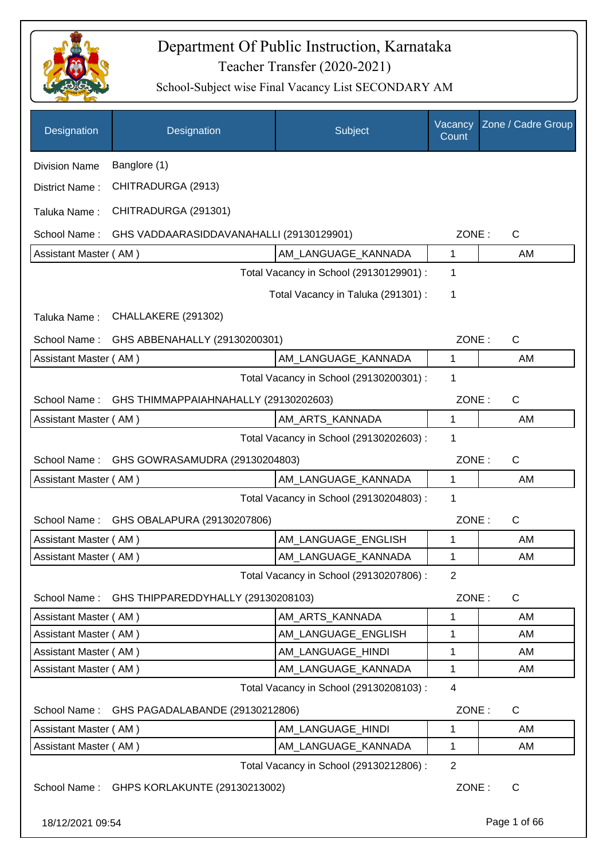

| Designation           | Designation                                | Subject                                 | Vacancy<br>Count | Zone / Cadre Group |
|-----------------------|--------------------------------------------|-----------------------------------------|------------------|--------------------|
| <b>Division Name</b>  | Banglore (1)                               |                                         |                  |                    |
| District Name:        | CHITRADURGA (2913)                         |                                         |                  |                    |
| Taluka Name:          | CHITRADURGA (291301)                       |                                         |                  |                    |
| School Name:          | GHS VADDAARASIDDAVANAHALLI (29130129901)   |                                         | ZONE:            | C                  |
| Assistant Master (AM) |                                            | AM LANGUAGE KANNADA                     | $\mathbf{1}$     | AM                 |
|                       |                                            | Total Vacancy in School (29130129901) : | 1                |                    |
|                       |                                            | Total Vacancy in Taluka (291301) :      | 1                |                    |
| Taluka Name:          | CHALLAKERE (291302)                        |                                         |                  |                    |
| School Name:          | GHS ABBENAHALLY (29130200301)              |                                         | ZONE:            | $\mathsf{C}$       |
| Assistant Master (AM) |                                            | AM_LANGUAGE_KANNADA                     | 1                | AM                 |
|                       |                                            | Total Vacancy in School (29130200301) : | 1                |                    |
| School Name:          | GHS THIMMAPPAIAHNAHALLY (29130202603)      |                                         | ZONE:            | C                  |
| Assistant Master (AM) |                                            | AM_ARTS_KANNADA                         | 1                | AM                 |
|                       |                                            | Total Vacancy in School (29130202603) : | 1                |                    |
| School Name:          | GHS GOWRASAMUDRA (29130204803)             |                                         | ZONE:            | $\mathsf{C}$       |
| Assistant Master (AM) |                                            | AM_LANGUAGE_KANNADA                     | 1                | AM                 |
|                       |                                            | Total Vacancy in School (29130204803) : | 1                |                    |
| School Name:          | GHS OBALAPURA (29130207806)                |                                         | ZONE:            | $\mathsf{C}$       |
| Assistant Master (AM) |                                            | AM_LANGUAGE_ENGLISH                     | 1                | AM                 |
| Assistant Master (AM) |                                            | AM_LANGUAGE_KANNADA                     | 1                | AM                 |
|                       |                                            | Total Vacancy in School (29130207806) : | $\overline{2}$   |                    |
| School Name:          | GHS THIPPAREDDYHALLY (29130208103)         |                                         | ZONE:            | C                  |
| Assistant Master (AM) |                                            | AM_ARTS_KANNADA                         | 1                | AM                 |
| Assistant Master (AM) |                                            | AM_LANGUAGE_ENGLISH                     | 1                | AM                 |
| Assistant Master (AM) |                                            | AM_LANGUAGE_HINDI                       | 1                | AM                 |
| Assistant Master (AM) |                                            | AM LANGUAGE KANNADA                     | 1                | AM                 |
|                       |                                            | Total Vacancy in School (29130208103):  | $\overline{4}$   |                    |
| School Name:          | GHS PAGADALABANDE (29130212806)            |                                         | ZONE:            | C                  |
| Assistant Master (AM) |                                            | AM_LANGUAGE_HINDI                       | 1                | AM                 |
| Assistant Master (AM) |                                            | AM_LANGUAGE_KANNADA                     | 1                | AM                 |
|                       |                                            | Total Vacancy in School (29130212806) : | 2                |                    |
|                       | School Name: GHPS KORLAKUNTE (29130213002) |                                         | ZONE:            | $\mathsf{C}$       |
| 18/12/2021 09:54      |                                            |                                         |                  | Page 1 of 66       |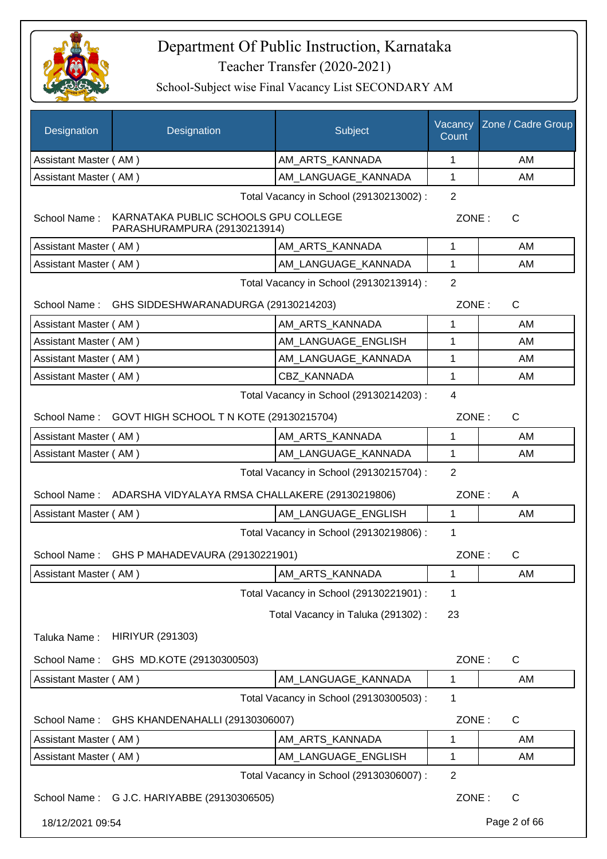

| Designation           | Designation                                                          | Subject                                 | Vacancy<br>Count | Zone / Cadre Group |
|-----------------------|----------------------------------------------------------------------|-----------------------------------------|------------------|--------------------|
| Assistant Master (AM) |                                                                      | AM_ARTS_KANNADA                         | 1                | AM                 |
| Assistant Master (AM) |                                                                      | AM LANGUAGE KANNADA                     | $\mathbf{1}$     | AM                 |
|                       |                                                                      | Total Vacancy in School (29130213002) : | $\overline{2}$   |                    |
| School Name:          | KARNATAKA PUBLIC SCHOOLS GPU COLLEGE<br>PARASHURAMPURA (29130213914) |                                         | ZONE:            | $\mathsf{C}$       |
| Assistant Master (AM) |                                                                      | AM_ARTS_KANNADA                         | 1                | AM                 |
| Assistant Master (AM) |                                                                      | AM_LANGUAGE_KANNADA                     | 1                | AM                 |
|                       |                                                                      | Total Vacancy in School (29130213914) : | 2                |                    |
| School Name:          | GHS SIDDESHWARANADURGA (29130214203)                                 |                                         | ZONE:            | $\mathsf{C}$       |
| Assistant Master (AM) |                                                                      | AM_ARTS_KANNADA                         | 1                | AM                 |
| Assistant Master (AM) |                                                                      | AM LANGUAGE ENGLISH                     | 1                | AM                 |
| Assistant Master (AM) |                                                                      | AM_LANGUAGE_KANNADA                     | 1                | AM                 |
| Assistant Master (AM) |                                                                      | <b>CBZ KANNADA</b>                      | 1                | AM                 |
|                       |                                                                      | Total Vacancy in School (29130214203) : | $\overline{4}$   |                    |
|                       | School Name: GOVT HIGH SCHOOL T N KOTE (29130215704)                 |                                         | ZONE:            | $\mathsf{C}$       |
| Assistant Master (AM) |                                                                      | AM_ARTS_KANNADA                         | 1                | AM                 |
| Assistant Master (AM) |                                                                      | AM_LANGUAGE_KANNADA                     | 1                | AM                 |
|                       |                                                                      | Total Vacancy in School (29130215704) : | 2                |                    |
|                       | School Name: ADARSHA VIDYALAYA RMSA CHALLAKERE (29130219806)         |                                         | ZONE:            | A                  |
| Assistant Master (AM) |                                                                      | AM LANGUAGE ENGLISH                     | 1                | AM                 |
|                       |                                                                      | Total Vacancy in School (29130219806) : | 1                |                    |
|                       | School Name: GHS P MAHADEVAURA (29130221901)                         |                                         | ZONE:            | $\mathsf{C}$       |
| Assistant Master (AM) |                                                                      | AM ARTS KANNADA                         | $\mathbf 1$      | AM                 |
|                       |                                                                      | Total Vacancy in School (29130221901) : | 1                |                    |
|                       |                                                                      | Total Vacancy in Taluka (291302):       | 23               |                    |
| Taluka Name:          | <b>HIRIYUR (291303)</b>                                              |                                         |                  |                    |
| School Name:          | GHS MD.KOTE (29130300503)                                            |                                         | ZONE:            | C                  |
| Assistant Master (AM) |                                                                      | AM_LANGUAGE_KANNADA                     | 1                | AM                 |
|                       |                                                                      | Total Vacancy in School (29130300503) : | 1                |                    |
| School Name:          | GHS KHANDENAHALLI (29130306007)                                      |                                         | ZONE:            | C                  |
| Assistant Master (AM) |                                                                      | AM_ARTS_KANNADA                         | 1                | AM                 |
| Assistant Master (AM) |                                                                      | AM_LANGUAGE_ENGLISH                     | 1                | AM                 |
|                       |                                                                      | Total Vacancy in School (29130306007) : | $\overline{2}$   |                    |
|                       | School Name: G J.C. HARIYABBE (29130306505)                          |                                         | ZONE:            | $\mathsf{C}$       |
| 18/12/2021 09:54      |                                                                      |                                         |                  | Page 2 of 66       |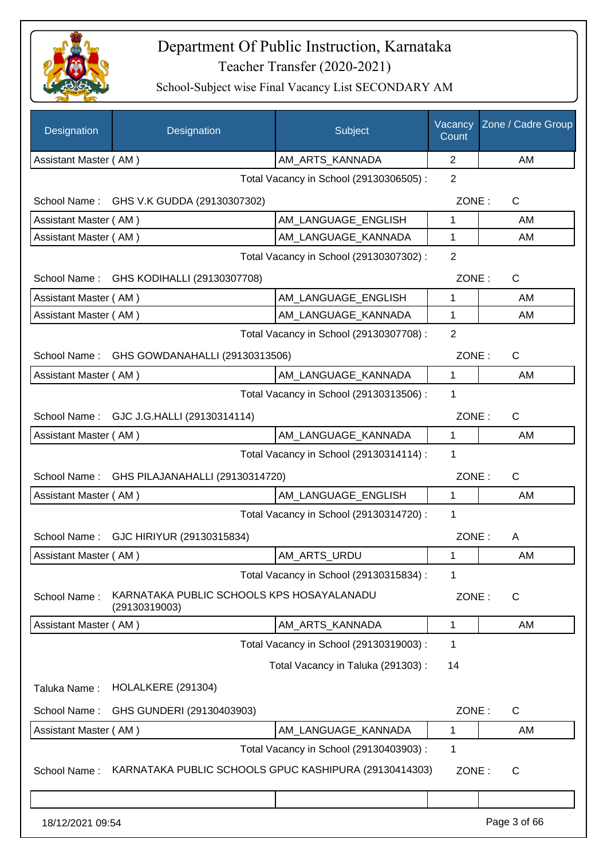

| Designation           | Designation                                                | Subject                                 | Vacancy<br>Count | Zone / Cadre Group |
|-----------------------|------------------------------------------------------------|-----------------------------------------|------------------|--------------------|
| Assistant Master (AM) |                                                            | AM_ARTS_KANNADA                         | 2                | AM                 |
|                       |                                                            | Total Vacancy in School (29130306505) : | 2                |                    |
|                       | School Name: GHS V.K GUDDA (29130307302)                   |                                         | ZONE:            | C                  |
| Assistant Master (AM) |                                                            | AM LANGUAGE ENGLISH                     | 1                | AM                 |
| Assistant Master (AM) |                                                            | AM_LANGUAGE_KANNADA                     | 1                | AM                 |
|                       |                                                            | Total Vacancy in School (29130307302) : | $\overline{2}$   |                    |
| School Name:          | GHS KODIHALLI (29130307708)                                |                                         | ZONE:            | C                  |
| Assistant Master (AM) |                                                            | AM_LANGUAGE_ENGLISH                     | 1                | AM                 |
| Assistant Master (AM) |                                                            | AM_LANGUAGE_KANNADA                     | 1                | AM                 |
|                       |                                                            | Total Vacancy in School (29130307708) : | $\overline{2}$   |                    |
| School Name:          | GHS GOWDANAHALLI (29130313506)                             |                                         | ZONE:            | $\mathsf{C}$       |
| Assistant Master (AM) |                                                            | AM_LANGUAGE_KANNADA                     | $\mathbf{1}$     | AM                 |
|                       |                                                            | Total Vacancy in School (29130313506) : | 1                |                    |
|                       | School Name: GJC J.G.HALLI (29130314114)                   |                                         | ZONE:            | $\mathsf{C}$       |
| Assistant Master (AM) |                                                            | AM_LANGUAGE_KANNADA                     | 1                | AM                 |
|                       |                                                            | Total Vacancy in School (29130314114) : | 1                |                    |
|                       | School Name: GHS PILAJANAHALLI (29130314720)               |                                         | ZONE:            | $\mathsf{C}$       |
| Assistant Master (AM) |                                                            | AM_LANGUAGE_ENGLISH                     | 1                | AM                 |
|                       |                                                            | Total Vacancy in School (29130314720) : | 1                |                    |
|                       | School Name: GJC HIRIYUR (29130315834)                     |                                         | ZONE:            | A                  |
| Assistant Master (AM) |                                                            | AM ARTS URDU                            | 1                | AM                 |
|                       |                                                            | Total Vacancy in School (29130315834) : | 1                |                    |
| School Name:          | KARNATAKA PUBLIC SCHOOLS KPS HOSAYALANADU<br>(29130319003) |                                         | ZONE:            | C                  |
| Assistant Master (AM) |                                                            | AM_ARTS_KANNADA                         | 1                | AM                 |
|                       |                                                            | Total Vacancy in School (29130319003) : | 1                |                    |
|                       |                                                            | Total Vacancy in Taluka (291303):       | 14               |                    |
| Taluka Name:          | HOLALKERE (291304)                                         |                                         |                  |                    |
| School Name:          | GHS GUNDERI (29130403903)                                  |                                         | ZONE:            | $\mathsf{C}$       |
| Assistant Master (AM) |                                                            | AM_LANGUAGE_KANNADA                     | 1                | AM                 |
|                       |                                                            | Total Vacancy in School (29130403903) : | 1                |                    |
| School Name:          | KARNATAKA PUBLIC SCHOOLS GPUC KASHIPURA (29130414303)      |                                         | ZONE:            | C                  |
|                       |                                                            |                                         |                  |                    |
| 18/12/2021 09:54      |                                                            |                                         |                  | Page 3 of 66       |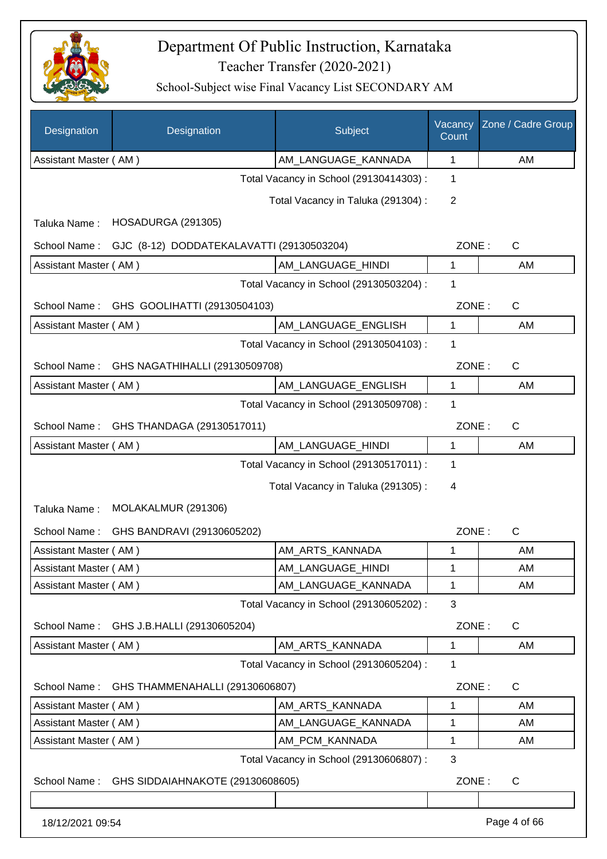

| Designation           | Designation                               | Subject                                 | Vacancy<br>Count | Zone / Cadre Group |
|-----------------------|-------------------------------------------|-----------------------------------------|------------------|--------------------|
| Assistant Master (AM) |                                           | AM_LANGUAGE_KANNADA                     | $\mathbf 1$      | AM                 |
|                       |                                           | Total Vacancy in School (29130414303) : | 1                |                    |
|                       |                                           | Total Vacancy in Taluka (291304) :      | 2                |                    |
| Taluka Name:          | HOSADURGA (291305)                        |                                         |                  |                    |
| School Name:          | GJC (8-12) DODDATEKALAVATTI (29130503204) |                                         | ZONE:            | $\mathsf{C}$       |
| Assistant Master (AM) |                                           | AM_LANGUAGE_HINDI                       | $\mathbf{1}$     | AM                 |
|                       |                                           | Total Vacancy in School (29130503204) : | 1                |                    |
| School Name:          | GHS GOOLIHATTI (29130504103)              |                                         | ZONE:            | C                  |
| Assistant Master (AM) |                                           | AM_LANGUAGE_ENGLISH                     | 1                | AM                 |
|                       |                                           | Total Vacancy in School (29130504103) : | 1                |                    |
| School Name:          | GHS NAGATHIHALLI (29130509708)            |                                         | ZONE:            | $\mathsf{C}$       |
| Assistant Master (AM) |                                           | AM_LANGUAGE_ENGLISH                     | 1                | AM                 |
|                       |                                           | Total Vacancy in School (29130509708) : | 1                |                    |
|                       | School Name: GHS THANDAGA (29130517011)   |                                         | ZONE:            | C                  |
| Assistant Master (AM) |                                           | AM_LANGUAGE_HINDI                       | 1                | AM                 |
|                       |                                           | Total Vacancy in School (29130517011) : | 1                |                    |
|                       |                                           | Total Vacancy in Taluka (291305):       | 4                |                    |
| Taluka Name:          | MOLAKALMUR (291306)                       |                                         |                  |                    |
| School Name:          | GHS BANDRAVI (29130605202)                |                                         | ZONE:            | $\mathsf{C}$       |
| Assistant Master (AM) |                                           | AM_ARTS_KANNADA                         | 1                | AM                 |
| Assistant Master (AM) |                                           | AM LANGUAGE HINDI                       | 1                | AM                 |
| Assistant Master (AM) |                                           | AM LANGUAGE KANNADA                     | 1                | AM                 |
|                       |                                           | Total Vacancy in School (29130605202) : | 3                |                    |
| School Name:          | GHS J.B.HALLI (29130605204)               |                                         | ZONE:            | C                  |
| Assistant Master (AM) |                                           | AM_ARTS_KANNADA                         | 1                | AM                 |
|                       |                                           | Total Vacancy in School (29130605204) : | 1                |                    |
| School Name:          | GHS THAMMENAHALLI (29130606807)           |                                         | ZONE:            | C                  |
| Assistant Master (AM) |                                           | AM_ARTS_KANNADA                         | 1                | AM                 |
| Assistant Master (AM) |                                           | AM_LANGUAGE_KANNADA                     | 1                | AM                 |
| Assistant Master (AM) |                                           | AM_PCM_KANNADA                          | 1                | AM                 |
|                       |                                           | Total Vacancy in School (29130606807) : | 3                |                    |
| School Name:          | GHS SIDDAIAHNAKOTE (29130608605)          |                                         | ZONE:            | C                  |
|                       |                                           |                                         |                  |                    |
| 18/12/2021 09:54      |                                           |                                         |                  | Page 4 of 66       |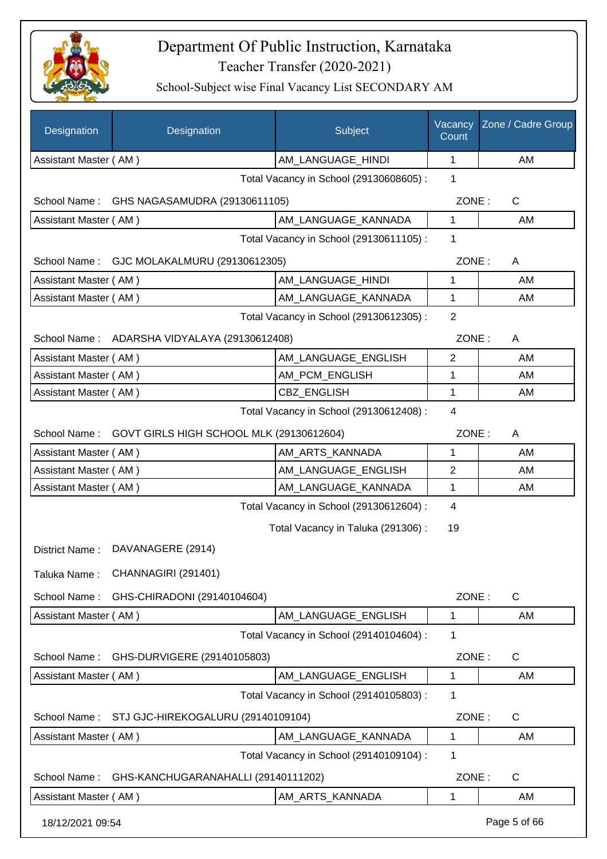

| Designation           | Designation                                  | Subject                                 | Vacancy<br>Count | Zone / Cadre Group |
|-----------------------|----------------------------------------------|-----------------------------------------|------------------|--------------------|
| Assistant Master (AM) |                                              | AM_LANGUAGE_HINDI                       | 1                | AM                 |
|                       |                                              | Total Vacancy in School (29130608605) : | 1                |                    |
| School Name:          | GHS NAGASAMUDRA (29130611105)                |                                         | ZONE:            | C                  |
| Assistant Master (AM) |                                              | AM_LANGUAGE_KANNADA                     | 1                | AM                 |
|                       |                                              | Total Vacancy in School (29130611105):  | 1                |                    |
|                       | School Name: GJC MOLAKALMURU (29130612305)   |                                         | ZONE:            | A                  |
| Assistant Master (AM) |                                              | AM_LANGUAGE_HINDI                       | 1                | AM                 |
| Assistant Master (AM) |                                              | AM_LANGUAGE_KANNADA                     | 1                | AM                 |
|                       |                                              | Total Vacancy in School (29130612305) : | $\overline{2}$   |                    |
|                       | School Name: ADARSHA VIDYALAYA (29130612408) |                                         | ZONE:            | A                  |
| Assistant Master (AM) |                                              | AM_LANGUAGE_ENGLISH                     | $\overline{2}$   | AM                 |
| Assistant Master (AM) |                                              | AM_PCM_ENGLISH                          | 1                | AM                 |
| Assistant Master (AM) |                                              | CBZ_ENGLISH                             | 1                | AM                 |
|                       |                                              | Total Vacancy in School (29130612408) : | $\overline{4}$   |                    |
| School Name:          | GOVT GIRLS HIGH SCHOOL MLK (29130612604)     |                                         | ZONE:            | A                  |
| Assistant Master (AM) |                                              | AM_ARTS_KANNADA                         | 1                | AM                 |
| Assistant Master (AM) |                                              | AM_LANGUAGE_ENGLISH                     | $\mathbf{2}$     | AM                 |
| Assistant Master (AM) |                                              | AM_LANGUAGE_KANNADA                     | 1                | AM                 |
|                       |                                              | Total Vacancy in School (29130612604) : | 4                |                    |
|                       |                                              | Total Vacancy in Taluka (291306):       | 19               |                    |
| District Name:        | DAVANAGERE (2914)                            |                                         |                  |                    |
| Taluka Name:          | CHANNAGIRI (291401)                          |                                         |                  |                    |
| School Name:          | GHS-CHIRADONI (29140104604)                  |                                         | ZONE:            | C                  |
| Assistant Master (AM) |                                              | AM LANGUAGE ENGLISH                     | 1                | AM                 |
|                       |                                              | Total Vacancy in School (29140104604) : | 1                |                    |
| School Name:          | GHS-DURVIGERE (29140105803)                  |                                         | ZONE:            | C                  |
| Assistant Master (AM) |                                              | AM LANGUAGE ENGLISH                     | 1                | AM                 |
|                       |                                              | Total Vacancy in School (29140105803) : | 1                |                    |
| School Name:          | STJ GJC-HIREKOGALURU (29140109104)           |                                         | ZONE:            | $\mathsf{C}$       |
| Assistant Master (AM) |                                              | AM LANGUAGE KANNADA                     | 1                | AM                 |
|                       |                                              | Total Vacancy in School (29140109104) : | 1                |                    |
| School Name:          | GHS-KANCHUGARANAHALLI (29140111202)          |                                         | ZONE:            | C                  |
| Assistant Master (AM) |                                              | AM_ARTS_KANNADA                         | 1                | AM                 |
| 18/12/2021 09:54      |                                              |                                         |                  | Page 5 of 66       |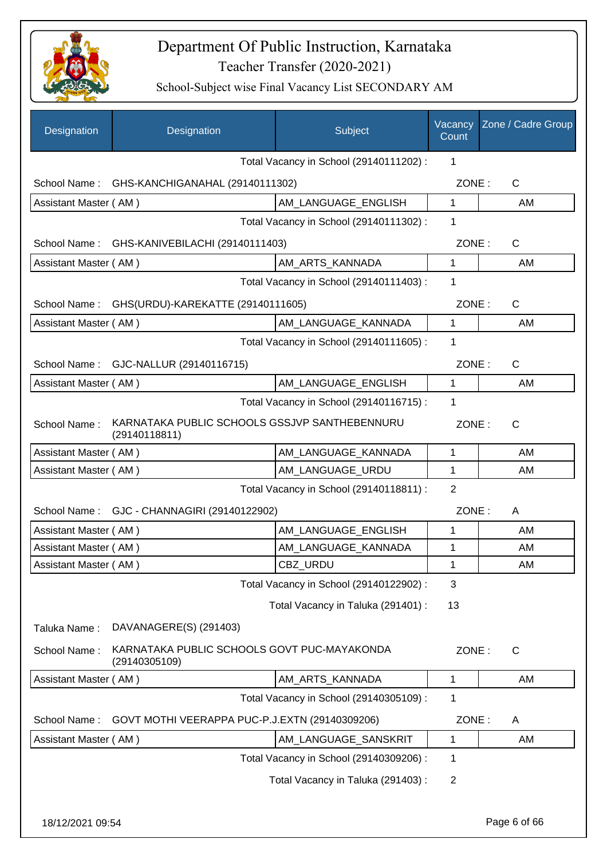

| Designation           | Designation                                                    | Subject                                 | Vacancy<br>Count | Zone / Cadre Group |
|-----------------------|----------------------------------------------------------------|-----------------------------------------|------------------|--------------------|
|                       |                                                                | Total Vacancy in School (29140111202):  | $\mathbf 1$      |                    |
|                       | School Name: GHS-KANCHIGANAHAL (29140111302)                   |                                         | ZONE:            | $\mathsf{C}$       |
| Assistant Master (AM) |                                                                | AM LANGUAGE ENGLISH                     | 1                | AM                 |
|                       |                                                                | Total Vacancy in School (29140111302) : | 1                |                    |
|                       | School Name: GHS-KANIVEBILACHI (29140111403)                   |                                         | ZONE:            | $\mathsf{C}$       |
| Assistant Master (AM) |                                                                | AM_ARTS_KANNADA                         | $\mathbf{1}$     | AM                 |
|                       |                                                                | Total Vacancy in School (29140111403) : | 1                |                    |
|                       | School Name: GHS(URDU)-KAREKATTE (29140111605)                 |                                         | ZONE:            | $\mathsf{C}$       |
| Assistant Master (AM) |                                                                | AM_LANGUAGE_KANNADA                     | 1                | AM                 |
|                       |                                                                | Total Vacancy in School (29140111605) : | 1                |                    |
|                       | School Name: GJC-NALLUR (29140116715)                          |                                         | ZONE:            | $\mathsf{C}$       |
| Assistant Master (AM) |                                                                | AM_LANGUAGE_ENGLISH                     | $\mathbf{1}$     | AM                 |
|                       |                                                                | Total Vacancy in School (29140116715) : | 1                |                    |
| School Name:          | KARNATAKA PUBLIC SCHOOLS GSSJVP SANTHEBENNURU<br>(29140118811) |                                         | ZONE:            | C                  |
| Assistant Master (AM) |                                                                | AM LANGUAGE KANNADA                     | 1                | AM                 |
| Assistant Master (AM) |                                                                | AM_LANGUAGE_URDU                        | 1                | AM                 |
|                       |                                                                | Total Vacancy in School (29140118811) : | 2                |                    |
|                       | School Name: GJC - CHANNAGIRI (29140122902)                    |                                         | ZONE:            | A                  |
| Assistant Master (AM) |                                                                | AM LANGUAGE ENGLISH                     | 1                | AM                 |
| Assistant Master (AM) |                                                                | AM_LANGUAGE_KANNADA                     | 1                | AM                 |
| Assistant Master (AM) |                                                                | CBZ_URDU                                | 1                | AM                 |
|                       |                                                                | Total Vacancy in School (29140122902) : | 3                |                    |
|                       |                                                                | Total Vacancy in Taluka (291401) :      | 13               |                    |
| Taluka Name:          | DAVANAGERE(S) (291403)                                         |                                         |                  |                    |
| School Name:          | KARNATAKA PUBLIC SCHOOLS GOVT PUC-MAYAKONDA<br>(29140305109)   |                                         | ZONE:            | C                  |
| Assistant Master (AM) |                                                                | AM_ARTS_KANNADA                         | 1                | AM                 |
|                       |                                                                | Total Vacancy in School (29140305109) : | 1                |                    |
| School Name:          | GOVT MOTHI VEERAPPA PUC-P.J.EXTN (29140309206)                 |                                         | ZONE:            | A                  |
| Assistant Master (AM) |                                                                | AM_LANGUAGE_SANSKRIT                    | 1                | AM                 |
|                       |                                                                | Total Vacancy in School (29140309206) : | 1                |                    |
|                       |                                                                | Total Vacancy in Taluka (291403):       | $\overline{2}$   |                    |
| 18/12/2021 09:54      |                                                                |                                         |                  | Page 6 of 66       |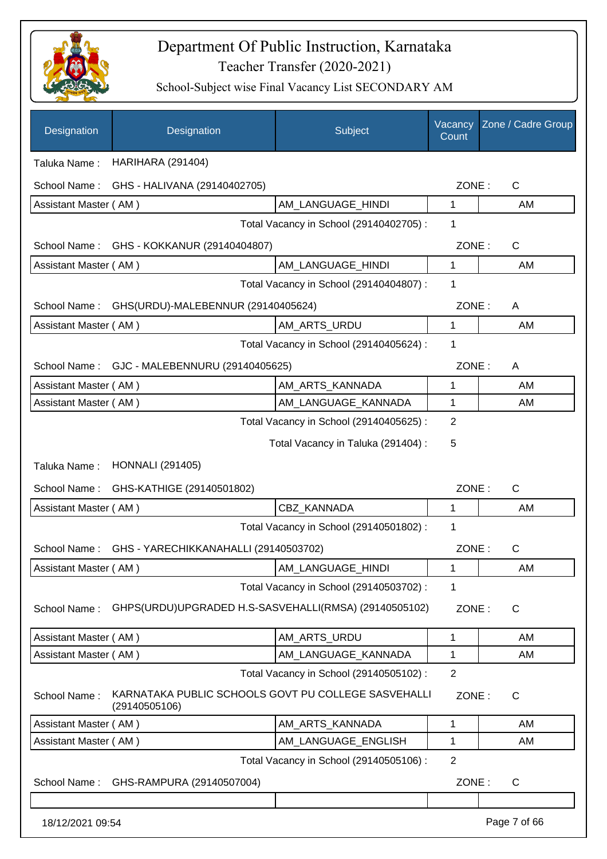

| Designation           | Designation                                                          | Subject                                 | Vacancy<br>Count | Zone / Cadre Group |
|-----------------------|----------------------------------------------------------------------|-----------------------------------------|------------------|--------------------|
| Taluka Name:          | <b>HARIHARA (291404)</b>                                             |                                         |                  |                    |
| School Name:          | GHS - HALIVANA (29140402705)                                         |                                         | ZONE:            | $\mathsf C$        |
| Assistant Master (AM) |                                                                      | AM_LANGUAGE_HINDI                       | 1                | AM                 |
|                       |                                                                      | Total Vacancy in School (29140402705) : | 1                |                    |
| School Name:          | GHS - KOKKANUR (29140404807)                                         |                                         | ZONE:            | $\mathsf{C}$       |
| Assistant Master (AM) |                                                                      | AM_LANGUAGE_HINDI                       | 1                | AM                 |
|                       |                                                                      | Total Vacancy in School (29140404807) : | 1                |                    |
| School Name:          | GHS(URDU)-MALEBENNUR (29140405624)                                   |                                         | ZONE:            | A                  |
| Assistant Master (AM) |                                                                      | AM ARTS URDU                            | 1                | AM                 |
|                       |                                                                      | Total Vacancy in School (29140405624) : | 1                |                    |
| School Name:          | GJC - MALEBENNURU (29140405625)                                      |                                         | ZONE:            | A                  |
| Assistant Master (AM) |                                                                      | AM_ARTS_KANNADA                         | 1                | AM                 |
| Assistant Master (AM) |                                                                      | AM_LANGUAGE_KANNADA                     | 1                | AM                 |
|                       |                                                                      | Total Vacancy in School (29140405625) : | $\overline{2}$   |                    |
|                       |                                                                      | Total Vacancy in Taluka (291404) :      | 5                |                    |
| Taluka Name:          | <b>HONNALI (291405)</b>                                              |                                         |                  |                    |
| School Name:          | GHS-KATHIGE (29140501802)                                            |                                         | ZONE:            | $\mathsf{C}$       |
| Assistant Master (AM) |                                                                      | CBZ_KANNADA                             | 1                | AM                 |
|                       |                                                                      | Total Vacancy in School (29140501802) : | 1                |                    |
| School Name:          | GHS - YARECHIKKANAHALLI (29140503702)                                |                                         | ZONE:            | С                  |
| Assistant Master (AM) |                                                                      | AM_LANGUAGE_HINDI                       | 1                | AM                 |
|                       |                                                                      | Total Vacancy in School (29140503702) : | 1                |                    |
| School Name:          | GHPS(URDU)UPGRADED H.S-SASVEHALLI(RMSA) (29140505102)                |                                         | ZONE:            | C                  |
| Assistant Master (AM) |                                                                      | AM_ARTS_URDU                            | 1                | AM                 |
| Assistant Master (AM) |                                                                      | AM_LANGUAGE_KANNADA                     | 1                | AM                 |
|                       |                                                                      | Total Vacancy in School (29140505102) : | $\overline{2}$   |                    |
| School Name:          | KARNATAKA PUBLIC SCHOOLS GOVT PU COLLEGE SASVEHALLI<br>(29140505106) |                                         | ZONE:            | C                  |
| Assistant Master (AM) |                                                                      | AM_ARTS_KANNADA                         | 1                | AM                 |
| Assistant Master (AM) |                                                                      | AM_LANGUAGE_ENGLISH                     | 1                | AM                 |
|                       |                                                                      | Total Vacancy in School (29140505106) : | $\overline{2}$   |                    |
| School Name:          | GHS-RAMPURA (29140507004)                                            |                                         | ZONE:            | $\mathsf{C}$       |
| 18/12/2021 09:54      |                                                                      |                                         |                  | Page 7 of 66       |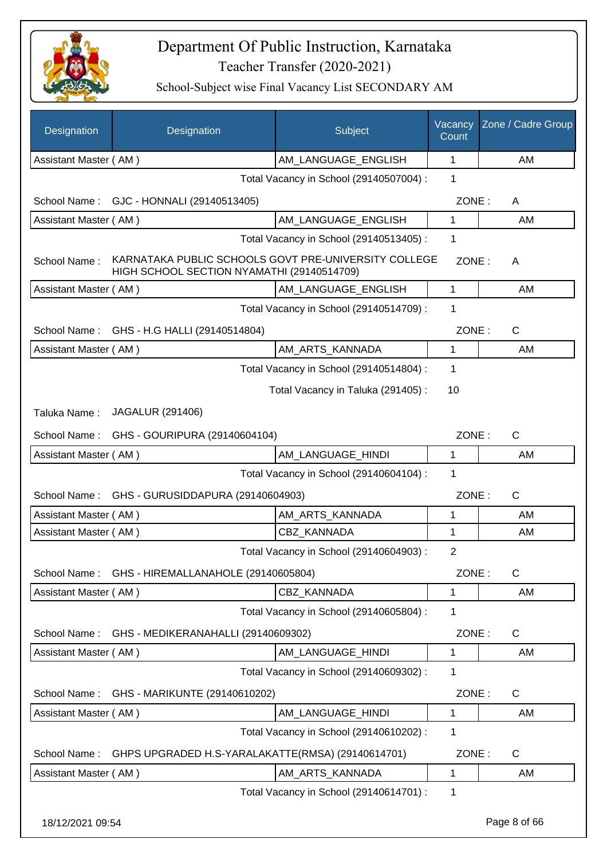

| Designation           | Designation                                                                                        | Subject                                 | Vacancy<br>Count | Zone / Cadre Group |
|-----------------------|----------------------------------------------------------------------------------------------------|-----------------------------------------|------------------|--------------------|
| Assistant Master (AM) |                                                                                                    | AM_LANGUAGE_ENGLISH                     | 1                | AM                 |
|                       |                                                                                                    | Total Vacancy in School (29140507004) : | 1                |                    |
|                       | School Name: GJC - HONNALI (29140513405)                                                           |                                         | ZONE:            | A                  |
| Assistant Master (AM) |                                                                                                    | AM LANGUAGE ENGLISH                     | 1                | AM                 |
|                       |                                                                                                    | Total Vacancy in School (29140513405) : | 1                |                    |
| School Name:          | KARNATAKA PUBLIC SCHOOLS GOVT PRE-UNIVERSITY COLLEGE<br>HIGH SCHOOL SECTION NYAMATHI (29140514709) |                                         | ZONE:            | A                  |
| Assistant Master (AM) |                                                                                                    | AM LANGUAGE_ENGLISH                     | 1                | AM                 |
|                       |                                                                                                    | Total Vacancy in School (29140514709) : | 1                |                    |
|                       | School Name: GHS - H.G HALLI (29140514804)                                                         |                                         | ZONE:            | C                  |
| Assistant Master (AM) |                                                                                                    | AM ARTS KANNADA                         | $\mathbf{1}$     | AM                 |
|                       |                                                                                                    | Total Vacancy in School (29140514804) : | 1                |                    |
|                       |                                                                                                    | Total Vacancy in Taluka (291405):       | 10               |                    |
| Taluka Name:          | <b>JAGALUR (291406)</b>                                                                            |                                         |                  |                    |
|                       | School Name: GHS - GOURIPURA (29140604104)                                                         |                                         | ZONE:            | C                  |
| Assistant Master (AM) |                                                                                                    | AM_LANGUAGE_HINDI                       | 1                | AM                 |
|                       |                                                                                                    | Total Vacancy in School (29140604104) : | 1                |                    |
| School Name:          | GHS - GURUSIDDAPURA (29140604903)                                                                  |                                         | ZONE:            | C                  |
| Assistant Master (AM) |                                                                                                    | AM_ARTS_KANNADA                         | 1                | AM                 |
| Assistant Master (AM) |                                                                                                    | CBZ KANNADA                             | 1                | AM                 |
|                       |                                                                                                    | Total Vacancy in School (29140604903) : | $\overline{2}$   |                    |
| School Name:          | GHS - HIREMALLANAHOLE (29140605804)                                                                |                                         | ZONE:            | C                  |
| Assistant Master (AM) |                                                                                                    | CBZ KANNADA                             | 1                | AM                 |
|                       |                                                                                                    | Total Vacancy in School (29140605804) : | 1                |                    |
| School Name:          | GHS - MEDIKERANAHALLI (29140609302)                                                                |                                         | ZONE:            | $\mathsf{C}$       |
| Assistant Master (AM) |                                                                                                    | AM_LANGUAGE_HINDI                       | 1                | AM                 |
|                       |                                                                                                    | Total Vacancy in School (29140609302) : | 1                |                    |
| School Name:          | GHS - MARIKUNTE (29140610202)                                                                      |                                         | ZONE:            | $\mathsf{C}$       |
| Assistant Master (AM) |                                                                                                    | AM_LANGUAGE_HINDI                       | 1                | AM                 |
|                       |                                                                                                    | Total Vacancy in School (29140610202) : | 1                |                    |
| School Name:          | GHPS UPGRADED H.S-YARALAKATTE(RMSA) (29140614701)                                                  |                                         | ZONE:            | C                  |
| Assistant Master (AM) |                                                                                                    | AM_ARTS_KANNADA                         | 1                | AM                 |
|                       |                                                                                                    | Total Vacancy in School (29140614701) : | 1                |                    |
| 18/12/2021 09:54      |                                                                                                    |                                         |                  | Page 8 of 66       |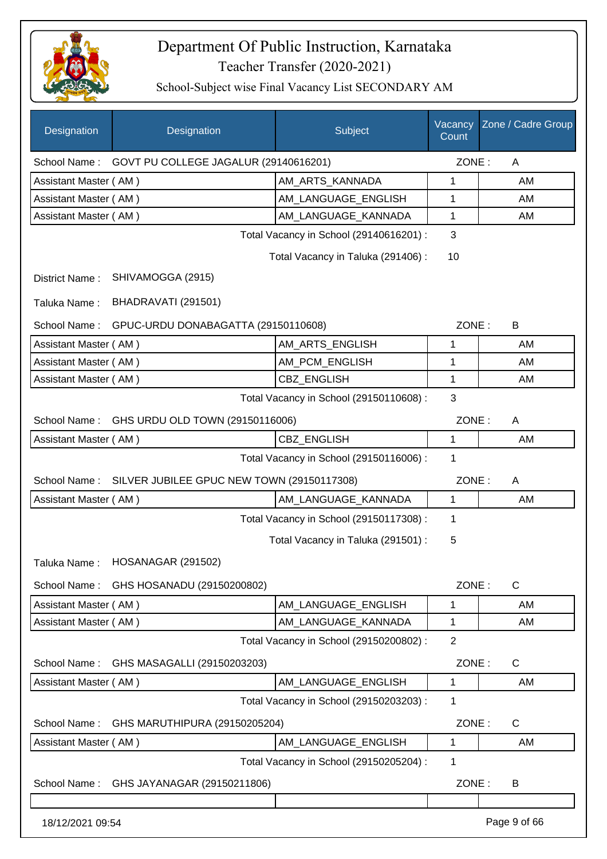

| Designation           | Designation                                | Subject                                 | Vacancy<br>Count | Zone / Cadre Group |
|-----------------------|--------------------------------------------|-----------------------------------------|------------------|--------------------|
| School Name:          | GOVT PU COLLEGE JAGALUR (29140616201)      |                                         | ZONE:            | A                  |
| Assistant Master (AM) |                                            | AM ARTS KANNADA                         | 1                | AM                 |
| Assistant Master (AM) |                                            | AM_LANGUAGE_ENGLISH                     | 1                | AM                 |
| Assistant Master (AM) |                                            | AM LANGUAGE KANNADA                     | 1                | AM                 |
|                       |                                            | Total Vacancy in School (29140616201) : | 3                |                    |
|                       |                                            | Total Vacancy in Taluka (291406):       | 10               |                    |
| District Name:        | SHIVAMOGGA (2915)                          |                                         |                  |                    |
| Taluka Name:          | BHADRAVATI (291501)                        |                                         |                  |                    |
| School Name:          | GPUC-URDU DONABAGATTA (29150110608)        |                                         | ZONE:            | B                  |
| Assistant Master (AM) |                                            | AM ARTS ENGLISH                         | 1                | AM                 |
| Assistant Master (AM) |                                            | AM_PCM_ENGLISH                          | 1                | AM                 |
| Assistant Master (AM) |                                            | CBZ_ENGLISH                             | 1                | AM                 |
|                       |                                            | Total Vacancy in School (29150110608) : | 3                |                    |
| School Name:          | GHS URDU OLD TOWN (29150116006)            |                                         | ZONE:            | A                  |
| Assistant Master (AM) |                                            | CBZ_ENGLISH                             | 1                | AM                 |
|                       |                                            | Total Vacancy in School (29150116006) : | 1                |                    |
| School Name:          | SILVER JUBILEE GPUC NEW TOWN (29150117308) |                                         | ZONE:            | A                  |
| Assistant Master (AM) |                                            | AM_LANGUAGE_KANNADA                     | 1                | AM                 |
|                       |                                            | Total Vacancy in School (29150117308) : | 1                |                    |
|                       |                                            | Total Vacancy in Taluka (291501) :      | 5                |                    |
|                       | Taluka Name: HOSANAGAR (291502)            |                                         |                  |                    |
| School Name:          | GHS HOSANADU (29150200802)                 |                                         | ZONE:            | C                  |
| Assistant Master (AM) |                                            | AM_LANGUAGE_ENGLISH                     | 1                | AM                 |
| Assistant Master (AM) |                                            | AM_LANGUAGE_KANNADA                     | 1                | AM                 |
|                       |                                            | Total Vacancy in School (29150200802) : | $\overline{2}$   |                    |
| School Name:          | GHS MASAGALLI (29150203203)                |                                         | ZONE:            | C                  |
| Assistant Master (AM) |                                            | AM_LANGUAGE_ENGLISH                     | 1                | AM                 |
|                       |                                            | Total Vacancy in School (29150203203) : | 1                |                    |
| School Name:          | GHS MARUTHIPURA (29150205204)              |                                         | ZONE:            | C                  |
| Assistant Master (AM) |                                            | AM_LANGUAGE_ENGLISH                     | 1                | AM                 |
|                       |                                            | Total Vacancy in School (29150205204) : | 1                |                    |
| School Name:          | GHS JAYANAGAR (29150211806)                |                                         | ZONE:            | B                  |
|                       |                                            |                                         |                  |                    |
| 18/12/2021 09:54      |                                            |                                         |                  | Page 9 of 66       |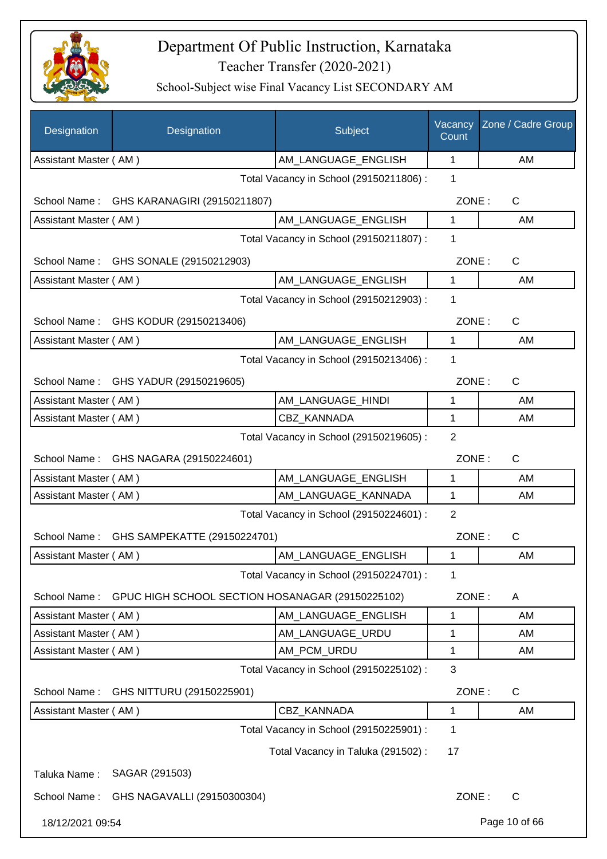

| Designation                              | Designation                                                   | Subject                                 | Vacancy<br>Count | Zone / Cadre Group |
|------------------------------------------|---------------------------------------------------------------|-----------------------------------------|------------------|--------------------|
| Assistant Master (AM)                    |                                                               | AM LANGUAGE ENGLISH                     | 1                | AM                 |
|                                          |                                                               | Total Vacancy in School (29150211806) : | 1                |                    |
| School Name :                            | GHS KARANAGIRI (29150211807)                                  |                                         | ZONE:            | $\mathsf{C}$       |
| Assistant Master (AM)                    |                                                               | AM LANGUAGE ENGLISH                     | 1                | AM                 |
|                                          |                                                               | Total Vacancy in School (29150211807) : | 1                |                    |
| School Name:<br>GHS SONALE (29150212903) |                                                               |                                         | ZONE:            | $\mathsf{C}$       |
| Assistant Master (AM)                    |                                                               | AM LANGUAGE_ENGLISH                     | $\mathbf 1$      | AM                 |
|                                          |                                                               | Total Vacancy in School (29150212903) : | 1                |                    |
|                                          | School Name: GHS KODUR (29150213406)                          |                                         | ZONE:            | C                  |
| Assistant Master (AM)                    |                                                               | AM_LANGUAGE_ENGLISH                     | 1                | AM                 |
|                                          |                                                               | Total Vacancy in School (29150213406) : | 1                |                    |
|                                          | School Name: GHS YADUR (29150219605)                          |                                         | ZONE:            | $\mathsf{C}$       |
| Assistant Master (AM)                    |                                                               | AM_LANGUAGE_HINDI                       | 1                | AM                 |
| Assistant Master (AM)                    |                                                               | <b>CBZ KANNADA</b>                      | 1                | AM                 |
|                                          |                                                               | Total Vacancy in School (29150219605) : | 2                |                    |
|                                          | School Name: GHS NAGARA (29150224601)                         |                                         | ZONE:            | C                  |
| Assistant Master (AM)                    |                                                               | AM_LANGUAGE_ENGLISH                     | 1                | AM                 |
| Assistant Master (AM)                    |                                                               | AM_LANGUAGE_KANNADA                     | $\mathbf{1}$     | AM                 |
|                                          |                                                               | Total Vacancy in School (29150224601) : | 2                |                    |
| School Name:                             | GHS SAMPEKATTE (29150224701)                                  |                                         | ZONE:            | $\mathsf{C}$       |
| Assistant Master (AM)                    |                                                               | AM_LANGUAGE_ENGLISH                     | 1                | AM                 |
|                                          |                                                               | Total Vacancy in School (29150224701) : | 1                |                    |
|                                          | School Name: GPUC HIGH SCHOOL SECTION HOSANAGAR (29150225102) |                                         | ZONE:            | A                  |
| Assistant Master (AM)                    |                                                               | AM_LANGUAGE_ENGLISH                     | 1                | AM                 |
| Assistant Master (AM)                    |                                                               | AM LANGUAGE URDU                        | 1                | AM                 |
| Assistant Master (AM)                    |                                                               | AM_PCM_URDU                             | 1                | AM                 |
|                                          |                                                               | Total Vacancy in School (29150225102) : | 3                |                    |
| School Name:                             | GHS NITTURU (29150225901)                                     |                                         | ZONE:            | C                  |
| Assistant Master (AM)                    |                                                               | CBZ_KANNADA                             | 1                | AM                 |
|                                          |                                                               | Total Vacancy in School (29150225901) : | 1                |                    |
|                                          |                                                               | Total Vacancy in Taluka (291502) :      | 17               |                    |
| Taluka Name:                             | SAGAR (291503)                                                |                                         |                  |                    |
| School Name:                             | GHS NAGAVALLI (29150300304)                                   |                                         | ZONE:            | C                  |
| 18/12/2021 09:54                         |                                                               |                                         |                  | Page 10 of 66      |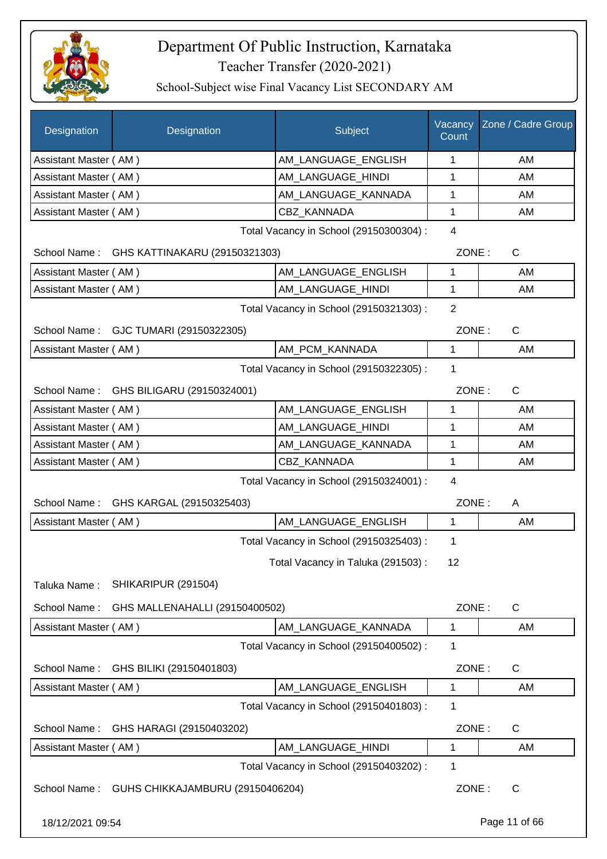

| Designation           | Designation                                   | Subject                                 | Vacancy<br>Count | Zone / Cadre Group |
|-----------------------|-----------------------------------------------|-----------------------------------------|------------------|--------------------|
| Assistant Master (AM) |                                               | AM_LANGUAGE_ENGLISH                     | 1                | AM                 |
| Assistant Master (AM) |                                               | AM LANGUAGE HINDI                       | 1                | AM                 |
| Assistant Master (AM) |                                               | AM_LANGUAGE_KANNADA                     | 1                | AM                 |
| Assistant Master (AM) |                                               | CBZ KANNADA                             | 1                | AM                 |
|                       |                                               | Total Vacancy in School (29150300304) : | $\overline{4}$   |                    |
|                       | School Name: GHS KATTINAKARU (29150321303)    |                                         | ZONE:            | $\mathsf{C}$       |
| Assistant Master (AM) |                                               | AM_LANGUAGE_ENGLISH                     | 1                | AM                 |
| Assistant Master (AM) |                                               | AM_LANGUAGE_HINDI                       | 1                | AM                 |
|                       |                                               | Total Vacancy in School (29150321303) : | $\overline{2}$   |                    |
| School Name:          | GJC TUMARI (29150322305)                      |                                         | ZONE:            | C                  |
| Assistant Master (AM) |                                               | AM_PCM_KANNADA                          | 1                | AM                 |
|                       |                                               | Total Vacancy in School (29150322305) : | 1                |                    |
|                       | School Name: GHS BILIGARU (29150324001)       |                                         | ZONE:            | $\mathsf{C}$       |
| Assistant Master (AM) |                                               | AM_LANGUAGE_ENGLISH                     | 1                | AM                 |
| Assistant Master (AM) |                                               | AM_LANGUAGE_HINDI                       | 1                | AM                 |
| Assistant Master (AM) |                                               | AM_LANGUAGE_KANNADA                     | 1                | AM                 |
| Assistant Master (AM) |                                               | <b>CBZ KANNADA</b>                      | 1                | AM                 |
|                       |                                               | Total Vacancy in School (29150324001) : | 4                |                    |
| School Name:          | GHS KARGAL (29150325403)                      |                                         | ZONE:            | A                  |
| Assistant Master (AM) |                                               | AM_LANGUAGE_ENGLISH                     | 1                | AM                 |
|                       |                                               | Total Vacancy in School (29150325403) : | 1                |                    |
|                       |                                               | Total Vacancy in Taluka (291503):       | 12               |                    |
| Taluka Name:          | SHIKARIPUR (291504)                           |                                         |                  |                    |
| School Name:          | GHS MALLENAHALLI (29150400502)                |                                         | ZONE:            | $\mathsf{C}$       |
| Assistant Master (AM) |                                               | AM LANGUAGE KANNADA                     | 1                | AM                 |
|                       |                                               | Total Vacancy in School (29150400502) : | 1                |                    |
| School Name:          | GHS BILIKI (29150401803)                      |                                         | ZONE:            | C                  |
| Assistant Master (AM) |                                               | AM LANGUAGE ENGLISH                     | 1                | AM                 |
|                       |                                               | Total Vacancy in School (29150401803) : | 1                |                    |
| School Name:          | GHS HARAGI (29150403202)                      |                                         | ZONE:            | C                  |
| Assistant Master (AM) |                                               | AM_LANGUAGE_HINDI                       | 1                | AM                 |
|                       |                                               | Total Vacancy in School (29150403202) : | 1                |                    |
|                       | School Name: GUHS CHIKKAJAMBURU (29150406204) |                                         | ZONE:            | C                  |
| 18/12/2021 09:54      |                                               |                                         |                  | Page 11 of 66      |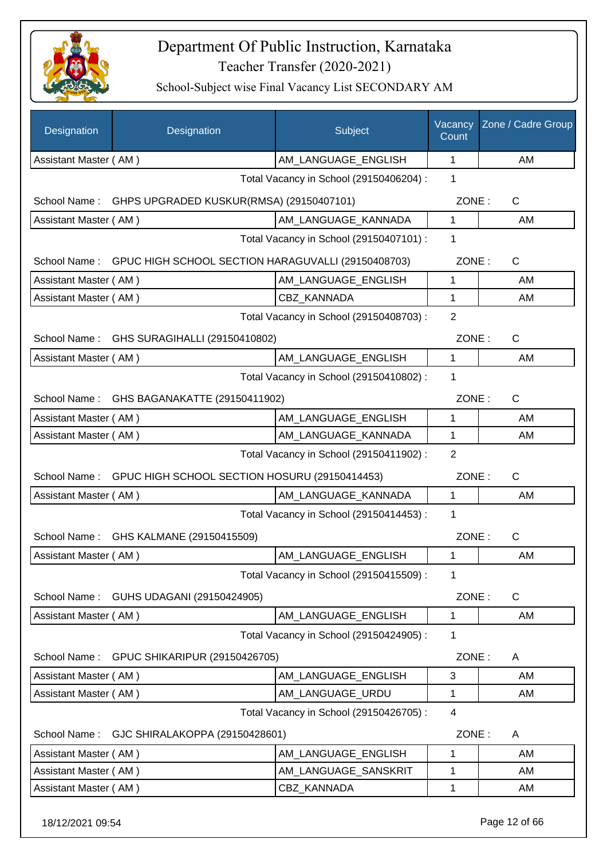

| Designation           | Designation                                                     | Subject                                 | Vacancy<br>Count | Zone / Cadre Group |
|-----------------------|-----------------------------------------------------------------|-----------------------------------------|------------------|--------------------|
| Assistant Master (AM) |                                                                 | AM_LANGUAGE_ENGLISH                     | 1                | AM                 |
|                       |                                                                 | Total Vacancy in School (29150406204) : | 1                |                    |
| School Name:          | GHPS UPGRADED KUSKUR(RMSA) (29150407101)                        |                                         | ZONE:            | C                  |
| Assistant Master (AM) |                                                                 | AM_LANGUAGE_KANNADA                     | 1                | AM                 |
|                       |                                                                 | Total Vacancy in School (29150407101) : | 1                |                    |
|                       | School Name: GPUC HIGH SCHOOL SECTION HARAGUVALLI (29150408703) |                                         | ZONE:            | C                  |
| Assistant Master (AM) |                                                                 | AM_LANGUAGE_ENGLISH                     | 1                | AM                 |
| Assistant Master (AM) |                                                                 | CBZ KANNADA                             | $\mathbf 1$      | AM                 |
|                       |                                                                 | Total Vacancy in School (29150408703) : | 2                |                    |
|                       | School Name: GHS SURAGIHALLI (29150410802)                      |                                         | ZONE:            | C                  |
| Assistant Master (AM) |                                                                 | AM_LANGUAGE_ENGLISH                     | 1                | AM                 |
|                       |                                                                 | Total Vacancy in School (29150410802) : | 1                |                    |
|                       | School Name: GHS BAGANAKATTE (29150411902)                      |                                         | ZONE:            | $\mathsf{C}$       |
| Assistant Master (AM) |                                                                 | AM_LANGUAGE_ENGLISH                     | 1                | AM                 |
| Assistant Master (AM) |                                                                 | AM_LANGUAGE_KANNADA                     | 1                | AM                 |
|                       |                                                                 | Total Vacancy in School (29150411902) : | $\overline{2}$   |                    |
|                       | School Name: GPUC HIGH SCHOOL SECTION HOSURU (29150414453)      |                                         | ZONE:            | $\mathsf{C}$       |
| Assistant Master (AM) |                                                                 | AM_LANGUAGE_KANNADA                     | $\mathbf{1}$     | AM                 |
|                       |                                                                 | Total Vacancy in School (29150414453) : | 1                |                    |
| School Name:          | GHS KALMANE (29150415509)                                       |                                         | ZONE:            | $\mathsf{C}$       |
| Assistant Master (AM) |                                                                 | AM_LANGUAGE_ENGLISH                     | 1                | AM                 |
|                       |                                                                 | Total Vacancy in School (29150415509) : | 1                |                    |
| School Name:          | GUHS UDAGANI (29150424905)                                      |                                         | ZONE:            | C                  |
| Assistant Master (AM) |                                                                 | AM_LANGUAGE_ENGLISH                     | 1                | AM                 |
|                       |                                                                 | Total Vacancy in School (29150424905) : | 1                |                    |
| School Name:          | <b>GPUC SHIKARIPUR (29150426705)</b>                            |                                         | ZONE:            | A                  |
| Assistant Master (AM) |                                                                 | AM LANGUAGE ENGLISH                     | 3                | AM                 |
| Assistant Master (AM) |                                                                 | AM LANGUAGE URDU                        | 1                | AM                 |
|                       |                                                                 | Total Vacancy in School (29150426705) : | 4                |                    |
| School Name:          | GJC SHIRALAKOPPA (29150428601)                                  |                                         | ZONE:            | A                  |
| Assistant Master (AM) |                                                                 | AM_LANGUAGE_ENGLISH                     | 1                | AM                 |
| Assistant Master (AM) |                                                                 | AM_LANGUAGE_SANSKRIT                    | 1                | AM                 |
| Assistant Master (AM) |                                                                 | CBZ_KANNADA                             | 1                | AM                 |
| 18/12/2021 09:54      |                                                                 |                                         |                  | Page 12 of 66      |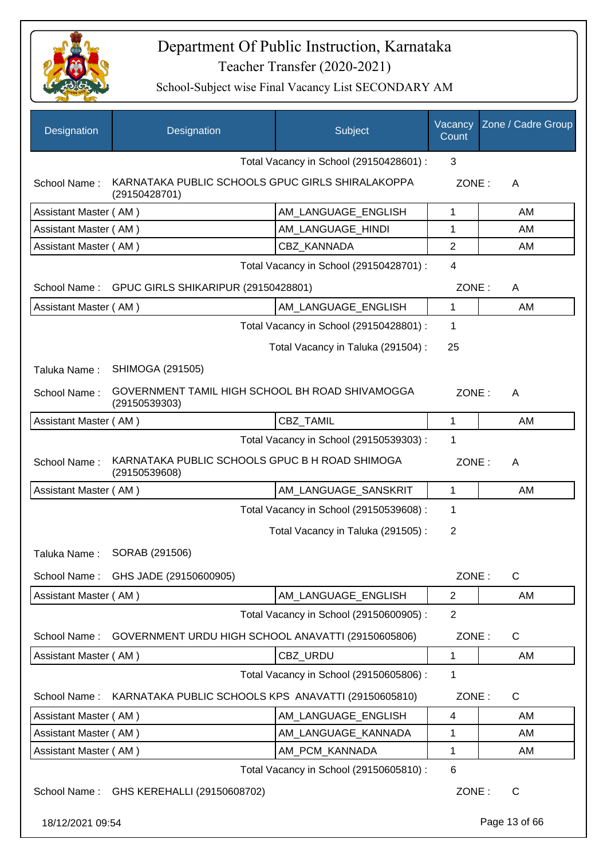

| Designation           | Designation                                                       | Subject                                 | Vacancy<br>Count | Zone / Cadre Group |
|-----------------------|-------------------------------------------------------------------|-----------------------------------------|------------------|--------------------|
|                       |                                                                   | Total Vacancy in School (29150428601) : | 3                |                    |
| School Name:          | KARNATAKA PUBLIC SCHOOLS GPUC GIRLS SHIRALAKOPPA<br>(29150428701) |                                         | ZONE:            | A                  |
| Assistant Master (AM) |                                                                   | AM_LANGUAGE_ENGLISH                     | 1                | AM                 |
| Assistant Master (AM) |                                                                   | AM LANGUAGE_HINDI                       | 1                | AM                 |
| Assistant Master (AM) |                                                                   | CBZ KANNADA                             | $\overline{2}$   | AM                 |
|                       |                                                                   | Total Vacancy in School (29150428701) : | 4                |                    |
| School Name:          | GPUC GIRLS SHIKARIPUR (29150428801)                               |                                         | ZONE:            | A                  |
| Assistant Master (AM) |                                                                   | AM_LANGUAGE_ENGLISH                     | 1                | AM                 |
|                       |                                                                   | Total Vacancy in School (29150428801) : | 1                |                    |
|                       |                                                                   | Total Vacancy in Taluka (291504) :      | 25               |                    |
| Taluka Name:          | SHIMOGA (291505)                                                  |                                         |                  |                    |
| School Name:          | GOVERNMENT TAMIL HIGH SCHOOL BH ROAD SHIVAMOGGA<br>(29150539303)  |                                         | ZONE:            | A                  |
| Assistant Master (AM) |                                                                   | CBZ_TAMIL                               | $\mathbf{1}$     | AM                 |
|                       |                                                                   | Total Vacancy in School (29150539303) : | 1                |                    |
| School Name:          | KARNATAKA PUBLIC SCHOOLS GPUC B H ROAD SHIMOGA<br>(29150539608)   |                                         | ZONE:            | A                  |
| Assistant Master (AM) |                                                                   | AM_LANGUAGE_SANSKRIT                    | 1                | AM                 |
|                       |                                                                   | Total Vacancy in School (29150539608) : | 1                |                    |
|                       |                                                                   | Total Vacancy in Taluka (291505):       | $\overline{2}$   |                    |
| Taluka Name:          | SORAB (291506)                                                    |                                         |                  |                    |
| School Name:          | GHS JADE (29150600905)                                            |                                         | ZONE:            | C                  |
| Assistant Master (AM) |                                                                   | AM_LANGUAGE_ENGLISH                     | $\overline{2}$   | AM                 |
|                       |                                                                   | Total Vacancy in School (29150600905) : | $\overline{2}$   |                    |
| School Name:          | GOVERNMENT URDU HIGH SCHOOL ANAVATTI (29150605806)                |                                         | ZONE:            | $\mathsf{C}$       |
| Assistant Master (AM) |                                                                   | CBZ_URDU                                | 1                | AM                 |
|                       |                                                                   | Total Vacancy in School (29150605806) : | 1                |                    |
| School Name:          | KARNATAKA PUBLIC SCHOOLS KPS ANAVATTI (29150605810)               |                                         | ZONE:            | $\mathsf{C}$       |
| Assistant Master (AM) |                                                                   | AM_LANGUAGE_ENGLISH                     | $\overline{4}$   | AM                 |
| Assistant Master (AM) |                                                                   | AM_LANGUAGE_KANNADA                     | 1                | AM                 |
| Assistant Master (AM) |                                                                   | AM_PCM_KANNADA                          | 1                | AM                 |
|                       |                                                                   | Total Vacancy in School (29150605810) : | 6                |                    |
| School Name:          | GHS KEREHALLI (29150608702)                                       |                                         | ZONE:            | C                  |
| 18/12/2021 09:54      |                                                                   |                                         |                  | Page 13 of 66      |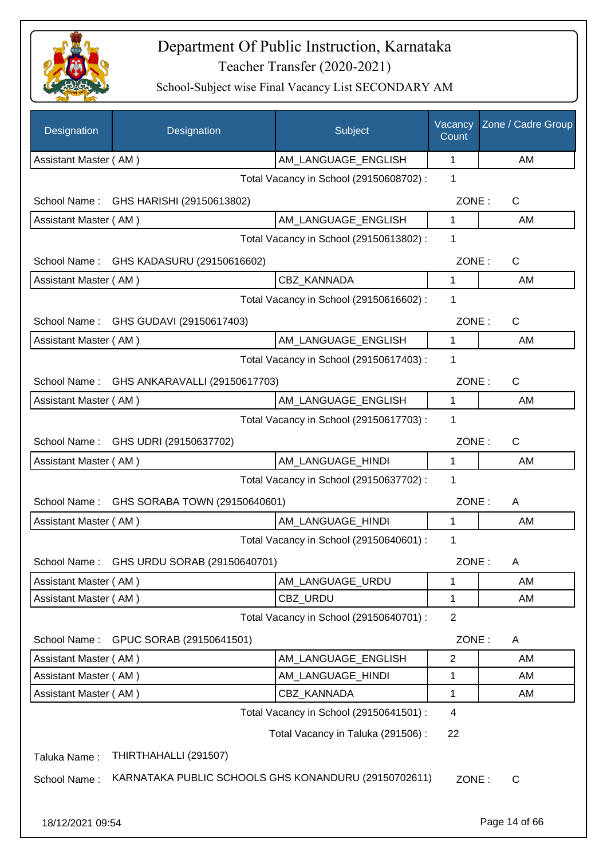

| Designation           | Designation                               | Subject                                              | Vacancy<br>Count | Zone / Cadre Group |
|-----------------------|-------------------------------------------|------------------------------------------------------|------------------|--------------------|
| Assistant Master (AM) |                                           | AM LANGUAGE ENGLISH                                  | 1                | AM                 |
|                       |                                           | Total Vacancy in School (29150608702) :              | 1                |                    |
|                       | School Name: GHS HARISHI (29150613802)    |                                                      | ZONE:            | C                  |
| Assistant Master (AM) |                                           | AM_LANGUAGE_ENGLISH                                  | $\mathbf{1}$     | AM                 |
|                       |                                           | Total Vacancy in School (29150613802) :              | 1                |                    |
|                       | School Name: GHS KADASURU (29150616602)   |                                                      | ZONE:            | C                  |
| Assistant Master (AM) |                                           | CBZ_KANNADA                                          | 1                | AM                 |
|                       |                                           | Total Vacancy in School (29150616602) :              | 1                |                    |
| School Name:          | GHS GUDAVI (29150617403)                  |                                                      | ZONE:            | C                  |
| Assistant Master (AM) |                                           | AM_LANGUAGE_ENGLISH                                  | 1                | AM                 |
|                       |                                           | Total Vacancy in School (29150617403) :              | 1                |                    |
| School Name:          | GHS ANKARAVALLI (29150617703)             |                                                      | ZONE:            | C                  |
| Assistant Master (AM) |                                           | AM LANGUAGE_ENGLISH                                  | 1                | AM                 |
|                       |                                           | Total Vacancy in School (29150617703) :              | 1                |                    |
| School Name:          | GHS UDRI (29150637702)                    |                                                      | ZONE:            | C                  |
| Assistant Master (AM) |                                           | AM_LANGUAGE_HINDI                                    | 1                | AM                 |
|                       |                                           | Total Vacancy in School (29150637702) :              | 1                |                    |
| School Name:          | GHS SORABA TOWN (29150640601)             |                                                      | ZONE:            | A                  |
| Assistant Master (AM) |                                           | AM_LANGUAGE_HINDI                                    | $\mathbf 1$      | AM                 |
|                       |                                           | Total Vacancy in School (29150640601) :              | 1                |                    |
|                       | School Name: GHS URDU SORAB (29150640701) |                                                      | ZONE:            | A                  |
| Assistant Master (AM) |                                           | AM LANGUAGE URDU                                     | 1                | AM                 |
| Assistant Master (AM) |                                           | CBZ_URDU                                             | 1                | AM                 |
|                       |                                           | Total Vacancy in School (29150640701) :              | $\overline{2}$   |                    |
| School Name:          | GPUC SORAB (29150641501)                  |                                                      | ZONE:            | A                  |
| Assistant Master (AM) |                                           | AM_LANGUAGE_ENGLISH                                  | $\overline{2}$   | AM                 |
| Assistant Master (AM) |                                           | AM_LANGUAGE_HINDI                                    | 1                | AM                 |
| Assistant Master (AM) |                                           | CBZ_KANNADA                                          | 1                | AM                 |
|                       |                                           | Total Vacancy in School (29150641501) :              | 4                |                    |
|                       |                                           | Total Vacancy in Taluka (291506) :                   | 22               |                    |
| Taluka Name:          | THIRTHAHALLI (291507)                     |                                                      |                  |                    |
| School Name:          |                                           | KARNATAKA PUBLIC SCHOOLS GHS KONANDURU (29150702611) | ZONE:            | C                  |
|                       |                                           |                                                      |                  |                    |
| 18/12/2021 09:54      |                                           |                                                      |                  | Page 14 of 66      |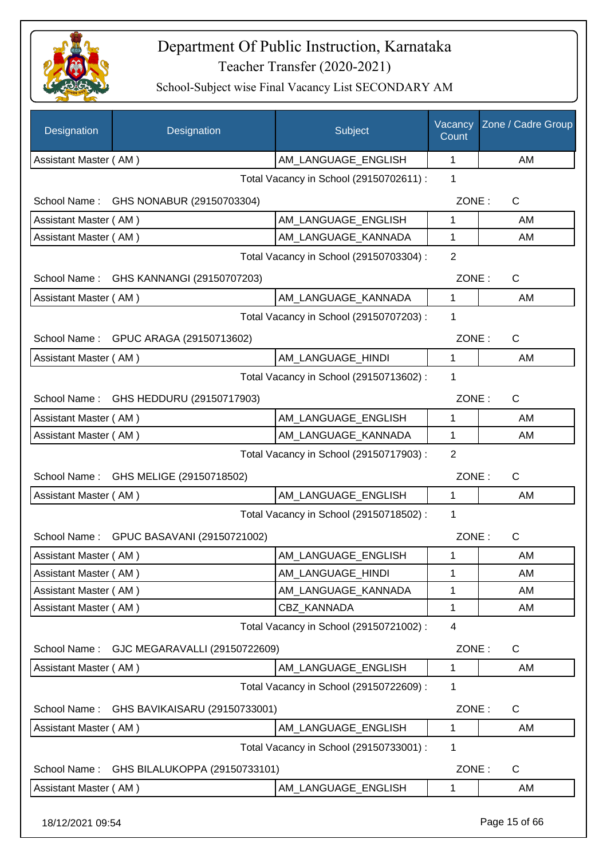

School-Subject wise Final Vacancy List SECONDARY AM

| Designation           | Designation                              | Subject                                 | Vacancy<br>Count | Zone / Cadre Group |
|-----------------------|------------------------------------------|-----------------------------------------|------------------|--------------------|
| Assistant Master (AM) |                                          | AM_LANGUAGE_ENGLISH                     | 1                | AM                 |
|                       |                                          | Total Vacancy in School (29150702611) : | 1                |                    |
|                       | School Name: GHS NONABUR (29150703304)   |                                         | ZONE:            | $\mathsf{C}$       |
| Assistant Master (AM) |                                          | AM LANGUAGE ENGLISH                     | 1                | AM                 |
| Assistant Master (AM) |                                          | AM LANGUAGE KANNADA                     | 1                | AM                 |
|                       |                                          | Total Vacancy in School (29150703304) : | 2                |                    |
|                       | School Name: GHS KANNANGI (29150707203)  |                                         | ZONE:            | C                  |
| Assistant Master (AM) |                                          | AM_LANGUAGE_KANNADA                     | $\mathbf{1}$     | AM                 |
|                       |                                          | Total Vacancy in School (29150707203) : | 1                |                    |
|                       | School Name: GPUC ARAGA (29150713602)    |                                         | ZONE:            | C                  |
| Assistant Master (AM) |                                          | AM LANGUAGE HINDI                       | 1                | AM                 |
|                       |                                          | Total Vacancy in School (29150713602) : | 1                |                    |
| School Name:          | GHS HEDDURU (29150717903)                |                                         | ZONE:            | $\mathsf C$        |
| Assistant Master (AM) |                                          | AM_LANGUAGE_ENGLISH                     | 1                | AM                 |
| Assistant Master (AM) |                                          | AM_LANGUAGE_KANNADA                     | 1                | AM                 |
|                       |                                          | Total Vacancy in School (29150717903) : | $\overline{2}$   |                    |
| School Name:          | GHS MELIGE (29150718502)                 |                                         | ZONE:            | $\mathsf{C}$       |
| Assistant Master (AM) |                                          | AM_LANGUAGE_ENGLISH                     | 1                | AM                 |
|                       |                                          | Total Vacancy in School (29150718502) : | 1                |                    |
|                       | School Name: GPUC BASAVANI (29150721002) |                                         | ZONE:            | $\mathsf C$        |
| Assistant Master (AM) |                                          | AM LANGUAGE ENGLISH                     | 1                | AM                 |
| Assistant Master (AM) |                                          | AM_LANGUAGE_HINDI                       | 1                | AM                 |
| Assistant Master (AM) |                                          | AM LANGUAGE KANNADA                     | 1                | AM                 |
| Assistant Master (AM) |                                          | CBZ KANNADA                             | 1                | AM                 |
|                       |                                          | Total Vacancy in School (29150721002) : | $\overline{4}$   |                    |
| School Name:          | GJC MEGARAVALLI (29150722609)            |                                         | ZONE:            | $\mathsf{C}$       |
| Assistant Master (AM) |                                          | AM_LANGUAGE_ENGLISH                     | 1                | AM                 |
|                       |                                          | Total Vacancy in School (29150722609) : | 1                |                    |
| School Name:          | GHS BAVIKAISARU (29150733001)            |                                         | ZONE:            | $\mathsf{C}$       |
| Assistant Master (AM) |                                          | AM_LANGUAGE_ENGLISH                     | 1                | AM                 |
|                       |                                          | Total Vacancy in School (29150733001) : | $\mathbf 1$      |                    |
| School Name:          | GHS BILALUKOPPA (29150733101)            |                                         | ZONE:            | $\mathsf{C}$       |
| Assistant Master (AM) |                                          | AM_LANGUAGE_ENGLISH                     | 1                | AM                 |

18/12/2021 09:54 Page 15 of 66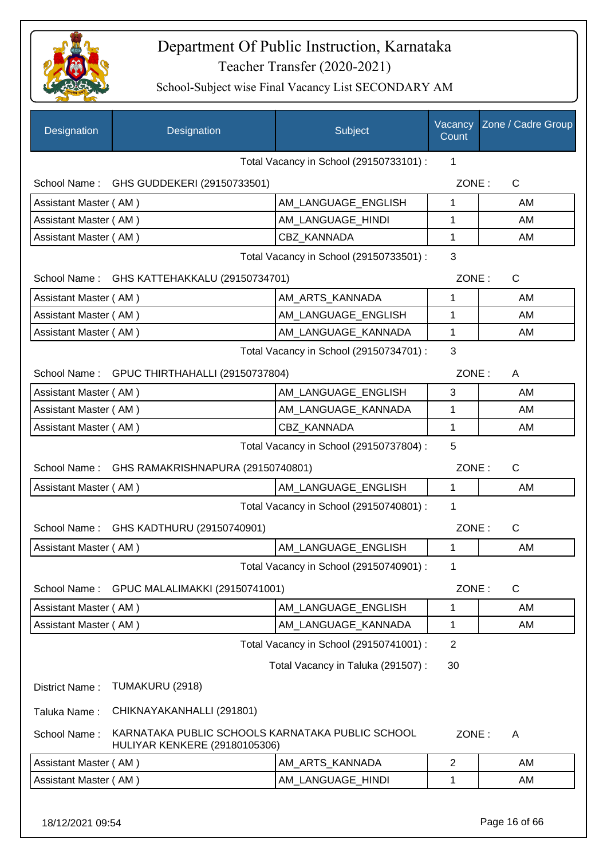

School-Subject wise Final Vacancy List SECONDARY AM

| Designation           | Designation                                                                       | Subject                                 | Vacancy<br>Count | Zone / Cadre Group |
|-----------------------|-----------------------------------------------------------------------------------|-----------------------------------------|------------------|--------------------|
|                       |                                                                                   | Total Vacancy in School (29150733101) : | 1                |                    |
|                       | School Name: GHS GUDDEKERI (29150733501)                                          |                                         | ZONE:            | $\mathsf{C}$       |
| Assistant Master (AM) |                                                                                   | AM_LANGUAGE_ENGLISH                     | 1                | AM                 |
| Assistant Master (AM) |                                                                                   | AM_LANGUAGE_HINDI                       | 1                | AM                 |
| Assistant Master (AM) |                                                                                   | CBZ_KANNADA                             | 1                | AM                 |
|                       |                                                                                   | Total Vacancy in School (29150733501) : | 3                |                    |
|                       | School Name: GHS KATTEHAKKALU (29150734701)                                       | ZONE:                                   | C                |                    |
| Assistant Master (AM) |                                                                                   | AM_ARTS_KANNADA                         | 1                | AM                 |
| Assistant Master (AM) |                                                                                   | AM_LANGUAGE_ENGLISH                     | 1                | AM                 |
| Assistant Master (AM) |                                                                                   | AM_LANGUAGE_KANNADA                     | 1                | AM                 |
|                       |                                                                                   | Total Vacancy in School (29150734701) : | 3                |                    |
|                       | School Name: GPUC THIRTHAHALLI (29150737804)                                      |                                         | ZONE:            | A                  |
| Assistant Master (AM) |                                                                                   | AM_LANGUAGE_ENGLISH                     | 3                | AM                 |
| Assistant Master (AM) |                                                                                   | AM_LANGUAGE_KANNADA                     | 1                | AM                 |
| Assistant Master (AM) |                                                                                   | <b>CBZ KANNADA</b>                      | 1                | AM                 |
|                       |                                                                                   | Total Vacancy in School (29150737804) : | 5                |                    |
| School Name:          | GHS RAMAKRISHNAPURA (29150740801)                                                 |                                         | ZONE:            | C                  |
| Assistant Master (AM) |                                                                                   | AM_LANGUAGE_ENGLISH                     | 1                | AM                 |
|                       |                                                                                   | Total Vacancy in School (29150740801) : | 1                |                    |
|                       | School Name: GHS KADTHURU (29150740901)                                           |                                         | ZONE:            | C                  |
| Assistant Master (AM) |                                                                                   | AM LANGUAGE ENGLISH                     | 1                | AM                 |
|                       |                                                                                   | Total Vacancy in School (29150740901) : | 1                |                    |
| School Name:          | GPUC MALALIMAKKI (29150741001)                                                    |                                         | ZONE:            | $\mathsf{C}$       |
| Assistant Master (AM) |                                                                                   | AM_LANGUAGE_ENGLISH                     | 1                | AM                 |
| Assistant Master (AM) |                                                                                   | AM_LANGUAGE_KANNADA                     | 1                | AM                 |
|                       |                                                                                   | Total Vacancy in School (29150741001) : | $\overline{2}$   |                    |
|                       |                                                                                   | Total Vacancy in Taluka (291507) :      | 30               |                    |
| District Name:        | TUMAKURU (2918)                                                                   |                                         |                  |                    |
| Taluka Name:          | CHIKNAYAKANHALLI (291801)                                                         |                                         |                  |                    |
| School Name:          | KARNATAKA PUBLIC SCHOOLS KARNATAKA PUBLIC SCHOOL<br>HULIYAR KENKERE (29180105306) |                                         | ZONE:            | A                  |
| Assistant Master (AM) |                                                                                   | AM_ARTS_KANNADA                         | $\overline{c}$   | AM                 |
| Assistant Master (AM) |                                                                                   | AM_LANGUAGE_HINDI                       | 1                | AM                 |
|                       |                                                                                   |                                         |                  |                    |

18/12/2021 09:54 Page 16 of 66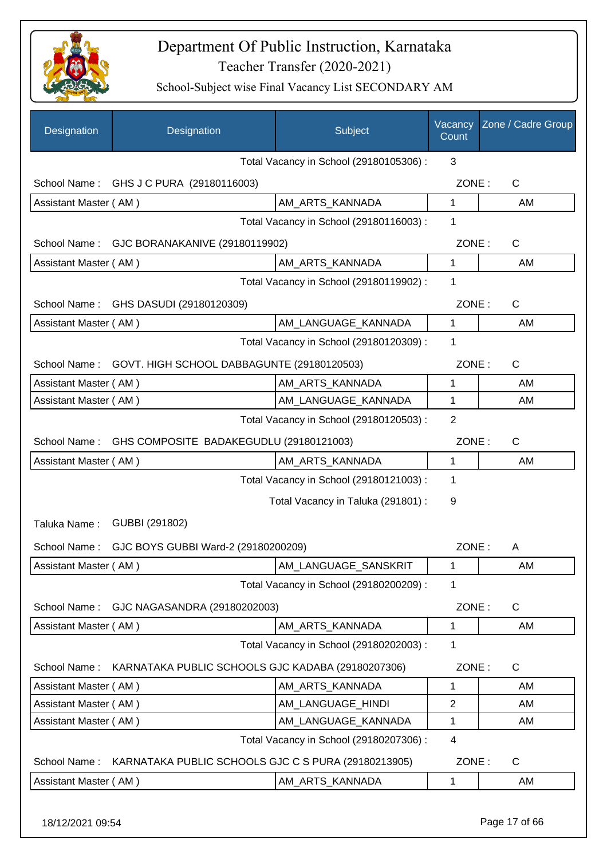

| Designation           | Designation                                         | Subject                                 | Vacancy<br>Count | Zone / Cadre Group |
|-----------------------|-----------------------------------------------------|-----------------------------------------|------------------|--------------------|
|                       |                                                     | Total Vacancy in School (29180105306) : | 3                |                    |
| School Name:          | GHS J C PURA (29180116003)                          |                                         | ZONE:            | C                  |
| Assistant Master (AM) |                                                     | AM_ARTS_KANNADA                         | 1                | AM                 |
|                       |                                                     | Total Vacancy in School (29180116003) : | 1                |                    |
| School Name:          | GJC BORANAKANIVE (29180119902)                      |                                         | ZONE:            | $\mathsf{C}$       |
| Assistant Master (AM) |                                                     | AM_ARTS_KANNADA                         | $\mathbf{1}$     | AM                 |
|                       |                                                     | Total Vacancy in School (29180119902) : | 1                |                    |
|                       | School Name: GHS DASUDI (29180120309)               |                                         | ZONE:            | $\mathsf{C}$       |
| Assistant Master (AM) |                                                     | AM_LANGUAGE_KANNADA                     | 1                | AM                 |
|                       |                                                     | Total Vacancy in School (29180120309) : | 1                |                    |
| School Name:          | GOVT. HIGH SCHOOL DABBAGUNTE (29180120503)          |                                         | ZONE:            | $\mathsf{C}$       |
| Assistant Master (AM) |                                                     | AM_ARTS_KANNADA                         | 1                | AM                 |
| Assistant Master (AM) |                                                     | AM_LANGUAGE_KANNADA                     | 1                | AM                 |
|                       |                                                     | Total Vacancy in School (29180120503) : | $\overline{2}$   |                    |
| School Name:          | GHS COMPOSITE BADAKEGUDLU (29180121003)             |                                         | ZONE:            | $\mathsf{C}$       |
| Assistant Master (AM) |                                                     | AM_ARTS_KANNADA                         | 1                | AM                 |
|                       |                                                     | Total Vacancy in School (29180121003) : | 1                |                    |
|                       |                                                     | Total Vacancy in Taluka (291801) :      | 9                |                    |
| Taluka Name:          | GUBBI (291802)                                      |                                         |                  |                    |
| School Name:          | GJC BOYS GUBBI Ward-2 (29180200209)                 |                                         | ZONE:            | A                  |
| Assistant Master (AM) |                                                     | AM LANGUAGE SANSKRIT                    | 1                | AM                 |
|                       |                                                     | Total Vacancy in School (29180200209) : | 1                |                    |
| School Name:          | GJC NAGASANDRA (29180202003)                        |                                         | ZONE:            | C                  |
| Assistant Master (AM) |                                                     | AM_ARTS_KANNADA                         | 1                | AM                 |
|                       |                                                     | Total Vacancy in School (29180202003) : | 1                |                    |
| School Name:          | KARNATAKA PUBLIC SCHOOLS GJC KADABA (29180207306)   |                                         | ZONE:            | $\mathsf C$        |
| Assistant Master (AM) |                                                     | AM_ARTS_KANNADA                         | 1                | AM                 |
| Assistant Master (AM) |                                                     | AM LANGUAGE HINDI                       | $\overline{2}$   | AM                 |
| Assistant Master (AM) |                                                     | AM_LANGUAGE_KANNADA                     | 1                | AM                 |
|                       |                                                     | Total Vacancy in School (29180207306) : | 4                |                    |
| School Name:          | KARNATAKA PUBLIC SCHOOLS GJC C S PURA (29180213905) |                                         | ZONE:            | C                  |
| Assistant Master (AM) |                                                     | AM_ARTS_KANNADA                         | 1                | AM                 |
| 18/12/2021 09:54      |                                                     |                                         |                  | Page 17 of 66      |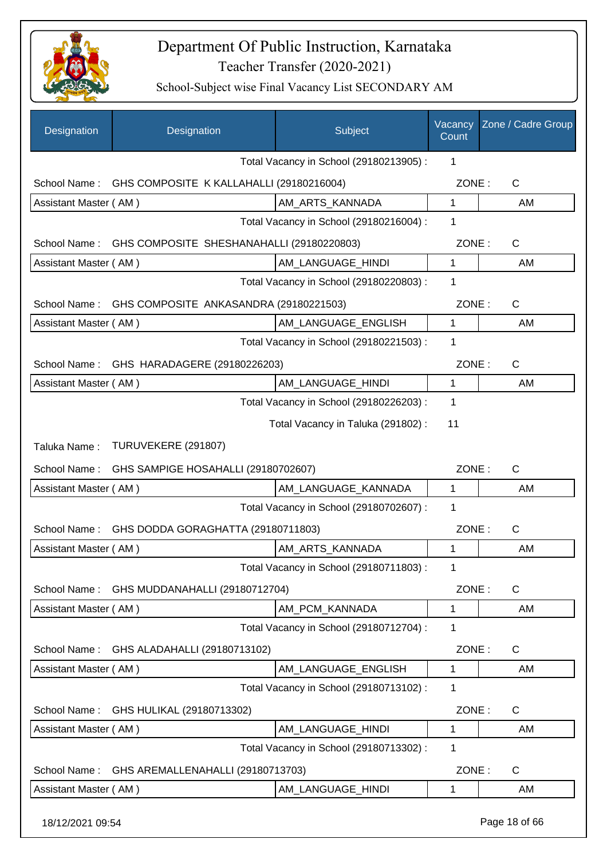

| Designation           | Designation                                            | Subject                                 | Vacancy<br>Count | Zone / Cadre Group |
|-----------------------|--------------------------------------------------------|-----------------------------------------|------------------|--------------------|
|                       |                                                        | Total Vacancy in School (29180213905) : | 1                |                    |
| School Name:          | GHS COMPOSITE K KALLAHALLI (29180216004)               |                                         | ZONE:            | $\mathsf{C}$       |
| Assistant Master (AM) |                                                        | AM_ARTS_KANNADA                         | $\mathbf{1}$     | AM                 |
|                       |                                                        | Total Vacancy in School (29180216004) : | 1                |                    |
|                       | School Name: GHS COMPOSITE SHESHANAHALLI (29180220803) |                                         | ZONE:            | $\mathsf{C}$       |
| Assistant Master (AM) |                                                        | AM_LANGUAGE_HINDI                       | 1                | AM                 |
|                       |                                                        | Total Vacancy in School (29180220803) : | 1                |                    |
| School Name:          | GHS COMPOSITE ANKASANDRA (29180221503)                 |                                         | ZONE:            | C                  |
| Assistant Master (AM) |                                                        | AM_LANGUAGE_ENGLISH                     | $\mathbf{1}$     | AM                 |
|                       |                                                        | Total Vacancy in School (29180221503) : | 1                |                    |
| School Name:          | GHS HARADAGERE (29180226203)                           |                                         | ZONE:            | $\mathsf{C}$       |
| Assistant Master (AM) |                                                        | AM_LANGUAGE_HINDI                       | $\mathbf 1$      | AM                 |
|                       |                                                        | Total Vacancy in School (29180226203) : | $\mathbf 1$      |                    |
|                       |                                                        | Total Vacancy in Taluka (291802):       | 11               |                    |
| Taluka Name:          | TURUVEKERE (291807)                                    |                                         |                  |                    |
| School Name:          | GHS SAMPIGE HOSAHALLI (29180702607)                    |                                         | ZONE:            | C                  |
| Assistant Master (AM) |                                                        | AM_LANGUAGE_KANNADA                     | $\mathbf 1$      | AM                 |
|                       |                                                        | Total Vacancy in School (29180702607):  | 1                |                    |
| School Name:          | GHS DODDA GORAGHATTA (29180711803)                     |                                         | ZONE:            | $\mathsf{C}$       |
| Assistant Master (AM) |                                                        | AM_ARTS_KANNADA                         | 1                | <b>AM</b>          |
|                       |                                                        | Total Vacancy in School (29180711803) : | 1                |                    |
| School Name:          | GHS MUDDANAHALLI (29180712704)                         |                                         | ZONE:            | $\mathsf{C}$       |
| Assistant Master (AM) |                                                        | AM_PCM_KANNADA                          | 1                | AM                 |
|                       |                                                        | Total Vacancy in School (29180712704) : | 1                |                    |
| School Name:          | GHS ALADAHALLI (29180713102)                           |                                         | ZONE:            | C                  |
| Assistant Master (AM) |                                                        | AM_LANGUAGE_ENGLISH                     | 1                | AM                 |
|                       |                                                        | Total Vacancy in School (29180713102) : | 1                |                    |
| School Name:          | GHS HULIKAL (29180713302)                              |                                         | ZONE:            | $\mathsf{C}$       |
| Assistant Master (AM) |                                                        | AM_LANGUAGE_HINDI                       | 1                | AM                 |
|                       |                                                        | Total Vacancy in School (29180713302) : | $\mathbf 1$      |                    |
| School Name:          | GHS AREMALLENAHALLI (29180713703)                      |                                         | ZONE:            | $\mathsf{C}$       |
| Assistant Master (AM) |                                                        | AM_LANGUAGE_HINDI                       | 1                | AM                 |
| 18/12/2021 09:54      |                                                        |                                         |                  | Page 18 of 66      |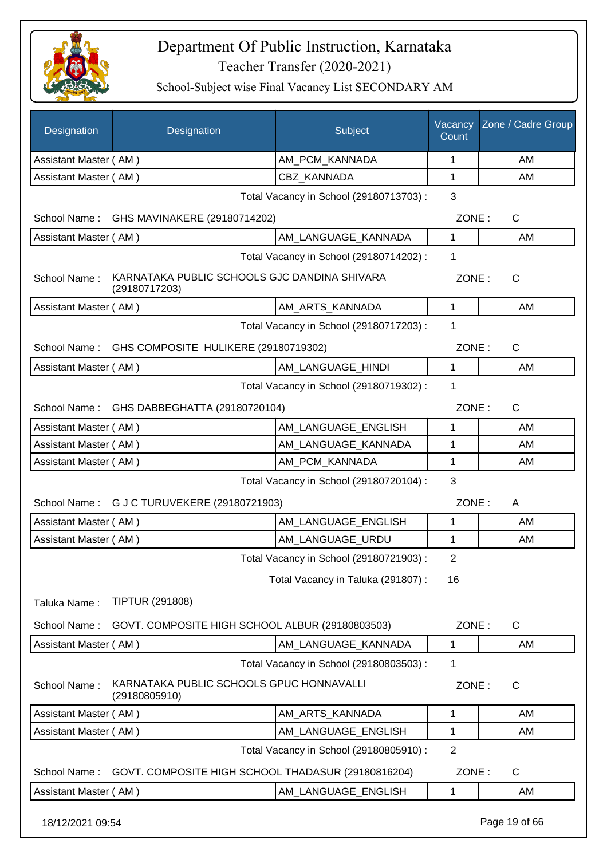

School-Subject wise Final Vacancy List SECONDARY AM

| Designation<br>Designation                                                    | Subject                                 | Vacancy<br>Count | Zone / Cadre Group |
|-------------------------------------------------------------------------------|-----------------------------------------|------------------|--------------------|
| Assistant Master (AM)                                                         | AM_PCM_KANNADA                          | 1                | AM                 |
| Assistant Master (AM)                                                         | CBZ_KANNADA                             | 1                | AM                 |
|                                                                               | Total Vacancy in School (29180713703) : | 3                |                    |
| GHS MAVINAKERE (29180714202)<br>School Name:                                  |                                         | ZONE:            | $\mathsf{C}$       |
| Assistant Master (AM)                                                         | AM_LANGUAGE_KANNADA                     | $\mathbf{1}$     | AM                 |
|                                                                               | Total Vacancy in School (29180714202) : | 1                |                    |
| KARNATAKA PUBLIC SCHOOLS GJC DANDINA SHIVARA<br>School Name:<br>(29180717203) |                                         | ZONE:            | $\mathsf{C}$       |
| Assistant Master (AM)                                                         | AM_ARTS_KANNADA                         | $\mathbf{1}$     | AM                 |
|                                                                               | Total Vacancy in School (29180717203) : | 1                |                    |
| GHS COMPOSITE HULIKERE (29180719302)<br>School Name:                          |                                         | ZONE:            | $\mathsf{C}$       |
| Assistant Master (AM)                                                         | AM LANGUAGE HINDI                       | 1                | AM                 |
|                                                                               | Total Vacancy in School (29180719302) : | 1                |                    |
| School Name: GHS DABBEGHATTA (29180720104)                                    |                                         | ZONE:            | $\mathsf{C}$       |
| Assistant Master (AM)                                                         | AM_LANGUAGE_ENGLISH                     | 1                | AM                 |
| Assistant Master (AM)                                                         | AM_LANGUAGE_KANNADA                     | 1                | AM                 |
| Assistant Master (AM)                                                         | AM_PCM_KANNADA                          | 1                | AM                 |
|                                                                               | Total Vacancy in School (29180720104) : | 3                |                    |
| School Name: G J C TURUVEKERE (29180721903)                                   |                                         | ZONE:            | A                  |
| Assistant Master (AM)                                                         | AM_LANGUAGE_ENGLISH                     | 1                | AM                 |
| Assistant Master (AM)                                                         | AM_LANGUAGE_URDU                        | 1                | AM                 |
|                                                                               | Total Vacancy in School (29180721903) : | 2                |                    |
|                                                                               | Total Vacancy in Taluka (291807):       | 16               |                    |
| <b>TIPTUR (291808)</b><br>Taluka Name:                                        |                                         |                  |                    |
| GOVT. COMPOSITE HIGH SCHOOL ALBUR (29180803503)<br>School Name:               |                                         | ZONE:            | $\mathsf{C}$       |
| Assistant Master (AM)                                                         | AM_LANGUAGE_KANNADA                     | 1                | AM                 |
|                                                                               | Total Vacancy in School (29180803503) : | 1                |                    |
| KARNATAKA PUBLIC SCHOOLS GPUC HONNAVALLI<br>School Name:<br>(29180805910)     |                                         | ZONE:            | $\mathsf{C}$       |
| Assistant Master (AM)                                                         | AM_ARTS_KANNADA                         | 1                | AM                 |
| Assistant Master (AM)                                                         | AM_LANGUAGE_ENGLISH                     | 1                | AM                 |
|                                                                               | Total Vacancy in School (29180805910) : | $\overline{2}$   |                    |
| School Name:<br>GOVT. COMPOSITE HIGH SCHOOL THADASUR (29180816204)            |                                         | ZONE:            | $\mathsf{C}$       |
| Assistant Master (AM)                                                         | AM_LANGUAGE_ENGLISH                     | 1                | AM                 |

18/12/2021 09:54 Page 19 of 66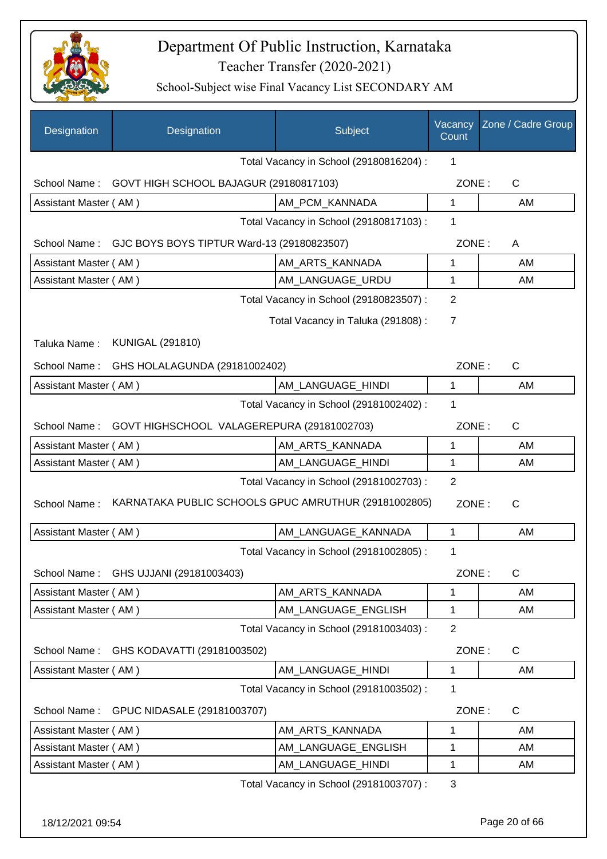

School-Subject wise Final Vacancy List SECONDARY AM

| Designation           | Designation                                             | Subject                                 | Vacancy<br>Count | Zone / Cadre Group |
|-----------------------|---------------------------------------------------------|-----------------------------------------|------------------|--------------------|
|                       |                                                         | Total Vacancy in School (29180816204) : | 1                |                    |
| School Name:          | GOVT HIGH SCHOOL BAJAGUR (29180817103)                  |                                         | ZONE:            | $\mathsf{C}$       |
| Assistant Master (AM) |                                                         | AM_PCM_KANNADA                          | 1                | AM                 |
|                       |                                                         | Total Vacancy in School (29180817103) : | 1                |                    |
| School Name:          | GJC BOYS BOYS TIPTUR Ward-13 (29180823507)              |                                         | ZONE:            | A                  |
| Assistant Master (AM) |                                                         | AM_ARTS_KANNADA                         | 1                | AM                 |
| Assistant Master (AM) |                                                         | AM_LANGUAGE_URDU                        | 1                | AM                 |
|                       |                                                         | Total Vacancy in School (29180823507) : | 2                |                    |
|                       |                                                         | Total Vacancy in Taluka (291808) :      | $\overline{7}$   |                    |
| Taluka Name:          | <b>KUNIGAL (291810)</b>                                 |                                         |                  |                    |
| School Name:          | GHS HOLALAGUNDA (29181002402)                           |                                         | ZONE:            | $\mathsf{C}$       |
| Assistant Master (AM) |                                                         | AM_LANGUAGE_HINDI                       | 1                | AM                 |
|                       |                                                         | Total Vacancy in School (29181002402) : | 1                |                    |
|                       | School Name: GOVT HIGHSCHOOL VALAGEREPURA (29181002703) |                                         | ZONE:            | $\mathsf{C}$       |
| Assistant Master (AM) |                                                         | AM_ARTS_KANNADA                         | 1                | AM                 |
| Assistant Master (AM) |                                                         | AM_LANGUAGE_HINDI                       | 1                | AM                 |
|                       |                                                         | Total Vacancy in School (29181002703) : | $\overline{2}$   |                    |
| School Name:          | KARNATAKA PUBLIC SCHOOLS GPUC AMRUTHUR (29181002805)    |                                         | ZONE:            | $\mathsf{C}$       |
| Assistant Master (AM) |                                                         | AM LANGUAGE KANNADA                     | 1                | AM                 |
|                       |                                                         | Total Vacancy in School (29181002805) : | 1                |                    |
| School Name:          | GHS UJJANI (29181003403)                                |                                         | ZONE:            | C                  |
| Assistant Master (AM) |                                                         | AM_ARTS_KANNADA                         | 1                | AM                 |
| Assistant Master (AM) |                                                         | AM_LANGUAGE_ENGLISH                     | 1                | AM                 |
|                       |                                                         | Total Vacancy in School (29181003403) : | $\overline{2}$   |                    |
| School Name:          | GHS KODAVATTI (29181003502)                             |                                         | ZONE:            | C                  |
| Assistant Master (AM) |                                                         | AM_LANGUAGE_HINDI                       | 1                | AM                 |
|                       |                                                         | Total Vacancy in School (29181003502) : | 1                |                    |
| School Name:          | GPUC NIDASALE (29181003707)                             |                                         | ZONE:            | C                  |
| Assistant Master (AM) |                                                         | AM_ARTS_KANNADA                         | 1                | AM                 |
| Assistant Master (AM) |                                                         | AM_LANGUAGE_ENGLISH                     | 1                | AM                 |
| Assistant Master (AM) |                                                         | AM_LANGUAGE_HINDI                       | 1                | AM                 |
|                       |                                                         | Total Vacancy in School (29181003707) : | 3                |                    |

18/12/2021 09:54 Page 20 of 66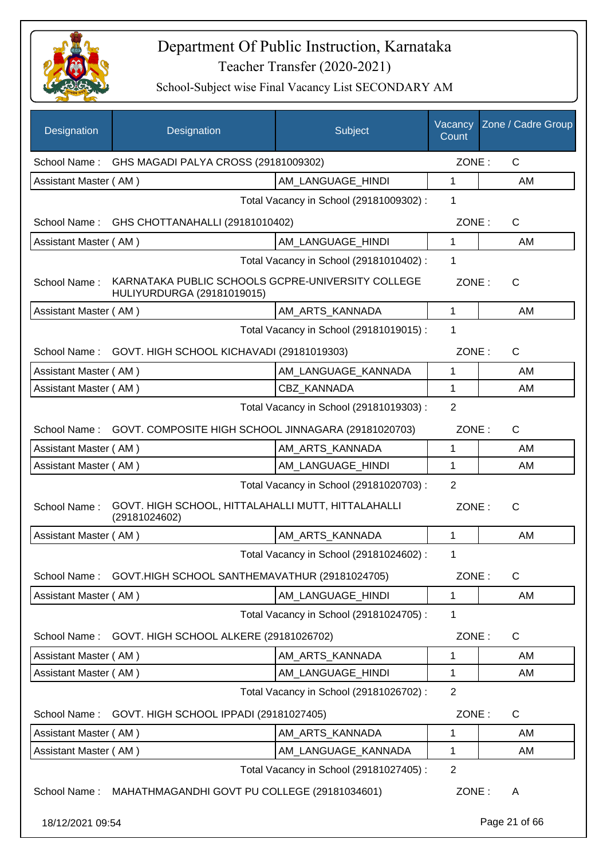

| Designation           | Designation                                                                     | Subject                                 | Vacancy<br>Count | Zone / Cadre Group |
|-----------------------|---------------------------------------------------------------------------------|-----------------------------------------|------------------|--------------------|
|                       | School Name: GHS MAGADI PALYA CROSS (29181009302)                               |                                         | ZONE:            | $\mathsf{C}$       |
| Assistant Master (AM) |                                                                                 | AM_LANGUAGE_HINDI                       | 1                | AM                 |
|                       |                                                                                 | Total Vacancy in School (29181009302) : | 1                |                    |
| School Name:          | GHS CHOTTANAHALLI (29181010402)                                                 |                                         | ZONE:            | $\mathsf{C}$       |
| Assistant Master (AM) |                                                                                 | AM LANGUAGE HINDI                       | 1                | AM                 |
|                       |                                                                                 | Total Vacancy in School (29181010402) : | 1                |                    |
| School Name:          | KARNATAKA PUBLIC SCHOOLS GCPRE-UNIVERSITY COLLEGE<br>HULIYURDURGA (29181019015) |                                         | ZONE:            | $\mathsf{C}$       |
| Assistant Master (AM) |                                                                                 | AM ARTS KANNADA                         | 1                | AM                 |
|                       |                                                                                 | Total Vacancy in School (29181019015) : | 1                |                    |
| School Name:          | GOVT. HIGH SCHOOL KICHAVADI (29181019303)                                       |                                         | ZONE:            | $\mathsf{C}$       |
| Assistant Master (AM) |                                                                                 | AM_LANGUAGE_KANNADA                     | 1                | AM                 |
| Assistant Master (AM) |                                                                                 | <b>CBZ KANNADA</b>                      | 1                | AM                 |
|                       |                                                                                 | Total Vacancy in School (29181019303) : | $\overline{2}$   |                    |
|                       | School Name: GOVT. COMPOSITE HIGH SCHOOL JINNAGARA (29181020703)                |                                         | ZONE:            | $\mathsf{C}$       |
| Assistant Master (AM) |                                                                                 | AM_ARTS_KANNADA                         | 1                | AM                 |
| Assistant Master (AM) |                                                                                 | AM_LANGUAGE_HINDI                       | 1                | AM                 |
|                       |                                                                                 | Total Vacancy in School (29181020703) : | 2                |                    |
| School Name:          | GOVT. HIGH SCHOOL, HITTALAHALLI MUTT, HITTALAHALLI<br>(29181024602)             |                                         | ZONE:            | $\mathsf{C}$       |
| Assistant Master (AM) |                                                                                 | AM_ARTS_KANNADA                         | 1                | AM                 |
|                       |                                                                                 | Total Vacancy in School (29181024602) : | 1                |                    |
|                       | School Name: GOVT.HIGH SCHOOL SANTHEMAVATHUR (29181024705)                      |                                         | ZONE:            | $\mathsf{C}$       |
| Assistant Master (AM) |                                                                                 | AM LANGUAGE HINDI                       | 1                | AM                 |
|                       |                                                                                 | Total Vacancy in School (29181024705) : | 1                |                    |
| School Name:          | GOVT. HIGH SCHOOL ALKERE (29181026702)                                          |                                         | ZONE:            | $\mathsf{C}$       |
| Assistant Master (AM) |                                                                                 | AM_ARTS_KANNADA                         | 1                | AM                 |
| Assistant Master (AM) |                                                                                 | AM LANGUAGE HINDI                       | 1                | AM                 |
|                       |                                                                                 | Total Vacancy in School (29181026702) : | $\overline{2}$   |                    |
| School Name:          | GOVT. HIGH SCHOOL IPPADI (29181027405)                                          |                                         | ZONE:            | C                  |
| Assistant Master (AM) |                                                                                 | AM_ARTS_KANNADA                         | 1                | AM                 |
| Assistant Master (AM) |                                                                                 | AM_LANGUAGE_KANNADA                     | 1                | AM                 |
|                       |                                                                                 | Total Vacancy in School (29181027405) : | $\overline{2}$   |                    |
| School Name:          | MAHATHMAGANDHI GOVT PU COLLEGE (29181034601)                                    |                                         | ZONE:            | A                  |
| 18/12/2021 09:54      |                                                                                 |                                         |                  | Page 21 of 66      |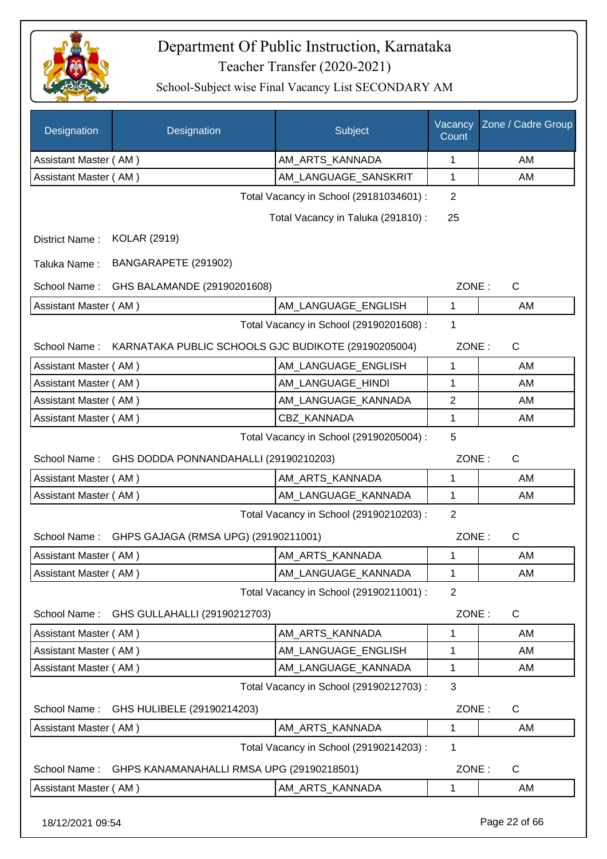

School-Subject wise Final Vacancy List SECONDARY AM

| Designation           | Designation                                                      | Subject                                 | Vacancy<br>Count | Zone / Cadre Group |
|-----------------------|------------------------------------------------------------------|-----------------------------------------|------------------|--------------------|
| Assistant Master (AM) |                                                                  | AM_ARTS_KANNADA                         | $\mathbf 1$      | AM                 |
| Assistant Master (AM) |                                                                  | AM_LANGUAGE_SANSKRIT                    | 1                | AM                 |
|                       |                                                                  | Total Vacancy in School (29181034601) : | 2                |                    |
|                       |                                                                  | Total Vacancy in Taluka (291810) :      | 25               |                    |
| District Name:        | <b>KOLAR (2919)</b>                                              |                                         |                  |                    |
| Taluka Name:          | BANGARAPETE (291902)                                             |                                         |                  |                    |
| School Name:          | GHS BALAMANDE (29190201608)                                      |                                         | ZONE:            | $\mathsf{C}$       |
| Assistant Master (AM) |                                                                  | AM LANGUAGE_ENGLISH                     | 1                | AM                 |
|                       |                                                                  | Total Vacancy in School (29190201608) : | 1                |                    |
|                       | School Name: KARNATAKA PUBLIC SCHOOLS GJC BUDIKOTE (29190205004) |                                         | ZONE:            | $\mathsf{C}$       |
| Assistant Master (AM) |                                                                  | AM_LANGUAGE_ENGLISH                     | 1                | AM                 |
| Assistant Master (AM) |                                                                  | AM LANGUAGE HINDI                       | 1                | AM                 |
| Assistant Master (AM) |                                                                  | AM_LANGUAGE_KANNADA                     | 2                | AM                 |
| Assistant Master (AM) |                                                                  | <b>CBZ KANNADA</b>                      | 1                | AM                 |
|                       |                                                                  | Total Vacancy in School (29190205004) : | 5                |                    |
| School Name:          | GHS DODDA PONNANDAHALLI (29190210203)                            |                                         | ZONE:            | $\mathsf{C}$       |
| Assistant Master (AM) |                                                                  | AM_ARTS_KANNADA                         | 1                | AM                 |
| Assistant Master (AM) |                                                                  | AM_LANGUAGE_KANNADA                     | 1                | AM                 |
|                       |                                                                  | Total Vacancy in School (29190210203) : | $\overline{2}$   |                    |
| School Name:          | GHPS GAJAGA (RMSA UPG) (29190211001)                             |                                         | ZONE:            | C                  |
| Assistant Master (AM) |                                                                  | AM_ARTS_KANNADA                         | 1                | AM                 |
| Assistant Master (AM) |                                                                  | AM_LANGUAGE_KANNADA                     | 1                | AM                 |
|                       |                                                                  | Total Vacancy in School (29190211001) : | 2                |                    |
| School Name:          | GHS GULLAHALLI (29190212703)                                     |                                         | ZONE:            | C                  |
| Assistant Master (AM) |                                                                  | AM_ARTS_KANNADA                         | 1                | AM                 |
| Assistant Master (AM) |                                                                  | AM_LANGUAGE_ENGLISH                     | 1                | AM                 |
| Assistant Master (AM) |                                                                  | AM_LANGUAGE_KANNADA                     | 1                | AM                 |
|                       |                                                                  | Total Vacancy in School (29190212703) : | 3                |                    |
| School Name:          | GHS HULIBELE (29190214203)                                       |                                         | ZONE:            | C                  |
| Assistant Master (AM) |                                                                  | AM_ARTS_KANNADA                         | 1                | AM                 |
|                       |                                                                  | Total Vacancy in School (29190214203) : | 1                |                    |
| School Name:          | GHPS KANAMANAHALLI RMSA UPG (29190218501)                        |                                         | ZONE:            | C                  |
| Assistant Master (AM) |                                                                  | AM_ARTS_KANNADA                         | 1                | AM                 |

18/12/2021 09:54 Page 22 of 66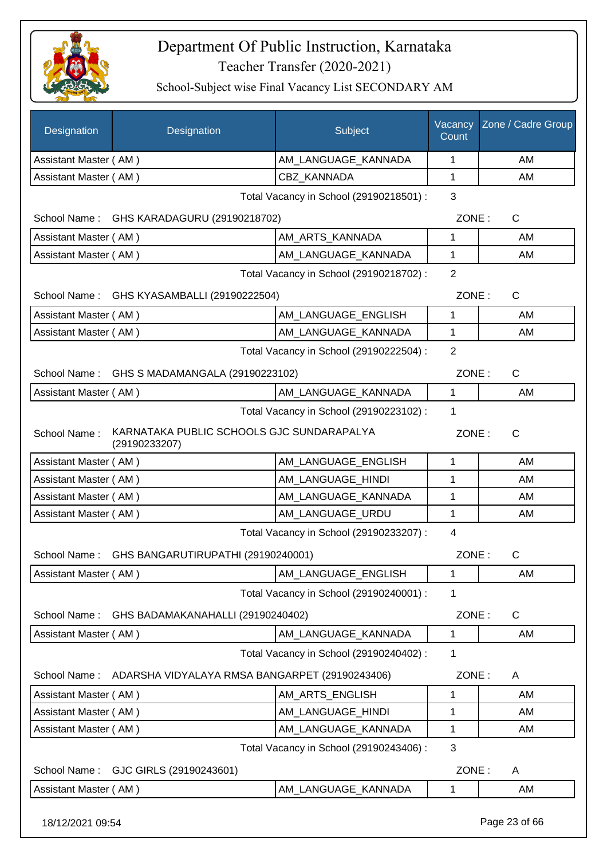

| Designation           | Designation                                                | Subject                                 | Vacancy<br>Count | Zone / Cadre Group |
|-----------------------|------------------------------------------------------------|-----------------------------------------|------------------|--------------------|
| Assistant Master (AM) |                                                            | AM_LANGUAGE_KANNADA                     | 1                | AM                 |
| Assistant Master (AM) |                                                            | CBZ_KANNADA                             | $\mathbf{1}$     | AM                 |
|                       |                                                            | Total Vacancy in School (29190218501) : | 3                |                    |
|                       | School Name: GHS KARADAGURU (29190218702)                  |                                         | ZONE:            | C                  |
| Assistant Master (AM) |                                                            | AM_ARTS_KANNADA                         | 1                | AM                 |
| Assistant Master (AM) |                                                            | AM_LANGUAGE_KANNADA                     | 1                | AM                 |
|                       |                                                            | Total Vacancy in School (29190218702) : | $\overline{2}$   |                    |
|                       | School Name: GHS KYASAMBALLI (29190222504)                 |                                         | ZONE:            | C                  |
| Assistant Master (AM) |                                                            | AM LANGUAGE ENGLISH                     | $\mathbf{1}$     | AM                 |
| Assistant Master (AM) |                                                            | AM LANGUAGE KANNADA                     | $\mathbf{1}$     | AM                 |
|                       |                                                            | Total Vacancy in School (29190222504) : | $\overline{2}$   |                    |
|                       | School Name: GHS S MADAMANGALA (29190223102)               |                                         | ZONE:            | $\mathsf{C}$       |
| Assistant Master (AM) |                                                            | AM_LANGUAGE_KANNADA                     | $\mathbf{1}$     | AM                 |
|                       |                                                            | Total Vacancy in School (29190223102) : | 1                |                    |
| School Name:          | KARNATAKA PUBLIC SCHOOLS GJC SUNDARAPALYA<br>(29190233207) |                                         | ZONE:            | $\mathsf{C}$       |
| Assistant Master (AM) |                                                            | AM LANGUAGE ENGLISH                     | 1                | AM                 |
| Assistant Master (AM) |                                                            | AM_LANGUAGE_HINDI                       | 1                | AM                 |
| Assistant Master (AM) |                                                            | AM_LANGUAGE_KANNADA                     | 1                | AM                 |
| Assistant Master (AM) |                                                            | AM LANGUAGE URDU                        | $\mathbf{1}$     | AM                 |
|                       |                                                            | Total Vacancy in School (29190233207) : | $\overline{4}$   |                    |
|                       | School Name: GHS BANGARUTIRUPATHI (29190240001)            |                                         | ZONE:            | $\mathsf{C}$       |
| Assistant Master (AM) |                                                            | AM LANGUAGE ENGLISH                     | 1                | AM                 |
|                       |                                                            | Total Vacancy in School (29190240001) : | 1                |                    |
| School Name:          | GHS BADAMAKANAHALLI (29190240402)                          |                                         | ZONE:            | $\mathsf C$        |
| Assistant Master (AM) |                                                            | AM LANGUAGE KANNADA                     | 1                | AM                 |
|                       |                                                            | Total Vacancy in School (29190240402) : | 1                |                    |
| School Name:          | ADARSHA VIDYALAYA RMSA BANGARPET (29190243406)             |                                         | ZONE:            | A                  |
| Assistant Master (AM) |                                                            | AM_ARTS_ENGLISH                         | 1                | AM                 |
| Assistant Master (AM) |                                                            | AM LANGUAGE HINDI                       | 1                | AM                 |
| Assistant Master (AM) |                                                            | AM_LANGUAGE_KANNADA                     | 1                | AM                 |
|                       |                                                            | Total Vacancy in School (29190243406) : | $\mathbf{3}$     |                    |
| School Name:          | GJC GIRLS (29190243601)                                    |                                         | ZONE:            | A                  |
| Assistant Master (AM) |                                                            | AM_LANGUAGE_KANNADA                     | $\mathbf 1$      | AM                 |
| 18/12/2021 09:54      |                                                            |                                         |                  | Page 23 of 66      |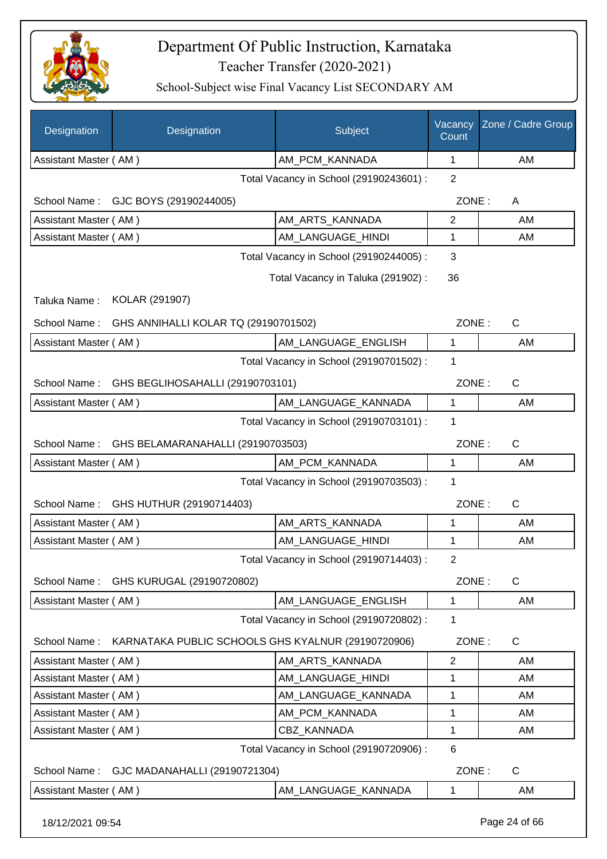

| Designation           | Designation                                        | <b>Subject</b>                          | Vacancy<br>Count | Zone / Cadre Group |  |  |
|-----------------------|----------------------------------------------------|-----------------------------------------|------------------|--------------------|--|--|
| Assistant Master (AM) |                                                    | AM_PCM_KANNADA                          | 1                | AM                 |  |  |
|                       |                                                    | Total Vacancy in School (29190243601) : | $\overline{2}$   |                    |  |  |
|                       | School Name: GJC BOYS (29190244005)                |                                         | ZONE:            | A                  |  |  |
| Assistant Master (AM) |                                                    | AM_ARTS_KANNADA                         | $\overline{2}$   | AM                 |  |  |
| Assistant Master (AM) |                                                    | AM_LANGUAGE_HINDI                       | 1                | AM                 |  |  |
|                       |                                                    | Total Vacancy in School (29190244005) : | 3                |                    |  |  |
|                       |                                                    | Total Vacancy in Taluka (291902):       | 36               |                    |  |  |
| Taluka Name:          | KOLAR (291907)                                     |                                         |                  |                    |  |  |
| School Name:          | GHS ANNIHALLI KOLAR TQ (29190701502)               |                                         | ZONE:            | $\mathsf{C}$       |  |  |
| Assistant Master (AM) |                                                    | AM_LANGUAGE_ENGLISH                     | 1                | AM                 |  |  |
|                       |                                                    | Total Vacancy in School (29190701502) : | 1                |                    |  |  |
| School Name:          | GHS BEGLIHOSAHALLI (29190703101)                   |                                         | ZONE:            | C                  |  |  |
| Assistant Master (AM) |                                                    | AM LANGUAGE KANNADA                     | 1                | AM                 |  |  |
|                       |                                                    | Total Vacancy in School (29190703101) : | 1                |                    |  |  |
| School Name:          | GHS BELAMARANAHALLI (29190703503)                  |                                         | ZONE:            | $\mathsf{C}$       |  |  |
| Assistant Master (AM) |                                                    | AM PCM KANNADA                          | 1                | AM                 |  |  |
|                       |                                                    | Total Vacancy in School (29190703503) : | 1                |                    |  |  |
| School Name:          | GHS HUTHUR (29190714403)                           |                                         | ZONE:            | C                  |  |  |
| Assistant Master (AM) |                                                    | AM ARTS KANNADA                         | 1                | AM                 |  |  |
| Assistant Master (AM) |                                                    | AM LANGUAGE HINDI                       | 1                | AM                 |  |  |
|                       |                                                    | Total Vacancy in School (29190714403) : | 2                |                    |  |  |
|                       | School Name: GHS KURUGAL (29190720802)             |                                         | ZONE:            | C                  |  |  |
| Assistant Master (AM) |                                                    | AM_LANGUAGE_ENGLISH                     | $\mathbf{1}$     | AM                 |  |  |
|                       |                                                    | Total Vacancy in School (29190720802) : | 1                |                    |  |  |
| School Name:          | KARNATAKA PUBLIC SCHOOLS GHS KYALNUR (29190720906) |                                         | ZONE:            | C                  |  |  |
| Assistant Master (AM) |                                                    | AM_ARTS_KANNADA                         | $\overline{2}$   | AM                 |  |  |
| Assistant Master (AM) |                                                    | AM_LANGUAGE_HINDI                       | 1                | AM                 |  |  |
| Assistant Master (AM) |                                                    | AM_LANGUAGE_KANNADA                     | 1                | AM                 |  |  |
| Assistant Master (AM) |                                                    | AM_PCM_KANNADA                          | 1                | AM                 |  |  |
| Assistant Master (AM) |                                                    | CBZ_KANNADA                             | 1                | AM                 |  |  |
|                       | 6<br>Total Vacancy in School (29190720906) :       |                                         |                  |                    |  |  |
| School Name:          | GJC MADANAHALLI (29190721304)                      |                                         | ZONE:            | C                  |  |  |
| Assistant Master (AM) |                                                    | AM_LANGUAGE_KANNADA                     | 1                | AM                 |  |  |
| 18/12/2021 09:54      |                                                    |                                         |                  | Page 24 of 66      |  |  |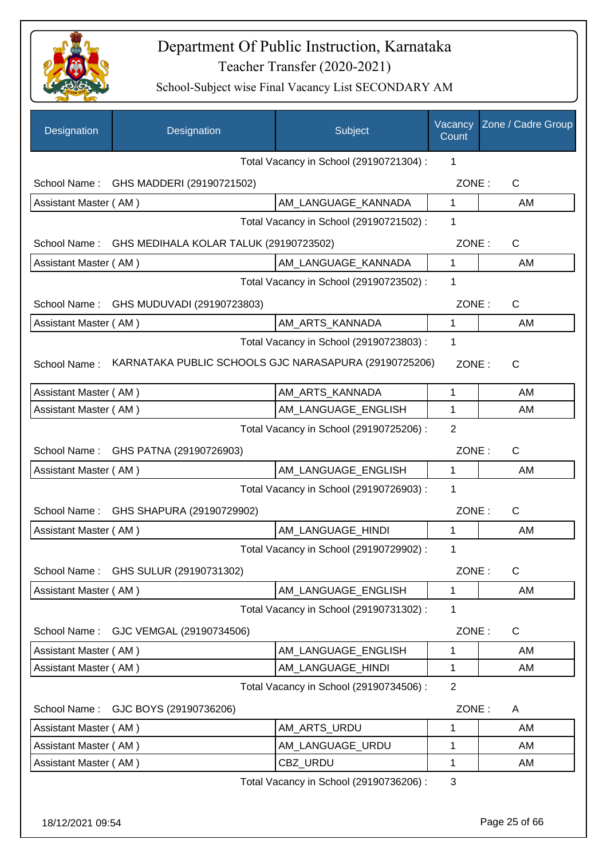

| Designation           | Designation                                           | Subject                                 | Vacancy<br>Count | Zone / Cadre Group |
|-----------------------|-------------------------------------------------------|-----------------------------------------|------------------|--------------------|
|                       |                                                       | Total Vacancy in School (29190721304) : | 1                |                    |
|                       | School Name: GHS MADDERI (29190721502)                |                                         | ZONE:            | $\mathsf{C}$       |
| Assistant Master (AM) |                                                       | AM_LANGUAGE_KANNADA                     | $\mathbf{1}$     | AM                 |
|                       |                                                       | Total Vacancy in School (29190721502) : | 1                |                    |
|                       | School Name: GHS MEDIHALA KOLAR TALUK (29190723502)   |                                         | ZONE:            | $\mathsf{C}$       |
| Assistant Master (AM) |                                                       | AM_LANGUAGE_KANNADA                     | $\mathbf{1}$     | AM                 |
|                       |                                                       | Total Vacancy in School (29190723502) : | 1                |                    |
| School Name:          | GHS MUDUVADI (29190723803)                            |                                         | ZONE:            | C                  |
| Assistant Master (AM) |                                                       | AM_ARTS_KANNADA                         | $\mathbf{1}$     | AM                 |
|                       |                                                       | Total Vacancy in School (29190723803) : | 1                |                    |
| School Name:          | KARNATAKA PUBLIC SCHOOLS GJC NARASAPURA (29190725206) |                                         | ZONE:            | C                  |
| Assistant Master (AM) |                                                       | AM_ARTS_KANNADA                         | 1                | AM                 |
| Assistant Master (AM) |                                                       | AM_LANGUAGE_ENGLISH                     | 1                | AM                 |
|                       |                                                       | Total Vacancy in School (29190725206) : | 2                |                    |
|                       | School Name: GHS PATNA (29190726903)                  |                                         | ZONE:            | $\mathsf{C}$       |
| Assistant Master (AM) |                                                       | AM_LANGUAGE_ENGLISH                     | $\mathbf{1}$     | AM                 |
|                       |                                                       | Total Vacancy in School (29190726903) : | 1                |                    |
| School Name:          | GHS SHAPURA (29190729902)                             |                                         | ZONE:            | C                  |
| Assistant Master (AM) |                                                       | AM_LANGUAGE_HINDI                       | $\mathbf{1}$     | AM                 |
|                       |                                                       | Total Vacancy in School (29190729902) : | 1                |                    |
| School Name:          | GHS SULUR (29190731302)                               |                                         | ZONE:            | $\mathsf C$        |
| Assistant Master (AM) |                                                       | AM_LANGUAGE_ENGLISH                     | 1                | AM                 |
|                       |                                                       | Total Vacancy in School (29190731302) : | 1                |                    |
| School Name:          | GJC VEMGAL (29190734506)                              |                                         | ZONE:            | C                  |
| Assistant Master (AM) |                                                       | AM LANGUAGE ENGLISH                     | 1                | AM                 |
| Assistant Master (AM) |                                                       | AM_LANGUAGE_HINDI                       | 1                | AM                 |
|                       |                                                       | Total Vacancy in School (29190734506) : | $\overline{2}$   |                    |
| School Name:          | GJC BOYS (29190736206)                                |                                         | ZONE:            | A                  |
| Assistant Master (AM) |                                                       | AM_ARTS_URDU                            | 1                | AM                 |
| Assistant Master (AM) |                                                       | AM_LANGUAGE_URDU                        | 1                | AM                 |
| Assistant Master (AM) |                                                       | CBZ_URDU                                | 1                | AM                 |
|                       |                                                       | Total Vacancy in School (29190736206) : | 3                |                    |
| 18/12/2021 09:54      |                                                       |                                         |                  | Page 25 of 66      |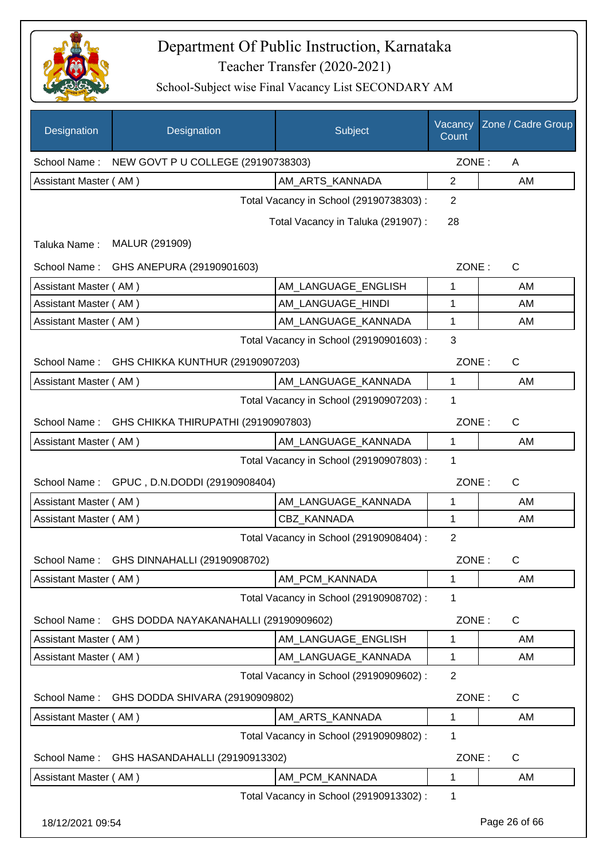

| Designation           | Designation                                      | Subject                                 | Vacancy<br>Count | Zone / Cadre Group |
|-----------------------|--------------------------------------------------|-----------------------------------------|------------------|--------------------|
|                       | School Name: NEW GOVT P U COLLEGE (29190738303)  |                                         | ZONE:            | A                  |
| Assistant Master (AM) |                                                  | AM_ARTS_KANNADA                         | $\overline{2}$   | AM                 |
|                       |                                                  | Total Vacancy in School (29190738303) : | $\overline{2}$   |                    |
|                       |                                                  | Total Vacancy in Taluka (291907) :      | 28               |                    |
| Taluka Name:          | MALUR (291909)                                   |                                         |                  |                    |
| School Name:          | GHS ANEPURA (29190901603)                        |                                         | ZONE:            | C                  |
| Assistant Master (AM) |                                                  | AM_LANGUAGE_ENGLISH                     | 1                | AM                 |
| Assistant Master (AM) |                                                  | AM_LANGUAGE_HINDI                       | 1                | AM                 |
| Assistant Master (AM) |                                                  | AM_LANGUAGE_KANNADA                     | 1                | AM                 |
|                       |                                                  | Total Vacancy in School (29190901603) : | 3                |                    |
| School Name:          | GHS CHIKKA KUNTHUR (29190907203)                 |                                         | ZONE:            | C                  |
| Assistant Master (AM) |                                                  | AM_LANGUAGE_KANNADA                     | 1                | AM                 |
|                       |                                                  | Total Vacancy in School (29190907203) : | 1                |                    |
|                       | School Name: GHS CHIKKA THIRUPATHI (29190907803) |                                         | ZONE:            | $\mathsf{C}$       |
| Assistant Master (AM) |                                                  | AM_LANGUAGE_KANNADA                     | $\mathbf{1}$     | AM                 |
|                       |                                                  | Total Vacancy in School (29190907803) : | 1                |                    |
|                       | School Name: GPUC, D.N.DODDI (29190908404)       |                                         | ZONE:            | $\mathsf{C}$       |
| Assistant Master (AM) |                                                  | AM LANGUAGE KANNADA                     | 1                | AM                 |
| Assistant Master (AM) |                                                  | CBZ_KANNADA                             | $\mathbf 1$      | AM                 |
|                       |                                                  | Total Vacancy in School (29190908404) : | $\overline{2}$   |                    |
|                       | School Name: GHS DINNAHALLI (29190908702)        |                                         | ZONE:            | C.                 |
| Assistant Master (AM) |                                                  | AM_PCM_KANNADA                          | 1                | AM                 |
|                       |                                                  | Total Vacancy in School (29190908702) : | 1                |                    |
| School Name:          | GHS DODDA NAYAKANAHALLI (29190909602)            |                                         | ZONE:            | C                  |
| Assistant Master (AM) |                                                  | AM_LANGUAGE_ENGLISH                     | 1                | AM                 |
| Assistant Master (AM) |                                                  | AM_LANGUAGE_KANNADA                     | 1                | AM                 |
|                       |                                                  | Total Vacancy in School (29190909602) : | $\overline{2}$   |                    |
| School Name:          | GHS DODDA SHIVARA (29190909802)                  |                                         | ZONE:            | $\mathsf{C}$       |
| Assistant Master (AM) |                                                  | AM_ARTS_KANNADA                         | $\mathbf{1}$     | AM                 |
|                       |                                                  | Total Vacancy in School (29190909802) : | 1                |                    |
| School Name:          | GHS HASANDAHALLI (29190913302)                   |                                         | ZONE:            | $\mathsf{C}$       |
| Assistant Master (AM) |                                                  | AM_PCM_KANNADA                          | 1                | AM                 |
|                       |                                                  | Total Vacancy in School (29190913302) : | 1                |                    |
| 18/12/2021 09:54      |                                                  |                                         |                  | Page 26 of 66      |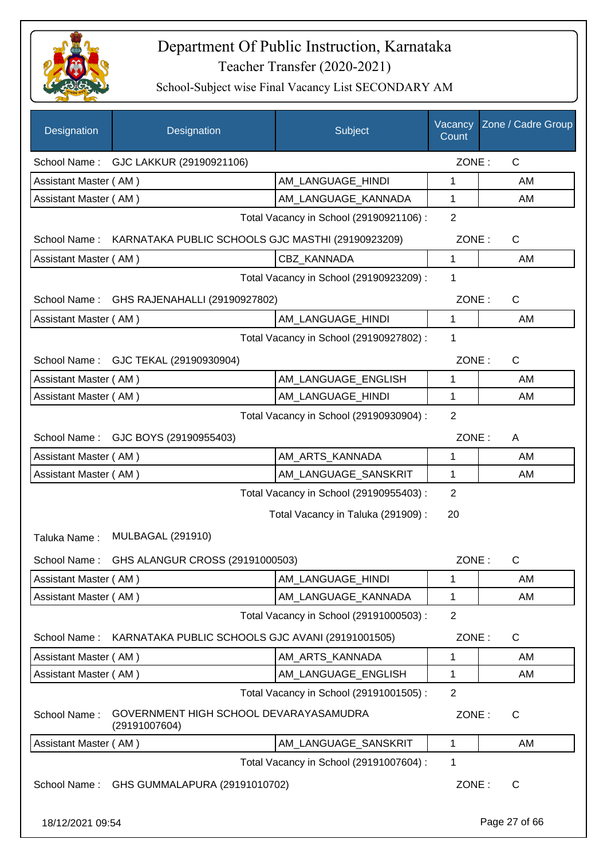

| Designation                             | Designation                                             | Subject                                 | Vacancy<br>Count | Zone / Cadre Group |
|-----------------------------------------|---------------------------------------------------------|-----------------------------------------|------------------|--------------------|
|                                         | School Name: GJC LAKKUR (29190921106)                   |                                         | ZONE:            | $\mathsf{C}$       |
| Assistant Master (AM)                   |                                                         | AM_LANGUAGE_HINDI                       | 1                | AM                 |
| Assistant Master (AM)                   |                                                         | AM_LANGUAGE_KANNADA                     | 1                | AM                 |
|                                         |                                                         | Total Vacancy in School (29190921106) : | $\overline{2}$   |                    |
| School Name:                            | KARNATAKA PUBLIC SCHOOLS GJC MASTHI (29190923209)       |                                         | ZONE:            | C                  |
| Assistant Master (AM)                   |                                                         | CBZ_KANNADA                             | 1                | AM                 |
|                                         |                                                         | Total Vacancy in School (29190923209) : | 1                |                    |
| School Name:                            | GHS RAJENAHALLI (29190927802)                           |                                         | ZONE:            | C                  |
| Assistant Master (AM)                   |                                                         | AM_LANGUAGE_HINDI                       | 1                | AM                 |
|                                         |                                                         | Total Vacancy in School (29190927802) : | 1                |                    |
|                                         | School Name: GJC TEKAL (29190930904)                    |                                         | ZONE:            | C                  |
| Assistant Master (AM)                   |                                                         | AM_LANGUAGE_ENGLISH                     | 1                | AM                 |
| Assistant Master (AM)                   |                                                         | AM_LANGUAGE_HINDI                       | 1                | AM                 |
|                                         |                                                         | Total Vacancy in School (29190930904) : | $\overline{2}$   |                    |
|                                         | School Name: GJC BOYS (29190955403)                     |                                         | ZONE:            | A                  |
| Assistant Master (AM)                   |                                                         | AM_ARTS_KANNADA                         | 1                | AM                 |
| Assistant Master (AM)                   |                                                         | AM_LANGUAGE_SANSKRIT                    | 1                | AM                 |
| Total Vacancy in School (29190955403) : |                                                         |                                         |                  |                    |
|                                         |                                                         | Total Vacancy in Taluka (291909) :      | 20               |                    |
| Taluka Name:                            | <b>MULBAGAL (291910)</b>                                |                                         |                  |                    |
|                                         | School Name: GHS ALANGUR CROSS (29191000503)            |                                         | ZONE:            | C                  |
| Assistant Master (AM)                   |                                                         | AM_LANGUAGE_HINDI                       | 1                | AM                 |
| Assistant Master (AM)                   |                                                         | AM_LANGUAGE_KANNADA                     | 1                | AM                 |
|                                         |                                                         | Total Vacancy in School (29191000503) : | $\overline{2}$   |                    |
| School Name:                            | KARNATAKA PUBLIC SCHOOLS GJC AVANI (29191001505)        |                                         | ZONE:            | C                  |
| Assistant Master (AM)                   |                                                         | AM_ARTS_KANNADA                         | 1                | AM                 |
| Assistant Master (AM)                   |                                                         | AM LANGUAGE ENGLISH                     | 1                | AM                 |
|                                         |                                                         | Total Vacancy in School (29191001505) : | $\overline{2}$   |                    |
| School Name:                            | GOVERNMENT HIGH SCHOOL DEVARAYASAMUDRA<br>(29191007604) |                                         | ZONE:            | $\mathsf{C}$       |
| Assistant Master (AM)                   |                                                         | AM_LANGUAGE_SANSKRIT                    | 1                | AM                 |
|                                         |                                                         | Total Vacancy in School (29191007604) : | 1                |                    |
| School Name:                            | GHS GUMMALAPURA (29191010702)                           |                                         | ZONE:            | C                  |
| 18/12/2021 09:54                        |                                                         |                                         |                  | Page 27 of 66      |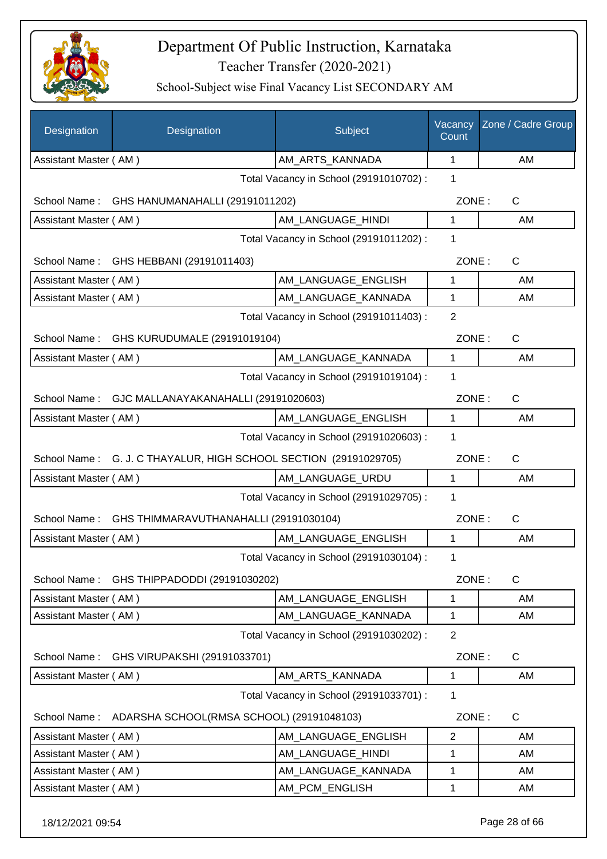

| Designation                                  | Designation                                                      | Subject                                 | Vacancy<br>Count | Zone / Cadre Group |
|----------------------------------------------|------------------------------------------------------------------|-----------------------------------------|------------------|--------------------|
| Assistant Master (AM)                        |                                                                  | AM_ARTS_KANNADA                         | 1                | AM                 |
|                                              |                                                                  | Total Vacancy in School (29191010702) : | 1                |                    |
|                                              | School Name: GHS HANUMANAHALLI (29191011202)                     |                                         | ZONE:            | C                  |
| Assistant Master (AM)                        |                                                                  | AM LANGUAGE HINDI                       | $\mathbf{1}$     | AM                 |
|                                              |                                                                  | Total Vacancy in School (29191011202) : | 1                |                    |
|                                              | School Name: GHS HEBBANI (29191011403)                           |                                         | ZONE:            | $\mathsf{C}$       |
| Assistant Master (AM)                        |                                                                  | AM_LANGUAGE_ENGLISH                     | 1                | AM                 |
| Assistant Master (AM)                        |                                                                  | AM_LANGUAGE_KANNADA                     | 1                | AM                 |
|                                              |                                                                  | Total Vacancy in School (29191011403) : | 2                |                    |
| School Name:                                 | GHS KURUDUMALE (29191019104)                                     |                                         | ZONE:            | $\mathsf{C}$       |
| Assistant Master (AM)                        |                                                                  | AM_LANGUAGE_KANNADA                     | $\mathbf{1}$     | AM                 |
|                                              |                                                                  | Total Vacancy in School (29191019104) : | 1                |                    |
|                                              | School Name: GJC MALLANAYAKANAHALLI (29191020603)                |                                         | ZONE:            | C                  |
| Assistant Master (AM)                        |                                                                  | AM_LANGUAGE_ENGLISH                     | 1                | AM                 |
| Total Vacancy in School (29191020603) :<br>1 |                                                                  |                                         |                  |                    |
|                                              | School Name: G. J. C THAYALUR, HIGH SCHOOL SECTION (29191029705) |                                         | ZONE:            | $\mathsf{C}$       |
| Assistant Master (AM)                        |                                                                  | AM_LANGUAGE_URDU                        | 1                | AM                 |
|                                              |                                                                  | Total Vacancy in School (29191029705) : | 1                |                    |
| School Name:                                 | GHS THIMMARAVUTHANAHALLI (29191030104)                           |                                         | ZONE:            | C                  |
| Assistant Master (AM)                        |                                                                  | AM_LANGUAGE_ENGLISH                     | 1                | AM                 |
|                                              |                                                                  | Total Vacancy in School (29191030104) : | 1                |                    |
| School Name:                                 | GHS THIPPADODDI (29191030202)                                    |                                         | ZONE:            | C                  |
| Assistant Master (AM)                        |                                                                  | AM LANGUAGE ENGLISH                     | 1                | AM                 |
| Assistant Master (AM)                        |                                                                  | AM_LANGUAGE_KANNADA                     | 1                | AM                 |
|                                              |                                                                  | Total Vacancy in School (29191030202) : | $\overline{2}$   |                    |
| School Name:                                 | GHS VIRUPAKSHI (29191033701)                                     |                                         | ZONE:            | $\mathsf C$        |
| Assistant Master (AM)                        |                                                                  | AM_ARTS_KANNADA                         | 1                | AM                 |
|                                              |                                                                  | Total Vacancy in School (29191033701) : | 1                |                    |
| School Name:                                 | ADARSHA SCHOOL(RMSA SCHOOL) (29191048103)                        |                                         | ZONE:            | C                  |
| Assistant Master (AM)                        |                                                                  | AM LANGUAGE ENGLISH                     | $\overline{2}$   | AM                 |
| Assistant Master (AM)                        |                                                                  | AM_LANGUAGE_HINDI                       | 1                | AM                 |
| Assistant Master (AM)                        |                                                                  | AM_LANGUAGE_KANNADA                     | 1                | AM                 |
| Assistant Master (AM)                        |                                                                  | AM_PCM_ENGLISH                          | 1                | AM                 |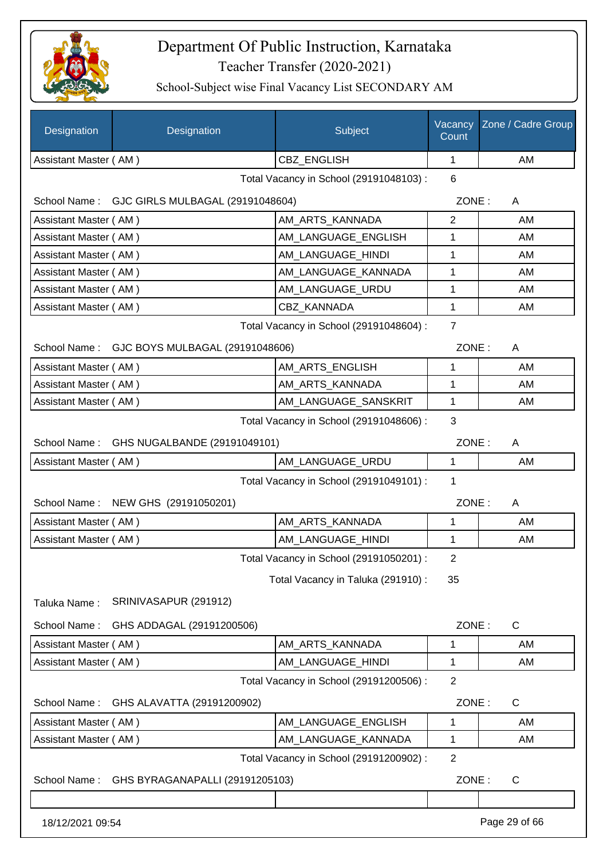

| Designation           | Designation                                   | Subject                                 | Vacancy<br>Count | Zone / Cadre Group |
|-----------------------|-----------------------------------------------|-----------------------------------------|------------------|--------------------|
| Assistant Master (AM) |                                               | CBZ_ENGLISH                             | 1                | AM                 |
|                       |                                               | Total Vacancy in School (29191048103) : | 6                |                    |
|                       | School Name: GJC GIRLS MULBAGAL (29191048604) |                                         | ZONE:            | A                  |
| Assistant Master (AM) |                                               | AM ARTS KANNADA                         | $\overline{2}$   | AM                 |
| Assistant Master (AM) |                                               | AM_LANGUAGE_ENGLISH                     | 1                | AM                 |
| Assistant Master (AM) |                                               | AM_LANGUAGE_HINDI                       | 1                | AM                 |
| Assistant Master (AM) |                                               | AM_LANGUAGE_KANNADA                     | 1                | AM                 |
| Assistant Master (AM) |                                               | AM_LANGUAGE_URDU                        | 1                | AM                 |
| Assistant Master (AM) |                                               | <b>CBZ KANNADA</b>                      | 1                | AM                 |
|                       |                                               | Total Vacancy in School (29191048604) : | $\overline{7}$   |                    |
|                       | School Name: GJC BOYS MULBAGAL (29191048606)  |                                         | ZONE:            | A                  |
| Assistant Master (AM) |                                               | AM_ARTS_ENGLISH                         | 1                | AM                 |
| Assistant Master (AM) |                                               | AM ARTS KANNADA                         | 1                | AM                 |
| Assistant Master (AM) |                                               | AM LANGUAGE SANSKRIT                    | 1                | AM                 |
|                       |                                               | Total Vacancy in School (29191048606) : | 3                |                    |
|                       | School Name: GHS NUGALBANDE (29191049101)     |                                         | ZONE:            | A                  |
| Assistant Master (AM) |                                               | AM_LANGUAGE_URDU                        | 1                | AM                 |
|                       |                                               | Total Vacancy in School (29191049101) : | 1                |                    |
| School Name:          | NEW GHS (29191050201)                         |                                         | ZONE:            | A                  |
| Assistant Master (AM) |                                               | AM_ARTS_KANNADA                         | 1                | AM                 |
| Assistant Master (AM) |                                               | AM_LANGUAGE_HINDI                       | 1                | AM                 |
|                       |                                               | Total Vacancy in School (29191050201) : | 2                |                    |
|                       |                                               | Total Vacancy in Taluka (291910) :      | 35               |                    |
| Taluka Name:          | SRINIVASAPUR (291912)                         |                                         |                  |                    |
| School Name:          | GHS ADDAGAL (29191200506)                     |                                         | ZONE:            | $\mathsf{C}$       |
| Assistant Master (AM) |                                               | AM_ARTS_KANNADA                         | 1                | AM                 |
| Assistant Master (AM) |                                               | AM LANGUAGE HINDI                       | 1                | AM                 |
|                       |                                               | Total Vacancy in School (29191200506) : | $\overline{2}$   |                    |
| School Name:          | GHS ALAVATTA (29191200902)                    |                                         | ZONE:            | C                  |
| Assistant Master (AM) |                                               | AM_LANGUAGE_ENGLISH                     | 1                | AM                 |
| Assistant Master (AM) |                                               | AM_LANGUAGE_KANNADA                     | 1                | AM                 |
|                       |                                               | Total Vacancy in School (29191200902) : | $\overline{2}$   |                    |
| School Name:          | GHS BYRAGANAPALLI (29191205103)               |                                         | ZONE:            | $\mathsf{C}$       |
|                       |                                               |                                         |                  |                    |
| 18/12/2021 09:54      |                                               |                                         |                  | Page 29 of 66      |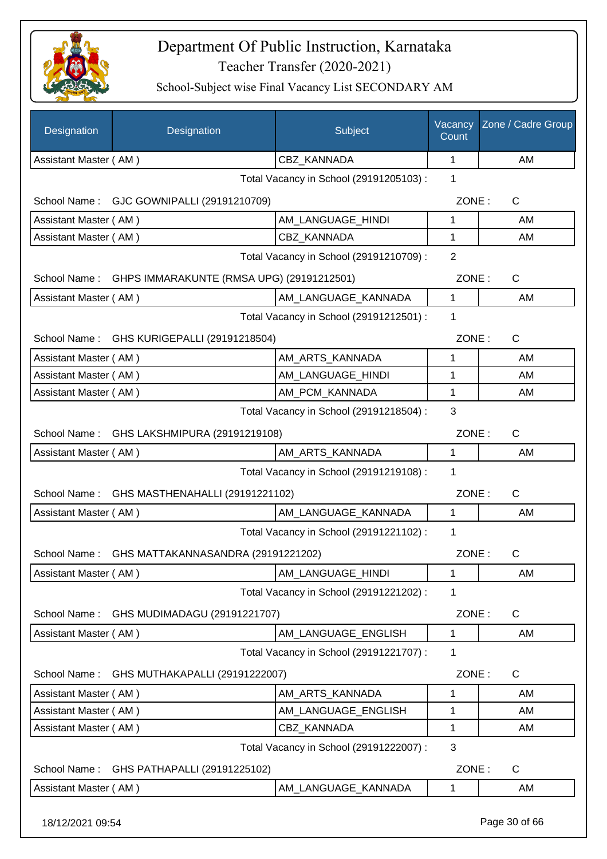

School-Subject wise Final Vacancy List SECONDARY AM

| Designation                                               | Designation                        | Subject                                 | Vacancy<br>Count | Zone / Cadre Group |
|-----------------------------------------------------------|------------------------------------|-----------------------------------------|------------------|--------------------|
| Assistant Master (AM)                                     |                                    | CBZ_KANNADA                             | 1                | AM                 |
|                                                           |                                    | Total Vacancy in School (29191205103) : | 1                |                    |
| School Name: GJC GOWNIPALLI (29191210709)                 |                                    |                                         | ZONE:            | C                  |
| Assistant Master (AM)                                     |                                    | AM LANGUAGE HINDI                       | 1                | AM                 |
| Assistant Master (AM)                                     |                                    | CBZ_KANNADA                             | 1                | AM                 |
|                                                           |                                    | Total Vacancy in School (29191210709) : | $\overline{2}$   |                    |
| GHPS IMMARAKUNTE (RMSA UPG) (29191212501)<br>School Name: |                                    |                                         | ZONE:            | $\mathsf{C}$       |
| Assistant Master (AM)                                     |                                    | AM_LANGUAGE_KANNADA                     | $\mathbf{1}$     | AM                 |
|                                                           |                                    | Total Vacancy in School (29191212501) : | 1                |                    |
| School Name:                                              | GHS KURIGEPALLI (29191218504)      |                                         | ZONE:            | $\mathsf{C}$       |
| Assistant Master (AM)                                     |                                    | AM_ARTS_KANNADA                         | 1                | AM                 |
| Assistant Master (AM)                                     |                                    | AM LANGUAGE HINDI                       | 1                | AM                 |
| Assistant Master (AM)                                     |                                    | AM_PCM_KANNADA                          | 1                | AM                 |
|                                                           |                                    | Total Vacancy in School (29191218504) : | 3                |                    |
| School Name:                                              | GHS LAKSHMIPURA (29191219108)      |                                         | ZONE:            | $\mathsf{C}$       |
| Assistant Master (AM)                                     |                                    | AM_ARTS_KANNADA                         | 1                | AM                 |
|                                                           |                                    | Total Vacancy in School (29191219108) : | 1                |                    |
| School Name:                                              | GHS MASTHENAHALLI (29191221102)    |                                         | ZONE:            | $\mathsf{C}$       |
| Assistant Master (AM)                                     |                                    | AM_LANGUAGE_KANNADA                     | $\mathbf{1}$     | AM                 |
|                                                           |                                    | Total Vacancy in School (29191221102) : | 1                |                    |
| School Name:                                              | GHS MATTAKANNASANDRA (29191221202) |                                         | ZONE:            | С                  |
| Assistant Master (AM)                                     |                                    | AM_LANGUAGE_HINDI                       | 1                | AM                 |
|                                                           |                                    | Total Vacancy in School (29191221202) : | 1                |                    |
| School Name:                                              | GHS MUDIMADAGU (29191221707)       |                                         | ZONE:            | C                  |
| Assistant Master (AM)                                     |                                    | AM_LANGUAGE_ENGLISH                     | 1                | AM                 |
|                                                           |                                    | Total Vacancy in School (29191221707) : | 1                |                    |
| School Name:                                              | GHS MUTHAKAPALLI (29191222007)     |                                         | ZONE:            | $\mathsf{C}$       |
| Assistant Master (AM)                                     |                                    | AM_ARTS_KANNADA                         | 1                | AM                 |
| Assistant Master (AM)                                     |                                    | AM_LANGUAGE_ENGLISH                     | 1                | AM                 |
| Assistant Master (AM)                                     |                                    | CBZ_KANNADA                             | 1                | AM                 |
|                                                           |                                    | Total Vacancy in School (29191222007) : | 3                |                    |
| School Name:                                              | GHS PATHAPALLI (29191225102)       |                                         | ZONE:            | C                  |
| Assistant Master (AM)                                     |                                    | AM_LANGUAGE_KANNADA                     | 1                | AM                 |
|                                                           |                                    |                                         |                  |                    |

18/12/2021 09:54 Page 30 of 66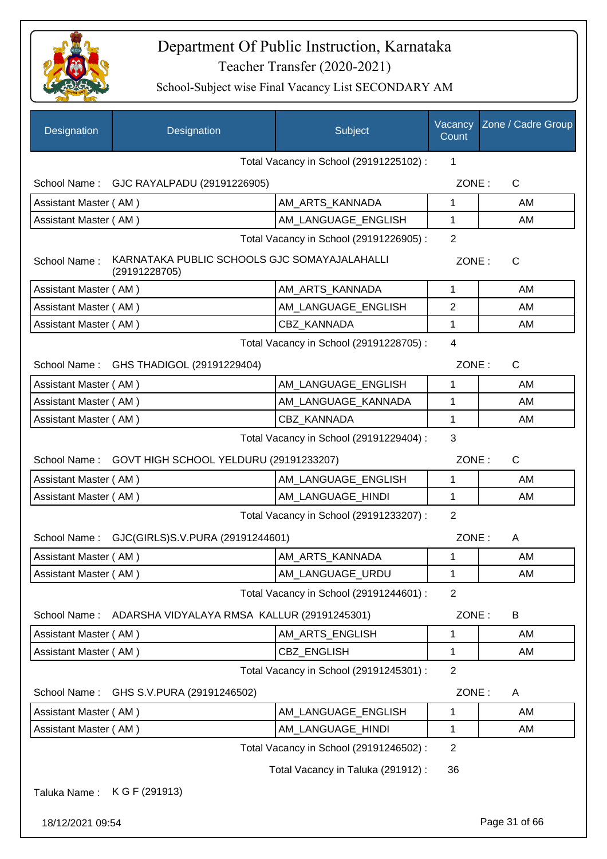

| Designation                             | Designation                                                   | Subject                                 | Vacancy<br>Count | Zone / Cadre Group |
|-----------------------------------------|---------------------------------------------------------------|-----------------------------------------|------------------|--------------------|
|                                         |                                                               | Total Vacancy in School (29191225102) : | 1                |                    |
| School Name:                            | GJC RAYALPADU (29191226905)                                   |                                         | ZONE:            | C                  |
| Assistant Master (AM)                   |                                                               | AM ARTS KANNADA                         | 1                | AM                 |
| Assistant Master (AM)                   |                                                               | AM_LANGUAGE_ENGLISH                     | $\mathbf 1$      | AM                 |
|                                         |                                                               | Total Vacancy in School (29191226905) : | $\overline{2}$   |                    |
| School Name:                            | KARNATAKA PUBLIC SCHOOLS GJC SOMAYAJALAHALLI<br>(29191228705) |                                         | ZONE:            | C                  |
| Assistant Master (AM)                   |                                                               | AM_ARTS_KANNADA                         | 1                | AM                 |
| Assistant Master (AM)                   |                                                               | AM_LANGUAGE_ENGLISH                     | 2                | AM                 |
| Assistant Master (AM)                   |                                                               | <b>CBZ KANNADA</b>                      | 1                | AM                 |
|                                         |                                                               | Total Vacancy in School (29191228705) : | $\overline{4}$   |                    |
| School Name:                            | GHS THADIGOL (29191229404)                                    |                                         | ZONE:            | C                  |
| Assistant Master (AM)                   |                                                               | AM_LANGUAGE_ENGLISH                     | 1                | AM                 |
| Assistant Master (AM)                   |                                                               | AM_LANGUAGE_KANNADA                     | 1                | AM                 |
| Assistant Master (AM)                   |                                                               | CBZ KANNADA                             | 1                | AM                 |
| Total Vacancy in School (29191229404) : |                                                               |                                         | 3                |                    |
| School Name:                            | GOVT HIGH SCHOOL YELDURU (29191233207)                        |                                         | ZONE:            | $\mathsf{C}$       |
| Assistant Master (AM)                   |                                                               | AM_LANGUAGE_ENGLISH                     | $\mathbf 1$      | AM                 |
| Assistant Master (AM)                   |                                                               | AM_LANGUAGE_HINDI                       | 1                | AM                 |
|                                         |                                                               | Total Vacancy in School (29191233207) : | $\overline{2}$   |                    |
|                                         | School Name: GJC(GIRLS)S.V.PURA (29191244601)                 |                                         | ZONE:            | A                  |
| Assistant Master (AM)                   |                                                               | AM ARTS KANNADA                         | 1                | AM                 |
| Assistant Master (AM)                   |                                                               | AM_LANGUAGE_URDU                        | 1                | AM                 |
|                                         |                                                               | Total Vacancy in School (29191244601) : | $\overline{2}$   |                    |
| School Name:                            | ADARSHA VIDYALAYA RMSA KALLUR (29191245301)                   |                                         | ZONE:            | B                  |
| Assistant Master (AM)                   |                                                               | AM_ARTS_ENGLISH                         | 1                | AM                 |
| Assistant Master (AM)                   |                                                               | CBZ_ENGLISH                             | 1                | AM                 |
|                                         |                                                               | Total Vacancy in School (29191245301) : | $\overline{2}$   |                    |
| School Name:                            | GHS S.V. PURA (29191246502)                                   |                                         | ZONE:            | A                  |
| Assistant Master (AM)                   |                                                               | AM_LANGUAGE_ENGLISH                     | 1                | AM                 |
| Assistant Master (AM)                   |                                                               | AM_LANGUAGE_HINDI                       | 1                | AM                 |
|                                         |                                                               | Total Vacancy in School (29191246502) : | $\overline{2}$   |                    |
|                                         |                                                               | Total Vacancy in Taluka (291912) :      | 36               |                    |
| Taluka Name:                            | K G F (291913)                                                |                                         |                  |                    |
| 18/12/2021 09:54                        |                                                               |                                         |                  | Page 31 of 66      |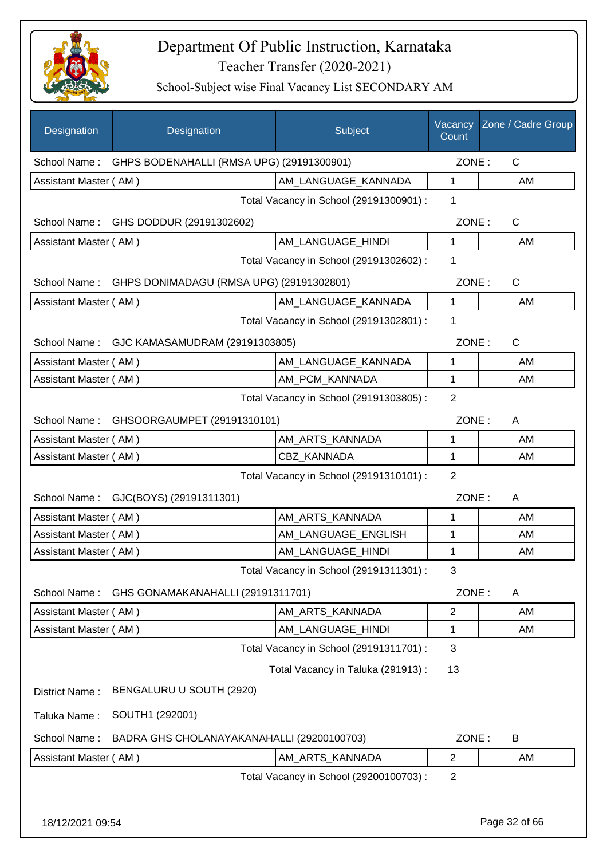

| GHPS BODENAHALLI (RMSA UPG) (29191300901)<br>School Name:<br>Assistant Master (AM)<br>AM_LANGUAGE_KANNADA<br>Total Vacancy in School (29191300901) :<br>School Name: GHS DODDUR (29191302602)<br>Assistant Master (AM)<br>AM_LANGUAGE_HINDI<br>Total Vacancy in School (29191302602) :<br>GHPS DONIMADAGU (RMSA UPG) (29191302801)<br>School Name:<br>AM LANGUAGE KANNADA<br>Assistant Master (AM) | ZONE:<br>$\mathbf{1}$<br>1<br>ZONE:<br>1<br>1<br>ZONE:<br>$\mathbf{1}$<br>1<br>ZONE:<br>$\mathbf{1}$ | $\mathsf{C}$<br>AM<br>C<br>AM<br>C<br>AM<br>$\mathsf{C}$ |
|----------------------------------------------------------------------------------------------------------------------------------------------------------------------------------------------------------------------------------------------------------------------------------------------------------------------------------------------------------------------------------------------------|------------------------------------------------------------------------------------------------------|----------------------------------------------------------|
|                                                                                                                                                                                                                                                                                                                                                                                                    |                                                                                                      |                                                          |
|                                                                                                                                                                                                                                                                                                                                                                                                    |                                                                                                      |                                                          |
|                                                                                                                                                                                                                                                                                                                                                                                                    |                                                                                                      |                                                          |
|                                                                                                                                                                                                                                                                                                                                                                                                    |                                                                                                      |                                                          |
|                                                                                                                                                                                                                                                                                                                                                                                                    |                                                                                                      |                                                          |
|                                                                                                                                                                                                                                                                                                                                                                                                    |                                                                                                      |                                                          |
|                                                                                                                                                                                                                                                                                                                                                                                                    |                                                                                                      |                                                          |
|                                                                                                                                                                                                                                                                                                                                                                                                    |                                                                                                      |                                                          |
| Total Vacancy in School (29191302801) :                                                                                                                                                                                                                                                                                                                                                            |                                                                                                      |                                                          |
| School Name: GJC KAMASAMUDRAM (29191303805)                                                                                                                                                                                                                                                                                                                                                        |                                                                                                      |                                                          |
| Assistant Master (AM)<br>AM LANGUAGE KANNADA                                                                                                                                                                                                                                                                                                                                                       |                                                                                                      | AM                                                       |
| AM_PCM_KANNADA<br>Assistant Master (AM)                                                                                                                                                                                                                                                                                                                                                            | 1                                                                                                    | AM                                                       |
| Total Vacancy in School (29191303805) :                                                                                                                                                                                                                                                                                                                                                            | $\overline{2}$                                                                                       |                                                          |
| School Name: GHSOORGAUMPET (29191310101)                                                                                                                                                                                                                                                                                                                                                           | ZONE:                                                                                                | A                                                        |
| Assistant Master (AM)<br>AM_ARTS_KANNADA                                                                                                                                                                                                                                                                                                                                                           | 1                                                                                                    | AM                                                       |
| <b>CBZ KANNADA</b><br>Assistant Master (AM)                                                                                                                                                                                                                                                                                                                                                        | $\mathbf{1}$                                                                                         | AM                                                       |
| Total Vacancy in School (29191310101) :                                                                                                                                                                                                                                                                                                                                                            | $\overline{2}$                                                                                       |                                                          |
| GJC(BOYS) (29191311301)<br>School Name:                                                                                                                                                                                                                                                                                                                                                            | ZONE:                                                                                                | A                                                        |
| Assistant Master (AM)<br>AM_ARTS_KANNADA                                                                                                                                                                                                                                                                                                                                                           | 1                                                                                                    | AM                                                       |
| Assistant Master (AM)<br>AM_LANGUAGE_ENGLISH                                                                                                                                                                                                                                                                                                                                                       | 1                                                                                                    | AM                                                       |
| AM_LANGUAGE_HINDI<br>Assistant Master (AM)                                                                                                                                                                                                                                                                                                                                                         | 1                                                                                                    | AM                                                       |
| Total Vacancy in School (29191311301) :                                                                                                                                                                                                                                                                                                                                                            | 3                                                                                                    |                                                          |
| School Name:<br>GHS GONAMAKANAHALLI (29191311701)                                                                                                                                                                                                                                                                                                                                                  | ZONE:                                                                                                | A                                                        |
| AM ARTS KANNADA<br>Assistant Master (AM)                                                                                                                                                                                                                                                                                                                                                           | 2                                                                                                    | AM                                                       |
| AM_LANGUAGE_HINDI<br>Assistant Master (AM)                                                                                                                                                                                                                                                                                                                                                         | 1                                                                                                    | AM                                                       |
| Total Vacancy in School (29191311701) :                                                                                                                                                                                                                                                                                                                                                            | 3                                                                                                    |                                                          |
| Total Vacancy in Taluka (291913):                                                                                                                                                                                                                                                                                                                                                                  | 13                                                                                                   |                                                          |
| BENGALURU U SOUTH (2920)<br>District Name:                                                                                                                                                                                                                                                                                                                                                         |                                                                                                      |                                                          |
| SOUTH1 (292001)<br>Taluka Name:                                                                                                                                                                                                                                                                                                                                                                    |                                                                                                      |                                                          |
| School Name:<br>BADRA GHS CHOLANAYAKANAHALLI (29200100703)                                                                                                                                                                                                                                                                                                                                         | ZONE:                                                                                                | B                                                        |
| AM_ARTS_KANNADA<br>Assistant Master (AM)                                                                                                                                                                                                                                                                                                                                                           | $\overline{2}$                                                                                       | AM                                                       |
| Total Vacancy in School (29200100703) :                                                                                                                                                                                                                                                                                                                                                            | $\overline{2}$                                                                                       |                                                          |
|                                                                                                                                                                                                                                                                                                                                                                                                    |                                                                                                      |                                                          |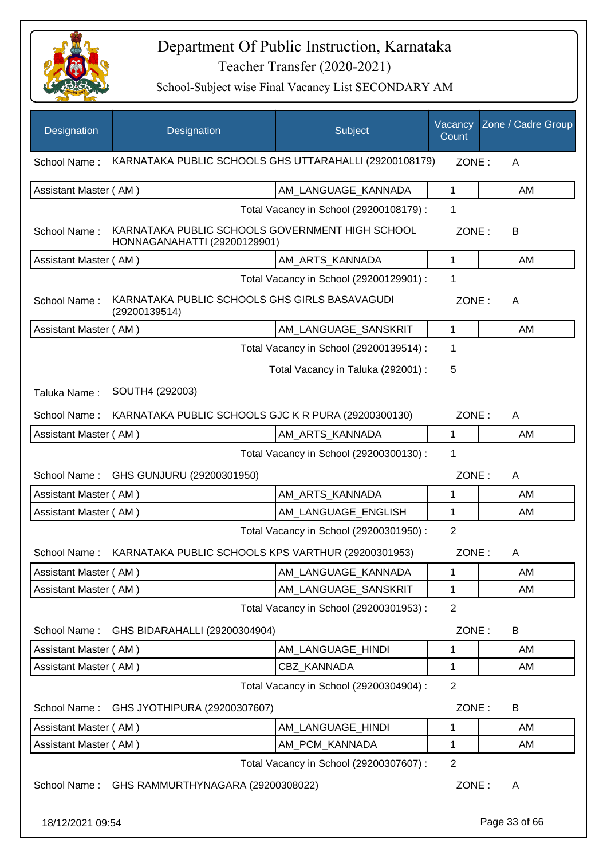

| Designation           | Designation                                                                     | Subject                                 | Vacancy<br>Count | Zone / Cadre Group |
|-----------------------|---------------------------------------------------------------------------------|-----------------------------------------|------------------|--------------------|
| School Name:          | KARNATAKA PUBLIC SCHOOLS GHS UTTARAHALLI (29200108179)                          |                                         | ZONE:            | A                  |
| Assistant Master (AM) |                                                                                 | AM LANGUAGE KANNADA                     | 1                | AM                 |
|                       |                                                                                 | Total Vacancy in School (29200108179) : | 1                |                    |
| School Name:          | KARNATAKA PUBLIC SCHOOLS GOVERNMENT HIGH SCHOOL<br>HONNAGANAHATTI (29200129901) |                                         | ZONE:            | B                  |
| Assistant Master (AM) |                                                                                 | AM_ARTS_KANNADA                         | $\mathbf 1$      | AM                 |
|                       |                                                                                 | Total Vacancy in School (29200129901) : | 1                |                    |
| School Name:          | KARNATAKA PUBLIC SCHOOLS GHS GIRLS BASAVAGUDI<br>(29200139514)                  |                                         | ZONE:            | A                  |
| Assistant Master (AM) |                                                                                 | AM_LANGUAGE_SANSKRIT                    | 1                | AM                 |
|                       |                                                                                 | Total Vacancy in School (29200139514) : | 1                |                    |
|                       |                                                                                 | Total Vacancy in Taluka (292001) :      | 5                |                    |
| Taluka Name:          | SOUTH4 (292003)                                                                 |                                         |                  |                    |
| School Name:          | KARNATAKA PUBLIC SCHOOLS GJC K R PURA (29200300130)                             |                                         | ZONE:            | A                  |
| Assistant Master (AM) |                                                                                 | AM_ARTS_KANNADA                         | $\mathbf{1}$     | AM                 |
|                       |                                                                                 | Total Vacancy in School (29200300130) : | 1                |                    |
| School Name:          | GHS GUNJURU (29200301950)                                                       |                                         | ZONE:            | A                  |
| Assistant Master (AM) |                                                                                 | AM_ARTS_KANNADA                         | 1                | AM                 |
| Assistant Master (AM) |                                                                                 | AM_LANGUAGE_ENGLISH                     | 1                | AM                 |
|                       |                                                                                 | Total Vacancy in School (29200301950) : | $\overline{2}$   |                    |
| School Name:          | KARNATAKA PUBLIC SCHOOLS KPS VARTHUR (29200301953)                              |                                         | ZONE:            | A                  |
| Assistant Master (AM) |                                                                                 | AM LANGUAGE_KANNADA                     | 1                | AM                 |
| Assistant Master (AM) |                                                                                 | AM_LANGUAGE_SANSKRIT                    | 1                | AM                 |
|                       |                                                                                 | Total Vacancy in School (29200301953) : | $\overline{2}$   |                    |
| School Name:          | GHS BIDARAHALLI (29200304904)                                                   |                                         | ZONE:            | B                  |
| Assistant Master (AM) |                                                                                 | AM LANGUAGE HINDI                       | 1                | AM                 |
| Assistant Master (AM) |                                                                                 | CBZ_KANNADA                             | 1                | AM                 |
|                       |                                                                                 | Total Vacancy in School (29200304904) : | $\overline{2}$   |                    |
| School Name:          | GHS JYOTHIPURA (29200307607)                                                    |                                         | ZONE:            | B                  |
| Assistant Master (AM) |                                                                                 | AM_LANGUAGE_HINDI                       | $\mathbf 1$      | AM                 |
| Assistant Master (AM) |                                                                                 | AM_PCM_KANNADA                          | 1                | AM                 |
|                       |                                                                                 | Total Vacancy in School (29200307607) : | $\overline{2}$   |                    |
| School Name:          | GHS RAMMURTHYNAGARA (29200308022)                                               |                                         | ZONE:            | A                  |
| 18/12/2021 09:54      |                                                                                 |                                         |                  | Page 33 of 66      |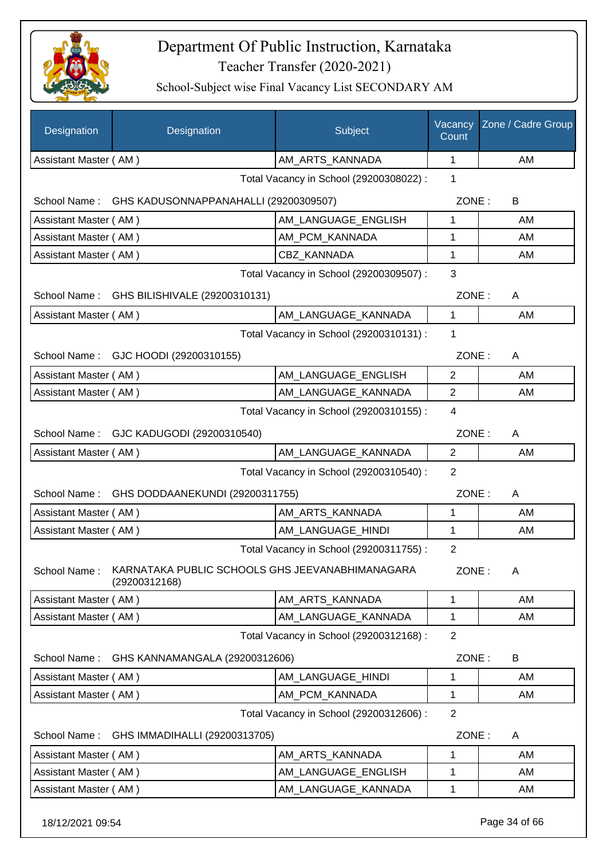

| Designation           | Designation                                                      | Subject                                 | Vacancy<br>Count | Zone / Cadre Group |
|-----------------------|------------------------------------------------------------------|-----------------------------------------|------------------|--------------------|
| Assistant Master (AM) |                                                                  | AM_ARTS_KANNADA                         | 1                | <b>AM</b>          |
|                       |                                                                  | Total Vacancy in School (29200308022) : | 1                |                    |
|                       | School Name: GHS KADUSONNAPPANAHALLI (29200309507)               |                                         | ZONE:            | B                  |
| Assistant Master (AM) |                                                                  | AM_LANGUAGE_ENGLISH                     | 1                | AM                 |
| Assistant Master (AM) |                                                                  | AM_PCM_KANNADA                          | 1                | AM                 |
| Assistant Master (AM) |                                                                  | CBZ KANNADA                             | 1                | AM                 |
|                       |                                                                  | Total Vacancy in School (29200309507) : | 3                |                    |
|                       | School Name: GHS BILISHIVALE (29200310131)                       |                                         | ZONE:            | A                  |
| Assistant Master (AM) |                                                                  | AM LANGUAGE KANNADA                     | $\mathbf 1$      | AM                 |
|                       |                                                                  | Total Vacancy in School (29200310131) : | 1                |                    |
|                       | School Name: GJC HOODI (29200310155)                             |                                         | ZONE:            | A                  |
| Assistant Master (AM) |                                                                  | AM_LANGUAGE_ENGLISH                     | $\overline{2}$   | AM                 |
| Assistant Master (AM) |                                                                  | AM LANGUAGE KANNADA                     | $\overline{2}$   | AM                 |
|                       |                                                                  | Total Vacancy in School (29200310155) : | $\overline{4}$   |                    |
|                       | School Name: GJC KADUGODI (29200310540)                          |                                         | ZONE:            | A                  |
| Assistant Master (AM) |                                                                  | AM_LANGUAGE_KANNADA                     | 2                | AM                 |
|                       |                                                                  | Total Vacancy in School (29200310540) : | 2                |                    |
| School Name:          | GHS DODDAANEKUNDI (29200311755)                                  |                                         | ZONE:            | A                  |
| Assistant Master (AM) |                                                                  | AM_ARTS_KANNADA                         | 1                | AM                 |
| Assistant Master (AM) |                                                                  | AM LANGUAGE HINDI                       | 1                | AM                 |
|                       |                                                                  | Total Vacancy in School (29200311755) : | 2                |                    |
| School Name:          | KARNATAKA PUBLIC SCHOOLS GHS JEEVANABHIMANAGARA<br>(29200312168) |                                         | ZONE:            | A                  |
| Assistant Master (AM) |                                                                  | AM_ARTS_KANNADA                         | 1                | AM                 |
| Assistant Master (AM) |                                                                  | AM_LANGUAGE_KANNADA                     | 1                | AM                 |
|                       |                                                                  | Total Vacancy in School (29200312168) : | $\overline{2}$   |                    |
| School Name:          | GHS KANNAMANGALA (29200312606)                                   |                                         | ZONE:            | B                  |
| Assistant Master (AM) |                                                                  | AM LANGUAGE HINDI                       | 1                | AM                 |
| Assistant Master (AM) |                                                                  | AM_PCM_KANNADA                          | 1                | AM                 |
|                       |                                                                  | Total Vacancy in School (29200312606) : | 2                |                    |
| School Name:          | GHS IMMADIHALLI (29200313705)                                    |                                         | ZONE:            | A                  |
| Assistant Master (AM) |                                                                  | AM_ARTS_KANNADA                         | 1                | AM                 |
| Assistant Master (AM) |                                                                  | AM_LANGUAGE_ENGLISH                     | 1                | AM                 |
| Assistant Master (AM) |                                                                  | AM_LANGUAGE_KANNADA                     | 1                | AM                 |
| 18/12/2021 09:54      |                                                                  |                                         |                  | Page 34 of 66      |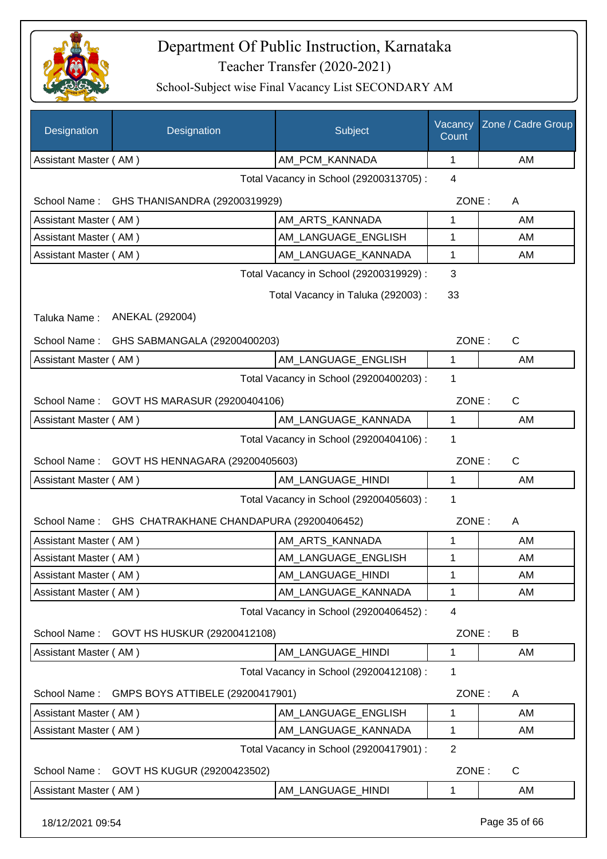

| Designation           | Designation                              | Subject                                 | Vacancy<br>Count | Zone / Cadre Group |
|-----------------------|------------------------------------------|-----------------------------------------|------------------|--------------------|
| Assistant Master (AM) |                                          | AM_PCM_KANNADA                          | 1                | AM                 |
|                       |                                          | Total Vacancy in School (29200313705) : | $\overline{4}$   |                    |
| School Name:          | GHS THANISANDRA (29200319929)            |                                         | ZONE:            | A                  |
| Assistant Master (AM) |                                          | AM_ARTS_KANNADA                         | 1                | AM                 |
| Assistant Master (AM) |                                          | AM_LANGUAGE_ENGLISH                     | 1                | AM                 |
| Assistant Master (AM) |                                          | AM_LANGUAGE_KANNADA                     | 1                | AM                 |
|                       |                                          | Total Vacancy in School (29200319929) : | 3                |                    |
|                       |                                          | Total Vacancy in Taluka (292003) :      | 33               |                    |
| Taluka Name:          | ANEKAL (292004)                          |                                         |                  |                    |
| School Name:          | GHS SABMANGALA (29200400203)             |                                         | ZONE:            | $\mathsf{C}$       |
| Assistant Master (AM) |                                          | AM_LANGUAGE_ENGLISH                     | $\mathbf{1}$     | AM                 |
|                       |                                          | Total Vacancy in School (29200400203) : | 1                |                    |
| School Name:          | GOVT HS MARASUR (29200404106)            |                                         | ZONE:            | $\mathsf{C}$       |
| Assistant Master (AM) |                                          | AM_LANGUAGE_KANNADA                     | 1                | AM                 |
|                       |                                          | Total Vacancy in School (29200404106) : | 1                |                    |
| School Name:          | GOVT HS HENNAGARA (29200405603)          |                                         | ZONE:            | $\mathsf{C}$       |
| Assistant Master (AM) |                                          | AM_LANGUAGE_HINDI                       | 1                | AM                 |
|                       |                                          | Total Vacancy in School (29200405603) : | 1                |                    |
| School Name:          | GHS CHATRAKHANE CHANDAPURA (29200406452) |                                         | ZONE:            | A                  |
| Assistant Master (AM) |                                          | AM_ARTS_KANNADA                         | 1                | AM                 |
| Assistant Master (AM) |                                          | AM_LANGUAGE_ENGLISH                     | 1                | AM                 |
| Assistant Master (AM) |                                          | AM_LANGUAGE_HINDI                       | 1                | AM                 |
| Assistant Master (AM) |                                          | AM LANGUAGE KANNADA                     | 1                | AM                 |
|                       |                                          | Total Vacancy in School (29200406452) : | 4                |                    |
| School Name:          | GOVT HS HUSKUR (29200412108)             |                                         | ZONE:            | B                  |
| Assistant Master (AM) |                                          | AM_LANGUAGE_HINDI                       | 1                | AM                 |
|                       |                                          | Total Vacancy in School (29200412108) : | 1                |                    |
| School Name:          | GMPS BOYS ATTIBELE (29200417901)         |                                         | ZONE:            | A                  |
| Assistant Master (AM) |                                          | AM_LANGUAGE_ENGLISH                     | 1                | AM                 |
| Assistant Master (AM) |                                          | AM_LANGUAGE_KANNADA                     | 1                | AM                 |
|                       |                                          | Total Vacancy in School (29200417901) : | $\overline{2}$   |                    |
| School Name:          | GOVT HS KUGUR (29200423502)              |                                         | ZONE:            | C                  |
| Assistant Master (AM) |                                          | AM_LANGUAGE_HINDI                       | 1                | AM                 |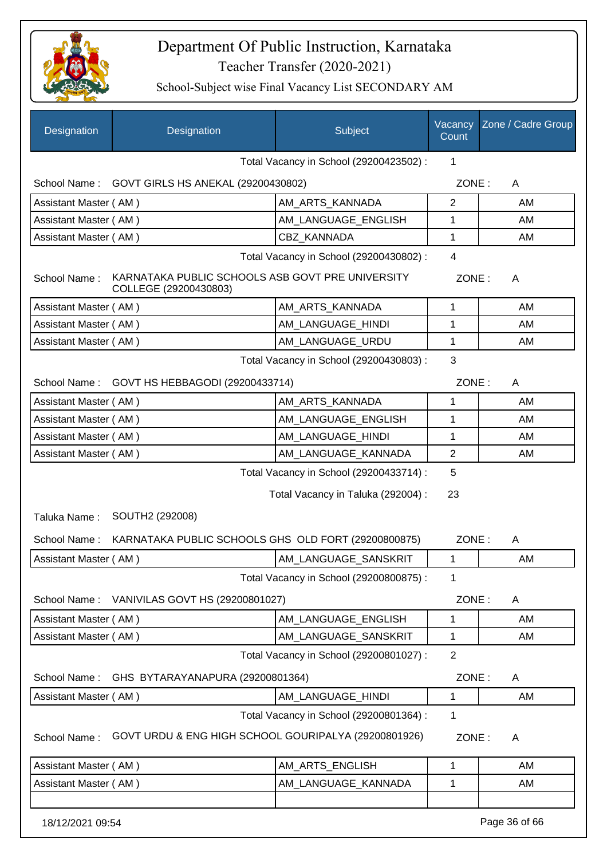

| Designation                             | Designation                                                               | Subject                                 | Vacancy<br>Count | Zone / Cadre Group |
|-----------------------------------------|---------------------------------------------------------------------------|-----------------------------------------|------------------|--------------------|
|                                         |                                                                           | Total Vacancy in School (29200423502) : | 1                |                    |
| School Name:                            | GOVT GIRLS HS ANEKAL (29200430802)                                        |                                         | ZONE:            | A                  |
| Assistant Master (AM)                   |                                                                           | AM ARTS KANNADA                         | $\overline{2}$   | AM                 |
| Assistant Master (AM)                   |                                                                           | AM_LANGUAGE_ENGLISH                     | 1                | AM                 |
| Assistant Master (AM)                   |                                                                           | CBZ KANNADA                             | $\mathbf 1$      | AM                 |
|                                         |                                                                           | Total Vacancy in School (29200430802) : | 4                |                    |
| School Name:                            | KARNATAKA PUBLIC SCHOOLS ASB GOVT PRE UNIVERSITY<br>COLLEGE (29200430803) |                                         | ZONE:            | A                  |
| Assistant Master (AM)                   |                                                                           | AM_ARTS_KANNADA                         | 1                | AM                 |
| Assistant Master (AM)                   |                                                                           | AM_LANGUAGE_HINDI                       | 1                | AM                 |
| Assistant Master (AM)                   |                                                                           | AM LANGUAGE URDU                        | $\mathbf 1$      | AM                 |
|                                         |                                                                           | Total Vacancy in School (29200430803) : | 3                |                    |
| School Name:                            | GOVT HS HEBBAGODI (29200433714)                                           |                                         | ZONE:            | A                  |
| Assistant Master (AM)                   |                                                                           | AM_ARTS_KANNADA                         | 1                | AM                 |
| Assistant Master (AM)                   |                                                                           | AM_LANGUAGE_ENGLISH                     | 1                | AM                 |
| Assistant Master (AM)                   |                                                                           | AM_LANGUAGE_HINDI                       | 1                | AM                 |
| Assistant Master (AM)                   |                                                                           | AM_LANGUAGE_KANNADA                     | $\overline{2}$   | AM                 |
| Total Vacancy in School (29200433714) : |                                                                           |                                         | 5                |                    |
|                                         |                                                                           | Total Vacancy in Taluka (292004) :      | 23               |                    |
| Taluka Name:                            | SOUTH2 (292008)                                                           |                                         |                  |                    |
| School Name:                            | KARNATAKA PUBLIC SCHOOLS GHS OLD FORT (29200800875)                       |                                         | ZONE:            | A                  |
| Assistant Master (AM)                   |                                                                           | AM_LANGUAGE_SANSKRIT                    | 1                | AM                 |
|                                         |                                                                           | Total Vacancy in School (29200800875) : | 1                |                    |
|                                         | School Name: VANIVILAS GOVT HS (29200801027)                              |                                         | ZONE:            | A                  |
| Assistant Master (AM)                   |                                                                           | AM_LANGUAGE_ENGLISH                     | 1                | AM                 |
| Assistant Master (AM)                   |                                                                           | AM LANGUAGE SANSKRIT                    | 1                | AM                 |
|                                         |                                                                           | Total Vacancy in School (29200801027) : | $\overline{2}$   |                    |
| School Name:                            | GHS BYTARAYANAPURA (29200801364)                                          |                                         | ZONE:            | A                  |
| Assistant Master (AM)                   |                                                                           | AM_LANGUAGE_HINDI                       | 1                | AM                 |
|                                         |                                                                           | Total Vacancy in School (29200801364) : | 1                |                    |
| School Name:                            | GOVT URDU & ENG HIGH SCHOOL GOURIPALYA (29200801926)                      |                                         | ZONE:            | A                  |
| Assistant Master (AM)                   |                                                                           | AM_ARTS_ENGLISH                         | 1                | AM                 |
| Assistant Master (AM)                   |                                                                           | AM_LANGUAGE_KANNADA                     | 1                | AM                 |
| 18/12/2021 09:54                        |                                                                           |                                         |                  | Page 36 of 66      |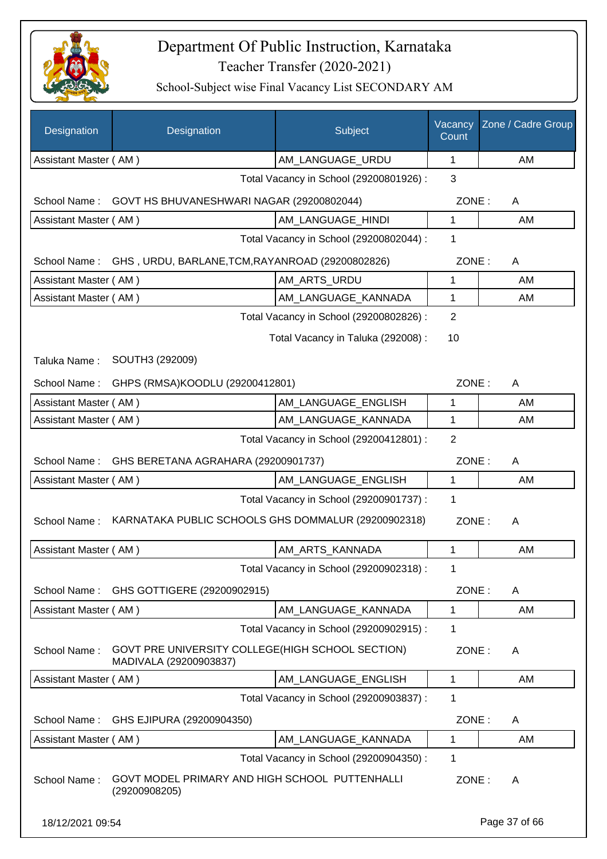

| Designation           | Designation                                                                | Subject                                 | Vacancy<br>Count | Zone / Cadre Group |
|-----------------------|----------------------------------------------------------------------------|-----------------------------------------|------------------|--------------------|
| Assistant Master (AM) |                                                                            | AM_LANGUAGE_URDU                        | $\mathbf{1}$     | AM                 |
|                       |                                                                            | Total Vacancy in School (29200801926) : | 3                |                    |
| School Name:          | GOVT HS BHUVANESHWARI NAGAR (29200802044)                                  |                                         | ZONE:            | A                  |
| Assistant Master (AM) |                                                                            | AM LANGUAGE HINDI                       | 1                | AM                 |
|                       |                                                                            | Total Vacancy in School (29200802044) : | 1                |                    |
|                       | School Name: GHS, URDU, BARLANE, TCM, RAYANROAD (29200802826)              |                                         | ZONE:            | A                  |
| Assistant Master (AM) |                                                                            | AM_ARTS_URDU                            | 1                | AM                 |
| Assistant Master (AM) |                                                                            | AM_LANGUAGE_KANNADA                     | 1                | AM                 |
|                       |                                                                            | Total Vacancy in School (29200802826) : | $\overline{2}$   |                    |
|                       |                                                                            | Total Vacancy in Taluka (292008) :      | 10               |                    |
| Taluka Name:          | SOUTH3 (292009)                                                            |                                         |                  |                    |
| School Name:          | GHPS (RMSA)KOODLU (29200412801)                                            |                                         | ZONE:            | A                  |
| Assistant Master (AM) |                                                                            | AM LANGUAGE ENGLISH                     | $\mathbf{1}$     | AM                 |
| Assistant Master (AM) |                                                                            | AM_LANGUAGE_KANNADA                     | $\mathbf{1}$     | AM                 |
|                       |                                                                            | Total Vacancy in School (29200412801) : | $\overline{2}$   |                    |
| School Name:          | GHS BERETANA AGRAHARA (29200901737)                                        |                                         | ZONE:            | A                  |
| Assistant Master (AM) |                                                                            | AM_LANGUAGE_ENGLISH                     | 1                | AM                 |
|                       |                                                                            | Total Vacancy in School (29200901737) : | $\mathbf 1$      |                    |
| School Name:          | KARNATAKA PUBLIC SCHOOLS GHS DOMMALUR (29200902318)                        |                                         | ZONE:            | A                  |
| Assistant Master (AM) |                                                                            | AM_ARTS_KANNADA                         | $\mathbf{1}$     | AM                 |
|                       |                                                                            | Total Vacancy in School (29200902318) : | 1                |                    |
| School Name:          | GHS GOTTIGERE (29200902915)                                                |                                         | ZONE:            | A                  |
| Assistant Master (AM) |                                                                            | AM_LANGUAGE_KANNADA                     | $\mathbf{1}$     | AM                 |
|                       |                                                                            | Total Vacancy in School (29200902915) : | 1                |                    |
| School Name:          | GOVT PRE UNIVERSITY COLLEGE(HIGH SCHOOL SECTION)<br>MADIVALA (29200903837) |                                         | ZONE:            | A                  |
| Assistant Master (AM) |                                                                            | AM LANGUAGE ENGLISH                     | 1                | AM                 |
|                       |                                                                            | Total Vacancy in School (29200903837) : | 1                |                    |
| School Name:          | GHS EJIPURA (29200904350)                                                  |                                         | ZONE:            | A                  |
| Assistant Master (AM) |                                                                            | AM LANGUAGE KANNADA                     | 1                | AM                 |
|                       |                                                                            | Total Vacancy in School (29200904350) : | 1                |                    |
| School Name:          | GOVT MODEL PRIMARY AND HIGH SCHOOL PUTTENHALLI<br>(29200908205)            |                                         | ZONE:            | A                  |
| 18/12/2021 09:54      |                                                                            |                                         |                  | Page 37 of 66      |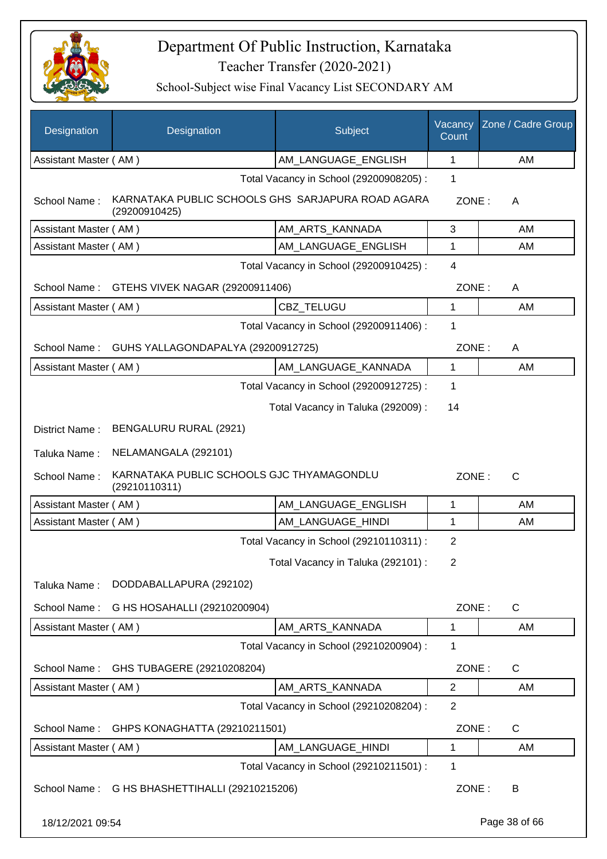

| Designation                             | Designation                                                        | Subject                                 | Vacancy<br>Count | Zone / Cadre Group |
|-----------------------------------------|--------------------------------------------------------------------|-----------------------------------------|------------------|--------------------|
| Assistant Master (AM)                   |                                                                    | AM_LANGUAGE_ENGLISH                     | 1                | AM                 |
|                                         |                                                                    | Total Vacancy in School (29200908205) : | 1                |                    |
| School Name:                            | KARNATAKA PUBLIC SCHOOLS GHS SARJAPURA ROAD AGARA<br>(29200910425) |                                         | ZONE:            | A                  |
| Assistant Master (AM)                   |                                                                    | AM ARTS KANNADA                         | 3                | AM                 |
| Assistant Master (AM)                   |                                                                    | AM_LANGUAGE_ENGLISH                     | 1                | AM                 |
| Total Vacancy in School (29200910425) : |                                                                    |                                         | $\overline{4}$   |                    |
| School Name:                            | GTEHS VIVEK NAGAR (29200911406)                                    |                                         | ZONE:            | A                  |
| Assistant Master (AM)                   |                                                                    | CBZ_TELUGU                              | $\mathbf{1}$     | AM                 |
|                                         |                                                                    | Total Vacancy in School (29200911406) : | 1                |                    |
| School Name:                            | GUHS YALLAGONDAPALYA (29200912725)                                 |                                         | ZONE:            | A                  |
| Assistant Master (AM)                   |                                                                    | AM LANGUAGE KANNADA                     | $\mathbf{1}$     | AM                 |
|                                         |                                                                    | Total Vacancy in School (29200912725) : | 1                |                    |
|                                         |                                                                    | Total Vacancy in Taluka (292009) :      | 14               |                    |
| District Name:                          | BENGALURU RURAL (2921)                                             |                                         |                  |                    |
| Taluka Name:                            | NELAMANGALA (292101)                                               |                                         |                  |                    |
| School Name:                            | KARNATAKA PUBLIC SCHOOLS GJC THYAMAGONDLU<br>(29210110311)         |                                         | ZONE:            | $\mathsf{C}$       |
| Assistant Master (AM)                   |                                                                    | AM_LANGUAGE_ENGLISH                     | 1                | AM                 |
| Assistant Master (AM)                   |                                                                    | AM_LANGUAGE_HINDI                       | 1                | AM                 |
|                                         |                                                                    | Total Vacancy in School (29210110311) : | $\overline{2}$   |                    |
|                                         |                                                                    | Total Vacancy in Taluka (292101) :      | 2                |                    |
| Taluka Name:                            | DODDABALLAPURA (292102)                                            |                                         |                  |                    |
| School Name:                            | G HS HOSAHALLI (29210200904)                                       |                                         | ZONE:            | $\mathsf{C}$       |
| Assistant Master (AM)                   |                                                                    | AM_ARTS_KANNADA                         | $\mathbf{1}$     | AM                 |
|                                         |                                                                    | Total Vacancy in School (29210200904) : | 1                |                    |
| School Name:                            | GHS TUBAGERE (29210208204)                                         |                                         | ZONE:            | C                  |
| Assistant Master (AM)                   |                                                                    | AM_ARTS_KANNADA                         | $\overline{2}$   | AM                 |
|                                         |                                                                    | Total Vacancy in School (29210208204) : | $\overline{2}$   |                    |
| School Name:                            | GHPS KONAGHATTA (29210211501)                                      |                                         | ZONE:            | C                  |
| Assistant Master (AM)                   |                                                                    | AM_LANGUAGE_HINDI                       | $\mathbf{1}$     | AM                 |
|                                         |                                                                    | Total Vacancy in School (29210211501) : | 1                |                    |
|                                         | School Name: G HS BHASHETTIHALLI (29210215206)                     |                                         | ZONE:            | B                  |
| 18/12/2021 09:54                        |                                                                    |                                         |                  | Page 38 of 66      |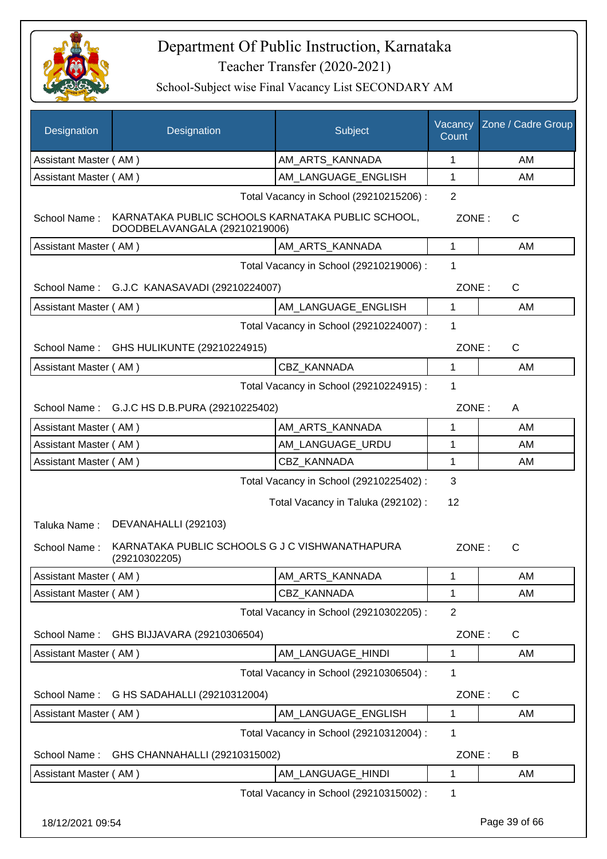

| <b>Designation</b>           | Designation                                                                             | Subject                                                                       | Vacancy<br>Count | Zone / Cadre Group |
|------------------------------|-----------------------------------------------------------------------------------------|-------------------------------------------------------------------------------|------------------|--------------------|
| Assistant Master (AM)        |                                                                                         | AM_ARTS_KANNADA                                                               | 1                | AM                 |
| Assistant Master (AM)        |                                                                                         | AM_LANGUAGE_ENGLISH                                                           | 1                | AM                 |
|                              |                                                                                         | Total Vacancy in School (29210215206) :                                       | $\overline{2}$   |                    |
| School Name:                 | KARNATAKA PUBLIC SCHOOLS KARNATAKA PUBLIC SCHOOL,<br>DOODBELAVANGALA (29210219006)      |                                                                               | ZONE:            | $\mathsf{C}$       |
| Assistant Master (AM)        |                                                                                         | AM ARTS KANNADA                                                               | $\mathbf{1}$     | AM                 |
|                              |                                                                                         | Total Vacancy in School (29210219006) :                                       | 1                |                    |
|                              | School Name: G.J.C KANASAVADI (29210224007)                                             |                                                                               | ZONE:            | $\mathsf{C}$       |
| Assistant Master (AM)        |                                                                                         | AM LANGUAGE ENGLISH                                                           | 1                | AM                 |
|                              |                                                                                         | Total Vacancy in School (29210224007) :                                       | 1                |                    |
| School Name:                 | GHS HULIKUNTE (29210224915)                                                             |                                                                               | ZONE:            | C                  |
| Assistant Master (AM)        |                                                                                         | CBZ KANNADA                                                                   | 1                | AM                 |
|                              |                                                                                         | Total Vacancy in School (29210224915) :                                       | 1                |                    |
| School Name:                 | G.J.C HS D.B.PURA (29210225402)                                                         |                                                                               | ZONE:            | A                  |
| Assistant Master (AM)        |                                                                                         | AM_ARTS_KANNADA                                                               | 1                | AM                 |
| Assistant Master (AM)        |                                                                                         | AM LANGUAGE URDU                                                              | 1                | AM                 |
| Assistant Master (AM)        |                                                                                         | CBZ_KANNADA                                                                   | 1                | AM                 |
|                              |                                                                                         | Total Vacancy in School (29210225402) :<br>Total Vacancy in Taluka (292102) : | 3<br>12          |                    |
| Taluka Name:<br>School Name: | DEVANAHALLI (292103)<br>KARNATAKA PUBLIC SCHOOLS G J C VISHWANATHAPURA<br>(29210302205) |                                                                               | ZONE:            | C                  |
| Assistant Master (AM)        |                                                                                         | AM_ARTS_KANNADA                                                               | 1                | AM                 |
| Assistant Master (AM)        |                                                                                         | CBZ KANNADA                                                                   | 1                | AM                 |
|                              |                                                                                         | Total Vacancy in School (29210302205) :                                       | $\overline{2}$   |                    |
| School Name:                 | GHS BIJJAVARA (29210306504)                                                             |                                                                               | ZONE:            | C                  |
| Assistant Master (AM)        |                                                                                         | AM LANGUAGE HINDI                                                             | 1                | AM                 |
|                              |                                                                                         | Total Vacancy in School (29210306504) :                                       | 1                |                    |
| School Name:                 | G HS SADAHALLI (29210312004)                                                            |                                                                               | ZONE:            | $\mathsf{C}$       |
| Assistant Master (AM)        |                                                                                         | AM_LANGUAGE_ENGLISH                                                           | 1                | AM                 |
|                              |                                                                                         | Total Vacancy in School (29210312004) :                                       | 1                |                    |
| School Name:                 | GHS CHANNAHALLI (29210315002)                                                           |                                                                               | ZONE:            | B                  |
| Assistant Master (AM)        |                                                                                         | AM_LANGUAGE_HINDI                                                             | 1                | AM                 |
|                              |                                                                                         | Total Vacancy in School (29210315002) :                                       | 1                |                    |
| 18/12/2021 09:54             |                                                                                         |                                                                               |                  | Page 39 of 66      |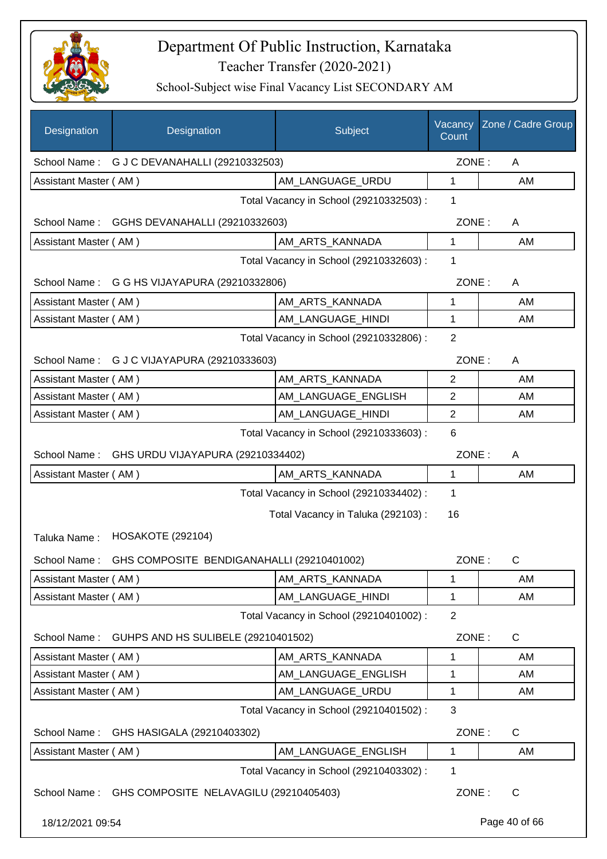

| Designation           | Designation                                             | Subject                                 | Vacancy<br>Count | Zone / Cadre Group |
|-----------------------|---------------------------------------------------------|-----------------------------------------|------------------|--------------------|
| School Name:          | G J C DEVANAHALLI (29210332503)                         |                                         | ZONE:            | A                  |
| Assistant Master (AM) |                                                         | AM_LANGUAGE_URDU                        | 1                | AM                 |
|                       |                                                         | Total Vacancy in School (29210332503) : | 1                |                    |
| School Name:          | GGHS DEVANAHALLI (29210332603)                          |                                         | ZONE:            | A                  |
| Assistant Master (AM) |                                                         | AM_ARTS_KANNADA                         | 1                | AM                 |
|                       |                                                         | Total Vacancy in School (29210332603) : | 1                |                    |
|                       | School Name: G G HS VIJAYAPURA (29210332806)            |                                         | ZONE:            | A                  |
| Assistant Master (AM) |                                                         | AM_ARTS_KANNADA                         | 1                | AM                 |
| Assistant Master (AM) |                                                         | AM_LANGUAGE_HINDI                       | 1                | AM                 |
|                       |                                                         | Total Vacancy in School (29210332806) : | $\overline{2}$   |                    |
|                       | School Name: G J C VIJAYAPURA (29210333603)             |                                         | ZONE:            | A                  |
| Assistant Master (AM) |                                                         | AM_ARTS_KANNADA                         | 2                | AM                 |
| Assistant Master (AM) |                                                         | AM_LANGUAGE_ENGLISH                     | $\mathbf{2}$     | AM                 |
| Assistant Master (AM) |                                                         | AM_LANGUAGE_HINDI                       | $\overline{2}$   | AM                 |
|                       |                                                         | Total Vacancy in School (29210333603) : | 6                |                    |
| School Name:          | GHS URDU VIJAYAPURA (29210334402)                       |                                         | ZONE:            | A                  |
| Assistant Master (AM) |                                                         | AM_ARTS_KANNADA                         | 1                | AM                 |
|                       |                                                         | Total Vacancy in School (29210334402) : | 1                |                    |
|                       |                                                         | Total Vacancy in Taluka (292103) :      | 16               |                    |
| Taluka Name:          | <b>HOSAKOTE (292104)</b>                                |                                         |                  |                    |
|                       | School Name: GHS COMPOSITE BENDIGANAHALLI (29210401002) |                                         | ZONE:            | C                  |
| Assistant Master (AM) |                                                         | AM_ARTS_KANNADA                         | 1                | AM                 |
| Assistant Master (AM) |                                                         | AM_LANGUAGE_HINDI                       | 1                | AM                 |
|                       |                                                         | Total Vacancy in School (29210401002) : | $\overline{2}$   |                    |
| School Name:          | GUHPS AND HS SULIBELE (29210401502)                     |                                         | ZONE:            | C                  |
| Assistant Master (AM) |                                                         | AM_ARTS_KANNADA                         | 1                | AM                 |
| Assistant Master (AM) |                                                         | AM LANGUAGE ENGLISH                     | 1                | AM                 |
| Assistant Master (AM) |                                                         | AM_LANGUAGE_URDU                        | 1                | AM                 |
|                       |                                                         | Total Vacancy in School (29210401502) : | 3                |                    |
| School Name:          | GHS HASIGALA (29210403302)                              |                                         | ZONE:            | C                  |
| Assistant Master (AM) |                                                         | AM_LANGUAGE_ENGLISH                     | 1                | AM                 |
|                       |                                                         | Total Vacancy in School (29210403302) : | 1                |                    |
|                       | School Name: GHS COMPOSITE NELAVAGILU (29210405403)     |                                         | ZONE:            | C                  |
| 18/12/2021 09:54      |                                                         |                                         |                  | Page 40 of 66      |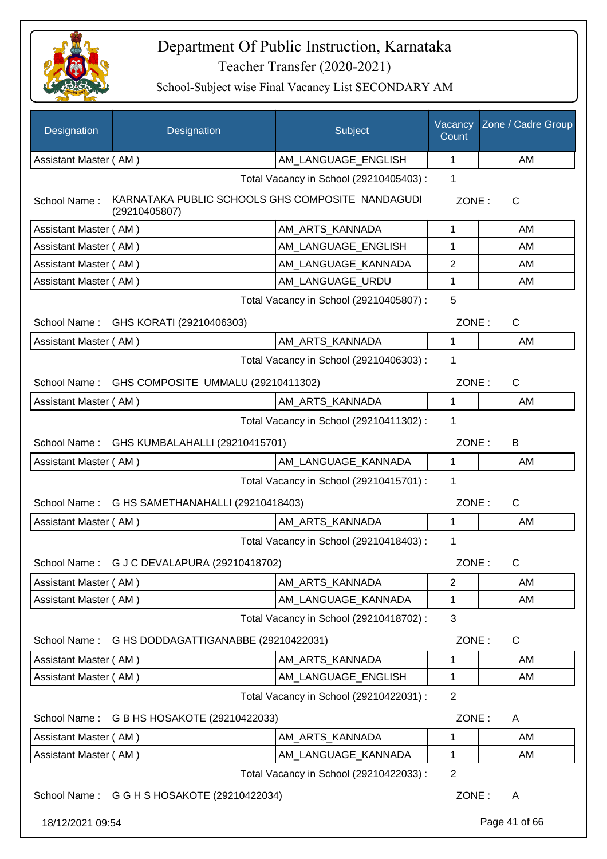

| Designation                                 | Designation                                                       | Subject                                 | Vacancy<br>Count | Zone / Cadre Group |
|---------------------------------------------|-------------------------------------------------------------------|-----------------------------------------|------------------|--------------------|
| Assistant Master (AM)                       |                                                                   | AM_LANGUAGE_ENGLISH                     | 1                | AM                 |
|                                             |                                                                   | Total Vacancy in School (29210405403) : | 1                |                    |
| School Name:                                | KARNATAKA PUBLIC SCHOOLS GHS COMPOSITE NANDAGUDI<br>(29210405807) |                                         | ZONE:            | C                  |
| Assistant Master (AM)                       |                                                                   | AM ARTS KANNADA                         | 1                | AM                 |
| Assistant Master (AM)                       |                                                                   | AM_LANGUAGE_ENGLISH                     | 1                | AM                 |
| Assistant Master (AM)                       |                                                                   | AM_LANGUAGE_KANNADA                     | 2                | AM                 |
| Assistant Master (AM)                       |                                                                   | AM_LANGUAGE_URDU                        | 1                | AM                 |
|                                             |                                                                   | Total Vacancy in School (29210405807) : | 5                |                    |
|                                             | School Name: GHS KORATI (29210406303)                             |                                         | ZONE:            | $\mathsf{C}$       |
| Assistant Master (AM)                       |                                                                   | AM_ARTS_KANNADA                         | 1                | AM                 |
|                                             |                                                                   | Total Vacancy in School (29210406303) : | 1                |                    |
| School Name:                                | GHS COMPOSITE UMMALU (29210411302)                                |                                         | ZONE:            | $\mathsf{C}$       |
| Assistant Master (AM)                       |                                                                   | AM_ARTS_KANNADA                         | 1                | AM                 |
|                                             |                                                                   | Total Vacancy in School (29210411302) : | 1                |                    |
| School Name: GHS KUMBALAHALLI (29210415701) |                                                                   |                                         | ZONE:            | B                  |
| Assistant Master (AM)                       |                                                                   | AM_LANGUAGE_KANNADA                     | $\mathbf 1$      | AM                 |
|                                             |                                                                   | Total Vacancy in School (29210415701) : | 1                |                    |
|                                             | School Name: G HS SAMETHANAHALLI (29210418403)                    |                                         | ZONE:            | C                  |
| Assistant Master (AM)                       |                                                                   | AM_ARTS_KANNADA                         | 1                | AM                 |
|                                             |                                                                   | Total Vacancy in School (29210418403) : | 1                |                    |
|                                             | School Name: G J C DEVALAPURA (29210418702)                       |                                         | ZONE:            | C                  |
| Assistant Master (AM)                       |                                                                   | AM ARTS KANNADA                         | $\overline{2}$   | AM                 |
| Assistant Master (AM)                       |                                                                   | AM_LANGUAGE_KANNADA                     | 1                | AM                 |
|                                             |                                                                   | Total Vacancy in School (29210418702) : | 3                |                    |
| School Name:                                | G HS DODDAGATTIGANABBE (29210422031)                              |                                         | ZONE:            | C                  |
| Assistant Master (AM)                       |                                                                   | AM_ARTS_KANNADA                         | 1                | AM                 |
| Assistant Master (AM)                       |                                                                   | AM LANGUAGE ENGLISH                     | 1                | AM                 |
|                                             |                                                                   | Total Vacancy in School (29210422031) : | $\overline{2}$   |                    |
| School Name:                                | G B HS HOSAKOTE (29210422033)                                     |                                         | ZONE:            | A                  |
| Assistant Master (AM)                       |                                                                   | AM ARTS KANNADA                         | 1                | AM                 |
| Assistant Master (AM)                       |                                                                   | AM_LANGUAGE_KANNADA                     | 1                | AM                 |
|                                             |                                                                   | Total Vacancy in School (29210422033) : | $\overline{2}$   |                    |
|                                             | School Name: G G H S HOSAKOTE (29210422034)                       |                                         | ZONE:            | A                  |
| 18/12/2021 09:54                            |                                                                   |                                         |                  | Page 41 of 66      |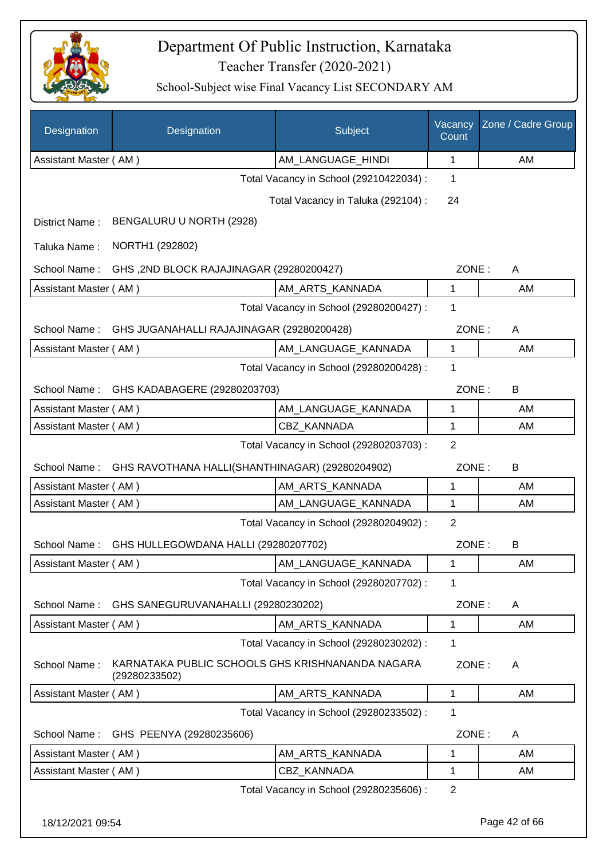

| Designation           | Designation                                                       | Subject                                 | Vacancy<br>Count | Zone / Cadre Group |
|-----------------------|-------------------------------------------------------------------|-----------------------------------------|------------------|--------------------|
| Assistant Master (AM) |                                                                   | AM_LANGUAGE_HINDI                       | 1                | AM                 |
|                       |                                                                   | Total Vacancy in School (29210422034) : | 1                |                    |
|                       |                                                                   | Total Vacancy in Taluka (292104) :      | 24               |                    |
| District Name:        | BENGALURU U NORTH (2928)                                          |                                         |                  |                    |
| Taluka Name:          | NORTH1 (292802)                                                   |                                         |                  |                    |
| School Name:          | GHS, 2ND BLOCK RAJAJINAGAR (29280200427)                          |                                         | ZONE:            | A                  |
| Assistant Master (AM) |                                                                   | AM_ARTS_KANNADA                         | 1                | AM                 |
|                       |                                                                   | Total Vacancy in School (29280200427) : | 1                |                    |
| School Name:          | GHS JUGANAHALLI RAJAJINAGAR (29280200428)                         |                                         | ZONE:            | A                  |
| Assistant Master (AM) |                                                                   | AM_LANGUAGE_KANNADA                     | 1                | AM                 |
|                       |                                                                   | Total Vacancy in School (29280200428) : | 1                |                    |
| School Name:          | GHS KADABAGERE (29280203703)                                      |                                         | ZONE:            | B                  |
| Assistant Master (AM) |                                                                   | AM_LANGUAGE_KANNADA                     | 1                | AM                 |
| Assistant Master (AM) |                                                                   | <b>CBZ KANNADA</b>                      | 1                | AM                 |
|                       |                                                                   | Total Vacancy in School (29280203703) : | $\overline{2}$   |                    |
| School Name:          | GHS RAVOTHANA HALLI(SHANTHINAGAR) (29280204902)                   |                                         | ZONE:            | B                  |
| Assistant Master (AM) |                                                                   | AM_ARTS_KANNADA                         | 1                | AM                 |
| Assistant Master (AM) |                                                                   | AM_LANGUAGE_KANNADA                     | 1                | AM                 |
|                       |                                                                   | Total Vacancy in School (29280204902) : | $\overline{2}$   |                    |
| School Name:          | GHS HULLEGOWDANA HALLI (29280207702)                              |                                         | ZONE:            | B                  |
| Assistant Master (AM) |                                                                   | AM_LANGUAGE_KANNADA                     | 1                | AM                 |
|                       |                                                                   | Total Vacancy in School (29280207702) : | 1                |                    |
| School Name:          | GHS SANEGURUVANAHALLI (29280230202)                               |                                         | ZONE:            | A                  |
| Assistant Master (AM) |                                                                   | AM ARTS KANNADA                         | 1                | AM                 |
|                       |                                                                   | Total Vacancy in School (29280230202) : | 1                |                    |
| School Name:          | KARNATAKA PUBLIC SCHOOLS GHS KRISHNANANDA NAGARA<br>(29280233502) |                                         | ZONE:            | A                  |
| Assistant Master (AM) |                                                                   | AM_ARTS_KANNADA                         | $\mathbf 1$      | AM                 |
|                       |                                                                   | Total Vacancy in School (29280233502) : | 1                |                    |
| School Name:          | GHS PEENYA (29280235606)                                          |                                         | ZONE:            | A                  |
| Assistant Master (AM) |                                                                   | AM_ARTS_KANNADA                         | 1                | AM                 |
| Assistant Master (AM) |                                                                   | CBZ_KANNADA                             | 1                | AM                 |
|                       |                                                                   | Total Vacancy in School (29280235606) : | $\overline{2}$   |                    |
| 18/12/2021 09:54      |                                                                   |                                         |                  | Page 42 of 66      |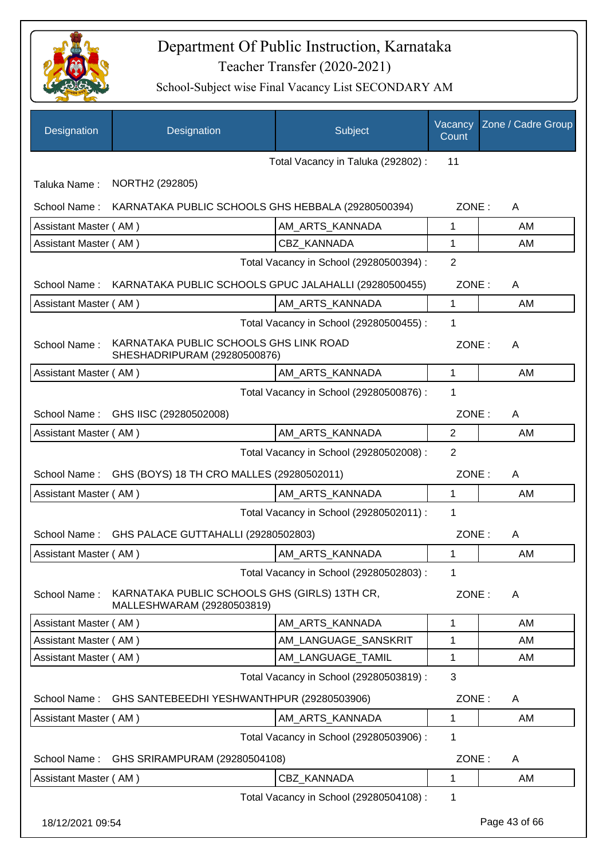

| Designation           | Designation                                                                 | Subject                                 | Vacancy<br>Count | Zone / Cadre Group |
|-----------------------|-----------------------------------------------------------------------------|-----------------------------------------|------------------|--------------------|
|                       |                                                                             | Total Vacancy in Taluka (292802) :      | 11               |                    |
| Taluka Name:          | NORTH2 (292805)                                                             |                                         |                  |                    |
| School Name:          | KARNATAKA PUBLIC SCHOOLS GHS HEBBALA (29280500394)                          |                                         | ZONE:            | A                  |
| Assistant Master (AM) |                                                                             | AM_ARTS_KANNADA                         | 1                | AM                 |
| Assistant Master (AM) |                                                                             | CBZ_KANNADA                             | 1                | AM                 |
|                       |                                                                             | Total Vacancy in School (29280500394) : | $\overline{2}$   |                    |
|                       | School Name: KARNATAKA PUBLIC SCHOOLS GPUC JALAHALLI (29280500455)          |                                         | ZONE:            | A                  |
| Assistant Master (AM) |                                                                             | AM_ARTS_KANNADA                         | $\mathbf{1}$     | AM                 |
|                       |                                                                             | Total Vacancy in School (29280500455) : | 1                |                    |
| School Name:          | KARNATAKA PUBLIC SCHOOLS GHS LINK ROAD<br>SHESHADRIPURAM (29280500876)      |                                         | ZONE:            | A                  |
| Assistant Master (AM) |                                                                             | AM_ARTS_KANNADA                         | 1                | AM                 |
|                       |                                                                             | Total Vacancy in School (29280500876) : | 1                |                    |
| School Name:          | GHS IISC (29280502008)                                                      |                                         | ZONE:            | A                  |
| Assistant Master (AM) |                                                                             | AM_ARTS_KANNADA                         | $\overline{2}$   | AM                 |
|                       |                                                                             | Total Vacancy in School (29280502008) : | 2                |                    |
| School Name:          | GHS (BOYS) 18 TH CRO MALLES (29280502011)                                   |                                         | ZONE:            | A                  |
| Assistant Master (AM) |                                                                             | AM_ARTS_KANNADA                         | $\mathbf{1}$     | AM                 |
|                       |                                                                             | Total Vacancy in School (29280502011) : | 1                |                    |
|                       | School Name: GHS PALACE GUTTAHALLI (29280502803)                            |                                         | ZONE:            | A                  |
| Assistant Master (AM) |                                                                             | AM_ARTS_KANNADA                         | 1                | AM                 |
|                       |                                                                             | Total Vacancy in School (29280502803) : | 1                |                    |
| School Name:          | KARNATAKA PUBLIC SCHOOLS GHS (GIRLS) 13TH CR,<br>MALLESHWARAM (29280503819) |                                         | ZONE:            | A                  |
| Assistant Master (AM) |                                                                             | AM_ARTS_KANNADA                         | 1                | AM                 |
| Assistant Master (AM) |                                                                             | AM_LANGUAGE_SANSKRIT                    | 1                | AM                 |
| Assistant Master (AM) |                                                                             | AM_LANGUAGE_TAMIL                       | 1                | AM                 |
|                       |                                                                             | Total Vacancy in School (29280503819) : | 3                |                    |
| School Name:          | GHS SANTEBEEDHI YESHWANTHPUR (29280503906)                                  |                                         | ZONE:            | A                  |
| Assistant Master (AM) |                                                                             | AM_ARTS_KANNADA                         | 1                | AM                 |
|                       |                                                                             | Total Vacancy in School (29280503906) : | 1                |                    |
| School Name:          | GHS SRIRAMPURAM (29280504108)                                               |                                         | ZONE:            | A                  |
| Assistant Master (AM) |                                                                             | CBZ_KANNADA                             | 1                | AM                 |
|                       |                                                                             | Total Vacancy in School (29280504108) : | 1                |                    |
| 18/12/2021 09:54      |                                                                             |                                         |                  | Page 43 of 66      |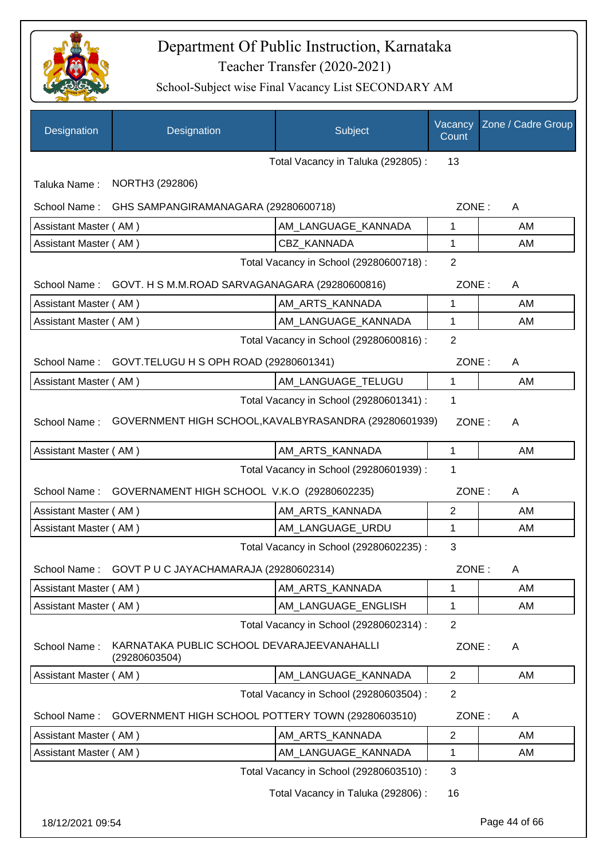

| Designation           | Designation                                                 | Subject                                 | Vacancy<br>Count | Zone / Cadre Group |
|-----------------------|-------------------------------------------------------------|-----------------------------------------|------------------|--------------------|
|                       |                                                             | Total Vacancy in Taluka (292805):       | 13               |                    |
| Taluka Name:          | NORTH3 (292806)                                             |                                         |                  |                    |
| School Name:          | GHS SAMPANGIRAMANAGARA (29280600718)                        |                                         | ZONE:            | A                  |
| Assistant Master (AM) |                                                             | AM_LANGUAGE_KANNADA                     | 1                | AM                 |
| Assistant Master (AM) |                                                             | CBZ KANNADA                             | 1                | AM                 |
|                       |                                                             | Total Vacancy in School (29280600718) : | $\overline{2}$   |                    |
|                       | School Name: GOVT. H S M.M.ROAD SARVAGANAGARA (29280600816) |                                         | ZONE:            | A                  |
| Assistant Master (AM) |                                                             | AM_ARTS_KANNADA                         | 1                | AM                 |
| Assistant Master (AM) |                                                             | AM LANGUAGE KANNADA                     | 1                | AM                 |
|                       |                                                             | Total Vacancy in School (29280600816) : | $\overline{2}$   |                    |
|                       | School Name: GOVT.TELUGU H S OPH ROAD (29280601341)         |                                         | ZONE:            | A                  |
| Assistant Master (AM) |                                                             | AM_LANGUAGE_TELUGU                      | $\mathbf{1}$     | AM                 |
|                       |                                                             | Total Vacancy in School (29280601341) : | 1                |                    |
| School Name:          | GOVERNMENT HIGH SCHOOL, KAVALBYRASANDRA (29280601939)       |                                         | ZONE:            | A                  |
| Assistant Master (AM) |                                                             | AM_ARTS_KANNADA                         | 1                | AM                 |
|                       |                                                             | Total Vacancy in School (29280601939) : | 1                |                    |
| School Name:          | GOVERNAMENT HIGH SCHOOL V.K.O (29280602235)                 |                                         | ZONE:            | A                  |
| Assistant Master (AM) |                                                             | AM_ARTS_KANNADA                         | $\overline{2}$   | AM                 |
| Assistant Master (AM) |                                                             | AM LANGUAGE URDU                        | 1                | AM                 |
|                       |                                                             | Total Vacancy in School (29280602235) : | 3                |                    |
| School Name:          | GOVT P U C JAYACHAMARAJA (29280602314)                      |                                         | ZONE:            | A                  |
| Assistant Master (AM) |                                                             | AM_ARTS_KANNADA                         | 1                | AM                 |
| Assistant Master (AM) |                                                             | AM_LANGUAGE_ENGLISH                     | 1                | AM                 |
|                       |                                                             | Total Vacancy in School (29280602314) : | $\overline{2}$   |                    |
| School Name:          | KARNATAKA PUBLIC SCHOOL DEVARAJEEVANAHALLI<br>(29280603504) |                                         | ZONE:            | A                  |
| Assistant Master (AM) |                                                             | AM LANGUAGE KANNADA                     | $\overline{2}$   | AM                 |
|                       |                                                             | Total Vacancy in School (29280603504) : | $\overline{2}$   |                    |
| School Name:          | GOVERNMENT HIGH SCHOOL POTTERY TOWN (29280603510)           |                                         | ZONE:            | A                  |
| Assistant Master (AM) |                                                             | AM_ARTS_KANNADA                         | 2                | AM                 |
| Assistant Master (AM) |                                                             | AM_LANGUAGE_KANNADA                     | 1                | AM                 |
|                       |                                                             | Total Vacancy in School (29280603510) : | 3                |                    |
|                       |                                                             | Total Vacancy in Taluka (292806) :      | 16               |                    |
| 18/12/2021 09:54      |                                                             |                                         |                  | Page 44 of 66      |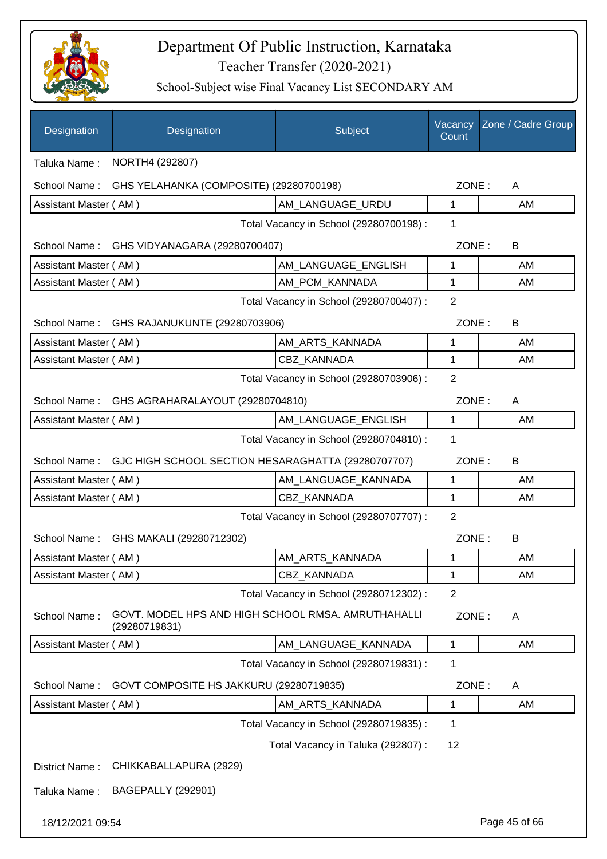

| Designation           | Designation                                                         | Subject                                 | Vacancy<br>Count | Zone / Cadre Group |
|-----------------------|---------------------------------------------------------------------|-----------------------------------------|------------------|--------------------|
| Taluka Name:          | NORTH4 (292807)                                                     |                                         |                  |                    |
| School Name:          | GHS YELAHANKA (COMPOSITE) (29280700198)                             |                                         | ZONE:            | A                  |
| Assistant Master (AM) |                                                                     | AM_LANGUAGE_URDU                        | 1                | AM                 |
|                       |                                                                     | Total Vacancy in School (29280700198) : | 1                |                    |
|                       | School Name: GHS VIDYANAGARA (29280700407)                          |                                         | ZONE:            | B                  |
| Assistant Master (AM) |                                                                     | AM_LANGUAGE_ENGLISH                     | 1                | AM                 |
| Assistant Master (AM) |                                                                     | AM_PCM_KANNADA                          | 1                | AM                 |
|                       |                                                                     | Total Vacancy in School (29280700407) : | $\overline{2}$   |                    |
|                       | School Name: GHS RAJANUKUNTE (29280703906)                          |                                         | ZONE:            | B                  |
| Assistant Master (AM) |                                                                     | AM_ARTS_KANNADA                         | 1                | AM                 |
| Assistant Master (AM) |                                                                     | CBZ_KANNADA                             | 1                | AM                 |
|                       |                                                                     | Total Vacancy in School (29280703906) : | $\overline{2}$   |                    |
| School Name:          | GHS AGRAHARALAYOUT (29280704810)                                    |                                         | ZONE:            | A                  |
| Assistant Master (AM) |                                                                     | AM_LANGUAGE_ENGLISH                     | 1                | AM                 |
|                       |                                                                     | Total Vacancy in School (29280704810) : | 1                |                    |
| School Name:          | GJC HIGH SCHOOL SECTION HESARAGHATTA (29280707707)                  |                                         | ZONE:            | B                  |
| Assistant Master (AM) |                                                                     | AM_LANGUAGE_KANNADA                     | 1                | AM                 |
| Assistant Master (AM) |                                                                     | CBZ KANNADA                             | 1                | AM                 |
|                       |                                                                     | Total Vacancy in School (29280707707) : | $\overline{2}$   |                    |
| School Name:          | GHS MAKALI (29280712302)                                            |                                         | ZONE:            | B                  |
| Assistant Master (AM) |                                                                     | AM_ARTS_KANNADA                         | 1                | AM                 |
| Assistant Master (AM) |                                                                     | CBZ_KANNADA                             | 1                | AM                 |
|                       |                                                                     | Total Vacancy in School (29280712302) : | $\overline{2}$   |                    |
| School Name:          | GOVT. MODEL HPS AND HIGH SCHOOL RMSA. AMRUTHAHALLI<br>(29280719831) |                                         | ZONE:            | A                  |
| Assistant Master (AM) |                                                                     | AM LANGUAGE_KANNADA                     | 1                | AM                 |
|                       |                                                                     | Total Vacancy in School (29280719831) : | 1                |                    |
| School Name:          | GOVT COMPOSITE HS JAKKURU (29280719835)                             |                                         | ZONE:            | A                  |
| Assistant Master (AM) |                                                                     | AM_ARTS_KANNADA                         | 1                | AM                 |
|                       |                                                                     | Total Vacancy in School (29280719835) : | 1                |                    |
|                       |                                                                     | Total Vacancy in Taluka (292807) :      | 12               |                    |
| District Name:        | CHIKKABALLAPURA (2929)                                              |                                         |                  |                    |
| Taluka Name:          | <b>BAGEPALLY (292901)</b>                                           |                                         |                  |                    |
| 18/12/2021 09:54      |                                                                     |                                         |                  | Page 45 of 66      |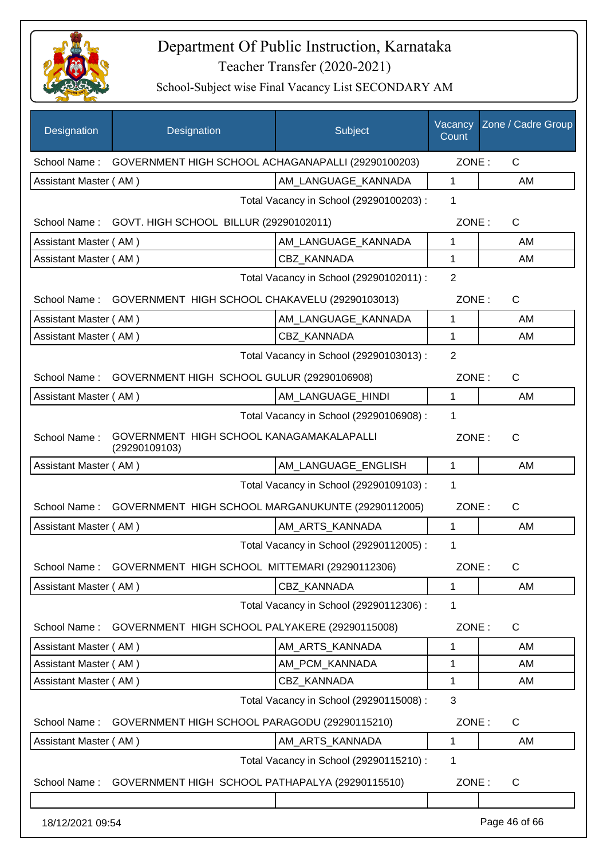

| Designation           | Designation                                               | Subject                                 | Vacancy<br>Count | Zone / Cadre Group |
|-----------------------|-----------------------------------------------------------|-----------------------------------------|------------------|--------------------|
| School Name:          | GOVERNMENT HIGH SCHOOL ACHAGANAPALLI (29290100203)        |                                         | ZONE:            | $\mathsf{C}$       |
| Assistant Master (AM) |                                                           | AM_LANGUAGE_KANNADA                     | 1                | AM                 |
|                       |                                                           | Total Vacancy in School (29290100203) : | 1                |                    |
|                       | School Name: GOVT. HIGH SCHOOL BILLUR (29290102011)       |                                         | ZONE:            | $\mathsf{C}$       |
| Assistant Master (AM) |                                                           | AM LANGUAGE_KANNADA                     | 1                | AM                 |
| Assistant Master (AM) |                                                           | CBZ_KANNADA                             | 1                | AM                 |
|                       |                                                           | Total Vacancy in School (29290102011) : | $\overline{2}$   |                    |
| School Name:          | GOVERNMENT HIGH SCHOOL CHAKAVELU (29290103013)            |                                         | ZONE:            | C                  |
| Assistant Master (AM) |                                                           | AM_LANGUAGE_KANNADA                     | 1                | AM                 |
| Assistant Master (AM) |                                                           | CBZ_KANNADA                             | 1                | AM                 |
|                       |                                                           | Total Vacancy in School (29290103013) : | $\overline{2}$   |                    |
| School Name:          | GOVERNMENT HIGH SCHOOL GULUR (29290106908)                |                                         | ZONE:            | $\mathsf{C}$       |
| Assistant Master (AM) |                                                           | AM_LANGUAGE_HINDI                       | 1                | AM                 |
|                       |                                                           | Total Vacancy in School (29290106908) : | 1                |                    |
| School Name:          | GOVERNMENT HIGH SCHOOL KANAGAMAKALAPALLI<br>(29290109103) |                                         | ZONE:            | $\mathsf{C}$       |
| Assistant Master (AM) |                                                           | AM_LANGUAGE_ENGLISH                     | $\mathbf{1}$     | AM                 |
|                       |                                                           | Total Vacancy in School (29290109103) : | 1                |                    |
| School Name:          | GOVERNMENT HIGH SCHOOL MARGANUKUNTE (29290112005)         |                                         | ZONE:            | C                  |
| Assistant Master (AM) |                                                           | AM_ARTS_KANNADA                         | 1                | AM                 |
|                       |                                                           | Total Vacancy in School (29290112005) : | 1                |                    |
| School Name :         | GOVERNMENT HIGH SCHOOL MITTEMARI (29290112306)            |                                         | ZONE :           | C                  |
| Assistant Master (AM) |                                                           | <b>CBZ KANNADA</b>                      | 1                | AM                 |
|                       |                                                           | Total Vacancy in School (29290112306) : | 1                |                    |
| School Name:          | GOVERNMENT HIGH SCHOOL PALYAKERE (29290115008)            |                                         | ZONE:            | C                  |
| Assistant Master (AM) |                                                           | AM ARTS KANNADA                         | 1                | AM                 |
| Assistant Master (AM) |                                                           | AM PCM KANNADA                          | 1                | AM                 |
| Assistant Master (AM) |                                                           | CBZ_KANNADA                             | 1                | AM                 |
|                       |                                                           | Total Vacancy in School (29290115008) : | 3                |                    |
| School Name:          | GOVERNMENT HIGH SCHOOL PARAGODU (29290115210)             |                                         | ZONE:            | C                  |
| Assistant Master (AM) |                                                           | AM_ARTS_KANNADA                         | 1                | AM                 |
|                       |                                                           | Total Vacancy in School (29290115210) : | 1                |                    |
| School Name:          | GOVERNMENT HIGH SCHOOL PATHAPALYA (29290115510)           |                                         | ZONE:            | C                  |
|                       |                                                           |                                         |                  |                    |
| 18/12/2021 09:54      |                                                           |                                         |                  | Page 46 of 66      |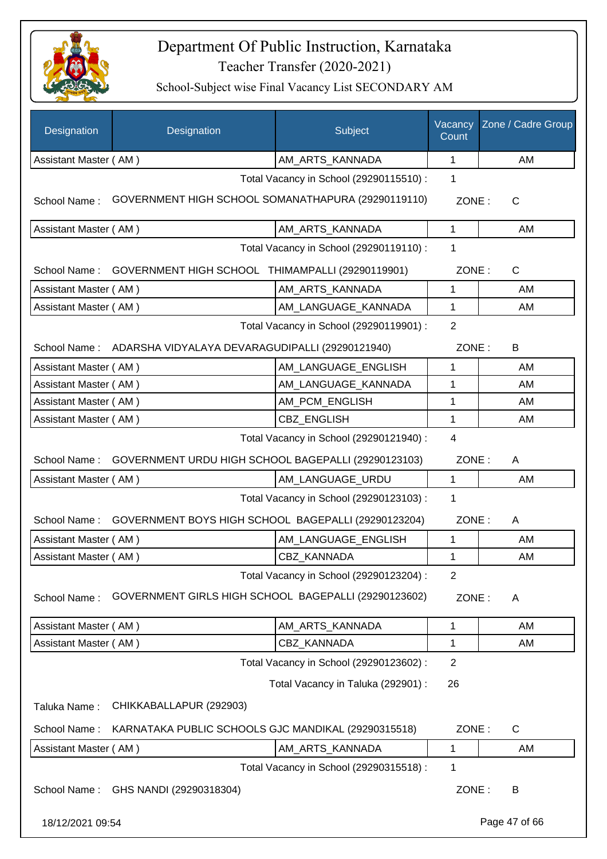

| Designation           | Designation                                                      | Subject                                 | Vacancy<br>Count | Zone / Cadre Group |
|-----------------------|------------------------------------------------------------------|-----------------------------------------|------------------|--------------------|
| Assistant Master (AM) |                                                                  | AM_ARTS_KANNADA                         | 1                | AM                 |
|                       |                                                                  | Total Vacancy in School (29290115510) : | 1                |                    |
| School Name:          | GOVERNMENT HIGH SCHOOL SOMANATHAPURA (29290119110)               |                                         | ZONE:            | $\mathsf{C}$       |
| Assistant Master (AM) |                                                                  | AM_ARTS_KANNADA                         | $\mathbf{1}$     | AM                 |
|                       |                                                                  | Total Vacancy in School (29290119110) : | 1                |                    |
|                       | School Name: GOVERNMENT HIGH SCHOOL THIMAMPALLI (29290119901)    |                                         | ZONE:            | $\mathsf C$        |
| Assistant Master (AM) |                                                                  | AM_ARTS_KANNADA                         | 1                | AM                 |
| Assistant Master (AM) |                                                                  | AM_LANGUAGE_KANNADA                     | 1                | AM                 |
|                       |                                                                  | Total Vacancy in School (29290119901) : | $\overline{2}$   |                    |
|                       | School Name: ADARSHA VIDYALAYA DEVARAGUDIPALLI (29290121940)     |                                         | ZONE:            | B                  |
| Assistant Master (AM) |                                                                  | AM_LANGUAGE_ENGLISH                     | 1                | AM                 |
| Assistant Master (AM) |                                                                  | AM LANGUAGE KANNADA                     | 1                | AM                 |
| Assistant Master (AM) |                                                                  | AM_PCM_ENGLISH                          | 1                | AM                 |
| Assistant Master (AM) |                                                                  | <b>CBZ ENGLISH</b>                      | 1                | AM                 |
|                       |                                                                  | Total Vacancy in School (29290121940) : | 4                |                    |
| School Name:          | GOVERNMENT URDU HIGH SCHOOL BAGEPALLI (29290123103)              |                                         | ZONE:            | A                  |
| Assistant Master (AM) |                                                                  | AM_LANGUAGE_URDU                        | $\mathbf 1$      | AM                 |
|                       |                                                                  | Total Vacancy in School (29290123103) : | 1                |                    |
|                       | School Name: GOVERNMENT BOYS HIGH SCHOOL BAGEPALLI (29290123204) |                                         | ZONE:            | A                  |
| Assistant Master (AM) |                                                                  | AM_LANGUAGE_ENGLISH                     | 1                | AM                 |
| Assistant Master (AM) |                                                                  | CBZ_KANNADA                             | $\mathbf{1}$     | AM                 |
|                       |                                                                  | Total Vacancy in School (29290123204) : | 2                |                    |
| School Name:          | GOVERNMENT GIRLS HIGH SCHOOL BAGEPALLI (29290123602)             |                                         | ZONE:            | A                  |
| Assistant Master (AM) |                                                                  | AM ARTS KANNADA                         | 1                | AM                 |
| Assistant Master (AM) |                                                                  | CBZ KANNADA                             | 1                | AM                 |
|                       |                                                                  | Total Vacancy in School (29290123602) : | $\overline{2}$   |                    |
|                       |                                                                  | Total Vacancy in Taluka (292901) :      | 26               |                    |
| Taluka Name:          | CHIKKABALLAPUR (292903)                                          |                                         |                  |                    |
| School Name:          | KARNATAKA PUBLIC SCHOOLS GJC MANDIKAL (29290315518)              |                                         | ZONE:            | $\mathsf C$        |
| Assistant Master (AM) |                                                                  | AM_ARTS_KANNADA                         | $\mathbf{1}$     | AM                 |
|                       |                                                                  | Total Vacancy in School (29290315518) : | 1                |                    |
| School Name:          | GHS NANDI (29290318304)                                          |                                         | ZONE:            | B                  |
| 18/12/2021 09:54      |                                                                  |                                         |                  | Page 47 of 66      |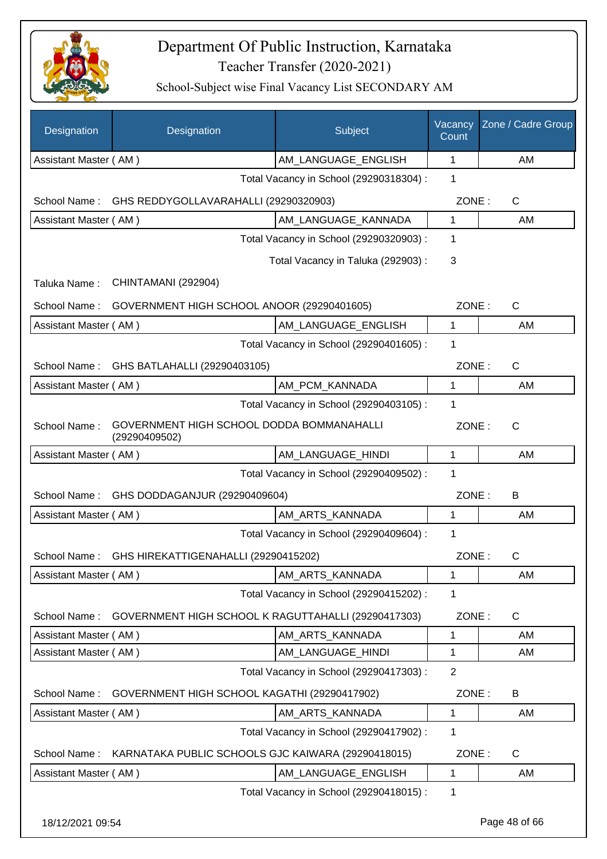

| Designation           | Designation                                                | Subject                                 | Vacancy<br>Count | Zone / Cadre Group |
|-----------------------|------------------------------------------------------------|-----------------------------------------|------------------|--------------------|
| Assistant Master (AM) |                                                            | AM LANGUAGE ENGLISH                     | 1                | <b>AM</b>          |
|                       |                                                            | Total Vacancy in School (29290318304) : | 1                |                    |
| School Name:          | GHS REDDYGOLLAVARAHALLI (29290320903)                      |                                         | ZONE:            | C                  |
| Assistant Master (AM) |                                                            | AM_LANGUAGE_KANNADA                     | $\mathbf{1}$     | AM                 |
|                       |                                                            | Total Vacancy in School (29290320903) : | 1                |                    |
|                       |                                                            | Total Vacancy in Taluka (292903) :      | 3                |                    |
| Taluka Name:          | CHINTAMANI (292904)                                        |                                         |                  |                    |
| School Name:          | GOVERNMENT HIGH SCHOOL ANOOR (29290401605)                 |                                         | ZONE:            | C                  |
| Assistant Master (AM) |                                                            | AM LANGUAGE ENGLISH                     | $\mathbf{1}$     | AM                 |
|                       |                                                            | Total Vacancy in School (29290401605) : | 1                |                    |
| School Name:          | GHS BATLAHALLI (29290403105)                               |                                         | ZONE:            | C                  |
| Assistant Master (AM) |                                                            | AM PCM KANNADA                          | $\mathbf{1}$     | AM                 |
|                       |                                                            | Total Vacancy in School (29290403105) : | 1                |                    |
| School Name:          | GOVERNMENT HIGH SCHOOL DODDA BOMMANAHALLI<br>(29290409502) |                                         | ZONE:            | $\mathsf{C}$       |
| Assistant Master (AM) |                                                            | AM_LANGUAGE_HINDI                       | $\mathbf 1$      | AM                 |
|                       |                                                            | Total Vacancy in School (29290409502) : | 1                |                    |
| School Name:          | GHS DODDAGANJUR (29290409604)                              |                                         | ZONE:            | В                  |
| Assistant Master (AM) |                                                            | AM_ARTS_KANNADA                         | 1                | AM                 |
|                       |                                                            | Total Vacancy in School (29290409604) : | 1                |                    |
| School Name:          | GHS HIREKATTIGENAHALLI (29290415202)                       |                                         | ZONE:            | С                  |
| Assistant Master (AM) |                                                            | AM_ARTS_KANNADA                         | 1                | AM                 |
|                       |                                                            | Total Vacancy in School (29290415202) : | 1                |                    |
| School Name:          | GOVERNMENT HIGH SCHOOL K RAGUTTAHALLI (29290417303)        |                                         | ZONE:            | $\mathsf C$        |
| Assistant Master (AM) |                                                            | AM_ARTS_KANNADA                         | 1                | AM                 |
| Assistant Master (AM) |                                                            | AM_LANGUAGE_HINDI                       | 1                | AM                 |
|                       |                                                            | Total Vacancy in School (29290417303) : | $\overline{2}$   |                    |
| School Name:          | GOVERNMENT HIGH SCHOOL KAGATHI (29290417902)               |                                         | ZONE:            | B                  |
| Assistant Master (AM) |                                                            | AM_ARTS_KANNADA                         | 1                | AM                 |
|                       |                                                            | Total Vacancy in School (29290417902) : | 1                |                    |
| School Name:          | KARNATAKA PUBLIC SCHOOLS GJC KAIWARA (29290418015)         |                                         | ZONE:            | $\mathsf C$        |
| Assistant Master (AM) |                                                            | AM_LANGUAGE_ENGLISH                     | 1                | AM                 |
|                       |                                                            | Total Vacancy in School (29290418015) : | 1                |                    |
| 18/12/2021 09:54      |                                                            |                                         |                  | Page 48 of 66      |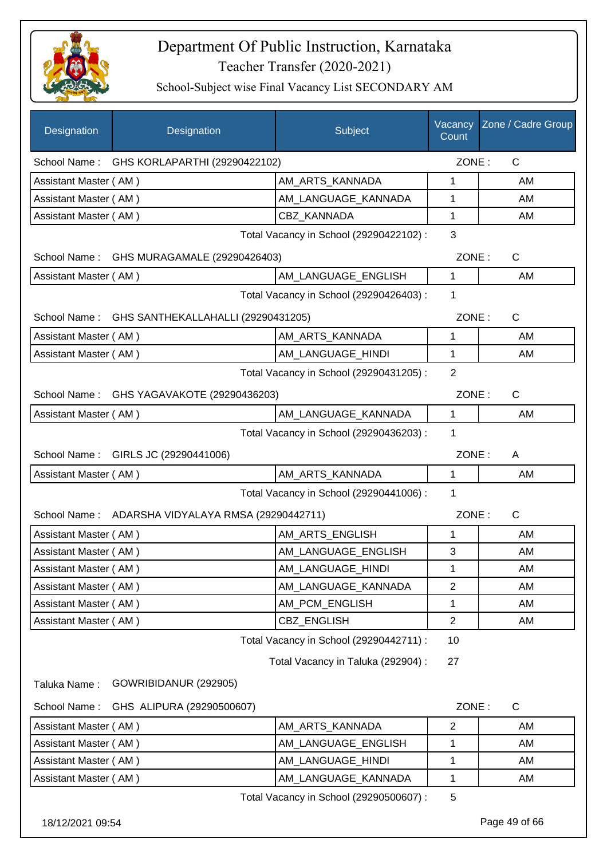

| Designation           | Designation                                       | Subject                                 | Vacancy<br>Count | Zone / Cadre Group |
|-----------------------|---------------------------------------------------|-----------------------------------------|------------------|--------------------|
|                       | School Name: GHS KORLAPARTHI (29290422102)        |                                         | ZONE:            | $\mathsf{C}$       |
| Assistant Master (AM) |                                                   | AM_ARTS_KANNADA                         | 1                | AM                 |
| Assistant Master (AM) |                                                   | AM_LANGUAGE_KANNADA                     | 1                | AM                 |
| Assistant Master (AM) |                                                   | <b>CBZ KANNADA</b>                      | 1                | AM                 |
|                       |                                                   | Total Vacancy in School (29290422102) : | 3                |                    |
|                       | School Name: GHS MURAGAMALE (29290426403)         |                                         | ZONE:            | $\mathsf{C}$       |
| Assistant Master (AM) |                                                   | AM_LANGUAGE_ENGLISH                     | $\mathbf{1}$     | AM                 |
|                       |                                                   | Total Vacancy in School (29290426403) : | 1                |                    |
|                       | School Name: GHS SANTHEKALLAHALLI (29290431205)   |                                         | ZONE:            | $\mathsf{C}$       |
| Assistant Master (AM) |                                                   | AM ARTS KANNADA                         | $\mathbf{1}$     | AM                 |
| Assistant Master (AM) |                                                   | AM_LANGUAGE_HINDI                       | $\mathbf{1}$     | AM                 |
|                       |                                                   | Total Vacancy in School (29290431205) : | $\overline{2}$   |                    |
| School Name:          | GHS YAGAVAKOTE (29290436203)                      |                                         | ZONE:            | $\mathsf{C}$       |
| Assistant Master (AM) |                                                   | AM LANGUAGE_KANNADA                     | 1                | AM                 |
|                       |                                                   | Total Vacancy in School (29290436203) : | 1                |                    |
|                       | School Name: GIRLS JC (29290441006)               |                                         | ZONE:            | A                  |
| Assistant Master (AM) |                                                   | AM_ARTS_KANNADA                         | 1                | AM                 |
|                       |                                                   | Total Vacancy in School (29290441006) : | 1                |                    |
|                       | School Name: ADARSHA VIDYALAYA RMSA (29290442711) |                                         | ZONE:            | $\mathsf{C}$       |
| Assistant Master (AM) |                                                   | AM_ARTS_ENGLISH                         | $\mathbf{1}$     | AM                 |
| Assistant Master (AM) |                                                   | AM_LANGUAGE_ENGLISH                     | 3                | AM                 |
| Assistant Master (AM) |                                                   | AM_LANGUAGE_HINDI                       | 1                | AM                 |
| Assistant Master (AM) |                                                   | AM_LANGUAGE_KANNADA                     | $\overline{2}$   | AM                 |
| Assistant Master (AM) |                                                   | AM_PCM_ENGLISH                          | 1                | AM                 |
| Assistant Master (AM) |                                                   | CBZ_ENGLISH                             | $\overline{2}$   | AM                 |
|                       |                                                   | Total Vacancy in School (29290442711) : | 10               |                    |
|                       |                                                   | Total Vacancy in Taluka (292904) :      | 27               |                    |
| Taluka Name:          | GOWRIBIDANUR (292905)                             |                                         |                  |                    |
| School Name:          | GHS ALIPURA (29290500607)                         |                                         | ZONE:            | C                  |
| Assistant Master (AM) |                                                   | AM ARTS KANNADA                         | 2                | AM                 |
| Assistant Master (AM) |                                                   | AM_LANGUAGE_ENGLISH                     | 1                | AM                 |
| Assistant Master (AM) |                                                   | AM_LANGUAGE_HINDI                       | 1                | AM                 |
| Assistant Master (AM) |                                                   | AM_LANGUAGE_KANNADA                     | 1                | AM                 |
|                       |                                                   | Total Vacancy in School (29290500607) : | 5                |                    |
| 18/12/2021 09:54      |                                                   |                                         |                  | Page 49 of 66      |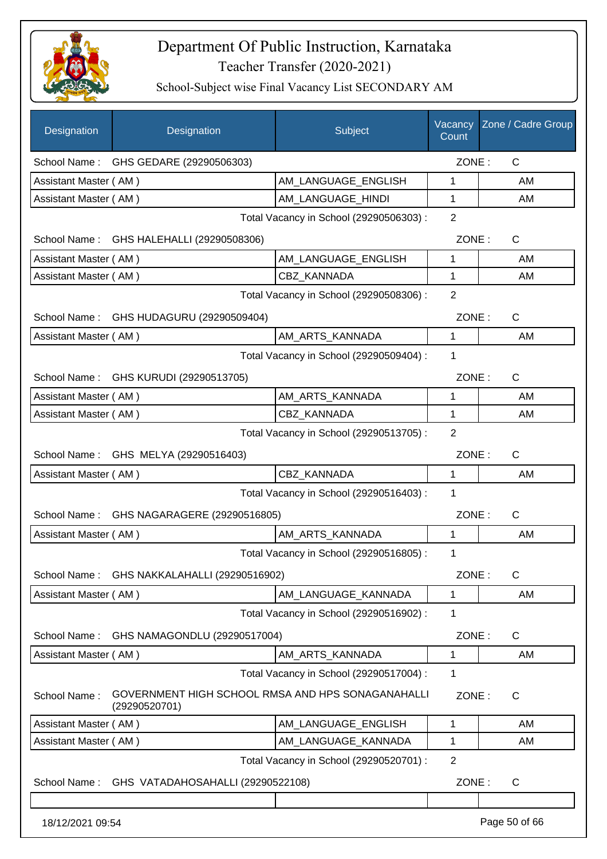

| Designation           | Designation                                                        | Subject                                 | Vacancy<br>Count | Zone / Cadre Group |
|-----------------------|--------------------------------------------------------------------|-----------------------------------------|------------------|--------------------|
|                       | School Name: GHS GEDARE (29290506303)                              |                                         | ZONE:            | $\mathsf{C}$       |
| Assistant Master (AM) |                                                                    | AM LANGUAGE ENGLISH                     | 1                | AM                 |
| Assistant Master (AM) |                                                                    | AM_LANGUAGE_HINDI                       | 1                | AM                 |
|                       |                                                                    | Total Vacancy in School (29290506303) : | $\overline{2}$   |                    |
|                       | School Name: GHS HALEHALLI (29290508306)                           |                                         | ZONE:            | $\mathsf{C}$       |
| Assistant Master (AM) |                                                                    | AM_LANGUAGE_ENGLISH                     | 1                | AM                 |
| Assistant Master (AM) |                                                                    | CBZ_KANNADA                             | $\mathbf{1}$     | AM                 |
|                       |                                                                    | Total Vacancy in School (29290508306) : | $\overline{2}$   |                    |
|                       | School Name: GHS HUDAGURU (29290509404)                            |                                         | ZONE:            | $\mathsf{C}$       |
| Assistant Master (AM) |                                                                    | AM_ARTS_KANNADA                         | 1                | AM                 |
|                       |                                                                    | Total Vacancy in School (29290509404) : | 1                |                    |
|                       | School Name: GHS KURUDI (29290513705)                              |                                         | ZONE:            | $\mathsf{C}$       |
| Assistant Master (AM) |                                                                    | AM_ARTS_KANNADA                         | 1                | AM                 |
| Assistant Master (AM) |                                                                    | CBZ KANNADA                             | 1                | AM                 |
|                       |                                                                    | Total Vacancy in School (29290513705) : | $\overline{2}$   |                    |
|                       | School Name: GHS MELYA (29290516403)                               |                                         | ZONE:            | $\mathsf{C}$       |
| Assistant Master (AM) |                                                                    | CBZ_KANNADA                             | 1                | AM                 |
|                       |                                                                    | Total Vacancy in School (29290516403) : | 1                |                    |
|                       | School Name: GHS NAGARAGERE (29290516805)                          |                                         | ZONE:            | $\mathsf{C}$       |
| Assistant Master (AM) |                                                                    | AM_ARTS_KANNADA                         | $\mathbf{1}$     | AM                 |
|                       |                                                                    | Total Vacancy in School (29290516805) : | 1                |                    |
| School Name:          | GHS NAKKALAHALLI (29290516902)                                     |                                         | ZONE:            | $\mathsf C$        |
| Assistant Master (AM) |                                                                    | AM_LANGUAGE_KANNADA                     | $\mathbf{1}$     | AM                 |
|                       |                                                                    | Total Vacancy in School (29290516902) : | 1                |                    |
| School Name:          | GHS NAMAGONDLU (29290517004)                                       |                                         | ZONE:            | $\mathsf{C}$       |
| Assistant Master (AM) |                                                                    | AM ARTS KANNADA                         | 1                | AM                 |
|                       |                                                                    | Total Vacancy in School (29290517004) : | 1                |                    |
| School Name:          | GOVERNMENT HIGH SCHOOL RMSA AND HPS SONAGANAHALLI<br>(29290520701) |                                         | ZONE:            | C                  |
| Assistant Master (AM) |                                                                    | AM_LANGUAGE_ENGLISH                     | 1                | AM                 |
| Assistant Master (AM) |                                                                    | AM_LANGUAGE_KANNADA                     | 1                | AM                 |
|                       |                                                                    | Total Vacancy in School (29290520701) : | $\overline{2}$   |                    |
| School Name:          | GHS VATADAHOSAHALLI (29290522108)                                  |                                         | ZONE:            | C                  |
|                       |                                                                    |                                         |                  |                    |
| 18/12/2021 09:54      |                                                                    |                                         |                  | Page 50 of 66      |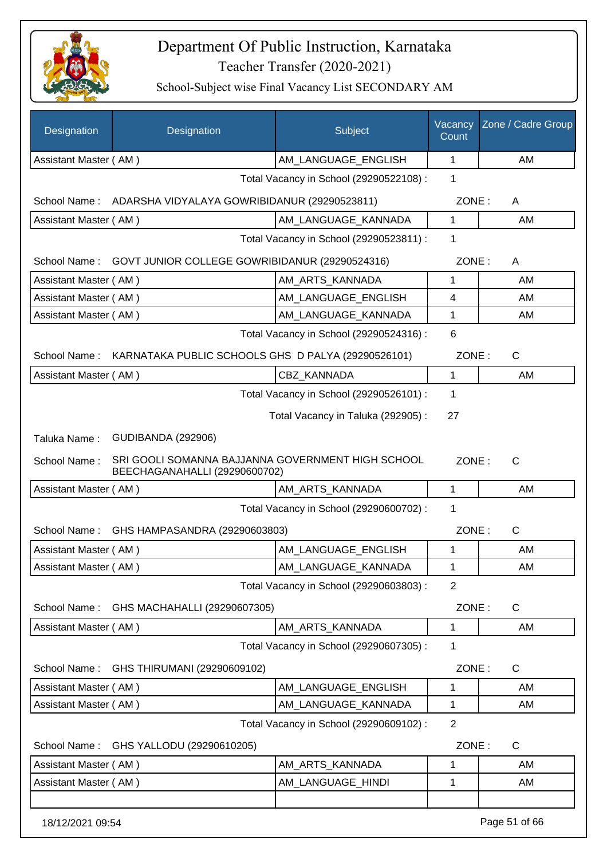

| Designation           | Designation                                                                        | Subject                                 | Vacancy<br>Count | Zone / Cadre Group |
|-----------------------|------------------------------------------------------------------------------------|-----------------------------------------|------------------|--------------------|
| Assistant Master (AM) |                                                                                    | AM_LANGUAGE_ENGLISH                     | 1                | AM                 |
|                       |                                                                                    | Total Vacancy in School (29290522108) : | 1                |                    |
|                       | School Name: ADARSHA VIDYALAYA GOWRIBIDANUR (29290523811)                          |                                         | ZONE:            | A                  |
| Assistant Master (AM) |                                                                                    | AM LANGUAGE KANNADA                     | 1                | AM                 |
|                       |                                                                                    | Total Vacancy in School (29290523811) : | 1                |                    |
|                       | School Name: GOVT JUNIOR COLLEGE GOWRIBIDANUR (29290524316)                        |                                         | ZONE:            | A                  |
| Assistant Master (AM) |                                                                                    | AM_ARTS_KANNADA                         | 1                | AM                 |
| Assistant Master (AM) |                                                                                    | AM_LANGUAGE_ENGLISH                     | 4                | AM                 |
| Assistant Master (AM) |                                                                                    | AM_LANGUAGE_KANNADA                     | 1                | AM                 |
|                       |                                                                                    | Total Vacancy in School (29290524316) : | 6                |                    |
|                       | School Name: KARNATAKA PUBLIC SCHOOLS GHS D PALYA (29290526101)                    |                                         | ZONE:            | C                  |
| Assistant Master (AM) |                                                                                    | CBZ_KANNADA                             | 1                | AM                 |
|                       |                                                                                    | Total Vacancy in School (29290526101) : | 1                |                    |
|                       |                                                                                    | Total Vacancy in Taluka (292905):       | 27               |                    |
| Taluka Name:          | <b>GUDIBANDA (292906)</b>                                                          |                                         |                  |                    |
| School Name:          | SRI GOOLI SOMANNA BAJJANNA GOVERNMENT HIGH SCHOOL<br>BEECHAGANAHALLI (29290600702) |                                         | ZONE:            | $\mathsf{C}$       |
| Assistant Master (AM) |                                                                                    | AM_ARTS_KANNADA                         | 1                | AM                 |
|                       |                                                                                    | Total Vacancy in School (29290600702) : | 1                |                    |
| School Name:          | GHS HAMPASANDRA (29290603803)                                                      |                                         | ZONE:            | $\mathsf{C}$       |
| Assistant Master (AM) |                                                                                    | AM_LANGUAGE_ENGLISH                     | 1                | AM                 |
| Assistant Master (AM) |                                                                                    | AM_LANGUAGE_KANNADA                     | 1                | AM                 |
|                       |                                                                                    | Total Vacancy in School (29290603803) : | $\overline{2}$   |                    |
| School Name:          | GHS MACHAHALLI (29290607305)                                                       |                                         | ZONE:            | C                  |
| Assistant Master (AM) |                                                                                    | AM ARTS KANNADA                         | 1                | AM                 |
|                       |                                                                                    | Total Vacancy in School (29290607305) : | 1                |                    |
| School Name:          | GHS THIRUMANI (29290609102)                                                        |                                         | ZONE:            | C                  |
| Assistant Master (AM) |                                                                                    | AM_LANGUAGE_ENGLISH                     | 1                | AM                 |
| Assistant Master (AM) |                                                                                    | AM_LANGUAGE_KANNADA                     | 1                | AM                 |
|                       |                                                                                    | Total Vacancy in School (29290609102) : | $\overline{2}$   |                    |
| School Name:          | GHS YALLODU (29290610205)                                                          |                                         | ZONE:            | C                  |
| Assistant Master (AM) |                                                                                    | AM_ARTS_KANNADA                         | 1                | AM                 |
| Assistant Master (AM) |                                                                                    | AM_LANGUAGE_HINDI                       | 1                | AM                 |
|                       |                                                                                    |                                         |                  |                    |
| 18/12/2021 09:54      |                                                                                    |                                         |                  | Page 51 of 66      |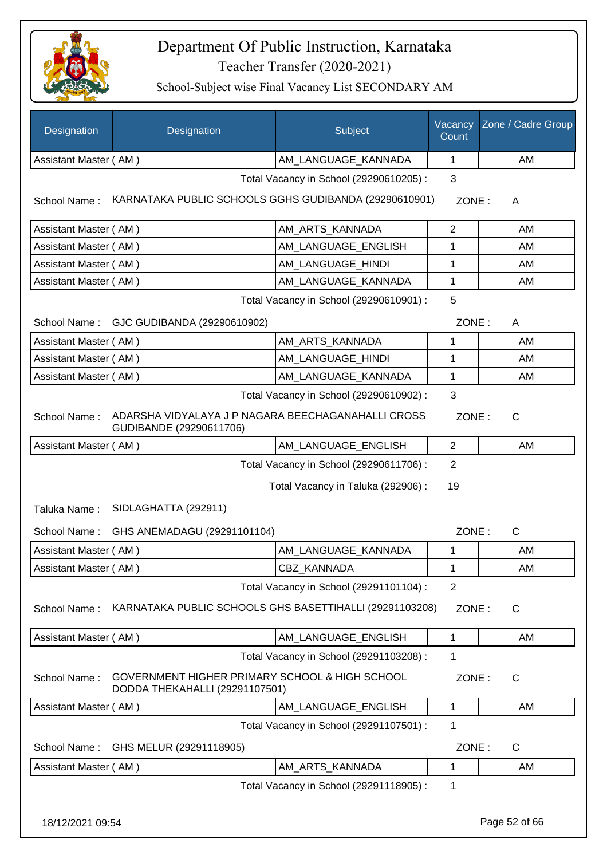

| Designation                  | Designation                                                                      | Subject                                 | Vacancy<br>Count | Zone / Cadre Group |
|------------------------------|----------------------------------------------------------------------------------|-----------------------------------------|------------------|--------------------|
| Assistant Master (AM)        |                                                                                  | AM_LANGUAGE_KANNADA                     | $\mathbf{1}$     | AM                 |
|                              |                                                                                  | Total Vacancy in School (29290610205) : | 3                |                    |
| School Name:                 | KARNATAKA PUBLIC SCHOOLS GGHS GUDIBANDA (29290610901)                            |                                         | ZONE:            | A                  |
| Assistant Master (AM)        |                                                                                  | AM_ARTS_KANNADA                         | $\overline{2}$   | AM                 |
| Assistant Master (AM)        |                                                                                  | AM_LANGUAGE_ENGLISH                     | 1                | AM                 |
| Assistant Master (AM)        |                                                                                  | AM_LANGUAGE_HINDI                       | 1                | AM                 |
| Assistant Master (AM)        |                                                                                  | AM_LANGUAGE_KANNADA                     | $\mathbf{1}$     | AM                 |
|                              |                                                                                  | Total Vacancy in School (29290610901) : | 5                |                    |
|                              | School Name: GJC GUDIBANDA (29290610902)                                         |                                         | ZONE:            | A                  |
| Assistant Master (AM)        |                                                                                  | AM ARTS KANNADA                         | 1                | AM                 |
| Assistant Master (AM)        |                                                                                  | AM LANGUAGE_HINDI                       | 1                | AM                 |
| Assistant Master (AM)        |                                                                                  | AM LANGUAGE KANNADA                     | 1                | AM                 |
|                              |                                                                                  | Total Vacancy in School (29290610902) : | 3                |                    |
| School Name:                 | ADARSHA VIDYALAYA J P NAGARA BEECHAGANAHALLI CROSS<br>GUDIBANDE (29290611706)    |                                         | ZONE:            | $\mathsf{C}$       |
| Assistant Master (AM)        |                                                                                  | AM_LANGUAGE_ENGLISH                     | 2                | AM                 |
| Taluka Name:<br>School Name: | SIDLAGHATTA (292911)<br>GHS ANEMADAGU (29291101104)                              | Total Vacancy in Taluka (292906) :      | 19<br>ZONE:      | C                  |
| Assistant Master (AM)        |                                                                                  | AM LANGUAGE KANNADA                     | 1                | <b>AM</b>          |
| Assistant Master (AM)        |                                                                                  | CBZ KANNADA                             | 1                | AM                 |
|                              |                                                                                  | Total Vacancy in School (29291101104) : | $\overline{2}$   |                    |
| School Name:                 | KARNATAKA PUBLIC SCHOOLS GHS BASETTIHALLI (29291103208)                          |                                         | ZONE:            | C                  |
| Assistant Master (AM)        |                                                                                  | AM_LANGUAGE_ENGLISH                     | 1                | AM                 |
|                              |                                                                                  | Total Vacancy in School (29291103208) : | 1                |                    |
| School Name:                 | GOVERNMENT HIGHER PRIMARY SCHOOL & HIGH SCHOOL<br>DODDA THEKAHALLI (29291107501) |                                         | ZONE:            | C                  |
| Assistant Master (AM)        |                                                                                  | AM_LANGUAGE_ENGLISH                     | 1                | AM                 |
|                              |                                                                                  | Total Vacancy in School (29291107501) : | 1                |                    |
| School Name:                 | GHS MELUR (29291118905)                                                          |                                         | ZONE:            | C                  |
| Assistant Master (AM)        |                                                                                  | AM_ARTS_KANNADA                         | 1                | AM                 |
|                              |                                                                                  | Total Vacancy in School (29291118905) : | 1                |                    |
| 18/12/2021 09:54             |                                                                                  |                                         |                  | Page 52 of 66      |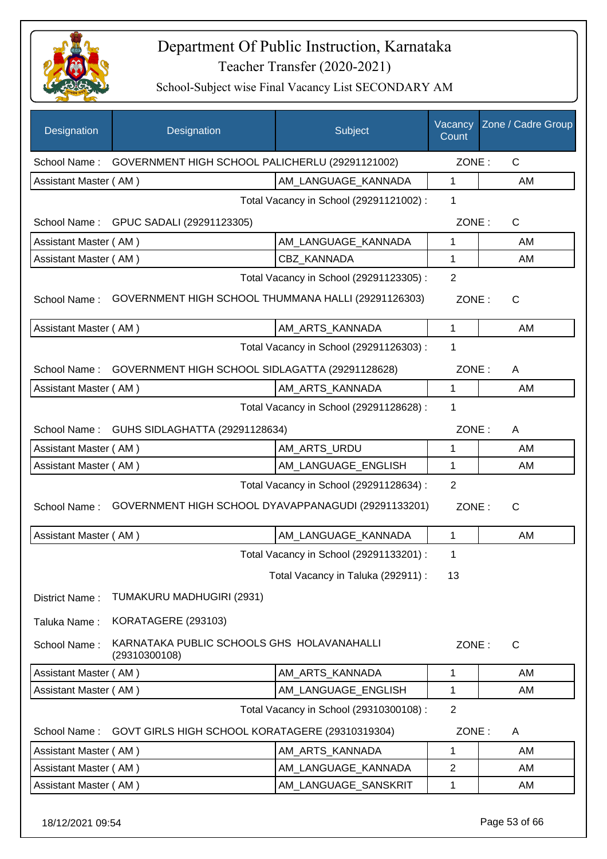

School-Subject wise Final Vacancy List SECONDARY AM

| GOVERNMENT HIGH SCHOOL PALICHERLU (29291121002)<br>ZONE:<br>C<br>School Name:<br>AM_LANGUAGE_KANNADA<br>$\mathbf{1}$<br>Assistant Master (AM)<br>AM<br>Total Vacancy in School (29291121002) :<br>1<br>ZONE:<br>$\mathsf{C}$<br>School Name: GPUC SADALI (29291123305)<br>Assistant Master (AM)<br>AM LANGUAGE KANNADA<br>1<br>AM<br>CBZ_KANNADA<br>Assistant Master (AM)<br>1<br>AM<br>$\overline{2}$<br>Total Vacancy in School (29291123305) :<br>GOVERNMENT HIGH SCHOOL THUMMANA HALLI (29291126303)<br>School Name:<br>ZONE:<br>C<br>AM_ARTS_KANNADA<br>$\mathbf{1}$<br>Assistant Master (AM)<br>AM<br>Total Vacancy in School (29291126303) :<br>1<br>GOVERNMENT HIGH SCHOOL SIDLAGATTA (29291128628)<br>ZONE:<br>School Name:<br>A<br>Assistant Master (AM)<br>AM_ARTS_KANNADA<br>1<br>AM<br>Total Vacancy in School (29291128628) :<br>1<br>GUHS SIDLAGHATTA (29291128634)<br>ZONE:<br>School Name:<br>A<br>Assistant Master (AM)<br>AM_ARTS_URDU<br>1<br>AM<br>AM_LANGUAGE_ENGLISH<br>1<br>Assistant Master (AM)<br>AM<br>$\overline{2}$<br>Total Vacancy in School (29291128634) :<br>GOVERNMENT HIGH SCHOOL DYAVAPPANAGUDI (29291133201)<br>School Name:<br>ZONE:<br>C<br>Assistant Master (AM)<br>AM LANGUAGE KANNADA<br>1<br>AM<br>Total Vacancy in School (29291133201) :<br>1<br>Total Vacancy in Taluka (292911) :<br>13<br>TUMAKURU MADHUGIRI (2931)<br>District Name:<br>KORATAGERE (293103)<br>Taluka Name:<br>KARNATAKA PUBLIC SCHOOLS GHS HOLAVANAHALLI<br>School Name:<br>ZONE:<br>$\mathsf{C}$<br>(29310300108)<br>AM ARTS KANNADA<br>Assistant Master (AM)<br>1<br>AM<br>Assistant Master (AM)<br>AM_LANGUAGE_ENGLISH<br>1<br>AM<br>$\overline{2}$<br>Total Vacancy in School (29310300108) :<br>School Name:<br>GOVT GIRLS HIGH SCHOOL KORATAGERE (29310319304)<br>ZONE:<br>A<br>Assistant Master (AM)<br>AM_ARTS_KANNADA<br>1<br>AM<br>AM_LANGUAGE_KANNADA<br>2<br>Assistant Master (AM)<br>AM<br>Assistant Master (AM)<br>AM_LANGUAGE_SANSKRIT<br>1<br>AM | Designation | Designation | Subject | Vacancy<br>Count | Zone / Cadre Group |
|--------------------------------------------------------------------------------------------------------------------------------------------------------------------------------------------------------------------------------------------------------------------------------------------------------------------------------------------------------------------------------------------------------------------------------------------------------------------------------------------------------------------------------------------------------------------------------------------------------------------------------------------------------------------------------------------------------------------------------------------------------------------------------------------------------------------------------------------------------------------------------------------------------------------------------------------------------------------------------------------------------------------------------------------------------------------------------------------------------------------------------------------------------------------------------------------------------------------------------------------------------------------------------------------------------------------------------------------------------------------------------------------------------------------------------------------------------------------------------------------------------------------------------------------------------------------------------------------------------------------------------------------------------------------------------------------------------------------------------------------------------------------------------------------------------------------------------------------------------------------------------------------------------------------------------------------------------------------------------------|-------------|-------------|---------|------------------|--------------------|
|                                                                                                                                                                                                                                                                                                                                                                                                                                                                                                                                                                                                                                                                                                                                                                                                                                                                                                                                                                                                                                                                                                                                                                                                                                                                                                                                                                                                                                                                                                                                                                                                                                                                                                                                                                                                                                                                                                                                                                                      |             |             |         |                  |                    |
|                                                                                                                                                                                                                                                                                                                                                                                                                                                                                                                                                                                                                                                                                                                                                                                                                                                                                                                                                                                                                                                                                                                                                                                                                                                                                                                                                                                                                                                                                                                                                                                                                                                                                                                                                                                                                                                                                                                                                                                      |             |             |         |                  |                    |
|                                                                                                                                                                                                                                                                                                                                                                                                                                                                                                                                                                                                                                                                                                                                                                                                                                                                                                                                                                                                                                                                                                                                                                                                                                                                                                                                                                                                                                                                                                                                                                                                                                                                                                                                                                                                                                                                                                                                                                                      |             |             |         |                  |                    |
|                                                                                                                                                                                                                                                                                                                                                                                                                                                                                                                                                                                                                                                                                                                                                                                                                                                                                                                                                                                                                                                                                                                                                                                                                                                                                                                                                                                                                                                                                                                                                                                                                                                                                                                                                                                                                                                                                                                                                                                      |             |             |         |                  |                    |
|                                                                                                                                                                                                                                                                                                                                                                                                                                                                                                                                                                                                                                                                                                                                                                                                                                                                                                                                                                                                                                                                                                                                                                                                                                                                                                                                                                                                                                                                                                                                                                                                                                                                                                                                                                                                                                                                                                                                                                                      |             |             |         |                  |                    |
|                                                                                                                                                                                                                                                                                                                                                                                                                                                                                                                                                                                                                                                                                                                                                                                                                                                                                                                                                                                                                                                                                                                                                                                                                                                                                                                                                                                                                                                                                                                                                                                                                                                                                                                                                                                                                                                                                                                                                                                      |             |             |         |                  |                    |
|                                                                                                                                                                                                                                                                                                                                                                                                                                                                                                                                                                                                                                                                                                                                                                                                                                                                                                                                                                                                                                                                                                                                                                                                                                                                                                                                                                                                                                                                                                                                                                                                                                                                                                                                                                                                                                                                                                                                                                                      |             |             |         |                  |                    |
|                                                                                                                                                                                                                                                                                                                                                                                                                                                                                                                                                                                                                                                                                                                                                                                                                                                                                                                                                                                                                                                                                                                                                                                                                                                                                                                                                                                                                                                                                                                                                                                                                                                                                                                                                                                                                                                                                                                                                                                      |             |             |         |                  |                    |
|                                                                                                                                                                                                                                                                                                                                                                                                                                                                                                                                                                                                                                                                                                                                                                                                                                                                                                                                                                                                                                                                                                                                                                                                                                                                                                                                                                                                                                                                                                                                                                                                                                                                                                                                                                                                                                                                                                                                                                                      |             |             |         |                  |                    |
|                                                                                                                                                                                                                                                                                                                                                                                                                                                                                                                                                                                                                                                                                                                                                                                                                                                                                                                                                                                                                                                                                                                                                                                                                                                                                                                                                                                                                                                                                                                                                                                                                                                                                                                                                                                                                                                                                                                                                                                      |             |             |         |                  |                    |
|                                                                                                                                                                                                                                                                                                                                                                                                                                                                                                                                                                                                                                                                                                                                                                                                                                                                                                                                                                                                                                                                                                                                                                                                                                                                                                                                                                                                                                                                                                                                                                                                                                                                                                                                                                                                                                                                                                                                                                                      |             |             |         |                  |                    |
|                                                                                                                                                                                                                                                                                                                                                                                                                                                                                                                                                                                                                                                                                                                                                                                                                                                                                                                                                                                                                                                                                                                                                                                                                                                                                                                                                                                                                                                                                                                                                                                                                                                                                                                                                                                                                                                                                                                                                                                      |             |             |         |                  |                    |
|                                                                                                                                                                                                                                                                                                                                                                                                                                                                                                                                                                                                                                                                                                                                                                                                                                                                                                                                                                                                                                                                                                                                                                                                                                                                                                                                                                                                                                                                                                                                                                                                                                                                                                                                                                                                                                                                                                                                                                                      |             |             |         |                  |                    |
|                                                                                                                                                                                                                                                                                                                                                                                                                                                                                                                                                                                                                                                                                                                                                                                                                                                                                                                                                                                                                                                                                                                                                                                                                                                                                                                                                                                                                                                                                                                                                                                                                                                                                                                                                                                                                                                                                                                                                                                      |             |             |         |                  |                    |
|                                                                                                                                                                                                                                                                                                                                                                                                                                                                                                                                                                                                                                                                                                                                                                                                                                                                                                                                                                                                                                                                                                                                                                                                                                                                                                                                                                                                                                                                                                                                                                                                                                                                                                                                                                                                                                                                                                                                                                                      |             |             |         |                  |                    |
|                                                                                                                                                                                                                                                                                                                                                                                                                                                                                                                                                                                                                                                                                                                                                                                                                                                                                                                                                                                                                                                                                                                                                                                                                                                                                                                                                                                                                                                                                                                                                                                                                                                                                                                                                                                                                                                                                                                                                                                      |             |             |         |                  |                    |
|                                                                                                                                                                                                                                                                                                                                                                                                                                                                                                                                                                                                                                                                                                                                                                                                                                                                                                                                                                                                                                                                                                                                                                                                                                                                                                                                                                                                                                                                                                                                                                                                                                                                                                                                                                                                                                                                                                                                                                                      |             |             |         |                  |                    |
|                                                                                                                                                                                                                                                                                                                                                                                                                                                                                                                                                                                                                                                                                                                                                                                                                                                                                                                                                                                                                                                                                                                                                                                                                                                                                                                                                                                                                                                                                                                                                                                                                                                                                                                                                                                                                                                                                                                                                                                      |             |             |         |                  |                    |
|                                                                                                                                                                                                                                                                                                                                                                                                                                                                                                                                                                                                                                                                                                                                                                                                                                                                                                                                                                                                                                                                                                                                                                                                                                                                                                                                                                                                                                                                                                                                                                                                                                                                                                                                                                                                                                                                                                                                                                                      |             |             |         |                  |                    |
|                                                                                                                                                                                                                                                                                                                                                                                                                                                                                                                                                                                                                                                                                                                                                                                                                                                                                                                                                                                                                                                                                                                                                                                                                                                                                                                                                                                                                                                                                                                                                                                                                                                                                                                                                                                                                                                                                                                                                                                      |             |             |         |                  |                    |
|                                                                                                                                                                                                                                                                                                                                                                                                                                                                                                                                                                                                                                                                                                                                                                                                                                                                                                                                                                                                                                                                                                                                                                                                                                                                                                                                                                                                                                                                                                                                                                                                                                                                                                                                                                                                                                                                                                                                                                                      |             |             |         |                  |                    |
|                                                                                                                                                                                                                                                                                                                                                                                                                                                                                                                                                                                                                                                                                                                                                                                                                                                                                                                                                                                                                                                                                                                                                                                                                                                                                                                                                                                                                                                                                                                                                                                                                                                                                                                                                                                                                                                                                                                                                                                      |             |             |         |                  |                    |
|                                                                                                                                                                                                                                                                                                                                                                                                                                                                                                                                                                                                                                                                                                                                                                                                                                                                                                                                                                                                                                                                                                                                                                                                                                                                                                                                                                                                                                                                                                                                                                                                                                                                                                                                                                                                                                                                                                                                                                                      |             |             |         |                  |                    |
|                                                                                                                                                                                                                                                                                                                                                                                                                                                                                                                                                                                                                                                                                                                                                                                                                                                                                                                                                                                                                                                                                                                                                                                                                                                                                                                                                                                                                                                                                                                                                                                                                                                                                                                                                                                                                                                                                                                                                                                      |             |             |         |                  |                    |
|                                                                                                                                                                                                                                                                                                                                                                                                                                                                                                                                                                                                                                                                                                                                                                                                                                                                                                                                                                                                                                                                                                                                                                                                                                                                                                                                                                                                                                                                                                                                                                                                                                                                                                                                                                                                                                                                                                                                                                                      |             |             |         |                  |                    |
|                                                                                                                                                                                                                                                                                                                                                                                                                                                                                                                                                                                                                                                                                                                                                                                                                                                                                                                                                                                                                                                                                                                                                                                                                                                                                                                                                                                                                                                                                                                                                                                                                                                                                                                                                                                                                                                                                                                                                                                      |             |             |         |                  |                    |
|                                                                                                                                                                                                                                                                                                                                                                                                                                                                                                                                                                                                                                                                                                                                                                                                                                                                                                                                                                                                                                                                                                                                                                                                                                                                                                                                                                                                                                                                                                                                                                                                                                                                                                                                                                                                                                                                                                                                                                                      |             |             |         |                  |                    |
|                                                                                                                                                                                                                                                                                                                                                                                                                                                                                                                                                                                                                                                                                                                                                                                                                                                                                                                                                                                                                                                                                                                                                                                                                                                                                                                                                                                                                                                                                                                                                                                                                                                                                                                                                                                                                                                                                                                                                                                      |             |             |         |                  |                    |
|                                                                                                                                                                                                                                                                                                                                                                                                                                                                                                                                                                                                                                                                                                                                                                                                                                                                                                                                                                                                                                                                                                                                                                                                                                                                                                                                                                                                                                                                                                                                                                                                                                                                                                                                                                                                                                                                                                                                                                                      |             |             |         |                  |                    |
|                                                                                                                                                                                                                                                                                                                                                                                                                                                                                                                                                                                                                                                                                                                                                                                                                                                                                                                                                                                                                                                                                                                                                                                                                                                                                                                                                                                                                                                                                                                                                                                                                                                                                                                                                                                                                                                                                                                                                                                      |             |             |         |                  |                    |
|                                                                                                                                                                                                                                                                                                                                                                                                                                                                                                                                                                                                                                                                                                                                                                                                                                                                                                                                                                                                                                                                                                                                                                                                                                                                                                                                                                                                                                                                                                                                                                                                                                                                                                                                                                                                                                                                                                                                                                                      |             |             |         |                  |                    |

18/12/2021 09:54 Page 53 of 66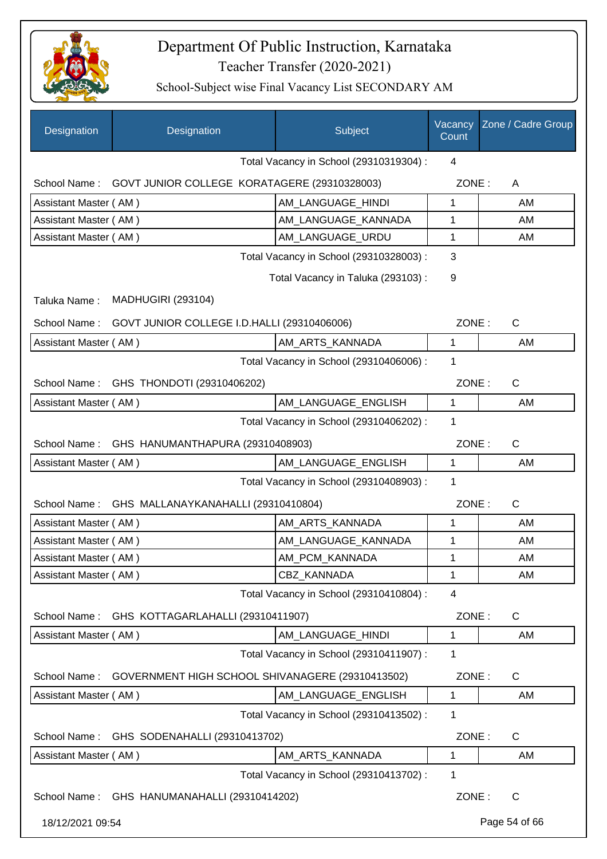

| Designation           | Designation                                      | Subject                                 | Vacancy<br>Count | Zone / Cadre Group |
|-----------------------|--------------------------------------------------|-----------------------------------------|------------------|--------------------|
|                       |                                                  | Total Vacancy in School (29310319304) : | 4                |                    |
| School Name:          | GOVT JUNIOR COLLEGE KORATAGERE (29310328003)     |                                         | ZONE:            | A                  |
| Assistant Master (AM) |                                                  | AM LANGUAGE HINDI                       | 1                | AM                 |
| Assistant Master (AM) |                                                  | AM LANGUAGE KANNADA                     | 1                | AM                 |
| Assistant Master (AM) |                                                  | AM LANGUAGE URDU                        | 1                | AM                 |
|                       |                                                  | Total Vacancy in School (29310328003) : | 3                |                    |
|                       |                                                  | Total Vacancy in Taluka (293103):       | 9                |                    |
| Taluka Name:          | <b>MADHUGIRI (293104)</b>                        |                                         |                  |                    |
| School Name:          | GOVT JUNIOR COLLEGE I.D.HALLI (29310406006)      |                                         | ZONE:            | $\mathsf{C}$       |
| Assistant Master (AM) |                                                  | AM ARTS KANNADA                         | 1                | AM                 |
|                       |                                                  | Total Vacancy in School (29310406006) : | 1                |                    |
|                       | School Name: GHS THONDOTI (29310406202)          |                                         | ZONE:            | $\mathsf{C}$       |
| Assistant Master (AM) |                                                  | AM_LANGUAGE_ENGLISH                     | 1                | AM                 |
|                       |                                                  | Total Vacancy in School (29310406202) : | 1                |                    |
|                       | School Name: GHS HANUMANTHAPURA (29310408903)    |                                         | ZONE:            | C                  |
| Assistant Master (AM) |                                                  | AM_LANGUAGE_ENGLISH                     | 1                | AM                 |
|                       |                                                  | Total Vacancy in School (29310408903) : | 1                |                    |
| School Name:          | GHS MALLANAYKANAHALLI (29310410804)              |                                         | ZONE:            | C                  |
| Assistant Master (AM) |                                                  | AM ARTS KANNADA                         | 1                | AM                 |
| Assistant Master (AM) |                                                  | AM_LANGUAGE_KANNADA                     | 1                | AM                 |
| Assistant Master (AM) |                                                  | AM_PCM_KANNADA                          | 1                | AM.                |
| Assistant Master (AM) |                                                  | <b>CBZ KANNADA</b>                      | 1                | AM                 |
|                       |                                                  | Total Vacancy in School (29310410804) : | 4                |                    |
| School Name:          | GHS KOTTAGARLAHALLI (29310411907)                |                                         | ZONE:            | C                  |
| Assistant Master (AM) |                                                  | AM_LANGUAGE_HINDI                       | 1                | AM                 |
|                       |                                                  | Total Vacancy in School (29310411907) : | 1                |                    |
| School Name:          | GOVERNMENT HIGH SCHOOL SHIVANAGERE (29310413502) |                                         | ZONE:            | C                  |
| Assistant Master (AM) |                                                  | AM_LANGUAGE_ENGLISH                     | $\mathbf 1$      | AM                 |
|                       |                                                  | Total Vacancy in School (29310413502) : | 1                |                    |
| School Name:          | GHS SODENAHALLI (29310413702)                    |                                         | ZONE:            | C                  |
| Assistant Master (AM) |                                                  | AM_ARTS_KANNADA                         | 1                | AM                 |
|                       |                                                  | Total Vacancy in School (29310413702) : | 1                |                    |
|                       | School Name: GHS HANUMANAHALLI (29310414202)     |                                         | ZONE:            | $\mathsf{C}$       |
| 18/12/2021 09:54      |                                                  |                                         |                  | Page 54 of 66      |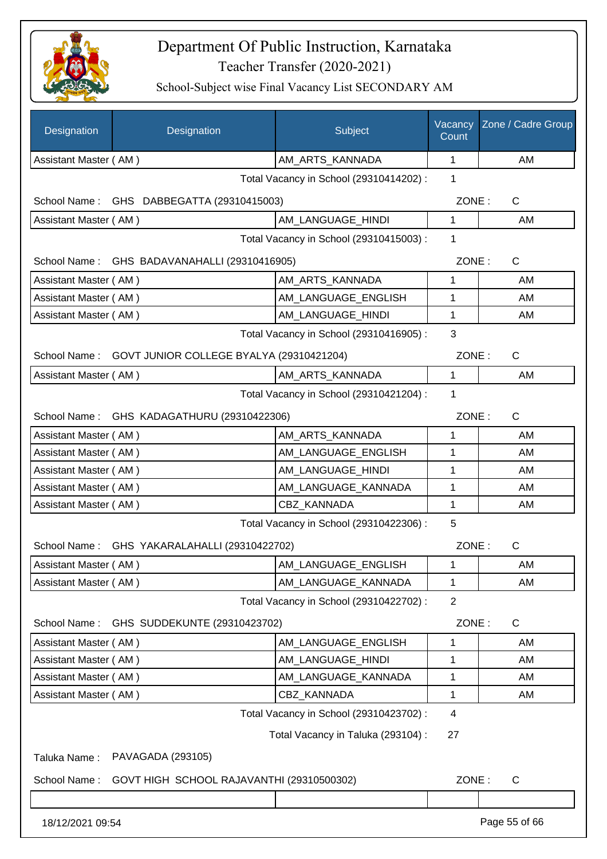

| Designation           | Designation                                  | Subject                                 | Vacancy<br>Count | Zone / Cadre Group |
|-----------------------|----------------------------------------------|-----------------------------------------|------------------|--------------------|
| Assistant Master (AM) |                                              | AM_ARTS_KANNADA                         | 1                | AM                 |
|                       |                                              | Total Vacancy in School (29310414202) : | 1                |                    |
| School Name :         | GHS DABBEGATTA (29310415003)                 |                                         | ZONE:            | C                  |
| Assistant Master (AM) |                                              | AM_LANGUAGE_HINDI                       | 1                | AM                 |
|                       |                                              | Total Vacancy in School (29310415003) : | 1                |                    |
| School Name:          | GHS BADAVANAHALLI (29310416905)              |                                         | ZONE:            | C                  |
| Assistant Master (AM) |                                              | AM_ARTS_KANNADA                         | 1                | AM                 |
| Assistant Master (AM) |                                              | AM_LANGUAGE_ENGLISH                     | 1                | AM                 |
| Assistant Master (AM) |                                              | AM LANGUAGE HINDI                       | 1                | AM                 |
|                       |                                              | Total Vacancy in School (29310416905) : | 3                |                    |
| School Name:          | GOVT JUNIOR COLLEGE BYALYA (29310421204)     |                                         | ZONE:            | C                  |
| Assistant Master (AM) |                                              | AM_ARTS_KANNADA                         | $\mathbf{1}$     | AM                 |
|                       |                                              | Total Vacancy in School (29310421204) : | 1                |                    |
|                       | School Name: GHS KADAGATHURU (29310422306)   |                                         | ZONE:            | $\mathsf{C}$       |
| Assistant Master (AM) |                                              | AM_ARTS_KANNADA                         | 1                | AM                 |
| Assistant Master (AM) |                                              | AM_LANGUAGE_ENGLISH                     | 1                | AM                 |
| Assistant Master (AM) |                                              | AM_LANGUAGE_HINDI                       | 1                | AM                 |
| Assistant Master (AM) |                                              | AM_LANGUAGE_KANNADA                     | 1                | AM                 |
| Assistant Master (AM) |                                              | CBZ_KANNADA                             | 1                | AM                 |
|                       |                                              | Total Vacancy in School (29310422306) : | 5                |                    |
|                       | School Name: GHS YAKARALAHALLI (29310422702) |                                         | ZONE:            | C                  |
| Assistant Master (AM) |                                              | AM_LANGUAGE_ENGLISH                     | 1                | AM                 |
| Assistant Master (AM) |                                              | AM_LANGUAGE_KANNADA                     | 1                | AM                 |
|                       |                                              | Total Vacancy in School (29310422702) : | $\overline{2}$   |                    |
| School Name:          | GHS SUDDEKUNTE (29310423702)                 |                                         | ZONE:            | C                  |
| Assistant Master (AM) |                                              | AM_LANGUAGE_ENGLISH                     | 1                | AM                 |
| Assistant Master (AM) |                                              | AM_LANGUAGE_HINDI                       | 1                | AM                 |
| Assistant Master (AM) |                                              | AM_LANGUAGE_KANNADA                     | 1                | AM                 |
| Assistant Master (AM) |                                              | CBZ_KANNADA                             | 1                | AM                 |
|                       |                                              | Total Vacancy in School (29310423702) : | 4                |                    |
|                       |                                              | Total Vacancy in Taluka (293104) :      | 27               |                    |
| Taluka Name:          | PAVAGADA (293105)                            |                                         |                  |                    |
| School Name:          | GOVT HIGH SCHOOL RAJAVANTHI (29310500302)    |                                         | ZONE:            | $\mathsf{C}$       |
|                       |                                              |                                         |                  |                    |
| 18/12/2021 09:54      |                                              |                                         |                  | Page 55 of 66      |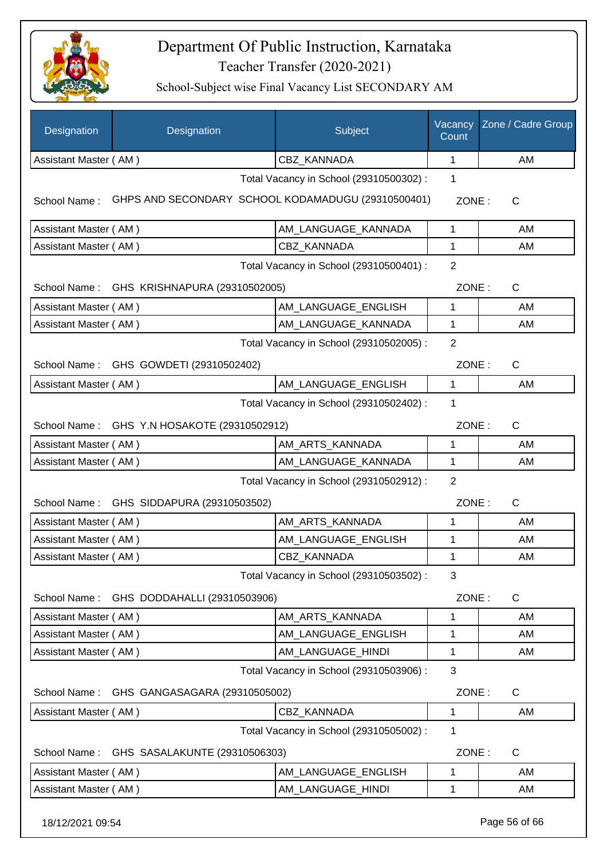

| Designation           | Designation                                        | Subject                                 | Vacancy<br>Count | Zone / Cadre Group |
|-----------------------|----------------------------------------------------|-----------------------------------------|------------------|--------------------|
| Assistant Master (AM) |                                                    | CBZ KANNADA                             | 1                | AM                 |
|                       |                                                    | Total Vacancy in School (29310500302) : | 1                |                    |
| School Name:          | GHPS AND SECONDARY SCHOOL KODAMADUGU (29310500401) |                                         | ZONE:            | C                  |
| Assistant Master (AM) |                                                    | AM_LANGUAGE_KANNADA                     | 1                | AM                 |
| Assistant Master (AM) |                                                    | CBZ KANNADA                             | 1                | AM                 |
|                       |                                                    | Total Vacancy in School (29310500401) : | $\overline{2}$   |                    |
|                       | School Name: GHS KRISHNAPURA (29310502005)         |                                         | ZONE:            | $\mathsf{C}$       |
| Assistant Master (AM) |                                                    | AM_LANGUAGE_ENGLISH                     | 1                | AM                 |
| Assistant Master (AM) |                                                    | AM LANGUAGE KANNADA                     | $\mathbf{1}$     | AM                 |
|                       |                                                    | Total Vacancy in School (29310502005) : | $\overline{2}$   |                    |
|                       | School Name: GHS GOWDETI (29310502402)             |                                         | ZONE:            | $\mathsf{C}$       |
| Assistant Master (AM) |                                                    | AM_LANGUAGE_ENGLISH                     | 1                | AM                 |
|                       |                                                    | Total Vacancy in School (29310502402) : | 1                |                    |
|                       | School Name: GHS Y.N HOSAKOTE (29310502912)        |                                         | ZONE:            | $\mathsf{C}$       |
| Assistant Master (AM) |                                                    | AM_ARTS_KANNADA                         | 1                | AM                 |
| Assistant Master (AM) |                                                    | AM_LANGUAGE_KANNADA                     | $\mathbf{1}$     | AM                 |
|                       |                                                    | Total Vacancy in School (29310502912) : | $\overline{2}$   |                    |
| School Name:          | GHS SIDDAPURA (29310503502)                        |                                         | ZONE:            | $\mathsf{C}$       |
| Assistant Master (AM) |                                                    | AM_ARTS_KANNADA                         | 1                | AM                 |
| Assistant Master (AM) |                                                    | AM_LANGUAGE_ENGLISH                     | 1                | AM                 |
| Assistant Master (AM) |                                                    | CBZ_KANNADA                             | 1                | AM                 |
|                       |                                                    | Total Vacancy in School (29310503502) : | 3                |                    |
| School Name:          | GHS DODDAHALLI (29310503906)                       |                                         | ZONE:            | C                  |
| Assistant Master (AM) |                                                    | AM_ARTS_KANNADA                         | 1                | AM                 |
| Assistant Master (AM) |                                                    | AM_LANGUAGE_ENGLISH                     | 1                | AM                 |
| Assistant Master (AM) |                                                    | AM_LANGUAGE_HINDI                       | 1                | AM                 |
|                       |                                                    | Total Vacancy in School (29310503906) : | 3                |                    |
| School Name:          | GHS GANGASAGARA (29310505002)                      |                                         | ZONE:            | C                  |
| Assistant Master (AM) |                                                    | CBZ_KANNADA                             | 1                | AM                 |
|                       |                                                    | Total Vacancy in School (29310505002) : | 1                |                    |
| School Name:          | GHS SASALAKUNTE (29310506303)                      |                                         | ZONE:            | C                  |
| Assistant Master (AM) |                                                    | AM_LANGUAGE_ENGLISH                     | 1                | AM                 |
| Assistant Master (AM) |                                                    | AM_LANGUAGE_HINDI                       | 1                | AM                 |
| 18/12/2021 09:54      |                                                    |                                         |                  | Page 56 of 66      |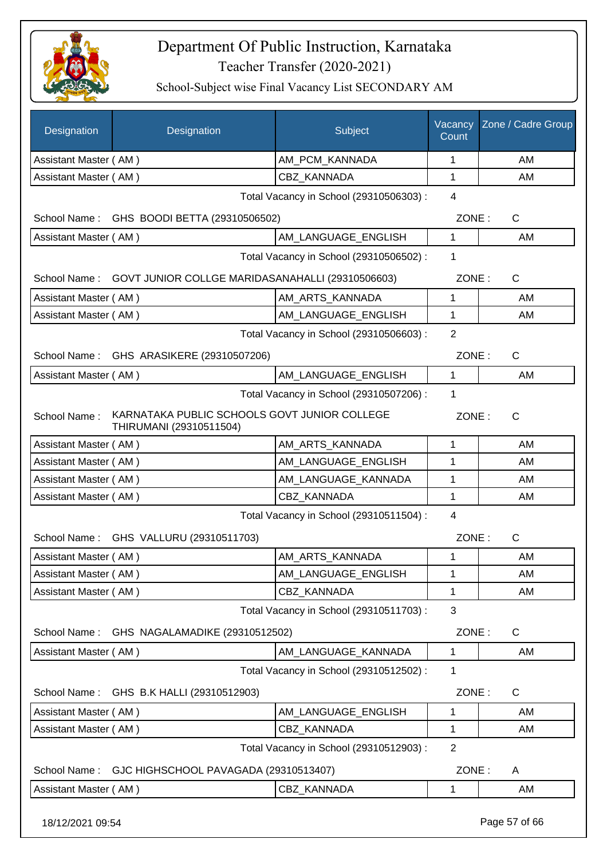

School-Subject wise Final Vacancy List SECONDARY AM

| AM PCM KANNADA<br>Assistant Master (AM)<br>CBZ_KANNADA<br>Assistant Master (AM)<br>Total Vacancy in School (29310506303) :<br>GHS BOODI BETTA (29310506502)<br>School Name:<br>Assistant Master (AM)<br>AM LANGUAGE ENGLISH<br>Total Vacancy in School (29310506502) :<br>School Name:<br>GOVT JUNIOR COLLGE MARIDASANAHALLI (29310506603)<br>AM_ARTS_KANNADA<br>Assistant Master (AM)<br>AM LANGUAGE ENGLISH<br>Assistant Master (AM)<br>Total Vacancy in School (29310506603) : | 1<br>1<br>$\overline{4}$<br>ZONE:<br>1<br>1<br>ZONE:<br>1<br>$\mathbf 1$<br>$\overline{2}$<br>ZONE: | AM<br>AM<br>C<br>AM<br>$\mathsf{C}$<br>AM<br>AM<br>$\mathsf{C}$ |
|-----------------------------------------------------------------------------------------------------------------------------------------------------------------------------------------------------------------------------------------------------------------------------------------------------------------------------------------------------------------------------------------------------------------------------------------------------------------------------------|-----------------------------------------------------------------------------------------------------|-----------------------------------------------------------------|
|                                                                                                                                                                                                                                                                                                                                                                                                                                                                                   |                                                                                                     |                                                                 |
|                                                                                                                                                                                                                                                                                                                                                                                                                                                                                   |                                                                                                     |                                                                 |
|                                                                                                                                                                                                                                                                                                                                                                                                                                                                                   |                                                                                                     |                                                                 |
|                                                                                                                                                                                                                                                                                                                                                                                                                                                                                   |                                                                                                     |                                                                 |
|                                                                                                                                                                                                                                                                                                                                                                                                                                                                                   |                                                                                                     |                                                                 |
|                                                                                                                                                                                                                                                                                                                                                                                                                                                                                   |                                                                                                     |                                                                 |
|                                                                                                                                                                                                                                                                                                                                                                                                                                                                                   |                                                                                                     |                                                                 |
|                                                                                                                                                                                                                                                                                                                                                                                                                                                                                   |                                                                                                     |                                                                 |
|                                                                                                                                                                                                                                                                                                                                                                                                                                                                                   |                                                                                                     |                                                                 |
|                                                                                                                                                                                                                                                                                                                                                                                                                                                                                   |                                                                                                     |                                                                 |
| School Name: GHS ARASIKERE (29310507206)                                                                                                                                                                                                                                                                                                                                                                                                                                          |                                                                                                     |                                                                 |
| AM_LANGUAGE_ENGLISH<br>Assistant Master (AM)                                                                                                                                                                                                                                                                                                                                                                                                                                      | $\mathbf{1}$                                                                                        | AM                                                              |
| Total Vacancy in School (29310507206) :                                                                                                                                                                                                                                                                                                                                                                                                                                           | 1                                                                                                   |                                                                 |
| KARNATAKA PUBLIC SCHOOLS GOVT JUNIOR COLLEGE<br>School Name:<br>THIRUMANI (29310511504)                                                                                                                                                                                                                                                                                                                                                                                           | ZONE:                                                                                               | $\mathsf{C}$                                                    |
| Assistant Master (AM)<br>AM_ARTS_KANNADA                                                                                                                                                                                                                                                                                                                                                                                                                                          | 1                                                                                                   | AM                                                              |
| AM LANGUAGE ENGLISH<br>Assistant Master (AM)                                                                                                                                                                                                                                                                                                                                                                                                                                      | 1                                                                                                   | AM                                                              |
| AM_LANGUAGE_KANNADA<br>Assistant Master (AM)                                                                                                                                                                                                                                                                                                                                                                                                                                      | 1                                                                                                   | AM                                                              |
| CBZ_KANNADA<br>Assistant Master (AM)                                                                                                                                                                                                                                                                                                                                                                                                                                              | 1                                                                                                   | AM                                                              |
| Total Vacancy in School (29310511504) :                                                                                                                                                                                                                                                                                                                                                                                                                                           | 4                                                                                                   |                                                                 |
| GHS VALLURU (29310511703)<br>School Name:                                                                                                                                                                                                                                                                                                                                                                                                                                         | ZONE:                                                                                               | $\mathsf{C}$                                                    |
| AM ARTS KANNADA<br>Assistant Master (AM)                                                                                                                                                                                                                                                                                                                                                                                                                                          | 1                                                                                                   | AM                                                              |
| AM LANGUAGE ENGLISH<br>Assistant Master (AM)                                                                                                                                                                                                                                                                                                                                                                                                                                      | 1                                                                                                   | AM                                                              |
| Assistant Master (AM)<br><b>CBZ KANNADA</b>                                                                                                                                                                                                                                                                                                                                                                                                                                       | 1                                                                                                   | AM                                                              |
| Total Vacancy in School (29310511703) :                                                                                                                                                                                                                                                                                                                                                                                                                                           | 3                                                                                                   |                                                                 |
| School Name:<br>GHS NAGALAMADIKE (29310512502)                                                                                                                                                                                                                                                                                                                                                                                                                                    | ZONE:                                                                                               | C                                                               |
| AM LANGUAGE KANNADA<br>Assistant Master (AM)                                                                                                                                                                                                                                                                                                                                                                                                                                      | 1                                                                                                   | AM                                                              |
| Total Vacancy in School (29310512502) :                                                                                                                                                                                                                                                                                                                                                                                                                                           | 1                                                                                                   |                                                                 |
| School Name:<br>GHS B.K HALLI (29310512903)                                                                                                                                                                                                                                                                                                                                                                                                                                       | ZONE:                                                                                               | C                                                               |
| Assistant Master (AM)<br>AM LANGUAGE ENGLISH                                                                                                                                                                                                                                                                                                                                                                                                                                      | $\mathbf{1}$                                                                                        | AM                                                              |
| CBZ_KANNADA<br>Assistant Master (AM)                                                                                                                                                                                                                                                                                                                                                                                                                                              | 1                                                                                                   | AM                                                              |
| Total Vacancy in School (29310512903) :                                                                                                                                                                                                                                                                                                                                                                                                                                           | $\overline{2}$                                                                                      |                                                                 |
| GJC HIGHSCHOOL PAVAGADA (29310513407)<br>School Name:                                                                                                                                                                                                                                                                                                                                                                                                                             | ZONE:                                                                                               | A                                                               |
| CBZ_KANNADA<br>Assistant Master (AM)                                                                                                                                                                                                                                                                                                                                                                                                                                              | 1                                                                                                   | AM                                                              |

18/12/2021 09:54 Page 57 of 66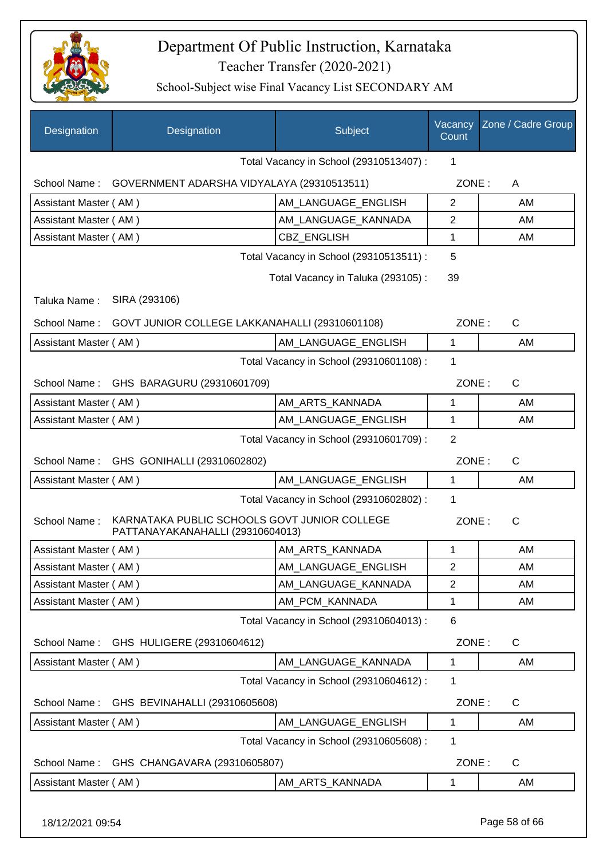

| Designation           | Designation                                                                      | Subject                                 | Vacancy<br>Count | Zone / Cadre Group |
|-----------------------|----------------------------------------------------------------------------------|-----------------------------------------|------------------|--------------------|
|                       |                                                                                  | Total Vacancy in School (29310513407) : | $\mathbf{1}$     |                    |
|                       | School Name: GOVERNMENT ADARSHA VIDYALAYA (29310513511)                          |                                         | ZONE:            | A                  |
| Assistant Master (AM) |                                                                                  | AM LANGUAGE ENGLISH                     | 2                | AM                 |
| Assistant Master (AM) |                                                                                  | AM_LANGUAGE_KANNADA                     | $\overline{2}$   | AM                 |
| Assistant Master (AM) |                                                                                  | <b>CBZ ENGLISH</b>                      | 1                | AM                 |
|                       |                                                                                  | Total Vacancy in School (29310513511) : | 5                |                    |
|                       |                                                                                  | Total Vacancy in Taluka (293105):       | 39               |                    |
| Taluka Name:          | SIRA (293106)                                                                    |                                         |                  |                    |
|                       | School Name: GOVT JUNIOR COLLEGE LAKKANAHALLI (29310601108)                      |                                         | ZONE:            | C                  |
| Assistant Master (AM) |                                                                                  | AM LANGUAGE ENGLISH                     | 1                | AM                 |
|                       |                                                                                  | Total Vacancy in School (29310601108) : | 1                |                    |
|                       | School Name: GHS BARAGURU (29310601709)                                          |                                         | ZONE:            | $\mathsf{C}$       |
| Assistant Master (AM) |                                                                                  | AM_ARTS_KANNADA                         | 1                | AM                 |
| Assistant Master (AM) |                                                                                  | AM_LANGUAGE_ENGLISH                     | 1                | AM                 |
|                       |                                                                                  | Total Vacancy in School (29310601709) : | $\overline{2}$   |                    |
|                       | School Name: GHS GONIHALLI (29310602802)                                         |                                         | ZONE:            | C                  |
| Assistant Master (AM) |                                                                                  | AM_LANGUAGE_ENGLISH                     | $\mathbf{1}$     | AM                 |
|                       |                                                                                  | Total Vacancy in School (29310602802) : | 1                |                    |
| School Name:          | KARNATAKA PUBLIC SCHOOLS GOVT JUNIOR COLLEGE<br>PATTANAYAKANAHALLI (29310604013) |                                         | ZONE:            | C                  |
| Assistant Master (AM) |                                                                                  | AM_ARTS_KANNADA                         | 1                | AM                 |
| Assistant Master (AM) |                                                                                  | AM_LANGUAGE_ENGLISH                     | $\overline{2}$   | AM                 |
| Assistant Master (AM) |                                                                                  | AM_LANGUAGE_KANNADA                     | $\overline{2}$   | AM                 |
| Assistant Master (AM) |                                                                                  | AM_PCM_KANNADA                          | 1                | AM                 |
|                       |                                                                                  | Total Vacancy in School (29310604013) : | 6                |                    |
| School Name:          | GHS HULIGERE (29310604612)                                                       |                                         | ZONE:            | C                  |
| Assistant Master (AM) |                                                                                  | AM LANGUAGE KANNADA                     | 1                | AM                 |
|                       |                                                                                  | Total Vacancy in School (29310604612) : | 1                |                    |
| School Name:          | GHS BEVINAHALLI (29310605608)                                                    |                                         | ZONE:            | $\mathsf{C}$       |
| Assistant Master (AM) |                                                                                  | AM LANGUAGE ENGLISH                     | 1                | AM                 |
|                       |                                                                                  | Total Vacancy in School (29310605608) : | 1                |                    |
| School Name:          | GHS CHANGAVARA (29310605807)                                                     |                                         | ZONE:            | $\mathsf{C}$       |
| Assistant Master (AM) |                                                                                  | AM ARTS KANNADA                         | 1                | AM                 |
| 18/12/2021 09:54      |                                                                                  |                                         |                  | Page 58 of 66      |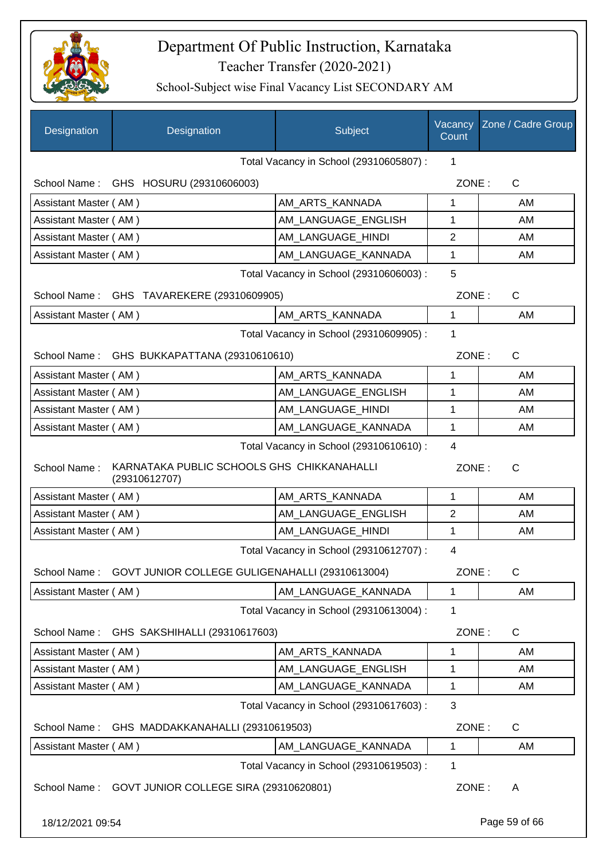

| Designation                                  | Designation                                                 | Subject                                 | Vacancy<br>Count | Zone / Cadre Group |  |
|----------------------------------------------|-------------------------------------------------------------|-----------------------------------------|------------------|--------------------|--|
|                                              |                                                             | Total Vacancy in School (29310605807) : | 1                |                    |  |
|                                              | School Name: GHS HOSURU (29310606003)                       |                                         | ZONE:            | $\mathsf{C}$       |  |
| Assistant Master (AM)                        |                                                             | AM_ARTS_KANNADA                         | 1                | AM                 |  |
| Assistant Master (AM)                        |                                                             | AM_LANGUAGE_ENGLISH                     | 1                | AM                 |  |
| Assistant Master (AM)                        |                                                             | AM LANGUAGE HINDI                       | $\overline{2}$   | AM                 |  |
| Assistant Master (AM)                        |                                                             | AM_LANGUAGE_KANNADA                     | 1                | AM                 |  |
|                                              |                                                             | Total Vacancy in School (29310606003) : | 5                |                    |  |
|                                              | School Name: GHS TAVAREKERE (29310609905)                   |                                         | ZONE:            | $\mathsf{C}$       |  |
| Assistant Master (AM)                        |                                                             | AM_ARTS_KANNADA                         | 1                | AM                 |  |
|                                              |                                                             | Total Vacancy in School (29310609905) : | 1                |                    |  |
|                                              | School Name: GHS BUKKAPATTANA (29310610610)                 |                                         | ZONE:            | $\mathsf{C}$       |  |
| Assistant Master (AM)                        |                                                             | AM_ARTS_KANNADA                         | 1                | AM                 |  |
| Assistant Master (AM)                        |                                                             | AM LANGUAGE ENGLISH                     | 1                | AM                 |  |
| Assistant Master (AM)                        |                                                             | AM_LANGUAGE_HINDI                       | 1                | AM                 |  |
| Assistant Master (AM)                        |                                                             | AM_LANGUAGE_KANNADA                     | 1                | AM                 |  |
| Total Vacancy in School (29310610610) :<br>4 |                                                             |                                         |                  |                    |  |
| School Name:                                 | KARNATAKA PUBLIC SCHOOLS GHS CHIKKANAHALLI<br>(29310612707) |                                         | ZONE:            | $\mathsf{C}$       |  |
| Assistant Master (AM)                        |                                                             | AM_ARTS_KANNADA                         | 1                | AM                 |  |
| Assistant Master (AM)                        |                                                             | AM LANGUAGE ENGLISH                     | $\overline{2}$   | AM                 |  |
| Assistant Master (AM)                        |                                                             | AM_LANGUAGE_HINDI                       | 1                | AM                 |  |
|                                              |                                                             | Total Vacancy in School (29310612707) : | 4                |                    |  |
| School Name:                                 | GOVT JUNIOR COLLEGE GULIGENAHALLI (29310613004)             |                                         | ZONE:            | $\mathsf{C}$       |  |
| Assistant Master (AM)                        |                                                             | AM_LANGUAGE_KANNADA                     | 1                | AM                 |  |
|                                              |                                                             | Total Vacancy in School (29310613004) : | 1                |                    |  |
| School Name:                                 | GHS SAKSHIHALLI (29310617603)                               |                                         | ZONE:            | C                  |  |
| Assistant Master (AM)                        |                                                             | AM_ARTS_KANNADA                         | 1                | AM                 |  |
| Assistant Master (AM)                        |                                                             | AM LANGUAGE ENGLISH                     | 1                | AM                 |  |
| Assistant Master (AM)                        |                                                             | AM_LANGUAGE_KANNADA                     | 1                | AM                 |  |
|                                              |                                                             | Total Vacancy in School (29310617603) : | 3                |                    |  |
| School Name:                                 | GHS MADDAKKANAHALLI (29310619503)                           |                                         | ZONE:            | C                  |  |
| Assistant Master (AM)                        |                                                             | AM_LANGUAGE_KANNADA                     | 1                | AM                 |  |
|                                              |                                                             | Total Vacancy in School (29310619503) : | 1                |                    |  |
| School Name:                                 | GOVT JUNIOR COLLEGE SIRA (29310620801)                      |                                         | ZONE:            | A                  |  |
| 18/12/2021 09:54                             |                                                             |                                         |                  | Page 59 of 66      |  |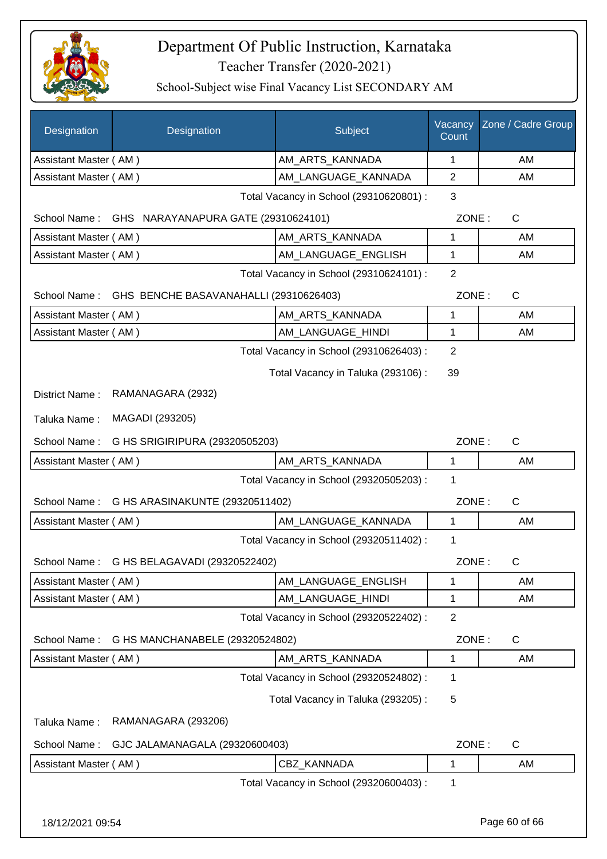

| Designation           | Designation                                         | Subject                                 | Vacancy<br>Count | Zone / Cadre Group |
|-----------------------|-----------------------------------------------------|-----------------------------------------|------------------|--------------------|
| Assistant Master (AM) |                                                     | AM_ARTS_KANNADA                         | 1                | AM                 |
| Assistant Master (AM) |                                                     | AM_LANGUAGE_KANNADA                     | 2                | AM                 |
|                       |                                                     | Total Vacancy in School (29310620801) : | 3                |                    |
| School Name:          | GHS NARAYANAPURA GATE (29310624101)                 |                                         | ZONE:            | C                  |
| Assistant Master (AM) |                                                     | AM_ARTS_KANNADA                         | 1                | AM                 |
| Assistant Master (AM) |                                                     | AM LANGUAGE ENGLISH                     | 1                | AM                 |
|                       |                                                     | Total Vacancy in School (29310624101) : | $\overline{2}$   |                    |
|                       | School Name: GHS BENCHE BASAVANAHALLI (29310626403) |                                         | ZONE:            | $\mathsf C$        |
| Assistant Master (AM) |                                                     | AM ARTS KANNADA                         | 1                | AM                 |
| Assistant Master (AM) |                                                     | AM_LANGUAGE_HINDI                       | 1                | AM                 |
|                       |                                                     | Total Vacancy in School (29310626403) : | $\overline{2}$   |                    |
|                       |                                                     | Total Vacancy in Taluka (293106):       | 39               |                    |
| District Name:        | RAMANAGARA (2932)                                   |                                         |                  |                    |
| Taluka Name:          | MAGADI (293205)                                     |                                         |                  |                    |
| School Name:          | G HS SRIGIRIPURA (29320505203)                      |                                         | ZONE:            | $\mathsf C$        |
| Assistant Master (AM) |                                                     | AM_ARTS_KANNADA                         | 1                | AM                 |
|                       |                                                     | Total Vacancy in School (29320505203) : | 1                |                    |
| School Name:          | G HS ARASINAKUNTE (29320511402)                     |                                         | ZONE:            | $\mathsf{C}$       |
| Assistant Master (AM) |                                                     | AM_LANGUAGE_KANNADA                     | 1                | AM                 |
|                       |                                                     | Total Vacancy in School (29320511402) : | 1                |                    |
|                       | School Name: G HS BELAGAVADI (29320522402)          |                                         | ZONE:            | C.                 |
| Assistant Master (AM) |                                                     | AM_LANGUAGE_ENGLISH                     | 1                | AM                 |
| Assistant Master (AM) |                                                     | AM_LANGUAGE_HINDI                       | 1                | AM                 |
|                       |                                                     | Total Vacancy in School (29320522402) : | $\overline{2}$   |                    |
| School Name:          | G HS MANCHANABELE (29320524802)                     |                                         | ZONE:            | C                  |
| Assistant Master (AM) |                                                     | AM ARTS KANNADA                         | 1                | AM                 |
|                       |                                                     | Total Vacancy in School (29320524802) : | 1                |                    |
|                       |                                                     | Total Vacancy in Taluka (293205):       | 5                |                    |
| Taluka Name:          | RAMANAGARA (293206)                                 |                                         |                  |                    |
| School Name:          | GJC JALAMANAGALA (29320600403)                      |                                         | ZONE:            | $\mathsf C$        |
| Assistant Master (AM) |                                                     | CBZ_KANNADA                             | 1                | AM                 |
|                       |                                                     | Total Vacancy in School (29320600403) : | 1                |                    |
| 18/12/2021 09:54      |                                                     |                                         |                  | Page 60 of 66      |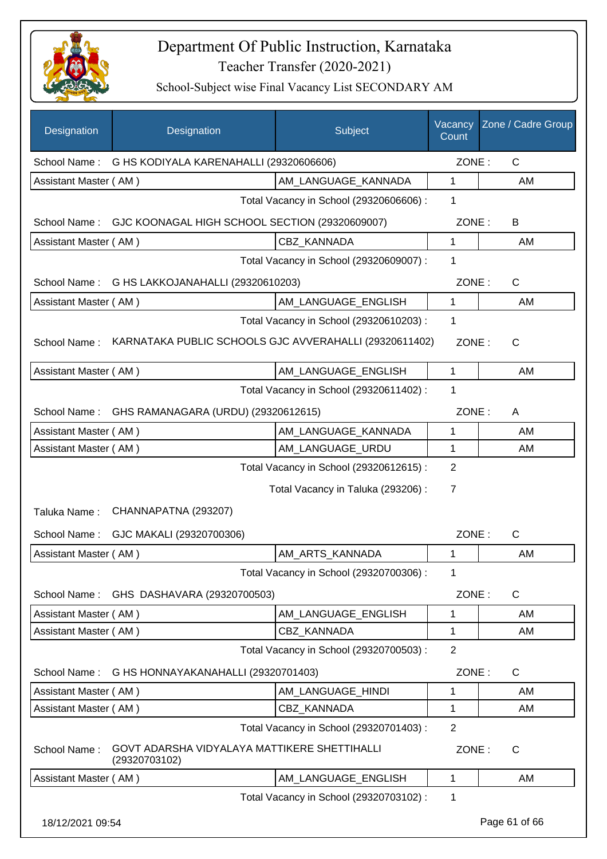

| Designation           | Designation                                                   | Subject                                 | Vacancy<br>Count        | Zone / Cadre Group |
|-----------------------|---------------------------------------------------------------|-----------------------------------------|-------------------------|--------------------|
| School Name:          | G HS KODIYALA KARENAHALLI (29320606606)                       |                                         | ZONE:                   | $\mathsf{C}$       |
| Assistant Master (AM) |                                                               | AM LANGUAGE_KANNADA                     | $\mathbf{1}$            | AM                 |
|                       |                                                               | Total Vacancy in School (29320606606) : | 1                       |                    |
| School Name:          | GJC KOONAGAL HIGH SCHOOL SECTION (29320609007)                |                                         | ZONE:                   | B                  |
| Assistant Master (AM) |                                                               | CBZ KANNADA                             | $\mathbf{1}$            | AM                 |
|                       |                                                               | Total Vacancy in School (29320609007) : | 1                       |                    |
| School Name:          | G HS LAKKOJANAHALLI (29320610203)                             |                                         | ZONE:                   | $\mathsf{C}$       |
| Assistant Master (AM) |                                                               | AM_LANGUAGE_ENGLISH                     | 1                       | AM                 |
|                       |                                                               | Total Vacancy in School (29320610203) : | 1                       |                    |
| School Name:          | KARNATAKA PUBLIC SCHOOLS GJC AVVERAHALLI (29320611402)        |                                         | ZONE:                   | $\mathsf{C}$       |
| Assistant Master (AM) |                                                               | AM LANGUAGE ENGLISH                     | 1                       | AM                 |
|                       |                                                               | Total Vacancy in School (29320611402) : | 1                       |                    |
| School Name:          | GHS RAMANAGARA (URDU) (29320612615)                           |                                         | ZONE:                   | A                  |
| Assistant Master (AM) |                                                               | AM_LANGUAGE_KANNADA                     | 1                       | AM                 |
| Assistant Master (AM) |                                                               | AM_LANGUAGE_URDU                        | $\mathbf{1}$            | AM                 |
| Taluka Name:          | CHANNAPATNA (293207)                                          | Total Vacancy in Taluka (293206) :      | $\overline{7}$<br>ZONE: | $\mathsf{C}$       |
| School Name:          | GJC MAKALI (29320700306)                                      |                                         |                         |                    |
| Assistant Master (AM) |                                                               | AM ARTS KANNADA                         | 1                       | AM                 |
| School Name:          | GHS DASHAVARA (29320700503)                                   | Total Vacancy in School (29320700306) : | 1<br>ZONE:              | C                  |
| Assistant Master (AM) |                                                               | AM_LANGUAGE_ENGLISH                     | 1                       | AM                 |
| Assistant Master (AM) |                                                               | <b>CBZ KANNADA</b>                      | 1                       | AM                 |
|                       |                                                               | Total Vacancy in School (29320700503) : | $\overline{2}$          |                    |
| School Name:          | G HS HONNAYAKANAHALLI (29320701403)                           |                                         | ZONE:                   | C                  |
| Assistant Master (AM) |                                                               | AM_LANGUAGE_HINDI                       | 1                       | AM                 |
| Assistant Master (AM) |                                                               | <b>CBZ KANNADA</b>                      | 1                       | AM                 |
|                       |                                                               | Total Vacancy in School (29320701403) : | $\overline{2}$          |                    |
| School Name:          | GOVT ADARSHA VIDYALAYA MATTIKERE SHETTIHALLI<br>(29320703102) |                                         | ZONE:                   | $\mathsf{C}$       |
| Assistant Master (AM) |                                                               | AM_LANGUAGE_ENGLISH                     | $\mathbf{1}$            | AM                 |
|                       |                                                               | Total Vacancy in School (29320703102) : | 1                       |                    |
| 18/12/2021 09:54      |                                                               |                                         |                         | Page 61 of 66      |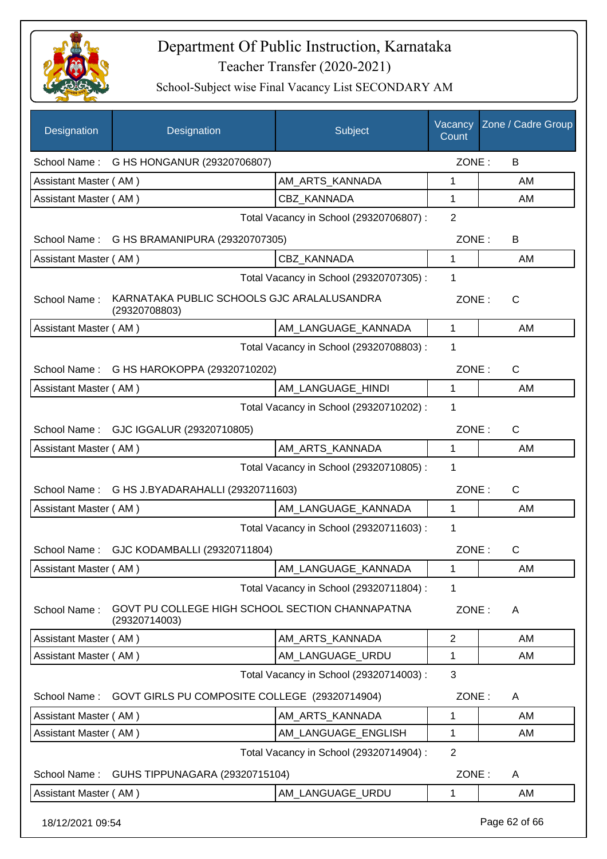

| Designation           | Designation                                                      | Subject                                 | Vacancy<br>Count | Zone / Cadre Group |
|-----------------------|------------------------------------------------------------------|-----------------------------------------|------------------|--------------------|
|                       | School Name: G HS HONGANUR (29320706807)                         |                                         | ZONE:            | B                  |
| Assistant Master (AM) |                                                                  | AM_ARTS_KANNADA                         | 1                | AM                 |
| Assistant Master (AM) |                                                                  | <b>CBZ KANNADA</b>                      | 1                | AM                 |
|                       |                                                                  | Total Vacancy in School (29320706807) : | $\overline{2}$   |                    |
|                       | School Name: G HS BRAMANIPURA (29320707305)                      |                                         | ZONE:            | B                  |
| Assistant Master (AM) |                                                                  | CBZ_KANNADA                             | 1                | AM                 |
|                       |                                                                  | Total Vacancy in School (29320707305) : | $\mathbf{1}$     |                    |
| School Name:          | KARNATAKA PUBLIC SCHOOLS GJC ARALALUSANDRA<br>(29320708803)      |                                         | ZONE:            | C                  |
| Assistant Master (AM) |                                                                  | AM LANGUAGE KANNADA                     | $\mathbf 1$      | AM                 |
|                       |                                                                  | Total Vacancy in School (29320708803) : | 1                |                    |
|                       | School Name: G HS HAROKOPPA (29320710202)                        |                                         | ZONE:            | $\mathsf{C}$       |
| Assistant Master (AM) |                                                                  | AM_LANGUAGE_HINDI                       | 1                | AM                 |
|                       |                                                                  | Total Vacancy in School (29320710202) : | 1                |                    |
|                       | School Name: GJC IGGALUR (29320710805)                           |                                         | ZONE:            | $\mathsf{C}$       |
| Assistant Master (AM) |                                                                  | AM_ARTS_KANNADA                         | 1                | AM                 |
|                       |                                                                  | Total Vacancy in School (29320710805) : | 1                |                    |
| School Name:          | G HS J.BYADARAHALLI (29320711603)                                |                                         | ZONE:            | $\mathsf{C}$       |
| Assistant Master (AM) |                                                                  | AM_LANGUAGE_KANNADA                     | $\mathbf{1}$     | AM                 |
|                       |                                                                  | Total Vacancy in School (29320711603) : | 1                |                    |
| School Name:          | GJC KODAMBALLI (29320711804)                                     |                                         | ZONE:            | C                  |
| Assistant Master (AM) |                                                                  | AM_LANGUAGE_KANNADA                     | 1                | AM                 |
|                       |                                                                  | Total Vacancy in School (29320711804) : | 1                |                    |
| School Name:          | GOVT PU COLLEGE HIGH SCHOOL SECTION CHANNAPATNA<br>(29320714003) |                                         | ZONE:            | A                  |
| Assistant Master (AM) |                                                                  | AM_ARTS_KANNADA                         | $\overline{2}$   | AM                 |
| Assistant Master (AM) |                                                                  | AM LANGUAGE URDU                        | 1                | AM                 |
|                       |                                                                  | Total Vacancy in School (29320714003) : | 3                |                    |
| School Name:          | GOVT GIRLS PU COMPOSITE COLLEGE (29320714904)                    |                                         | ZONE:            | A                  |
| Assistant Master (AM) |                                                                  | AM_ARTS_KANNADA                         | 1                | AM                 |
| Assistant Master (AM) |                                                                  | AM_LANGUAGE_ENGLISH                     | 1                | AM                 |
|                       |                                                                  | Total Vacancy in School (29320714904) : | $\overline{2}$   |                    |
| School Name:          | GUHS TIPPUNAGARA (29320715104)                                   |                                         | ZONE:            | A                  |
| Assistant Master (AM) |                                                                  | AM_LANGUAGE_URDU                        | 1                | AM                 |
| 18/12/2021 09:54      |                                                                  |                                         |                  | Page 62 of 66      |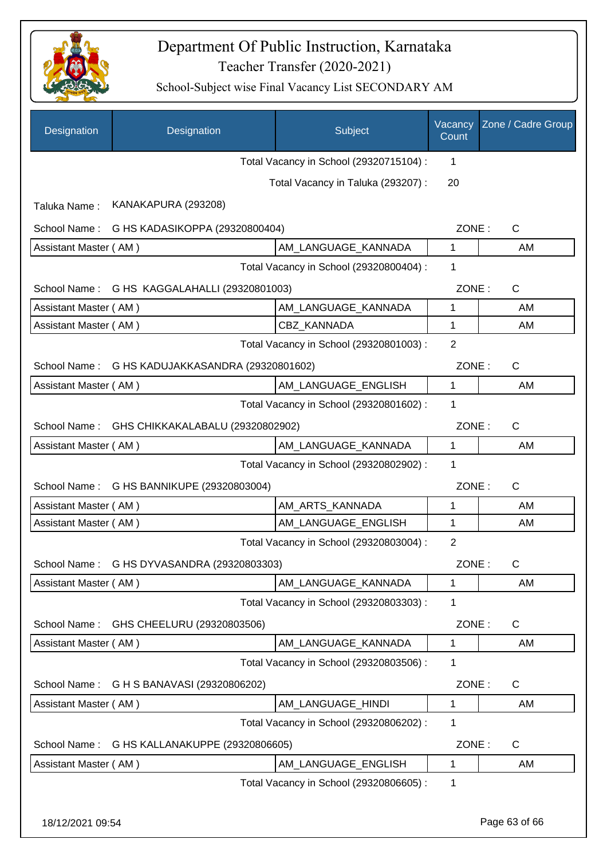

| Designation           | Designation                                  | Subject                                 | Vacancy<br>Count | Zone / Cadre Group |
|-----------------------|----------------------------------------------|-----------------------------------------|------------------|--------------------|
|                       |                                              | Total Vacancy in School (29320715104) : | 1                |                    |
|                       |                                              | Total Vacancy in Taluka (293207):       | 20               |                    |
| Taluka Name:          | KANAKAPURA (293208)                          |                                         |                  |                    |
| School Name:          | G HS KADASIKOPPA (29320800404)               |                                         | ZONE:            | C                  |
| Assistant Master (AM) |                                              | AM LANGUAGE KANNADA                     | 1                | AM                 |
|                       |                                              | Total Vacancy in School (29320800404) : | 1                |                    |
|                       | School Name: G HS KAGGALAHALLI (29320801003) |                                         | ZONE:            | $\mathsf{C}$       |
| Assistant Master (AM) |                                              | AM_LANGUAGE_KANNADA                     | 1                | AM                 |
| Assistant Master (AM) |                                              | CBZ_KANNADA                             | 1                | AM                 |
|                       |                                              | Total Vacancy in School (29320801003) : | $\overline{2}$   |                    |
| School Name:          | G HS KADUJAKKASANDRA (29320801602)           |                                         | ZONE:            | C                  |
| Assistant Master (AM) |                                              | AM_LANGUAGE_ENGLISH                     | $\mathbf{1}$     | AM                 |
|                       |                                              | Total Vacancy in School (29320801602) : | 1                |                    |
| School Name:          | GHS CHIKKAKALABALU (29320802902)             |                                         | ZONE:            | $\mathsf{C}$       |
| Assistant Master (AM) |                                              | AM_LANGUAGE_KANNADA                     | 1                | AM                 |
|                       |                                              | Total Vacancy in School (29320802902) : | 1                |                    |
| School Name:          | G HS BANNIKUPE (29320803004)                 |                                         | ZONE:            | $\mathsf{C}$       |
| Assistant Master (AM) |                                              | AM_ARTS_KANNADA                         | 1                | AM                 |
| Assistant Master (AM) |                                              | AM LANGUAGE ENGLISH                     | 1                | AM                 |
|                       |                                              | Total Vacancy in School (29320803004) : | $\overline{2}$   |                    |
|                       | School Name: G HS DYVASANDRA (29320803303)   |                                         | ZONE:            | C                  |
| Assistant Master (AM) |                                              | AM_LANGUAGE_KANNADA                     | 1                | AM                 |
|                       |                                              | Total Vacancy in School (29320803303) : | 1                |                    |
| School Name:          | GHS CHEELURU (29320803506)                   |                                         | ZONE:            | C                  |
| Assistant Master (AM) |                                              | AM_LANGUAGE_KANNADA                     | 1                | AM                 |
|                       |                                              | Total Vacancy in School (29320803506) : | 1                |                    |
| School Name:          | G H S BANAVASI (29320806202)                 |                                         | ZONE:            | C                  |
| Assistant Master (AM) |                                              | AM_LANGUAGE_HINDI                       | 1                | AM                 |
|                       |                                              | Total Vacancy in School (29320806202) : | 1                |                    |
| School Name:          | G HS KALLANAKUPPE (29320806605)              |                                         | ZONE:            | C                  |
| Assistant Master (AM) |                                              | AM_LANGUAGE_ENGLISH                     | 1                | AM                 |
|                       |                                              | Total Vacancy in School (29320806605) : | 1                |                    |
| 18/12/2021 09:54      |                                              |                                         |                  | Page 63 of 66      |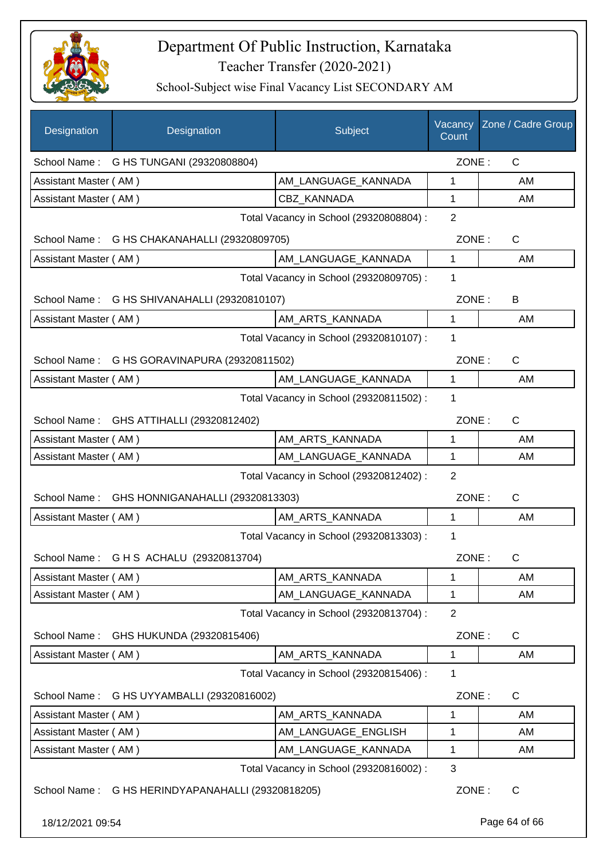

| Designation           | Designation                                       | Subject                                 | Vacancy<br>Count | Zone / Cadre Group |
|-----------------------|---------------------------------------------------|-----------------------------------------|------------------|--------------------|
|                       | School Name: G HS TUNGANI (29320808804)           |                                         | ZONE:            | $\mathsf{C}$       |
| Assistant Master (AM) |                                                   | AM LANGUAGE KANNADA                     | 1                | AM                 |
| Assistant Master (AM) |                                                   | <b>CBZ KANNADA</b>                      | 1                | AM                 |
|                       |                                                   | Total Vacancy in School (29320808804) : | $\overline{2}$   |                    |
|                       | School Name: G HS CHAKANAHALLI (29320809705)      |                                         | ZONE:            | $\mathsf{C}$       |
| Assistant Master (AM) |                                                   | AM_LANGUAGE_KANNADA                     | $\mathbf{1}$     | AM                 |
|                       |                                                   | Total Vacancy in School (29320809705) : | 1                |                    |
|                       | School Name: G HS SHIVANAHALLI (29320810107)      |                                         | ZONE:            | B                  |
| Assistant Master (AM) |                                                   | AM ARTS KANNADA                         | $\mathbf{1}$     | AM                 |
|                       |                                                   | Total Vacancy in School (29320810107) : | 1                |                    |
|                       | School Name: G HS GORAVINAPURA (29320811502)      |                                         | ZONE:            | C                  |
| Assistant Master (AM) |                                                   | AM_LANGUAGE_KANNADA                     | $\mathbf{1}$     | AM                 |
|                       |                                                   | Total Vacancy in School (29320811502) : | 1                |                    |
|                       | School Name: GHS ATTIHALLI (29320812402)          |                                         | ZONE:            | $\mathsf{C}$       |
| Assistant Master (AM) |                                                   | AM_ARTS_KANNADA                         | 1                | AM                 |
| Assistant Master (AM) |                                                   | AM_LANGUAGE_KANNADA                     | $\mathbf{1}$     | AM                 |
|                       |                                                   | Total Vacancy in School (29320812402) : | 2                |                    |
| School Name:          | GHS HONNIGANAHALLI (29320813303)                  |                                         | ZONE:            | C                  |
| Assistant Master (AM) |                                                   | AM_ARTS_KANNADA                         | $\mathbf{1}$     | AM                 |
|                       |                                                   | Total Vacancy in School (29320813303) : | $\mathbf 1$      |                    |
|                       | School Name: G H S ACHALU (29320813704)           |                                         | ZONE:            | C                  |
| Assistant Master (AM) |                                                   | AM ARTS KANNADA                         | 1                | AM                 |
| Assistant Master (AM) |                                                   | AM_LANGUAGE_KANNADA                     | 1                | AM                 |
|                       |                                                   | Total Vacancy in School (29320813704) : | $\overline{2}$   |                    |
| School Name:          | GHS HUKUNDA (29320815406)                         |                                         | ZONE:            | C                  |
| Assistant Master (AM) |                                                   | AM_ARTS_KANNADA                         | 1                | AM                 |
|                       |                                                   | Total Vacancy in School (29320815406) : | 1                |                    |
| School Name:          | G HS UYYAMBALLI (29320816002)                     |                                         | ZONE:            | C                  |
| Assistant Master (AM) |                                                   | AM_ARTS_KANNADA                         | 1                | AM                 |
| Assistant Master (AM) |                                                   | AM_LANGUAGE_ENGLISH                     | 1                | AM                 |
| Assistant Master (AM) |                                                   | AM_LANGUAGE_KANNADA                     | 1                | AM                 |
|                       |                                                   | Total Vacancy in School (29320816002) : | 3                |                    |
|                       | School Name: G HS HERINDYAPANAHALLI (29320818205) |                                         | ZONE:            | $\mathsf{C}$       |
| 18/12/2021 09:54      |                                                   |                                         |                  | Page 64 of 66      |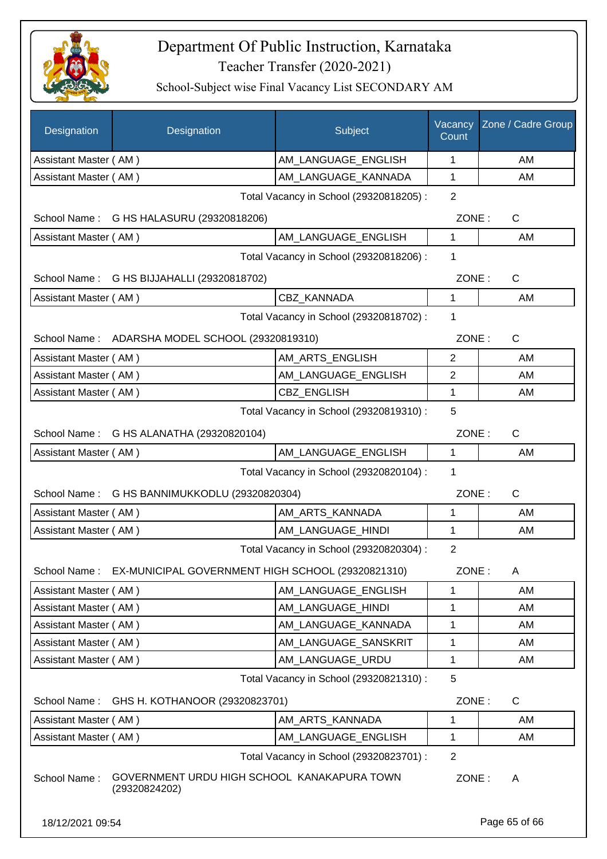

| Designation           | Designation                                                  | Subject                                 | Vacancy<br>Count | Zone / Cadre Group |
|-----------------------|--------------------------------------------------------------|-----------------------------------------|------------------|--------------------|
| Assistant Master (AM) |                                                              | AM LANGUAGE ENGLISH                     | 1                | AM                 |
| Assistant Master (AM) |                                                              | AM LANGUAGE KANNADA                     | $\mathbf{1}$     | AM                 |
|                       |                                                              | Total Vacancy in School (29320818205) : | $\overline{2}$   |                    |
|                       | School Name: G HS HALASURU (29320818206)                     |                                         | ZONE:            | C                  |
| Assistant Master (AM) |                                                              | AM_LANGUAGE_ENGLISH                     | $\mathbf{1}$     | AM                 |
|                       |                                                              | Total Vacancy in School (29320818206) : | 1                |                    |
|                       | School Name: G HS BIJJAHALLI (29320818702)                   |                                         | ZONE:            | C                  |
| Assistant Master (AM) |                                                              | CBZ_KANNADA                             | 1                | AM                 |
|                       |                                                              | Total Vacancy in School (29320818702) : | 1                |                    |
|                       | School Name: ADARSHA MODEL SCHOOL (29320819310)              |                                         | ZONE:            | $\mathsf{C}$       |
| Assistant Master (AM) |                                                              | AM ARTS ENGLISH                         | $\overline{2}$   | AM                 |
| Assistant Master (AM) |                                                              | AM LANGUAGE ENGLISH                     | 2                | AM                 |
| Assistant Master (AM) |                                                              | <b>CBZ ENGLISH</b>                      | 1                | AM                 |
|                       |                                                              | Total Vacancy in School (29320819310) : | 5                |                    |
|                       | School Name: G HS ALANATHA (29320820104)                     |                                         | ZONE:            | C                  |
| Assistant Master (AM) |                                                              | AM_LANGUAGE_ENGLISH                     | 1                | AM                 |
|                       |                                                              | Total Vacancy in School (29320820104) : | 1                |                    |
|                       | School Name: G HS BANNIMUKKODLU (29320820304)                |                                         | ZONE:            | C                  |
| Assistant Master (AM) |                                                              | AM_ARTS_KANNADA                         | 1                | AM                 |
| Assistant Master (AM) |                                                              | AM_LANGUAGE_HINDI                       | 1                | AM                 |
|                       |                                                              | Total Vacancy in School (29320820304) : | 2                |                    |
| School Name:          | EX-MUNICIPAL GOVERNMENT HIGH SCHOOL (29320821310)            |                                         | ZONE:            | Α                  |
| Assistant Master (AM) |                                                              | AM LANGUAGE ENGLISH                     | 1                | AM                 |
| Assistant Master (AM) |                                                              | AM_LANGUAGE_HINDI                       | 1                | AM                 |
| Assistant Master (AM) |                                                              | AM_LANGUAGE_KANNADA                     | 1                | AM                 |
| Assistant Master (AM) |                                                              | AM_LANGUAGE_SANSKRIT                    | 1                | AM                 |
| Assistant Master (AM) |                                                              | AM_LANGUAGE_URDU                        | 1                | AM                 |
|                       |                                                              | Total Vacancy in School (29320821310) : | 5                |                    |
| School Name:          | GHS H. KOTHANOOR (29320823701)                               |                                         | ZONE:            | C                  |
| Assistant Master (AM) |                                                              | AM_ARTS_KANNADA                         | 1                | AM                 |
| Assistant Master (AM) |                                                              | AM_LANGUAGE_ENGLISH                     | 1                | AM                 |
|                       |                                                              | Total Vacancy in School (29320823701) : | $\overline{2}$   |                    |
| School Name:          | GOVERNMENT URDU HIGH SCHOOL KANAKAPURA TOWN<br>(29320824202) |                                         | ZONE:            | A                  |
| 18/12/2021 09:54      |                                                              |                                         |                  | Page 65 of 66      |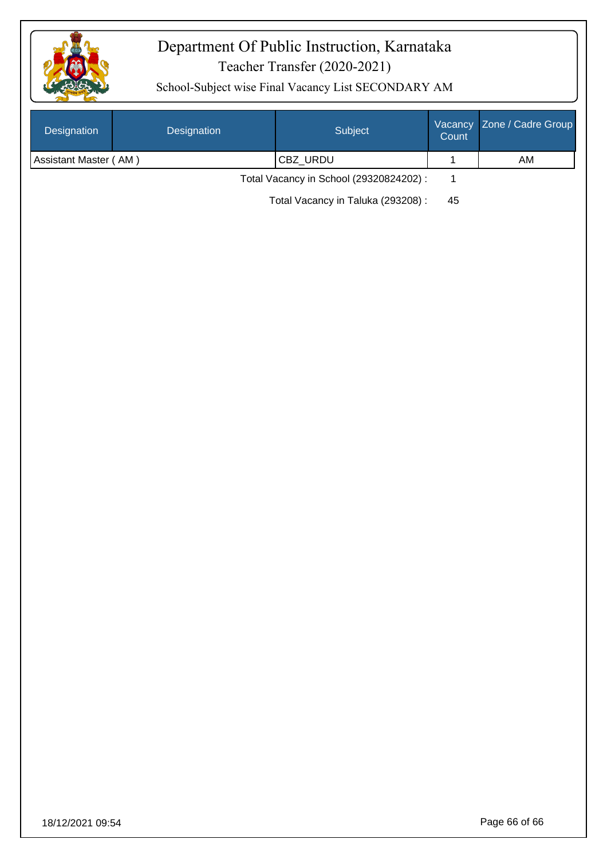

| Designation           | Designation | Subject                                 | Vacancy<br>Count | Zone / Cadre Group |
|-----------------------|-------------|-----------------------------------------|------------------|--------------------|
| Assistant Master (AM) |             | CBZ_URDU                                | $\mathbf 1$      | AM                 |
|                       |             | Total Vacancy in School (29320824202) : | $\mathbf{1}$     |                    |
|                       |             | Total Vacancy in Taluka (293208) :      | 45               |                    |
|                       |             |                                         |                  |                    |
|                       |             |                                         |                  |                    |
|                       |             |                                         |                  |                    |
|                       |             |                                         |                  |                    |
|                       |             |                                         |                  |                    |
|                       |             |                                         |                  |                    |
|                       |             |                                         |                  |                    |
|                       |             |                                         |                  |                    |
|                       |             |                                         |                  |                    |
|                       |             |                                         |                  |                    |
|                       |             |                                         |                  |                    |
|                       |             |                                         |                  |                    |
|                       |             |                                         |                  |                    |
|                       |             |                                         |                  |                    |
|                       |             |                                         |                  |                    |
|                       |             |                                         |                  |                    |
|                       |             |                                         |                  |                    |
|                       |             |                                         |                  |                    |
|                       |             |                                         |                  |                    |
|                       |             |                                         |                  |                    |
|                       |             |                                         |                  |                    |
|                       |             |                                         |                  |                    |
|                       |             |                                         |                  |                    |
|                       |             |                                         |                  |                    |
|                       |             |                                         |                  |                    |
|                       |             |                                         |                  |                    |
|                       |             |                                         |                  |                    |
|                       |             |                                         |                  |                    |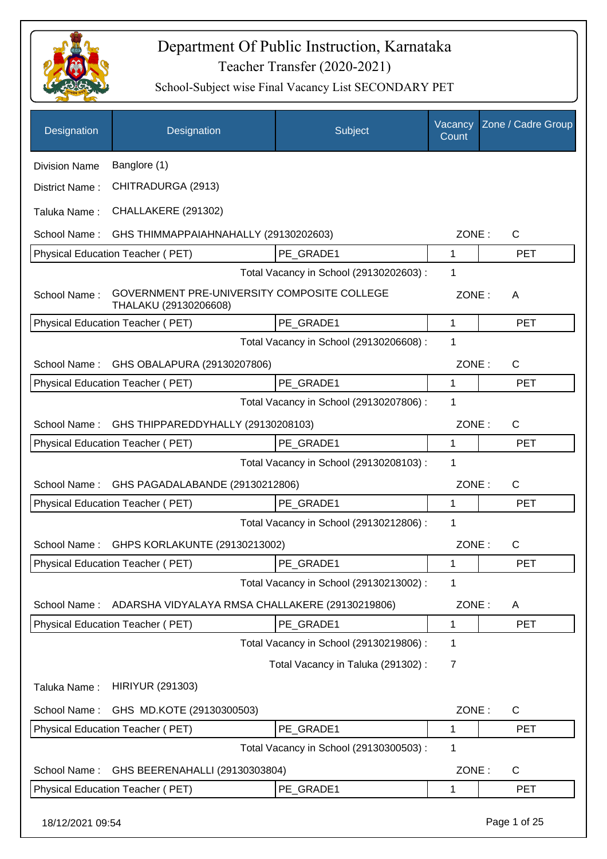

| Designation          | Designation                                                          | Subject                                 | Vacancy<br>Count | Zone / Cadre Group |
|----------------------|----------------------------------------------------------------------|-----------------------------------------|------------------|--------------------|
| <b>Division Name</b> | Banglore (1)                                                         |                                         |                  |                    |
| District Name:       | CHITRADURGA (2913)                                                   |                                         |                  |                    |
| Taluka Name:         | CHALLAKERE (291302)                                                  |                                         |                  |                    |
| School Name:         | GHS THIMMAPPAIAHNAHALLY (29130202603)                                |                                         | ZONE:            | $\mathsf{C}$       |
|                      | Physical Education Teacher (PET)                                     | PE GRADE1                               | 1                | <b>PET</b>         |
|                      |                                                                      | Total Vacancy in School (29130202603) : | 1                |                    |
| School Name:         | GOVERNMENT PRE-UNIVERSITY COMPOSITE COLLEGE<br>THALAKU (29130206608) |                                         | ZONE:            | A                  |
|                      | <b>Physical Education Teacher (PET)</b>                              | PE_GRADE1                               | 1                | <b>PET</b>         |
|                      |                                                                      | Total Vacancy in School (29130206608) : | 1                |                    |
| School Name:         | GHS OBALAPURA (29130207806)                                          |                                         | ZONE:            | C                  |
|                      | <b>Physical Education Teacher (PET)</b>                              | PE_GRADE1                               | 1                | <b>PET</b>         |
|                      |                                                                      | Total Vacancy in School (29130207806) : | 1                |                    |
| School Name:         | GHS THIPPAREDDYHALLY (29130208103)                                   |                                         | ZONE:            | $\mathsf{C}$       |
|                      | Physical Education Teacher (PET)                                     | PE GRADE1                               | 1                | <b>PET</b>         |
|                      |                                                                      | Total Vacancy in School (29130208103) : | 1                |                    |
| School Name:         | GHS PAGADALABANDE (29130212806)                                      |                                         | ZONE:            | C                  |
|                      | Physical Education Teacher (PET)                                     | PE_GRADE1                               | 1                | <b>PET</b>         |
|                      |                                                                      | Total Vacancy in School (29130212806) : | 1                |                    |
| School Name:         | GHPS KORLAKUNTE (29130213002)                                        |                                         | ZONE:            | C                  |
|                      | Physical Education Teacher (PET)                                     | PE_GRADE1                               | 1                | PET                |
|                      |                                                                      | Total Vacancy in School (29130213002) : | 1                |                    |
| School Name:         | ADARSHA VIDYALAYA RMSA CHALLAKERE (29130219806)                      |                                         | ZONE:            | A                  |
|                      | Physical Education Teacher (PET)                                     | PE_GRADE1                               | 1                | <b>PET</b>         |
|                      |                                                                      | Total Vacancy in School (29130219806) : | 1                |                    |
|                      |                                                                      | Total Vacancy in Taluka (291302):       | 7                |                    |
| Taluka Name:         | <b>HIRIYUR (291303)</b>                                              |                                         |                  |                    |
| School Name:         | GHS MD.KOTE (29130300503)                                            |                                         | ZONE:            | C                  |
|                      | Physical Education Teacher (PET)                                     | PE_GRADE1                               | 1                | <b>PET</b>         |
|                      |                                                                      | Total Vacancy in School (29130300503) : | 1                |                    |
| School Name:         | GHS BEERENAHALLI (29130303804)                                       |                                         | ZONE:            | C                  |
|                      | Physical Education Teacher (PET)                                     | PE_GRADE1                               | 1                | <b>PET</b>         |
| 18/12/2021 09:54     |                                                                      |                                         |                  | Page 1 of 25       |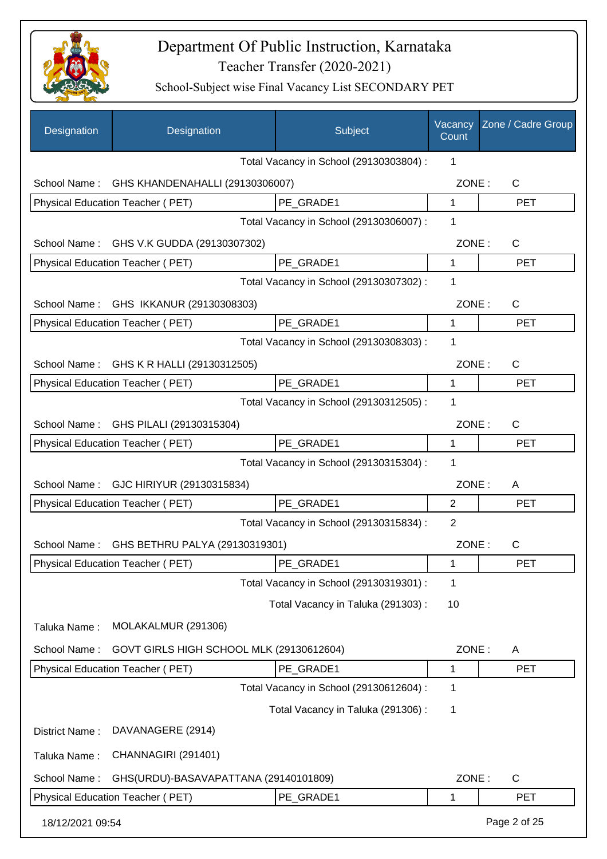

| Designation      | Designation                              | Subject                                 | Vacancy<br>Count | Zone / Cadre Group |
|------------------|------------------------------------------|-----------------------------------------|------------------|--------------------|
|                  |                                          | Total Vacancy in School (29130303804) : | 1                |                    |
| School Name:     | GHS KHANDENAHALLI (29130306007)          |                                         | ZONE:            | C                  |
|                  | Physical Education Teacher (PET)         | PE GRADE1                               | 1                | <b>PET</b>         |
|                  |                                          | Total Vacancy in School (29130306007) : | 1                |                    |
| School Name:     | GHS V.K GUDDA (29130307302)              |                                         | ZONE:            | C                  |
|                  | Physical Education Teacher (PET)         | PE_GRADE1                               | $\mathbf{1}$     | <b>PET</b>         |
|                  |                                          | Total Vacancy in School (29130307302) : | 1                |                    |
|                  | School Name: GHS IKKANUR (29130308303)   |                                         | ZONE:            | C                  |
|                  | Physical Education Teacher (PET)         | PE_GRADE1                               | $\mathbf{1}$     | <b>PET</b>         |
|                  |                                          | Total Vacancy in School (29130308303) : | 1                |                    |
|                  | School Name: GHS K R HALLI (29130312505) |                                         | ZONE:            | C                  |
|                  | Physical Education Teacher (PET)         | PE_GRADE1                               | 1                | <b>PET</b>         |
|                  |                                          | Total Vacancy in School (29130312505) : | 1                |                    |
|                  | School Name: GHS PILALI (29130315304)    |                                         | ZONE:            | C                  |
|                  | Physical Education Teacher (PET)         | PE_GRADE1                               | $\mathbf{1}$     | <b>PET</b>         |
|                  |                                          | Total Vacancy in School (29130315304) : | 1                |                    |
|                  | School Name: GJC HIRIYUR (29130315834)   |                                         | ZONE:            | A                  |
|                  | Physical Education Teacher (PET)         | PE_GRADE1                               | 2                | <b>PET</b>         |
|                  |                                          | Total Vacancy in School (29130315834) : | $\overline{2}$   |                    |
| School Name:     | GHS BETHRU PALYA (29130319301)           |                                         | ZONE:            | $\mathsf{C}$       |
|                  | Physical Education Teacher (PET)         | PE_GRADE1                               | 1                | PET                |
|                  |                                          | Total Vacancy in School (29130319301) : | 1                |                    |
|                  |                                          | Total Vacancy in Taluka (291303):       | 10               |                    |
| Taluka Name:     | MOLAKALMUR (291306)                      |                                         |                  |                    |
| School Name:     | GOVT GIRLS HIGH SCHOOL MLK (29130612604) |                                         | ZONE:            | A                  |
|                  | Physical Education Teacher (PET)         | PE GRADE1                               | 1                | <b>PET</b>         |
|                  |                                          | Total Vacancy in School (29130612604) : | 1                |                    |
|                  |                                          | Total Vacancy in Taluka (291306):       | 1                |                    |
| District Name:   | DAVANAGERE (2914)                        |                                         |                  |                    |
| Taluka Name:     | CHANNAGIRI (291401)                      |                                         |                  |                    |
| School Name:     | GHS(URDU)-BASAVAPATTANA (29140101809)    |                                         | ZONE:            | C                  |
|                  | Physical Education Teacher (PET)         | PE_GRADE1                               | 1                | <b>PET</b>         |
| 18/12/2021 09:54 |                                          |                                         |                  | Page 2 of 25       |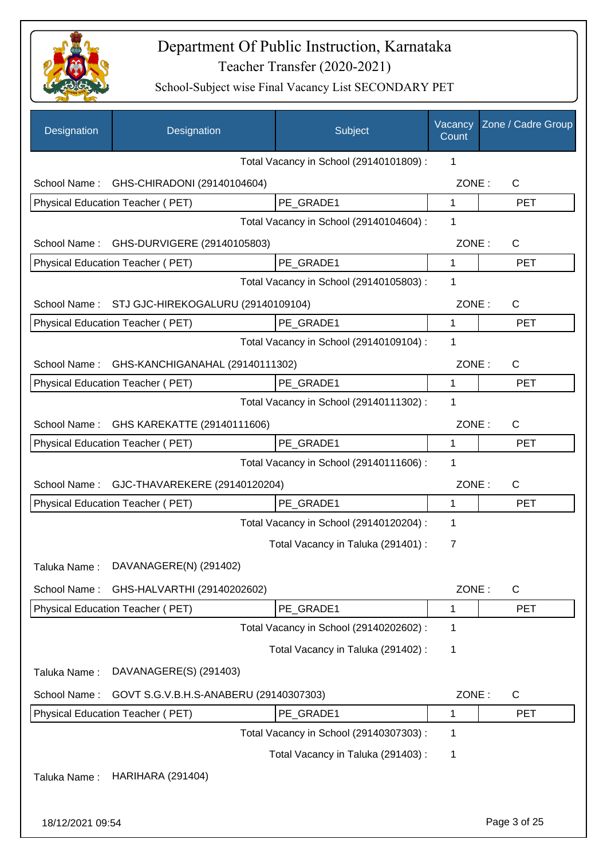

| Designation      | Designation                              | Subject                                 | Vacancy<br>Count | Zone / Cadre Group |
|------------------|------------------------------------------|-----------------------------------------|------------------|--------------------|
|                  |                                          | Total Vacancy in School (29140101809) : | 1                |                    |
|                  | School Name: GHS-CHIRADONI (29140104604) |                                         | ZONE:            | $\mathsf{C}$       |
|                  | Physical Education Teacher (PET)         | PE_GRADE1                               | $\mathbf{1}$     | <b>PET</b>         |
|                  |                                          | Total Vacancy in School (29140104604) : | 1                |                    |
| School Name:     | GHS-DURVIGERE (29140105803)              |                                         | ZONE:            | C                  |
|                  | Physical Education Teacher (PET)         | PE GRADE1                               | $\mathbf{1}$     | <b>PET</b>         |
|                  |                                          | Total Vacancy in School (29140105803) : | 1                |                    |
| School Name:     | STJ GJC-HIREKOGALURU (29140109104)       |                                         | ZONE:            | $\mathsf{C}$       |
|                  | Physical Education Teacher (PET)         | PE GRADE1                               | 1                | <b>PET</b>         |
|                  |                                          | Total Vacancy in School (29140109104) : | 1                |                    |
| School Name:     | GHS-KANCHIGANAHAL (29140111302)          |                                         | ZONE:            | $\mathsf{C}$       |
|                  | Physical Education Teacher (PET)         | PE_GRADE1                               | 1                | <b>PET</b>         |
|                  |                                          | Total Vacancy in School (29140111302) : | 1                |                    |
|                  | School Name: GHS KAREKATTE (29140111606) |                                         | ZONE:            | $\mathsf{C}$       |
|                  | Physical Education Teacher (PET)         | PE GRADE1                               | 1                | <b>PET</b>         |
|                  |                                          | Total Vacancy in School (29140111606) : | 1                |                    |
| School Name:     | GJC-THAVAREKERE (29140120204)            |                                         | ZONE:            | $\mathsf{C}$       |
|                  | Physical Education Teacher (PET)         | PE_GRADE1                               | 1                | <b>PET</b>         |
|                  |                                          | Total Vacancy in School (29140120204) : | 1                |                    |
|                  |                                          | Total Vacancy in Taluka (291401) :      | $\overline{7}$   |                    |
| Taluka Name:     | DAVANAGERE(N) (291402)                   |                                         |                  |                    |
| School Name:     | GHS-HALVARTHI (29140202602)              |                                         | ZONE:            | C                  |
|                  | Physical Education Teacher (PET)         | PE GRADE1                               | 1                | <b>PET</b>         |
|                  |                                          | Total Vacancy in School (29140202602) : | 1                |                    |
|                  |                                          | Total Vacancy in Taluka (291402):       | 1                |                    |
| Taluka Name:     | DAVANAGERE(S) (291403)                   |                                         |                  |                    |
| School Name:     | GOVT S.G.V.B.H.S-ANABERU (29140307303)   |                                         | ZONE:            | C                  |
|                  | Physical Education Teacher (PET)         | PE_GRADE1                               | 1                | <b>PET</b>         |
|                  |                                          | Total Vacancy in School (29140307303) : | 1                |                    |
|                  |                                          | Total Vacancy in Taluka (291403):       | 1                |                    |
| Taluka Name:     | <b>HARIHARA (291404)</b>                 |                                         |                  |                    |
|                  |                                          |                                         |                  |                    |
| 18/12/2021 09:54 |                                          |                                         |                  | Page 3 of 25       |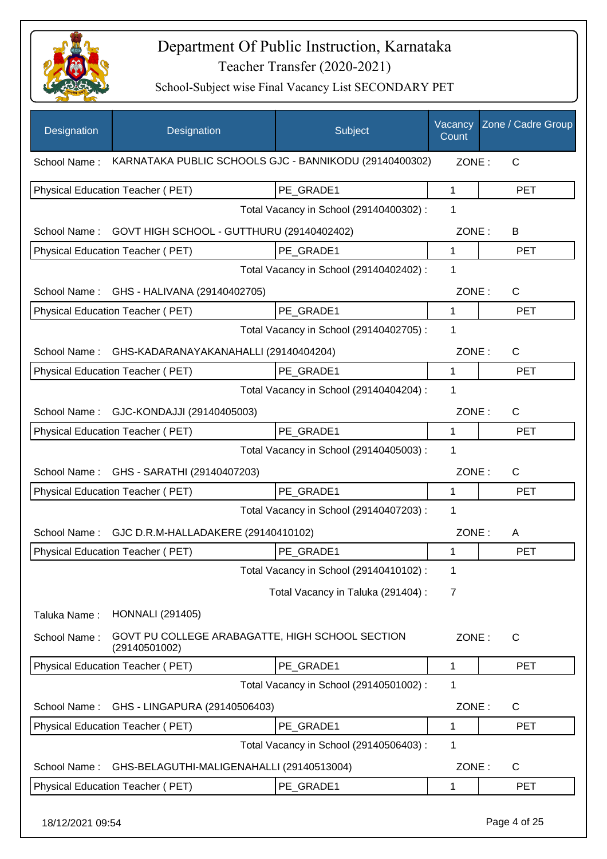

| KARNATAKA PUBLIC SCHOOLS GJC - BANNIKODU (29140400302)<br>ZONE:<br>C<br>School Name:<br>PE GRADE1<br>Physical Education Teacher (PET)<br>1<br><b>PET</b><br>Total Vacancy in School (29140400302) :<br>1<br>School Name: GOVT HIGH SCHOOL - GUTTHURU (29140402402)<br>ZONE:<br>B<br>PE GRADE1<br>1<br>Physical Education Teacher (PET)<br><b>PET</b><br>Total Vacancy in School (29140402402) :<br>1<br>School Name: GHS - HALIVANA (29140402705)<br>ZONE:<br>$\mathsf{C}$<br>$\mathbf{1}$<br>Physical Education Teacher (PET)<br>PE GRADE1<br><b>PET</b><br>Total Vacancy in School (29140402705) :<br>1<br>School Name:<br>GHS-KADARANAYAKANAHALLI (29140404204)<br>ZONE:<br>$\mathsf{C}$<br>PE GRADE1<br>Physical Education Teacher (PET)<br>$\mathbf 1$<br><b>PET</b><br>Total Vacancy in School (29140404204) :<br>1<br>GJC-KONDAJJI (29140405003)<br>ZONE:<br>$\mathsf{C}$<br>School Name:<br>PE_GRADE1<br>Physical Education Teacher (PET)<br>$\mathbf{1}$<br><b>PET</b><br>Total Vacancy in School (29140405003) :<br>1<br>School Name:<br>GHS - SARATHI (29140407203)<br>ZONE:<br>$\mathsf{C}$<br>Physical Education Teacher (PET)<br>PE_GRADE1<br>$\mathbf 1$<br><b>PET</b><br>Total Vacancy in School (29140407203) :<br>1<br>School Name:<br>GJC D.R.M-HALLADAKERE (29140410102)<br>ZONE:<br>A<br>PE GRADE1<br>Physical Education Teacher (PET)<br><b>PET</b><br>1<br>Total Vacancy in School (29140410102) :<br>1<br>Total Vacancy in Taluka (291404) :<br>7<br><b>HONNALI</b> (291405)<br>Taluka Name:<br>GOVT PU COLLEGE ARABAGATTE, HIGH SCHOOL SECTION<br>School Name:<br>ZONE:<br>$\mathsf{C}$<br>(29140501002)<br>Physical Education Teacher (PET)<br>PE_GRADE1<br>1<br><b>PET</b><br>Total Vacancy in School (29140501002) :<br>1<br>GHS - LINGAPURA (29140506403)<br>ZONE:<br>School Name:<br>C<br>Physical Education Teacher (PET)<br>PE_GRADE1<br>1<br><b>PET</b><br>Total Vacancy in School (29140506403) :<br>1<br>GHS-BELAGUTHI-MALIGENAHALLI (29140513004)<br>ZONE:<br>C<br>School Name:<br>PE_GRADE1<br>Physical Education Teacher (PET)<br><b>PET</b><br>1 | Designation | Designation | Subject | Vacancy<br>Count | Zone / Cadre Group |
|-----------------------------------------------------------------------------------------------------------------------------------------------------------------------------------------------------------------------------------------------------------------------------------------------------------------------------------------------------------------------------------------------------------------------------------------------------------------------------------------------------------------------------------------------------------------------------------------------------------------------------------------------------------------------------------------------------------------------------------------------------------------------------------------------------------------------------------------------------------------------------------------------------------------------------------------------------------------------------------------------------------------------------------------------------------------------------------------------------------------------------------------------------------------------------------------------------------------------------------------------------------------------------------------------------------------------------------------------------------------------------------------------------------------------------------------------------------------------------------------------------------------------------------------------------------------------------------------------------------------------------------------------------------------------------------------------------------------------------------------------------------------------------------------------------------------------------------------------------------------------------------------------------------------------------------------------------------------------------------------------------------------------------------------------------------------------------------------|-------------|-------------|---------|------------------|--------------------|
|                                                                                                                                                                                                                                                                                                                                                                                                                                                                                                                                                                                                                                                                                                                                                                                                                                                                                                                                                                                                                                                                                                                                                                                                                                                                                                                                                                                                                                                                                                                                                                                                                                                                                                                                                                                                                                                                                                                                                                                                                                                                                         |             |             |         |                  |                    |
|                                                                                                                                                                                                                                                                                                                                                                                                                                                                                                                                                                                                                                                                                                                                                                                                                                                                                                                                                                                                                                                                                                                                                                                                                                                                                                                                                                                                                                                                                                                                                                                                                                                                                                                                                                                                                                                                                                                                                                                                                                                                                         |             |             |         |                  |                    |
|                                                                                                                                                                                                                                                                                                                                                                                                                                                                                                                                                                                                                                                                                                                                                                                                                                                                                                                                                                                                                                                                                                                                                                                                                                                                                                                                                                                                                                                                                                                                                                                                                                                                                                                                                                                                                                                                                                                                                                                                                                                                                         |             |             |         |                  |                    |
|                                                                                                                                                                                                                                                                                                                                                                                                                                                                                                                                                                                                                                                                                                                                                                                                                                                                                                                                                                                                                                                                                                                                                                                                                                                                                                                                                                                                                                                                                                                                                                                                                                                                                                                                                                                                                                                                                                                                                                                                                                                                                         |             |             |         |                  |                    |
|                                                                                                                                                                                                                                                                                                                                                                                                                                                                                                                                                                                                                                                                                                                                                                                                                                                                                                                                                                                                                                                                                                                                                                                                                                                                                                                                                                                                                                                                                                                                                                                                                                                                                                                                                                                                                                                                                                                                                                                                                                                                                         |             |             |         |                  |                    |
|                                                                                                                                                                                                                                                                                                                                                                                                                                                                                                                                                                                                                                                                                                                                                                                                                                                                                                                                                                                                                                                                                                                                                                                                                                                                                                                                                                                                                                                                                                                                                                                                                                                                                                                                                                                                                                                                                                                                                                                                                                                                                         |             |             |         |                  |                    |
|                                                                                                                                                                                                                                                                                                                                                                                                                                                                                                                                                                                                                                                                                                                                                                                                                                                                                                                                                                                                                                                                                                                                                                                                                                                                                                                                                                                                                                                                                                                                                                                                                                                                                                                                                                                                                                                                                                                                                                                                                                                                                         |             |             |         |                  |                    |
|                                                                                                                                                                                                                                                                                                                                                                                                                                                                                                                                                                                                                                                                                                                                                                                                                                                                                                                                                                                                                                                                                                                                                                                                                                                                                                                                                                                                                                                                                                                                                                                                                                                                                                                                                                                                                                                                                                                                                                                                                                                                                         |             |             |         |                  |                    |
|                                                                                                                                                                                                                                                                                                                                                                                                                                                                                                                                                                                                                                                                                                                                                                                                                                                                                                                                                                                                                                                                                                                                                                                                                                                                                                                                                                                                                                                                                                                                                                                                                                                                                                                                                                                                                                                                                                                                                                                                                                                                                         |             |             |         |                  |                    |
|                                                                                                                                                                                                                                                                                                                                                                                                                                                                                                                                                                                                                                                                                                                                                                                                                                                                                                                                                                                                                                                                                                                                                                                                                                                                                                                                                                                                                                                                                                                                                                                                                                                                                                                                                                                                                                                                                                                                                                                                                                                                                         |             |             |         |                  |                    |
|                                                                                                                                                                                                                                                                                                                                                                                                                                                                                                                                                                                                                                                                                                                                                                                                                                                                                                                                                                                                                                                                                                                                                                                                                                                                                                                                                                                                                                                                                                                                                                                                                                                                                                                                                                                                                                                                                                                                                                                                                                                                                         |             |             |         |                  |                    |
|                                                                                                                                                                                                                                                                                                                                                                                                                                                                                                                                                                                                                                                                                                                                                                                                                                                                                                                                                                                                                                                                                                                                                                                                                                                                                                                                                                                                                                                                                                                                                                                                                                                                                                                                                                                                                                                                                                                                                                                                                                                                                         |             |             |         |                  |                    |
|                                                                                                                                                                                                                                                                                                                                                                                                                                                                                                                                                                                                                                                                                                                                                                                                                                                                                                                                                                                                                                                                                                                                                                                                                                                                                                                                                                                                                                                                                                                                                                                                                                                                                                                                                                                                                                                                                                                                                                                                                                                                                         |             |             |         |                  |                    |
|                                                                                                                                                                                                                                                                                                                                                                                                                                                                                                                                                                                                                                                                                                                                                                                                                                                                                                                                                                                                                                                                                                                                                                                                                                                                                                                                                                                                                                                                                                                                                                                                                                                                                                                                                                                                                                                                                                                                                                                                                                                                                         |             |             |         |                  |                    |
|                                                                                                                                                                                                                                                                                                                                                                                                                                                                                                                                                                                                                                                                                                                                                                                                                                                                                                                                                                                                                                                                                                                                                                                                                                                                                                                                                                                                                                                                                                                                                                                                                                                                                                                                                                                                                                                                                                                                                                                                                                                                                         |             |             |         |                  |                    |
|                                                                                                                                                                                                                                                                                                                                                                                                                                                                                                                                                                                                                                                                                                                                                                                                                                                                                                                                                                                                                                                                                                                                                                                                                                                                                                                                                                                                                                                                                                                                                                                                                                                                                                                                                                                                                                                                                                                                                                                                                                                                                         |             |             |         |                  |                    |
|                                                                                                                                                                                                                                                                                                                                                                                                                                                                                                                                                                                                                                                                                                                                                                                                                                                                                                                                                                                                                                                                                                                                                                                                                                                                                                                                                                                                                                                                                                                                                                                                                                                                                                                                                                                                                                                                                                                                                                                                                                                                                         |             |             |         |                  |                    |
|                                                                                                                                                                                                                                                                                                                                                                                                                                                                                                                                                                                                                                                                                                                                                                                                                                                                                                                                                                                                                                                                                                                                                                                                                                                                                                                                                                                                                                                                                                                                                                                                                                                                                                                                                                                                                                                                                                                                                                                                                                                                                         |             |             |         |                  |                    |
|                                                                                                                                                                                                                                                                                                                                                                                                                                                                                                                                                                                                                                                                                                                                                                                                                                                                                                                                                                                                                                                                                                                                                                                                                                                                                                                                                                                                                                                                                                                                                                                                                                                                                                                                                                                                                                                                                                                                                                                                                                                                                         |             |             |         |                  |                    |
|                                                                                                                                                                                                                                                                                                                                                                                                                                                                                                                                                                                                                                                                                                                                                                                                                                                                                                                                                                                                                                                                                                                                                                                                                                                                                                                                                                                                                                                                                                                                                                                                                                                                                                                                                                                                                                                                                                                                                                                                                                                                                         |             |             |         |                  |                    |
|                                                                                                                                                                                                                                                                                                                                                                                                                                                                                                                                                                                                                                                                                                                                                                                                                                                                                                                                                                                                                                                                                                                                                                                                                                                                                                                                                                                                                                                                                                                                                                                                                                                                                                                                                                                                                                                                                                                                                                                                                                                                                         |             |             |         |                  |                    |
|                                                                                                                                                                                                                                                                                                                                                                                                                                                                                                                                                                                                                                                                                                                                                                                                                                                                                                                                                                                                                                                                                                                                                                                                                                                                                                                                                                                                                                                                                                                                                                                                                                                                                                                                                                                                                                                                                                                                                                                                                                                                                         |             |             |         |                  |                    |
|                                                                                                                                                                                                                                                                                                                                                                                                                                                                                                                                                                                                                                                                                                                                                                                                                                                                                                                                                                                                                                                                                                                                                                                                                                                                                                                                                                                                                                                                                                                                                                                                                                                                                                                                                                                                                                                                                                                                                                                                                                                                                         |             |             |         |                  |                    |
|                                                                                                                                                                                                                                                                                                                                                                                                                                                                                                                                                                                                                                                                                                                                                                                                                                                                                                                                                                                                                                                                                                                                                                                                                                                                                                                                                                                                                                                                                                                                                                                                                                                                                                                                                                                                                                                                                                                                                                                                                                                                                         |             |             |         |                  |                    |
|                                                                                                                                                                                                                                                                                                                                                                                                                                                                                                                                                                                                                                                                                                                                                                                                                                                                                                                                                                                                                                                                                                                                                                                                                                                                                                                                                                                                                                                                                                                                                                                                                                                                                                                                                                                                                                                                                                                                                                                                                                                                                         |             |             |         |                  |                    |
|                                                                                                                                                                                                                                                                                                                                                                                                                                                                                                                                                                                                                                                                                                                                                                                                                                                                                                                                                                                                                                                                                                                                                                                                                                                                                                                                                                                                                                                                                                                                                                                                                                                                                                                                                                                                                                                                                                                                                                                                                                                                                         |             |             |         |                  |                    |
|                                                                                                                                                                                                                                                                                                                                                                                                                                                                                                                                                                                                                                                                                                                                                                                                                                                                                                                                                                                                                                                                                                                                                                                                                                                                                                                                                                                                                                                                                                                                                                                                                                                                                                                                                                                                                                                                                                                                                                                                                                                                                         |             |             |         |                  |                    |
|                                                                                                                                                                                                                                                                                                                                                                                                                                                                                                                                                                                                                                                                                                                                                                                                                                                                                                                                                                                                                                                                                                                                                                                                                                                                                                                                                                                                                                                                                                                                                                                                                                                                                                                                                                                                                                                                                                                                                                                                                                                                                         |             |             |         |                  |                    |
|                                                                                                                                                                                                                                                                                                                                                                                                                                                                                                                                                                                                                                                                                                                                                                                                                                                                                                                                                                                                                                                                                                                                                                                                                                                                                                                                                                                                                                                                                                                                                                                                                                                                                                                                                                                                                                                                                                                                                                                                                                                                                         |             |             |         |                  |                    |
|                                                                                                                                                                                                                                                                                                                                                                                                                                                                                                                                                                                                                                                                                                                                                                                                                                                                                                                                                                                                                                                                                                                                                                                                                                                                                                                                                                                                                                                                                                                                                                                                                                                                                                                                                                                                                                                                                                                                                                                                                                                                                         |             |             |         |                  |                    |
|                                                                                                                                                                                                                                                                                                                                                                                                                                                                                                                                                                                                                                                                                                                                                                                                                                                                                                                                                                                                                                                                                                                                                                                                                                                                                                                                                                                                                                                                                                                                                                                                                                                                                                                                                                                                                                                                                                                                                                                                                                                                                         |             |             |         |                  |                    |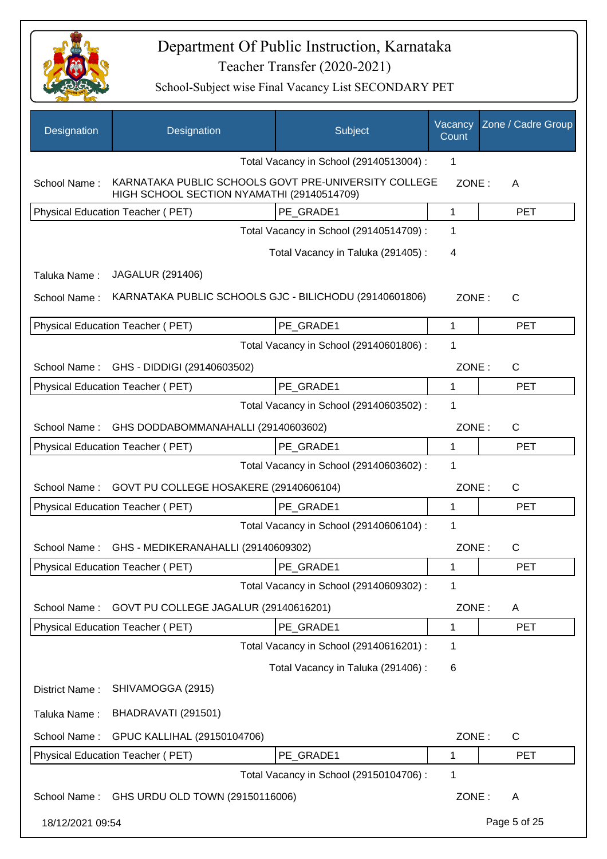

| Designation      | Designation                                                                                        | Subject                                 | Vacancy<br>Count | Zone / Cadre Group |
|------------------|----------------------------------------------------------------------------------------------------|-----------------------------------------|------------------|--------------------|
|                  |                                                                                                    | Total Vacancy in School (29140513004) : | 1                |                    |
| School Name:     | KARNATAKA PUBLIC SCHOOLS GOVT PRE-UNIVERSITY COLLEGE<br>HIGH SCHOOL SECTION NYAMATHI (29140514709) |                                         | ZONE:            | A                  |
|                  | <b>Physical Education Teacher (PET)</b>                                                            | PE GRADE1                               | 1                | <b>PET</b>         |
|                  |                                                                                                    | Total Vacancy in School (29140514709) : | 1                |                    |
|                  |                                                                                                    | Total Vacancy in Taluka (291405):       | 4                |                    |
| Taluka Name:     | JAGALUR (291406)                                                                                   |                                         |                  |                    |
| School Name:     | KARNATAKA PUBLIC SCHOOLS GJC - BILICHODU (29140601806)                                             |                                         | ZONE:            | $\mathsf{C}$       |
|                  | Physical Education Teacher (PET)                                                                   | PE_GRADE1                               | 1                | <b>PET</b>         |
|                  |                                                                                                    | Total Vacancy in School (29140601806) : | 1                |                    |
| School Name:     | GHS - DIDDIGI (29140603502)                                                                        |                                         | ZONE:            | $\mathsf{C}$       |
|                  | Physical Education Teacher (PET)                                                                   | PE GRADE1                               | 1                | <b>PET</b>         |
|                  |                                                                                                    | Total Vacancy in School (29140603502) : | 1                |                    |
| School Name:     | GHS DODDABOMMANAHALLI (29140603602)                                                                |                                         | ZONE:            | $\mathsf{C}$       |
|                  | Physical Education Teacher (PET)                                                                   | PE GRADE1                               | 1                | <b>PET</b>         |
|                  |                                                                                                    | Total Vacancy in School (29140603602) : | 1                |                    |
| School Name:     | GOVT PU COLLEGE HOSAKERE (29140606104)                                                             |                                         | ZONE:            | C                  |
|                  | Physical Education Teacher (PET)                                                                   | PE GRADE1                               | 1                | <b>PET</b>         |
|                  |                                                                                                    | Total Vacancy in School (29140606104) : | 1                |                    |
| School Name:     | GHS - MEDIKERANAHALLI (29140609302)                                                                |                                         | ZONE:            | C                  |
|                  | Physical Education Teacher (PET)                                                                   | PE_GRADE1                               | 1                | <b>PET</b>         |
|                  |                                                                                                    | Total Vacancy in School (29140609302) : | 1                |                    |
| School Name:     | GOVT PU COLLEGE JAGALUR (29140616201)                                                              |                                         | ZONE:            | A                  |
|                  | Physical Education Teacher (PET)                                                                   | PE_GRADE1                               | 1                | <b>PET</b>         |
|                  |                                                                                                    | Total Vacancy in School (29140616201) : | 1                |                    |
|                  |                                                                                                    | Total Vacancy in Taluka (291406) :      | 6                |                    |
| District Name:   | SHIVAMOGGA (2915)                                                                                  |                                         |                  |                    |
| Taluka Name:     | BHADRAVATI (291501)                                                                                |                                         |                  |                    |
| School Name:     | GPUC KALLIHAL (29150104706)                                                                        |                                         | ZONE:            | C                  |
|                  | Physical Education Teacher (PET)                                                                   | PE_GRADE1                               | 1                | <b>PET</b>         |
|                  |                                                                                                    | Total Vacancy in School (29150104706) : | 1                |                    |
| School Name:     | GHS URDU OLD TOWN (29150116006)                                                                    |                                         | ZONE:            | A                  |
| 18/12/2021 09:54 |                                                                                                    |                                         |                  | Page 5 of 25       |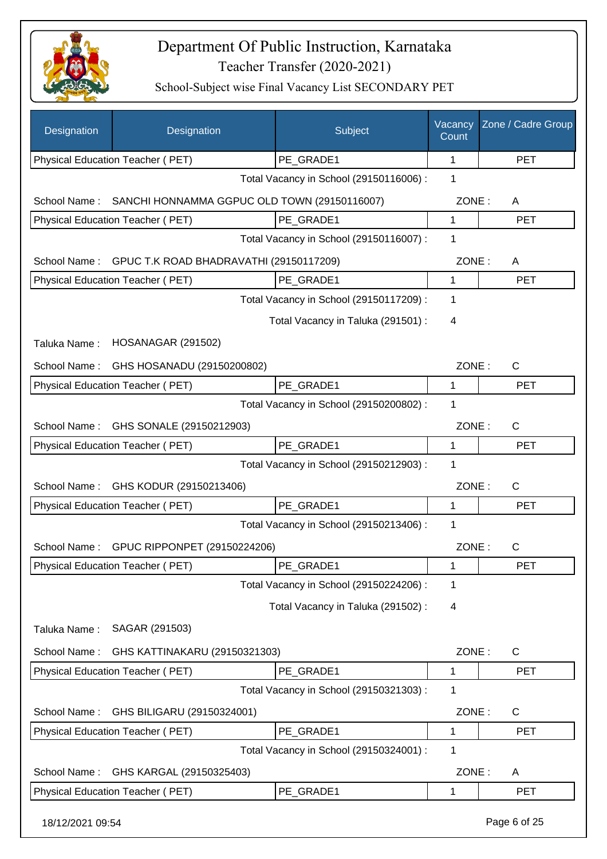

| Designation      | Designation                                  | Subject                                 | Vacancy<br>Count | Zone / Cadre Group |
|------------------|----------------------------------------------|-----------------------------------------|------------------|--------------------|
|                  | Physical Education Teacher (PET)             | PE_GRADE1                               | 1                | <b>PET</b>         |
|                  |                                              | Total Vacancy in School (29150116006) : | 1                |                    |
| School Name:     | SANCHI HONNAMMA GGPUC OLD TOWN (29150116007) |                                         | ZONE:            | A                  |
|                  | Physical Education Teacher (PET)             | PE_GRADE1                               | 1                | <b>PET</b>         |
|                  |                                              | Total Vacancy in School (29150116007) : | 1                |                    |
| School Name:     | GPUC T.K ROAD BHADRAVATHI (29150117209)      |                                         |                  | ZONE:<br>A         |
|                  | Physical Education Teacher (PET)             | PE_GRADE1                               | 1                | <b>PET</b>         |
|                  |                                              | Total Vacancy in School (29150117209) : | 1                |                    |
|                  |                                              | Total Vacancy in Taluka (291501) :      | 4                |                    |
| Taluka Name:     | <b>HOSANAGAR (291502)</b>                    |                                         |                  |                    |
| School Name:     | GHS HOSANADU (29150200802)                   |                                         | ZONE:            | $\mathsf{C}$       |
|                  | Physical Education Teacher (PET)             | PE_GRADE1                               | $\mathbf{1}$     | <b>PET</b>         |
|                  |                                              | Total Vacancy in School (29150200802) : | 1                |                    |
| School Name:     | GHS SONALE (29150212903)                     |                                         | ZONE:            | C                  |
|                  | Physical Education Teacher (PET)             | PE_GRADE1                               | $\mathbf{1}$     | <b>PET</b>         |
|                  |                                              | Total Vacancy in School (29150212903) : | 1                |                    |
| School Name:     | GHS KODUR (29150213406)                      |                                         | ZONE:            | $\mathsf{C}$       |
|                  | Physical Education Teacher (PET)             | PE_GRADE1                               | 1                | <b>PET</b>         |
|                  |                                              | Total Vacancy in School (29150213406) : | 1                |                    |
|                  | School Name: GPUC RIPPONPET (29150224206)    |                                         | ZONE:            | $\mathsf{C}$       |
|                  | <b>Physical Education Teacher (PET)</b>      | PE_GRADE1                               | 1                | PET                |
|                  |                                              | Total Vacancy in School (29150224206) : | 1                |                    |
|                  |                                              | Total Vacancy in Taluka (291502) :      | 4                |                    |
| Taluka Name:     | SAGAR (291503)                               |                                         |                  |                    |
| School Name:     | GHS KATTINAKARU (29150321303)                |                                         | ZONE:            | $\mathsf{C}$       |
|                  | Physical Education Teacher (PET)             | PE_GRADE1                               | 1                | <b>PET</b>         |
|                  |                                              | Total Vacancy in School (29150321303) : | 1                |                    |
| School Name:     | GHS BILIGARU (29150324001)                   |                                         | ZONE:            | $\mathsf{C}$       |
|                  | Physical Education Teacher (PET)             | PE_GRADE1                               | 1                | <b>PET</b>         |
|                  |                                              | Total Vacancy in School (29150324001) : | 1                |                    |
| School Name:     | GHS KARGAL (29150325403)                     |                                         | ZONE:            | A                  |
|                  | Physical Education Teacher (PET)             | PE_GRADE1                               | 1                | <b>PET</b>         |
|                  |                                              |                                         |                  |                    |
| 18/12/2021 09:54 |                                              |                                         |                  | Page 6 of 25       |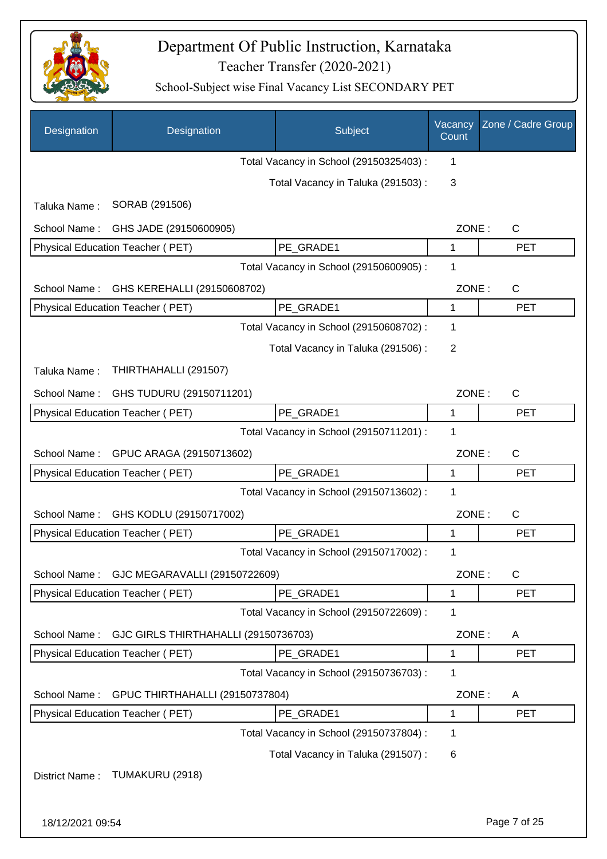

| Designation      | Designation                          | Subject                                 | Vacancy<br>Count | Zone / Cadre Group |
|------------------|--------------------------------------|-----------------------------------------|------------------|--------------------|
|                  |                                      | Total Vacancy in School (29150325403) : | 1                |                    |
|                  |                                      | Total Vacancy in Taluka (291503):       | 3                |                    |
| Taluka Name:     | SORAB (291506)                       |                                         |                  |                    |
| School Name:     | GHS JADE (29150600905)               |                                         | ZONE:            | $\mathsf{C}$       |
|                  | Physical Education Teacher (PET)     | PE_GRADE1                               | 1                | <b>PET</b>         |
|                  |                                      | Total Vacancy in School (29150600905) : | 1                |                    |
| School Name:     | GHS KEREHALLI (29150608702)          |                                         | ZONE:            | $\mathsf{C}$       |
|                  | Physical Education Teacher (PET)     | PE_GRADE1                               | 1                | <b>PET</b>         |
|                  |                                      | Total Vacancy in School (29150608702) : | 1                |                    |
|                  |                                      | Total Vacancy in Taluka (291506) :      | 2                |                    |
| Taluka Name:     | THIRTHAHALLI (291507)                |                                         |                  |                    |
| School Name:     | GHS TUDURU (29150711201)             |                                         | ZONE:            | $\mathsf{C}$       |
|                  | Physical Education Teacher (PET)     | PE_GRADE1                               | 1                | <b>PET</b>         |
|                  |                                      | Total Vacancy in School (29150711201) : | 1                |                    |
| School Name:     | GPUC ARAGA (29150713602)             |                                         | ZONE:            | $\mathsf{C}$       |
|                  | Physical Education Teacher (PET)     | PE GRADE1                               | 1                | <b>PET</b>         |
|                  |                                      | Total Vacancy in School (29150713602) : | 1                |                    |
| School Name:     | GHS KODLU (29150717002)              |                                         | ZONE:            | $\mathsf{C}$       |
|                  | Physical Education Teacher (PET)     | PE GRADE1                               | 1                | <b>PET</b>         |
|                  |                                      | Total Vacancy in School (29150717002) : | 1                |                    |
| School Name:     | GJC MEGARAVALLI (29150722609)        |                                         | ZONE:            | $\mathsf{C}$       |
|                  | Physical Education Teacher (PET)     | PE_GRADE1                               | 1                | <b>PET</b>         |
|                  |                                      | Total Vacancy in School (29150722609) : | 1                |                    |
| School Name:     | GJC GIRLS THIRTHAHALLI (29150736703) |                                         | ZONE:            | A                  |
|                  | Physical Education Teacher (PET)     | PE GRADE1                               | 1                | <b>PET</b>         |
|                  |                                      | Total Vacancy in School (29150736703) : | 1                |                    |
| School Name:     | GPUC THIRTHAHALLI (29150737804)      |                                         | ZONE:            | A                  |
|                  | Physical Education Teacher (PET)     | PE_GRADE1                               | 1                | <b>PET</b>         |
|                  |                                      | Total Vacancy in School (29150737804) : | 1                |                    |
|                  |                                      | Total Vacancy in Taluka (291507) :      | 6                |                    |
| District Name:   | TUMAKURU (2918)                      |                                         |                  |                    |
|                  |                                      |                                         |                  |                    |
| 18/12/2021 09:54 |                                      |                                         |                  | Page 7 of 25       |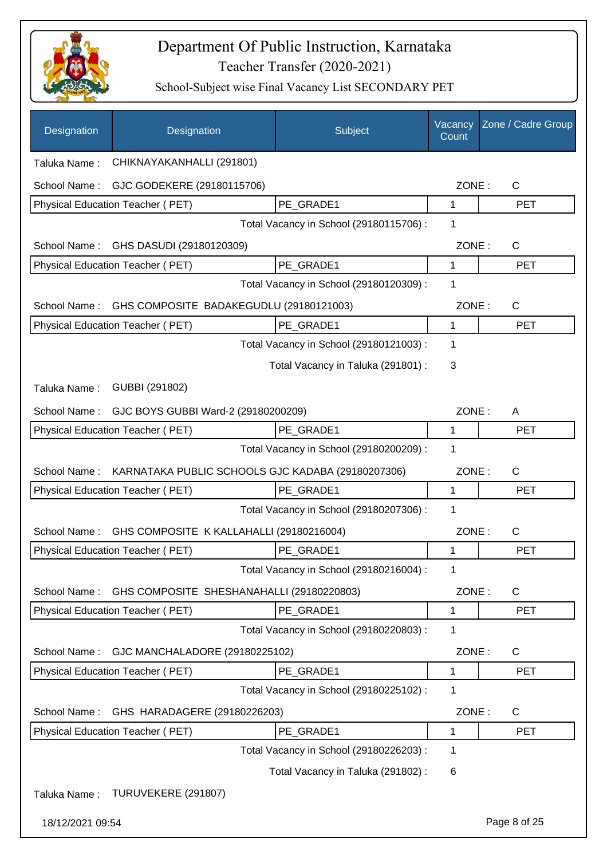

| Designation                                         | Designation                                       | Subject                                 | Vacancy<br>Count | Zone / Cadre Group |
|-----------------------------------------------------|---------------------------------------------------|-----------------------------------------|------------------|--------------------|
| Taluka Name:                                        | CHIKNAYAKANHALLI (291801)                         |                                         |                  |                    |
| School Name:                                        | GJC GODEKERE (29180115706)                        |                                         | ZONE:            | $\mathsf{C}$       |
|                                                     | Physical Education Teacher (PET)                  | PE GRADE1                               | 1                | <b>PET</b>         |
|                                                     | Total Vacancy in School (29180115706) :           |                                         |                  |                    |
| School Name:                                        | GHS DASUDI (29180120309)                          |                                         | ZONE:            | $\mathsf{C}$       |
|                                                     | Physical Education Teacher (PET)                  | PE_GRADE1                               | 1                | <b>PET</b>         |
| Total Vacancy in School (29180120309) :             |                                                   |                                         | 1                |                    |
| School Name:                                        | GHS COMPOSITE BADAKEGUDLU (29180121003)           |                                         | ZONE:            | C                  |
|                                                     | Physical Education Teacher (PET)                  | PE_GRADE1                               | 1                | <b>PET</b>         |
|                                                     |                                                   | Total Vacancy in School (29180121003) : | 1                |                    |
|                                                     |                                                   | Total Vacancy in Taluka (291801) :      | 3                |                    |
| Taluka Name:                                        | GUBBI (291802)                                    |                                         |                  |                    |
| School Name:<br>GJC BOYS GUBBI Ward-2 (29180200209) |                                                   |                                         | ZONE:            | A                  |
|                                                     | Physical Education Teacher (PET)                  | PE_GRADE1                               | 1                | <b>PET</b>         |
|                                                     |                                                   | Total Vacancy in School (29180200209) : | 1                |                    |
| School Name:                                        | KARNATAKA PUBLIC SCHOOLS GJC KADABA (29180207306) |                                         | ZONE:            | $\mathsf{C}$       |
|                                                     | Physical Education Teacher (PET)                  | PE GRADE1                               | 1                | <b>PET</b>         |
|                                                     |                                                   | Total Vacancy in School (29180207306) : | 1                |                    |
| School Name:                                        | GHS COMPOSITE K KALLAHALLI (29180216004)          |                                         | ZONE:            | $\mathsf{C}$       |
|                                                     | Physical Education Teacher (PET)                  | PE GRADE1                               | 1                | <b>PET</b>         |
|                                                     |                                                   | Total Vacancy in School (29180216004) : | 1                |                    |
| School Name:                                        | GHS COMPOSITE SHESHANAHALLI (29180220803)         |                                         | ZONE:            | C                  |
|                                                     | Physical Education Teacher (PET)                  | PE_GRADE1                               | $\mathbf 1$      | <b>PET</b>         |
|                                                     |                                                   | Total Vacancy in School (29180220803) : | 1                |                    |
| School Name:                                        | GJC MANCHALADORE (29180225102)                    |                                         | ZONE:            | C                  |
|                                                     | Physical Education Teacher (PET)                  | PE_GRADE1                               | 1                | PET                |
|                                                     |                                                   | Total Vacancy in School (29180225102) : | 1                |                    |
| School Name:                                        | GHS HARADAGERE (29180226203)                      |                                         | ZONE:            | C                  |
|                                                     | Physical Education Teacher (PET)                  | PE_GRADE1                               | 1                | <b>PET</b>         |
|                                                     |                                                   | Total Vacancy in School (29180226203) : | 1                |                    |
|                                                     |                                                   |                                         |                  |                    |
|                                                     |                                                   | Total Vacancy in Taluka (291802):       | 6                |                    |
| Taluka Name:                                        | TURUVEKERE (291807)                               |                                         |                  |                    |
| 18/12/2021 09:54                                    |                                                   |                                         |                  | Page 8 of 25       |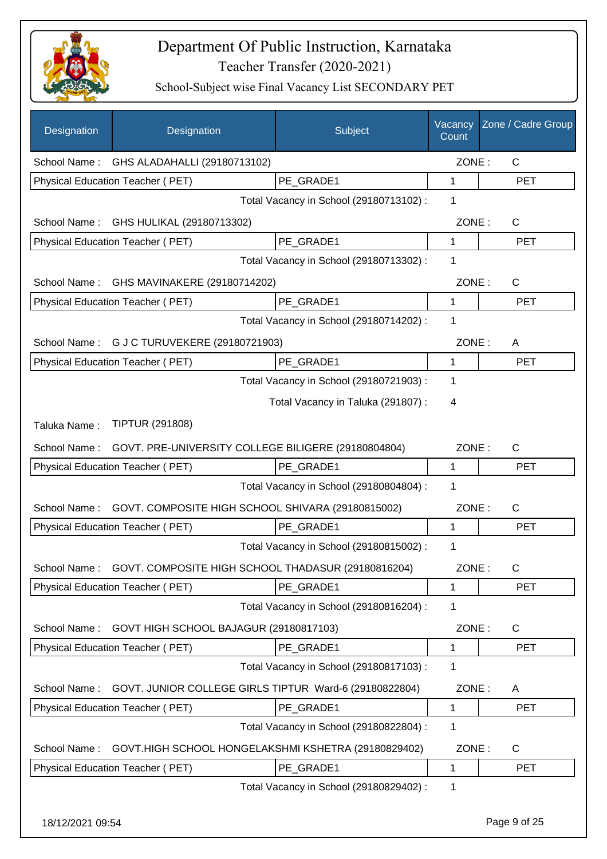

| Designation  | Designation                                            | Subject                                 | Vacancy<br>Count | Zone / Cadre Group |
|--------------|--------------------------------------------------------|-----------------------------------------|------------------|--------------------|
|              | School Name: GHS ALADAHALLI (29180713102)              |                                         | ZONE:            | $\mathsf{C}$       |
|              | Physical Education Teacher (PET)                       | PE_GRADE1                               | 1                | <b>PET</b>         |
|              |                                                        | Total Vacancy in School (29180713102) : | 1                |                    |
| School Name: | GHS HULIKAL (29180713302)                              |                                         | ZONE:            | $\mathsf{C}$       |
|              | Physical Education Teacher (PET)                       | PE GRADE1                               | 1                | <b>PET</b>         |
|              |                                                        | Total Vacancy in School (29180713302) : | 1                |                    |
| School Name: | GHS MAVINAKERE (29180714202)                           |                                         | ZONE:            | $\mathsf{C}$       |
|              | Physical Education Teacher (PET)                       | PE GRADE1                               | 1                | <b>PET</b>         |
|              |                                                        | Total Vacancy in School (29180714202) : | 1                |                    |
|              | School Name: G J C TURUVEKERE (29180721903)            |                                         | ZONE:            | A                  |
|              | Physical Education Teacher (PET)                       | PE_GRADE1                               | $\mathbf{1}$     | <b>PET</b>         |
|              |                                                        | Total Vacancy in School (29180721903) : | 1                |                    |
|              |                                                        | Total Vacancy in Taluka (291807):       | 4                |                    |
| Taluka Name: | <b>TIPTUR (291808)</b>                                 |                                         |                  |                    |
| School Name: | GOVT. PRE-UNIVERSITY COLLEGE BILIGERE (29180804804)    |                                         | ZONE:            | $\mathsf{C}$       |
|              | Physical Education Teacher (PET)                       | PE GRADE1                               | 1                | <b>PET</b>         |
|              |                                                        | Total Vacancy in School (29180804804) : | 1                |                    |
| School Name: | GOVT. COMPOSITE HIGH SCHOOL SHIVARA (29180815002)      |                                         | ZONE:            | $\mathsf{C}$       |
|              | Physical Education Teacher (PET)                       | PE_GRADE1                               | 1                | <b>PET</b>         |
|              |                                                        | Total Vacancy in School (29180815002) : | 1                |                    |
| School Name: | GOVT. COMPOSITE HIGH SCHOOL THADASUR (29180816204)     |                                         | ZONE:            | C                  |
|              | Physical Education Teacher (PET)                       | PE_GRADE1                               | 1                | PET                |
|              |                                                        | Total Vacancy in School (29180816204) : | 1                |                    |
| School Name: | GOVT HIGH SCHOOL BAJAGUR (29180817103)                 |                                         | ZONE:            | C                  |
|              | Physical Education Teacher (PET)                       | PE_GRADE1                               | 1                | <b>PET</b>         |
|              |                                                        | Total Vacancy in School (29180817103) : | 1                |                    |
| School Name: | GOVT. JUNIOR COLLEGE GIRLS TIPTUR Ward-6 (29180822804) |                                         | ZONE:            | A                  |
|              | Physical Education Teacher (PET)                       | PE_GRADE1                               | 1                | <b>PET</b>         |
|              |                                                        | Total Vacancy in School (29180822804) : | 1                |                    |
| School Name: | GOVT.HIGH SCHOOL HONGELAKSHMI KSHETRA (29180829402)    |                                         | ZONE:            | C                  |
|              | Physical Education Teacher (PET)                       | PE_GRADE1                               | 1                | <b>PET</b>         |
|              |                                                        | Total Vacancy in School (29180829402) : | 1                |                    |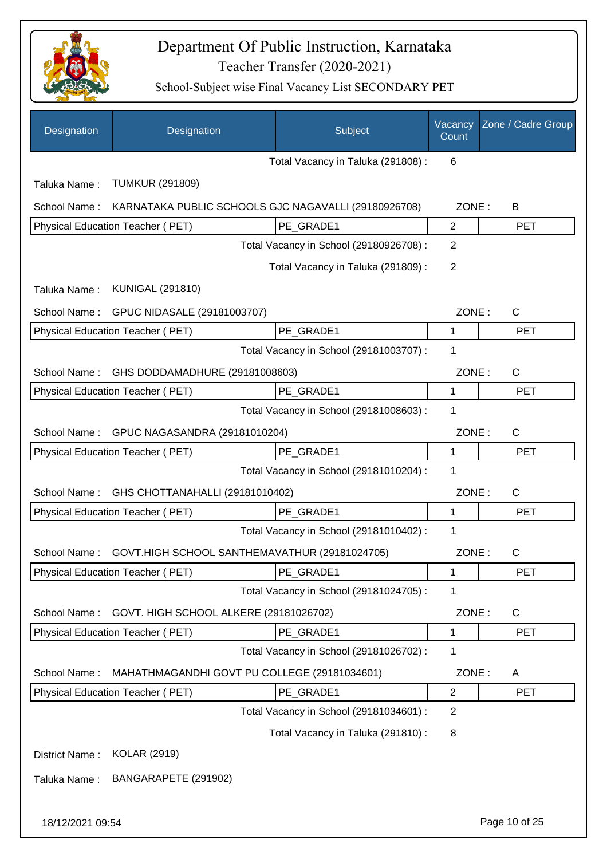

| Designation      | Designation                                          | Subject                                 | Vacancy<br>Count | Zone / Cadre Group |
|------------------|------------------------------------------------------|-----------------------------------------|------------------|--------------------|
|                  |                                                      | Total Vacancy in Taluka (291808) :      | 6                |                    |
| Taluka Name:     | <b>TUMKUR (291809)</b>                               |                                         |                  |                    |
| School Name:     | KARNATAKA PUBLIC SCHOOLS GJC NAGAVALLI (29180926708) |                                         | ZONE:            | В                  |
|                  | Physical Education Teacher (PET)                     | PE_GRADE1                               | $\overline{2}$   | <b>PET</b>         |
|                  |                                                      | Total Vacancy in School (29180926708) : | $\overline{2}$   |                    |
|                  |                                                      | Total Vacancy in Taluka (291809):       | $\overline{2}$   |                    |
| Taluka Name:     | <b>KUNIGAL (291810)</b>                              |                                         |                  |                    |
| School Name:     | GPUC NIDASALE (29181003707)                          |                                         | ZONE:            | $\mathsf{C}$       |
|                  | Physical Education Teacher (PET)                     | PE_GRADE1                               | 1                | <b>PET</b>         |
|                  |                                                      | Total Vacancy in School (29181003707) : | 1                |                    |
| School Name:     | GHS DODDAMADHURE (29181008603)                       |                                         | ZONE:            | $\mathsf{C}$       |
|                  | Physical Education Teacher (PET)                     | PE_GRADE1                               | $\mathbf{1}$     | <b>PET</b>         |
|                  |                                                      | Total Vacancy in School (29181008603) : | 1                |                    |
| School Name:     | GPUC NAGASANDRA (29181010204)                        |                                         | ZONE:            | $\mathsf{C}$       |
|                  | Physical Education Teacher (PET)                     | PE_GRADE1                               | 1                | <b>PET</b>         |
|                  |                                                      | Total Vacancy in School (29181010204) : | 1                |                    |
| School Name:     | GHS CHOTTANAHALLI (29181010402)                      |                                         | ZONE:            | $\mathsf{C}$       |
|                  | <b>Physical Education Teacher (PET)</b>              | PE_GRADE1                               | $\mathbf{1}$     | <b>PET</b>         |
|                  |                                                      | Total Vacancy in School (29181010402) : | 1                |                    |
| School Name:     | GOVT.HIGH SCHOOL SANTHEMAVATHUR (29181024705)        |                                         | ZONE:            | С                  |
|                  | <b>Physical Education Teacher (PET)</b>              | PE_GRADE1                               | 1                | PET                |
|                  |                                                      | Total Vacancy in School (29181024705) : | 1                |                    |
| School Name:     | GOVT. HIGH SCHOOL ALKERE (29181026702)               |                                         | ZONE:            | C                  |
|                  | Physical Education Teacher (PET)                     | PE_GRADE1                               | $\mathbf{1}$     | <b>PET</b>         |
|                  |                                                      | Total Vacancy in School (29181026702) : | 1                |                    |
| School Name:     | MAHATHMAGANDHI GOVT PU COLLEGE (29181034601)         |                                         | ZONE:            | A                  |
|                  | Physical Education Teacher (PET)                     | PE_GRADE1                               | $\overline{2}$   | <b>PET</b>         |
|                  |                                                      | Total Vacancy in School (29181034601) : | $\overline{2}$   |                    |
|                  |                                                      | Total Vacancy in Taluka (291810) :      | 8                |                    |
| District Name:   | <b>KOLAR (2919)</b>                                  |                                         |                  |                    |
| Taluka Name:     | BANGARAPETE (291902)                                 |                                         |                  |                    |
| 18/12/2021 09:54 |                                                      |                                         |                  | Page 10 of 25      |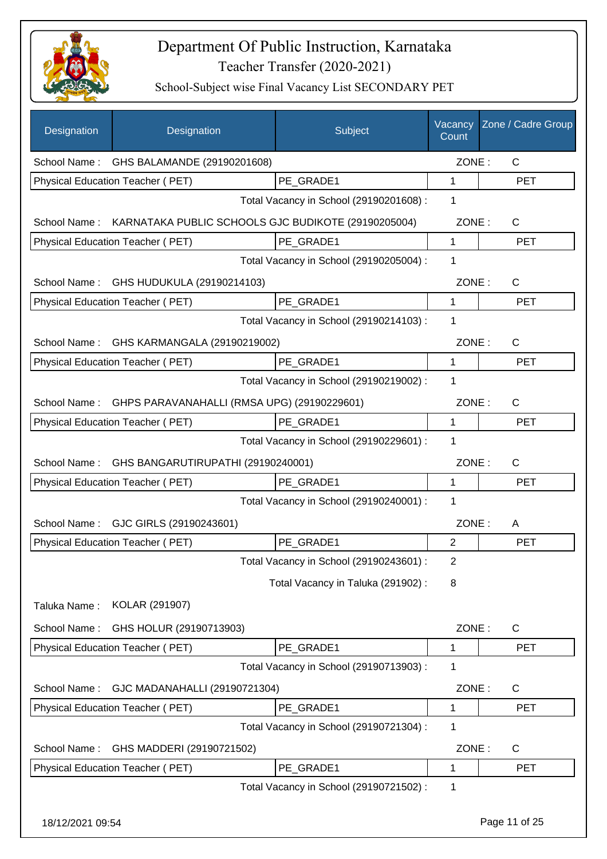

| Designation      | Designation                                         | Subject                                 | Vacancy<br>Count | Zone / Cadre Group |
|------------------|-----------------------------------------------------|-----------------------------------------|------------------|--------------------|
| School Name:     | GHS BALAMANDE (29190201608)                         |                                         | ZONE:            | $\mathsf{C}$       |
|                  | Physical Education Teacher (PET)                    | PE_GRADE1                               | 1                | <b>PET</b>         |
|                  |                                                     | Total Vacancy in School (29190201608) : | 1                |                    |
| School Name:     | KARNATAKA PUBLIC SCHOOLS GJC BUDIKOTE (29190205004) |                                         | ZONE:            | C                  |
|                  | Physical Education Teacher (PET)                    | PE_GRADE1                               | 1                | <b>PET</b>         |
|                  |                                                     | Total Vacancy in School (29190205004) : | 1                |                    |
| School Name:     | GHS HUDUKULA (29190214103)                          |                                         | ZONE:            | $\mathsf{C}$       |
|                  | Physical Education Teacher (PET)                    | PE GRADE1                               | 1                | <b>PET</b>         |
|                  |                                                     | Total Vacancy in School (29190214103) : | 1                |                    |
| School Name:     | GHS KARMANGALA (29190219002)                        |                                         | ZONE:            | $\mathsf{C}$       |
|                  | Physical Education Teacher (PET)                    | PE GRADE1                               | 1                | <b>PET</b>         |
|                  |                                                     | Total Vacancy in School (29190219002) : | 1                |                    |
| School Name:     | GHPS PARAVANAHALLI (RMSA UPG) (29190229601)         |                                         | ZONE:            | $\mathsf{C}$       |
|                  | Physical Education Teacher (PET)                    | PE_GRADE1                               | 1                | <b>PET</b>         |
|                  |                                                     | Total Vacancy in School (29190229601) : | 1                |                    |
| School Name:     | GHS BANGARUTIRUPATHI (29190240001)                  |                                         | ZONE:            | $\mathsf{C}$       |
|                  | Physical Education Teacher (PET)                    | PE_GRADE1                               | 1                | <b>PET</b>         |
|                  |                                                     | Total Vacancy in School (29190240001) : | 1                |                    |
| School Name:     | GJC GIRLS (29190243601)                             |                                         | ZONE:            | A                  |
|                  | <b>Physical Education Teacher (PET)</b>             | PE_GRADE1                               | 2                | <b>PET</b>         |
|                  |                                                     | Total Vacancy in School (29190243601) : | 2                |                    |
|                  |                                                     | Total Vacancy in Taluka (291902):       | 8                |                    |
| Taluka Name:     | KOLAR (291907)                                      |                                         |                  |                    |
| School Name:     | GHS HOLUR (29190713903)                             |                                         | ZONE:            | C                  |
|                  | Physical Education Teacher (PET)                    | PE GRADE1                               | 1                | <b>PET</b>         |
|                  |                                                     | Total Vacancy in School (29190713903) : | 1                |                    |
| School Name:     | GJC MADANAHALLI (29190721304)                       |                                         | ZONE:            | C                  |
|                  | Physical Education Teacher (PET)                    | PE_GRADE1                               | 1                | <b>PET</b>         |
|                  |                                                     | Total Vacancy in School (29190721304) : | 1                |                    |
| School Name:     | GHS MADDERI (29190721502)                           |                                         | ZONE:            | C                  |
|                  | Physical Education Teacher (PET)                    | PE_GRADE1                               | 1                | <b>PET</b>         |
|                  |                                                     | Total Vacancy in School (29190721502) : | 1                |                    |
| 18/12/2021 09:54 |                                                     |                                         |                  | Page 11 of 25      |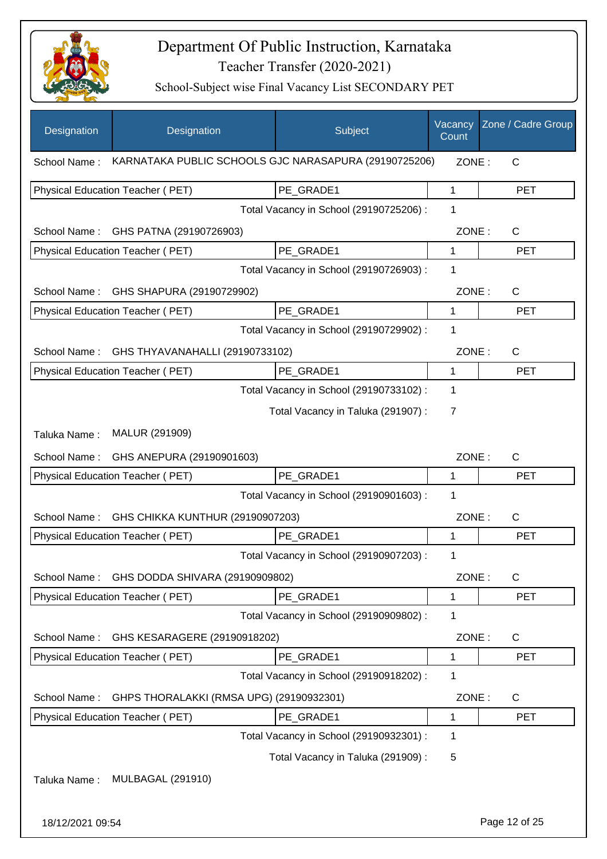

| Designation      | Designation                                           | Subject                                 | Vacancy<br>Count | Zone / Cadre Group |
|------------------|-------------------------------------------------------|-----------------------------------------|------------------|--------------------|
| School Name:     | KARNATAKA PUBLIC SCHOOLS GJC NARASAPURA (29190725206) |                                         | ZONE:            | C                  |
|                  | Physical Education Teacher (PET)                      | PE_GRADE1                               | $\mathbf{1}$     | <b>PET</b>         |
|                  |                                                       | Total Vacancy in School (29190725206) : | 1                |                    |
| School Name:     | GHS PATNA (29190726903)                               |                                         | ZONE:            | C                  |
|                  | Physical Education Teacher (PET)                      | PE_GRADE1                               | 1                | <b>PET</b>         |
|                  |                                                       | Total Vacancy in School (29190726903) : | 1                |                    |
| School Name:     | GHS SHAPURA (29190729902)                             |                                         | ZONE:            | $\mathsf{C}$       |
|                  | <b>Physical Education Teacher (PET)</b>               | PE_GRADE1                               | 1                | <b>PET</b>         |
|                  |                                                       | Total Vacancy in School (29190729902) : | 1                |                    |
| School Name:     | GHS THYAVANAHALLI (29190733102)                       |                                         | ZONE:            | C                  |
|                  | Physical Education Teacher (PET)                      | PE_GRADE1                               | 1                | <b>PET</b>         |
|                  |                                                       | Total Vacancy in School (29190733102) : | 1                |                    |
|                  |                                                       | Total Vacancy in Taluka (291907) :      | $\overline{7}$   |                    |
| Taluka Name:     | MALUR (291909)                                        |                                         |                  |                    |
| School Name:     | GHS ANEPURA (29190901603)                             |                                         | ZONE:            | $\mathsf{C}$       |
|                  | Physical Education Teacher (PET)                      | PE_GRADE1                               | 1                | <b>PET</b>         |
|                  |                                                       | Total Vacancy in School (29190901603) : | 1                |                    |
| School Name:     | GHS CHIKKA KUNTHUR (29190907203)                      |                                         | ZONE:            | C                  |
|                  | Physical Education Teacher (PET)                      | PE_GRADE1                               | 1                | <b>PET</b>         |
|                  |                                                       | Total Vacancy in School (29190907203) : | 1                |                    |
| School Name:     | GHS DODDA SHIVARA (29190909802)                       |                                         | ZONE:            | C                  |
|                  | Physical Education Teacher (PET)                      | PE_GRADE1                               | 1                | <b>PET</b>         |
|                  |                                                       | Total Vacancy in School (29190909802) : | 1                |                    |
| School Name:     | GHS KESARAGERE (29190918202)                          |                                         | ZONE:            | $\mathsf{C}$       |
|                  | <b>Physical Education Teacher (PET)</b>               | PE_GRADE1                               | 1                | <b>PET</b>         |
|                  |                                                       | Total Vacancy in School (29190918202) : | 1                |                    |
| School Name:     | GHPS THORALAKKI (RMSA UPG) (29190932301)              |                                         | ZONE:            | C                  |
|                  | Physical Education Teacher (PET)                      | PE_GRADE1                               | 1                | <b>PET</b>         |
|                  |                                                       | Total Vacancy in School (29190932301) : | 1                |                    |
|                  |                                                       | Total Vacancy in Taluka (291909):       | 5                |                    |
| Taluka Name:     | <b>MULBAGAL (291910)</b>                              |                                         |                  |                    |
|                  |                                                       |                                         |                  |                    |
| 18/12/2021 09:54 |                                                       |                                         |                  | Page 12 of 25      |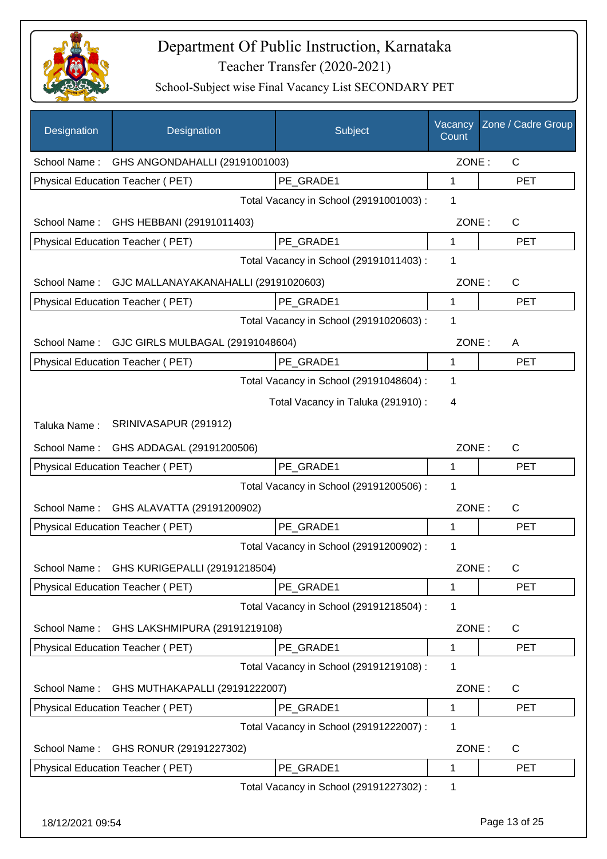

| Designation      | Designation                                       | Subject                                 | Vacancy<br>Count | Zone / Cadre Group |
|------------------|---------------------------------------------------|-----------------------------------------|------------------|--------------------|
|                  | School Name: GHS ANGONDAHALLI (29191001003)       |                                         | ZONE:            | $\mathsf{C}$       |
|                  | Physical Education Teacher (PET)                  | PE GRADE1                               | 1                | <b>PET</b>         |
|                  |                                                   | Total Vacancy in School (29191001003) : | 1                |                    |
| School Name:     | GHS HEBBANI (29191011403)                         |                                         | ZONE:            | $\mathsf{C}$       |
|                  | Physical Education Teacher (PET)                  | PE_GRADE1                               | 1                | <b>PET</b>         |
|                  |                                                   | Total Vacancy in School (29191011403) : | 1                |                    |
|                  | School Name: GJC MALLANAYAKANAHALLI (29191020603) |                                         | ZONE:            | $\mathsf{C}$       |
|                  | Physical Education Teacher (PET)                  | PE GRADE1                               | 1                | <b>PET</b>         |
|                  |                                                   | Total Vacancy in School (29191020603) : | 1                |                    |
|                  | School Name: GJC GIRLS MULBAGAL (29191048604)     |                                         | ZONE:            | A                  |
|                  | Physical Education Teacher (PET)                  | PE GRADE1                               | $\mathbf{1}$     | <b>PET</b>         |
|                  |                                                   | Total Vacancy in School (29191048604) : | 1                |                    |
|                  |                                                   | Total Vacancy in Taluka (291910) :      | 4                |                    |
| Taluka Name:     | SRINIVASAPUR (291912)                             |                                         |                  |                    |
| School Name:     | GHS ADDAGAL (29191200506)                         |                                         | ZONE:            | $\mathsf{C}$       |
|                  | Physical Education Teacher (PET)                  | PE_GRADE1                               | 1                | <b>PET</b>         |
|                  |                                                   | Total Vacancy in School (29191200506) : | 1                |                    |
| School Name:     | GHS ALAVATTA (29191200902)                        |                                         | ZONE:            | $\mathsf{C}$       |
|                  | <b>Physical Education Teacher (PET)</b>           | PE GRADE1                               | 1                | <b>PET</b>         |
|                  |                                                   | Total Vacancy in School (29191200902) : | 1                |                    |
|                  | School Name: GHS KURIGEPALLI (29191218504)        |                                         | ZONE:            | C                  |
|                  | Physical Education Teacher (PET)                  | PE_GRADE1                               | 1                | <b>PET</b>         |
|                  |                                                   | Total Vacancy in School (29191218504) : | 1                |                    |
| School Name:     | GHS LAKSHMIPURA (29191219108)                     |                                         | ZONE:            | C                  |
|                  | Physical Education Teacher (PET)                  | PE_GRADE1                               | 1                | PET                |
|                  |                                                   | Total Vacancy in School (29191219108) : | 1                |                    |
| School Name:     | GHS MUTHAKAPALLI (29191222007)                    |                                         | ZONE:            | C                  |
|                  | Physical Education Teacher (PET)                  | PE_GRADE1                               | 1                | <b>PET</b>         |
|                  |                                                   | Total Vacancy in School (29191222007) : | 1                |                    |
| School Name:     | GHS RONUR (29191227302)                           |                                         | ZONE:            | C                  |
|                  | Physical Education Teacher (PET)                  | PE_GRADE1                               | 1                | <b>PET</b>         |
|                  |                                                   | Total Vacancy in School (29191227302) : | 1                |                    |
| 18/12/2021 09:54 |                                                   |                                         |                  | Page 13 of 25      |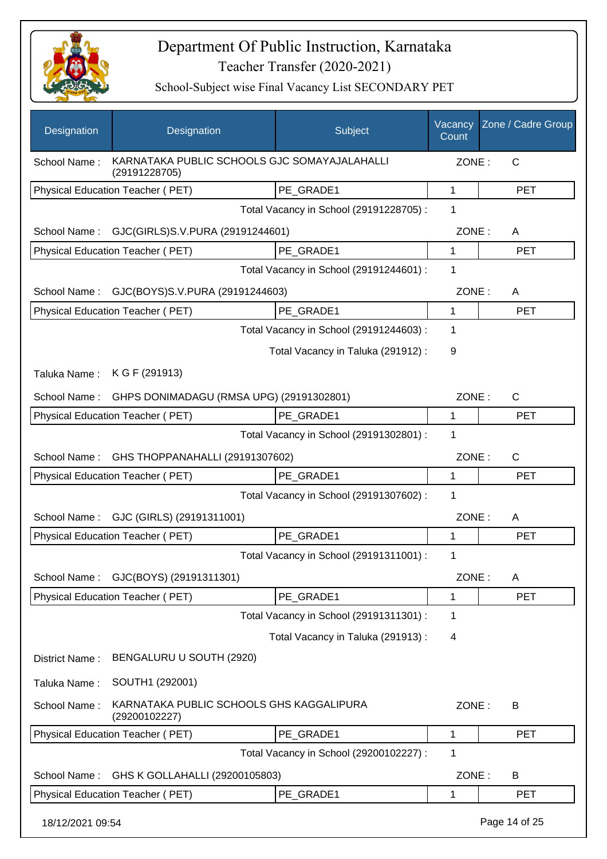

| Designation      | Designation                                                   | Subject                                 | Vacancy<br>Count | Zone / Cadre Group |
|------------------|---------------------------------------------------------------|-----------------------------------------|------------------|--------------------|
| School Name:     | KARNATAKA PUBLIC SCHOOLS GJC SOMAYAJALAHALLI<br>(29191228705) |                                         | ZONE:            | C                  |
|                  | Physical Education Teacher (PET)                              | PE GRADE1                               | 1                | <b>PET</b>         |
|                  |                                                               | Total Vacancy in School (29191228705) : | 1                |                    |
| School Name:     | GJC(GIRLS)S.V.PURA (29191244601)                              |                                         | ZONE:            | A                  |
|                  | Physical Education Teacher (PET)                              | PE GRADE1                               | 1                | <b>PET</b>         |
|                  |                                                               | Total Vacancy in School (29191244601) : | 1                |                    |
| School Name:     | GJC(BOYS)S.V.PURA (29191244603)                               |                                         | ZONE:            | A                  |
|                  | <b>Physical Education Teacher (PET)</b>                       | PE_GRADE1                               | 1                | <b>PET</b>         |
|                  |                                                               | Total Vacancy in School (29191244603) : | 1                |                    |
|                  |                                                               | Total Vacancy in Taluka (291912):       | 9                |                    |
| Taluka Name:     | K G F (291913)                                                |                                         |                  |                    |
| School Name:     | GHPS DONIMADAGU (RMSA UPG) (29191302801)                      |                                         | ZONE:            | $\mathsf{C}$       |
|                  | Physical Education Teacher (PET)                              | PE_GRADE1                               | 1                | <b>PET</b>         |
|                  |                                                               | Total Vacancy in School (29191302801) : | 1                |                    |
| School Name:     | GHS THOPPANAHALLI (29191307602)                               |                                         | ZONE:            | C                  |
|                  | Physical Education Teacher (PET)                              | PE_GRADE1                               | 1                | <b>PET</b>         |
|                  |                                                               | Total Vacancy in School (29191307602) : | 1                |                    |
| School Name:     | GJC (GIRLS) (29191311001)                                     |                                         | ZONE:            | A                  |
|                  | <b>Physical Education Teacher (PET)</b>                       | PE_GRADE1                               | 1                | <b>PET</b>         |
|                  |                                                               | Total Vacancy in School (29191311001) : | 1                |                    |
| School Name:     | GJC(BOYS) (29191311301)                                       |                                         | ZONE:            | A                  |
|                  | Physical Education Teacher (PET)                              | PE_GRADE1                               | 1                | <b>PET</b>         |
|                  |                                                               | Total Vacancy in School (29191311301) : | 1                |                    |
|                  |                                                               | Total Vacancy in Taluka (291913) :      | 4                |                    |
| District Name:   | BENGALURU U SOUTH (2920)                                      |                                         |                  |                    |
| Taluka Name:     | SOUTH1 (292001)                                               |                                         |                  |                    |
| School Name:     | KARNATAKA PUBLIC SCHOOLS GHS KAGGALIPURA<br>(29200102227)     |                                         | ZONE:            | B                  |
|                  | Physical Education Teacher (PET)                              | PE_GRADE1                               | 1                | <b>PET</b>         |
|                  |                                                               | Total Vacancy in School (29200102227) : | 1                |                    |
| School Name:     | GHS K GOLLAHALLI (29200105803)                                |                                         | ZONE:            | B                  |
|                  | Physical Education Teacher (PET)                              | PE_GRADE1                               | 1                | <b>PET</b>         |
| 18/12/2021 09:54 |                                                               |                                         |                  | Page 14 of 25      |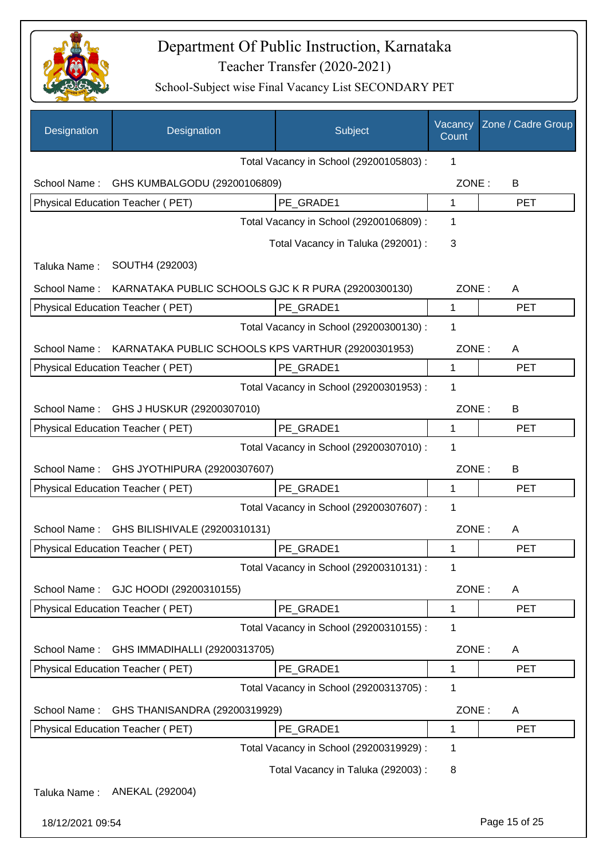

| Designation      | Designation                                         | Subject                                 | Vacancy<br>Count | Zone / Cadre Group |
|------------------|-----------------------------------------------------|-----------------------------------------|------------------|--------------------|
|                  |                                                     | Total Vacancy in School (29200105803) : | 1                |                    |
| School Name:     | GHS KUMBALGODU (29200106809)                        |                                         | ZONE:            | B                  |
|                  | Physical Education Teacher (PET)                    | PE GRADE1                               | $\mathbf{1}$     | <b>PET</b>         |
|                  |                                                     | Total Vacancy in School (29200106809) : | 1                |                    |
|                  |                                                     | Total Vacancy in Taluka (292001) :      | 3                |                    |
| Taluka Name:     | SOUTH4 (292003)                                     |                                         |                  |                    |
| School Name:     | KARNATAKA PUBLIC SCHOOLS GJC K R PURA (29200300130) |                                         | ZONE:            | A                  |
|                  | <b>Physical Education Teacher (PET)</b>             | PE GRADE1                               | $\mathbf 1$      | <b>PET</b>         |
|                  |                                                     | Total Vacancy in School (29200300130) : | 1                |                    |
| School Name:     | KARNATAKA PUBLIC SCHOOLS KPS VARTHUR (29200301953)  |                                         | ZONE:            | A                  |
|                  | Physical Education Teacher (PET)                    | PE GRADE1                               | 1                | <b>PET</b>         |
|                  |                                                     | Total Vacancy in School (29200301953) : | 1                |                    |
| School Name:     | GHS J HUSKUR (29200307010)                          |                                         | ZONE:            | B                  |
|                  | Physical Education Teacher (PET)                    | PE_GRADE1                               | 1                | <b>PET</b>         |
|                  |                                                     | Total Vacancy in School (29200307010) : | 1                |                    |
| School Name:     | GHS JYOTHIPURA (29200307607)                        |                                         | ZONE:            | B                  |
|                  | Physical Education Teacher (PET)                    | PE GRADE1                               | 1                | <b>PET</b>         |
|                  |                                                     | Total Vacancy in School (29200307607) : | 1                |                    |
| School Name:     | GHS BILISHIVALE (29200310131)                       |                                         | ZONE:            | A                  |
|                  | Physical Education Teacher (PET)                    | PE GRADE1                               | 1                | <b>PET</b>         |
|                  |                                                     | Total Vacancy in School (29200310131) : | 1                |                    |
| School Name:     | GJC HOODI (29200310155)                             |                                         | ZONE:            | A                  |
|                  | Physical Education Teacher (PET)                    | PE_GRADE1                               | 1                | <b>PET</b>         |
|                  |                                                     | Total Vacancy in School (29200310155) : | 1                |                    |
| School Name:     | GHS IMMADIHALLI (29200313705)                       |                                         | ZONE:            | A                  |
|                  | Physical Education Teacher (PET)                    | PE GRADE1                               | 1                | <b>PET</b>         |
|                  |                                                     | Total Vacancy in School (29200313705) : | 1                |                    |
| School Name:     | GHS THANISANDRA (29200319929)                       |                                         | ZONE:            | A                  |
|                  | Physical Education Teacher (PET)                    | PE_GRADE1                               | 1                | <b>PET</b>         |
|                  |                                                     | Total Vacancy in School (29200319929) : | 1                |                    |
|                  |                                                     | Total Vacancy in Taluka (292003) :      | 8                |                    |
| Taluka Name:     | ANEKAL (292004)                                     |                                         |                  |                    |
| 18/12/2021 09:54 |                                                     |                                         |                  | Page 15 of 25      |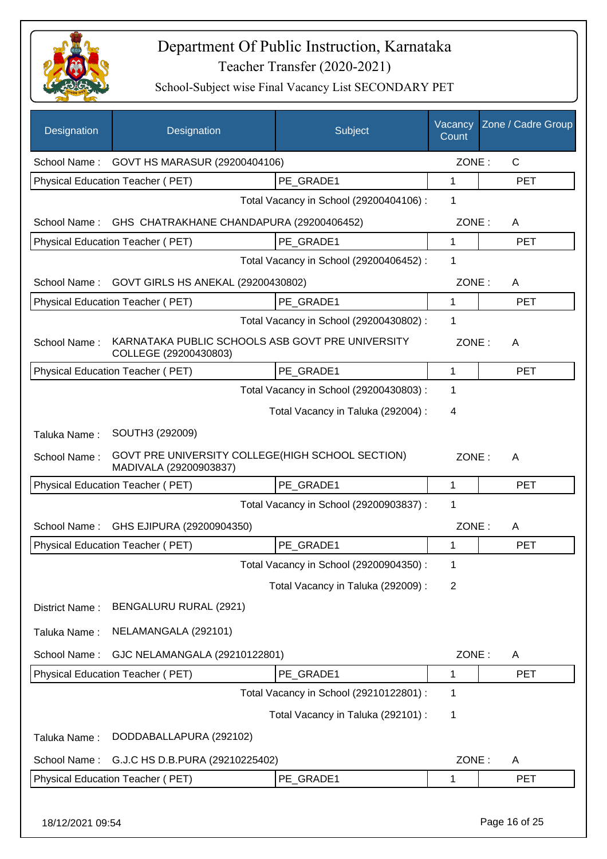

| Designation      | Designation                                                                | Subject                                 | Vacancy<br>Count | Zone / Cadre Group |
|------------------|----------------------------------------------------------------------------|-----------------------------------------|------------------|--------------------|
| School Name:     | GOVT HS MARASUR (29200404106)                                              |                                         | ZONE:            | $\mathsf{C}$       |
|                  | <b>Physical Education Teacher (PET)</b>                                    | PE GRADE1                               | 1                | <b>PET</b>         |
|                  |                                                                            | Total Vacancy in School (29200404106) : | 1                |                    |
| School Name:     | GHS CHATRAKHANE CHANDAPURA (29200406452)                                   |                                         | ZONE:            | A                  |
|                  | Physical Education Teacher (PET)                                           | PE GRADE1                               | 1                | <b>PET</b>         |
|                  |                                                                            | Total Vacancy in School (29200406452) : | 1                |                    |
| School Name:     | GOVT GIRLS HS ANEKAL (29200430802)                                         |                                         | ZONE:            | A                  |
|                  | Physical Education Teacher (PET)                                           | PE GRADE1                               | 1                | <b>PET</b>         |
|                  |                                                                            | Total Vacancy in School (29200430802) : | 1                |                    |
| School Name:     | KARNATAKA PUBLIC SCHOOLS ASB GOVT PRE UNIVERSITY<br>COLLEGE (29200430803)  |                                         | ZONE:            | A                  |
|                  | Physical Education Teacher (PET)                                           | PE GRADE1                               | 1                | <b>PET</b>         |
|                  |                                                                            | Total Vacancy in School (29200430803) : | 1                |                    |
|                  |                                                                            | Total Vacancy in Taluka (292004) :      | 4                |                    |
| Taluka Name:     | SOUTH3 (292009)                                                            |                                         |                  |                    |
| School Name:     | GOVT PRE UNIVERSITY COLLEGE(HIGH SCHOOL SECTION)<br>MADIVALA (29200903837) |                                         | ZONE:            | A                  |
|                  | Physical Education Teacher (PET)                                           | PE GRADE1                               | $\mathbf{1}$     | <b>PET</b>         |
|                  |                                                                            | Total Vacancy in School (29200903837) : | 1                |                    |
| School Name:     | GHS EJIPURA (29200904350)                                                  |                                         | ZONE:            | A                  |
|                  | Physical Education Teacher (PET)                                           | PE_GRADE1                               | 1                | <b>PET</b>         |
|                  |                                                                            | Total Vacancy in School (29200904350) : | 1                |                    |
|                  |                                                                            | Total Vacancy in Taluka (292009) :      | 2                |                    |
| District Name:   | BENGALURU RURAL (2921)                                                     |                                         |                  |                    |
| Taluka Name:     | NELAMANGALA (292101)                                                       |                                         |                  |                    |
| School Name:     | GJC NELAMANGALA (29210122801)                                              |                                         | ZONE:            | A                  |
|                  | Physical Education Teacher (PET)                                           | PE_GRADE1                               | 1                | <b>PET</b>         |
|                  |                                                                            | Total Vacancy in School (29210122801) : | 1                |                    |
|                  |                                                                            | Total Vacancy in Taluka (292101) :      | 1                |                    |
| Taluka Name:     | DODDABALLAPURA (292102)                                                    |                                         |                  |                    |
| School Name:     | G.J.C HS D.B.PURA (29210225402)                                            |                                         | ZONE:            | A                  |
|                  | Physical Education Teacher (PET)                                           | PE_GRADE1                               | 1                | <b>PET</b>         |
| 18/12/2021 09:54 |                                                                            |                                         |                  | Page 16 of 25      |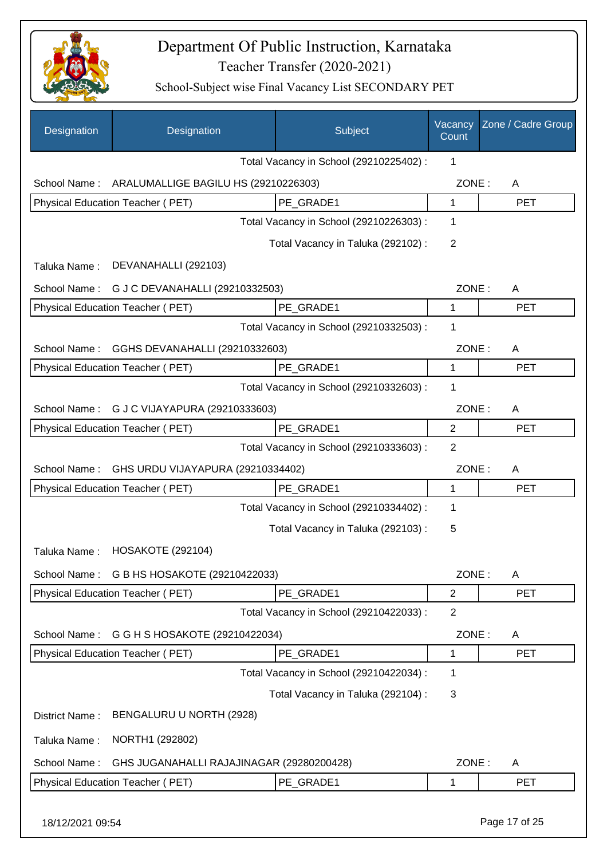

| Designation      | Designation                                       | Subject                                 | Vacancy<br>Count | Zone / Cadre Group |
|------------------|---------------------------------------------------|-----------------------------------------|------------------|--------------------|
|                  |                                                   | Total Vacancy in School (29210225402) : | 1                |                    |
|                  | School Name: ARALUMALLIGE BAGILU HS (29210226303) |                                         | ZONE:            | A                  |
|                  | Physical Education Teacher (PET)                  | PE GRADE1                               | 1                | <b>PET</b>         |
|                  |                                                   | Total Vacancy in School (29210226303) : | 1                |                    |
|                  |                                                   | Total Vacancy in Taluka (292102) :      | 2                |                    |
| Taluka Name:     | DEVANAHALLI (292103)                              |                                         |                  |                    |
|                  | School Name: G J C DEVANAHALLI (29210332503)      |                                         | ZONE:            | A                  |
|                  | Physical Education Teacher (PET)                  | PE_GRADE1                               | 1                | <b>PET</b>         |
|                  |                                                   | Total Vacancy in School (29210332503) : | 1                |                    |
| School Name:     | GGHS DEVANAHALLI (29210332603)                    |                                         | ZONE:            | A                  |
|                  | <b>Physical Education Teacher (PET)</b>           | PE_GRADE1                               | 1                | <b>PET</b>         |
|                  |                                                   | Total Vacancy in School (29210332603) : | 1                |                    |
| School Name:     | G J C VIJAYAPURA (29210333603)                    |                                         | ZONE:            | A                  |
|                  | Physical Education Teacher (PET)                  | PE_GRADE1                               | 2                | <b>PET</b>         |
|                  |                                                   | Total Vacancy in School (29210333603) : | $\overline{2}$   |                    |
| School Name:     | GHS URDU VIJAYAPURA (29210334402)                 |                                         | ZONE:            | A                  |
|                  | Physical Education Teacher (PET)                  | PE_GRADE1                               | 1                | <b>PET</b>         |
|                  |                                                   | Total Vacancy in School (29210334402) : | 1                |                    |
|                  |                                                   | Total Vacancy in Taluka (292103):       | 5                |                    |
| Taluka Name:     | <b>HOSAKOTE (292104)</b>                          |                                         |                  |                    |
| School Name:     | G B HS HOSAKOTE (29210422033)                     |                                         | ZONE:            | A                  |
|                  | Physical Education Teacher (PET)                  | PE_GRADE1                               | $\overline{2}$   | <b>PET</b>         |
|                  |                                                   | Total Vacancy in School (29210422033) : | $\overline{2}$   |                    |
| School Name:     | G G H S HOSAKOTE (29210422034)                    |                                         | ZONE:            | A                  |
|                  | Physical Education Teacher (PET)                  | PE_GRADE1                               | 1                | <b>PET</b>         |
|                  |                                                   | Total Vacancy in School (29210422034) : | 1                |                    |
|                  |                                                   | Total Vacancy in Taluka (292104) :      | 3                |                    |
| District Name:   | BENGALURU U NORTH (2928)                          |                                         |                  |                    |
| Taluka Name:     | NORTH1 (292802)                                   |                                         |                  |                    |
| School Name:     | GHS JUGANAHALLI RAJAJINAGAR (29280200428)         |                                         | ZONE:            | A                  |
|                  | Physical Education Teacher (PET)                  | PE_GRADE1                               | 1                | <b>PET</b>         |
| 18/12/2021 09:54 |                                                   |                                         |                  | Page 17 of 25      |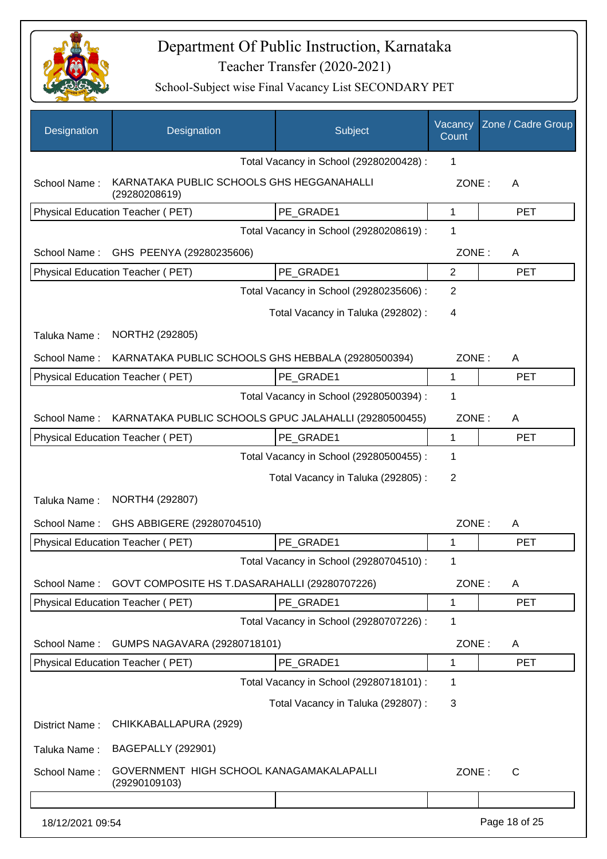

| Designation      | Designation                                                | Subject                                 | Vacancy<br>Count | Zone / Cadre Group |
|------------------|------------------------------------------------------------|-----------------------------------------|------------------|--------------------|
|                  |                                                            | Total Vacancy in School (29280200428) : | 1                |                    |
| School Name:     | KARNATAKA PUBLIC SCHOOLS GHS HEGGANAHALLI<br>(29280208619) |                                         | ZONE:            | A                  |
|                  | <b>Physical Education Teacher (PET)</b>                    | PE GRADE1                               | 1                | <b>PET</b>         |
|                  |                                                            | Total Vacancy in School (29280208619) : | $\mathbf 1$      |                    |
| School Name:     | GHS PEENYA (29280235606)                                   |                                         | ZONE:            | A                  |
|                  | Physical Education Teacher (PET)                           | PE_GRADE1                               | $\overline{2}$   | <b>PET</b>         |
|                  |                                                            | Total Vacancy in School (29280235606) : | 2                |                    |
|                  |                                                            | Total Vacancy in Taluka (292802) :      | 4                |                    |
| Taluka Name:     | NORTH2 (292805)                                            |                                         |                  |                    |
| School Name:     | KARNATAKA PUBLIC SCHOOLS GHS HEBBALA (29280500394)         |                                         | ZONE:            | A                  |
|                  | Physical Education Teacher (PET)                           | PE_GRADE1                               | $\mathbf 1$      | <b>PET</b>         |
|                  |                                                            | Total Vacancy in School (29280500394) : | 1                |                    |
| School Name:     | KARNATAKA PUBLIC SCHOOLS GPUC JALAHALLI (29280500455)      |                                         | ZONE:            | A                  |
|                  | Physical Education Teacher (PET)                           | PE_GRADE1                               | 1                | <b>PET</b>         |
|                  |                                                            | Total Vacancy in School (29280500455) : | 1                |                    |
|                  |                                                            | Total Vacancy in Taluka (292805) :      | 2                |                    |
| Taluka Name:     | NORTH4 (292807)                                            |                                         |                  |                    |
| School Name:     | GHS ABBIGERE (29280704510)                                 |                                         | ZONE:            | Α                  |
|                  | Physical Education Teacher (PET)                           | PE_GRADE1                               | 1                | <b>PET</b>         |
|                  |                                                            | Total Vacancy in School (29280704510) : |                  |                    |
| School Name:     | GOVT COMPOSITE HS T.DASARAHALLI (29280707226)              |                                         | ZONE:            | A                  |
|                  | Physical Education Teacher (PET)                           | PE_GRADE1                               | 1                | <b>PET</b>         |
|                  |                                                            | Total Vacancy in School (29280707226) : | 1                |                    |
| School Name:     | GUMPS NAGAVARA (29280718101)                               |                                         | ZONE:            | A                  |
|                  | Physical Education Teacher (PET)                           | PE_GRADE1                               | 1                | <b>PET</b>         |
|                  |                                                            | Total Vacancy in School (29280718101) : | 1                |                    |
|                  |                                                            | Total Vacancy in Taluka (292807) :      | 3                |                    |
| District Name:   | CHIKKABALLAPURA (2929)                                     |                                         |                  |                    |
| Taluka Name:     | <b>BAGEPALLY (292901)</b>                                  |                                         |                  |                    |
| School Name:     | GOVERNMENT HIGH SCHOOL KANAGAMAKALAPALLI<br>(29290109103)  |                                         | ZONE:            | C                  |
|                  |                                                            |                                         |                  |                    |
| 18/12/2021 09:54 |                                                            |                                         |                  | Page 18 of 25      |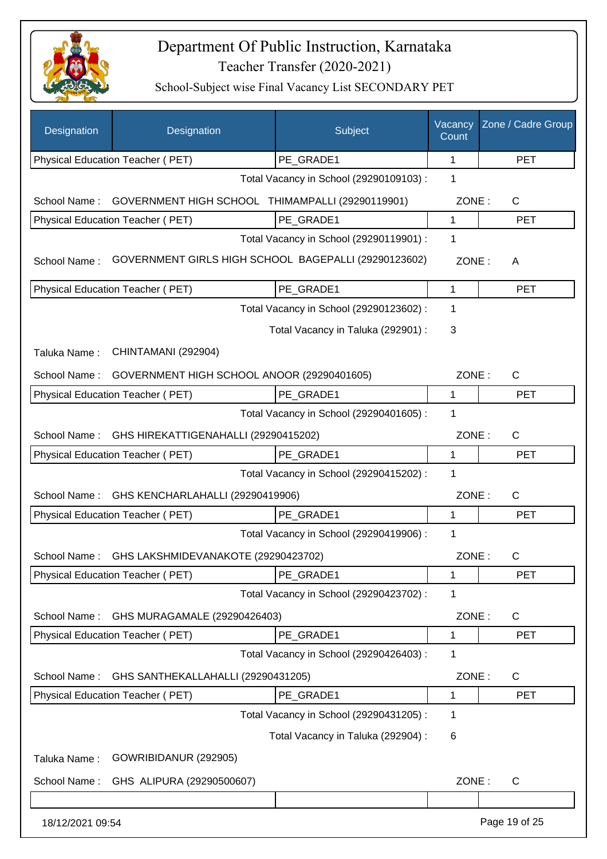

| Designation      | Designation                                          | Subject                                 | Vacancy<br>Count | Zone / Cadre Group |
|------------------|------------------------------------------------------|-----------------------------------------|------------------|--------------------|
|                  | Physical Education Teacher (PET)                     | PE_GRADE1                               | 1                | <b>PET</b>         |
|                  |                                                      | Total Vacancy in School (29290109103) : | $\mathbf{1}$     |                    |
| School Name:     | GOVERNMENT HIGH SCHOOL THIMAMPALLI (29290119901)     |                                         | ZONE:            | $\mathsf{C}$       |
|                  | Physical Education Teacher (PET)                     | PE GRADE1                               | 1                | <b>PET</b>         |
|                  |                                                      | Total Vacancy in School (29290119901) : | $\mathbf 1$      |                    |
| School Name:     | GOVERNMENT GIRLS HIGH SCHOOL BAGEPALLI (29290123602) |                                         | ZONE:            | A                  |
|                  | Physical Education Teacher (PET)                     | PE GRADE1                               | 1                | <b>PET</b>         |
|                  |                                                      | Total Vacancy in School (29290123602) : | 1                |                    |
|                  |                                                      | Total Vacancy in Taluka (292901) :      | 3                |                    |
| Taluka Name:     | CHINTAMANI (292904)                                  |                                         |                  |                    |
| School Name:     | GOVERNMENT HIGH SCHOOL ANOOR (29290401605)           |                                         | ZONE:            | $\mathsf{C}$       |
|                  | Physical Education Teacher (PET)                     | PE GRADE1                               | 1                | <b>PET</b>         |
|                  |                                                      | Total Vacancy in School (29290401605) : | 1                |                    |
| School Name:     | GHS HIREKATTIGENAHALLI (29290415202)                 |                                         | ZONE:            | $\mathsf{C}$       |
|                  | Physical Education Teacher (PET)                     | PE GRADE1                               | 1                | <b>PET</b>         |
|                  |                                                      | Total Vacancy in School (29290415202) : | 1                |                    |
| School Name:     | GHS KENCHARLAHALLI (29290419906)                     |                                         | ZONE:            | $\mathsf{C}$       |
|                  | Physical Education Teacher (PET)                     | PE_GRADE1                               | 1                | <b>PET</b>         |
|                  |                                                      | Total Vacancy in School (29290419906) : | 1                |                    |
| School Name:     | GHS LAKSHMIDEVANAKOTE (29290423702)                  |                                         | ZONE:            | C                  |
|                  | Physical Education Teacher (PET)                     | PE_GRADE1                               | 1                | PET                |
|                  |                                                      | Total Vacancy in School (29290423702) : | $\mathbf 1$      |                    |
| School Name:     | GHS MURAGAMALE (29290426403)                         |                                         | ZONE:            | C                  |
|                  | Physical Education Teacher (PET)                     | PE_GRADE1                               | 1                | <b>PET</b>         |
|                  |                                                      | Total Vacancy in School (29290426403) : | 1                |                    |
| School Name:     | GHS SANTHEKALLAHALLI (29290431205)                   |                                         | ZONE:            | C                  |
|                  | Physical Education Teacher (PET)                     | PE_GRADE1                               | 1                | <b>PET</b>         |
|                  |                                                      | Total Vacancy in School (29290431205) : | 1                |                    |
|                  |                                                      | Total Vacancy in Taluka (292904) :      | 6                |                    |
| Taluka Name:     | GOWRIBIDANUR (292905)                                |                                         |                  |                    |
| School Name:     | GHS ALIPURA (29290500607)                            |                                         | ZONE:            | $\mathsf{C}$       |
|                  |                                                      |                                         |                  |                    |
| 18/12/2021 09:54 |                                                      |                                         |                  | Page 19 of 25      |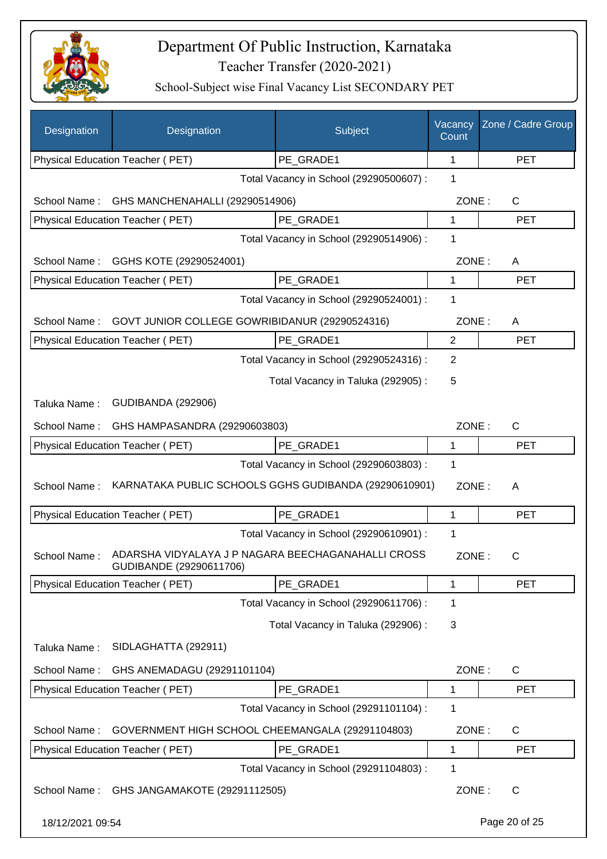

| Designation      | Designation                                      | Subject                                               | Vacancy<br>Count | Zone / Cadre Group |
|------------------|--------------------------------------------------|-------------------------------------------------------|------------------|--------------------|
|                  | Physical Education Teacher (PET)                 | PE_GRADE1                                             | 1                | <b>PET</b>         |
|                  |                                                  | Total Vacancy in School (29290500607) :               | 1                |                    |
| School Name:     | GHS MANCHENAHALLI (29290514906)                  |                                                       | ZONE:            | C                  |
|                  | Physical Education Teacher (PET)                 | PE_GRADE1                                             | 1                | <b>PET</b>         |
|                  |                                                  | Total Vacancy in School (29290514906) :               | 1                |                    |
| School Name:     | GGHS KOTE (29290524001)                          |                                                       | ZONE:            | A                  |
|                  | Physical Education Teacher (PET)                 | PE GRADE1                                             | 1                | <b>PET</b>         |
|                  |                                                  | Total Vacancy in School (29290524001) :               | 1                |                    |
| School Name:     | GOVT JUNIOR COLLEGE GOWRIBIDANUR (29290524316)   |                                                       | ZONE:            | A                  |
|                  | Physical Education Teacher (PET)                 | PE_GRADE1                                             | $\mathbf{2}$     | <b>PET</b>         |
|                  |                                                  | Total Vacancy in School (29290524316) :               | $\overline{2}$   |                    |
|                  |                                                  | Total Vacancy in Taluka (292905):                     | 5                |                    |
| Taluka Name:     | <b>GUDIBANDA (292906)</b>                        |                                                       |                  |                    |
| School Name:     | GHS HAMPASANDRA (29290603803)                    |                                                       | ZONE:            | $\mathsf{C}$       |
|                  | Physical Education Teacher (PET)                 | PE_GRADE1                                             | 1                | <b>PET</b>         |
|                  |                                                  | Total Vacancy in School (29290603803) :               | 1                |                    |
| School Name:     |                                                  | KARNATAKA PUBLIC SCHOOLS GGHS GUDIBANDA (29290610901) | ZONE:            | A                  |
|                  | Physical Education Teacher (PET)                 | PE_GRADE1                                             | 1                | <b>PET</b>         |
|                  |                                                  | Total Vacancy in School (29290610901) :               | 1                |                    |
| School Name:     | GUDIBANDE (29290611706)                          | ADARSHA VIDYALAYA J P NAGARA BEECHAGANAHALLI CROSS    | ZONE:            | C                  |
|                  | <b>Physical Education Teacher (PET)</b>          | PE_GRADE1                                             | 1                | <b>PET</b>         |
|                  |                                                  | Total Vacancy in School (29290611706) :               | 1                |                    |
|                  |                                                  | Total Vacancy in Taluka (292906) :                    | 3                |                    |
| Taluka Name:     | SIDLAGHATTA (292911)                             |                                                       |                  |                    |
| School Name:     | GHS ANEMADAGU (29291101104)                      |                                                       | ZONE:            | $\mathsf{C}$       |
|                  | Physical Education Teacher (PET)                 | PE GRADE1                                             | 1                | <b>PET</b>         |
|                  |                                                  | Total Vacancy in School (29291101104) :               | 1                |                    |
| School Name:     | GOVERNMENT HIGH SCHOOL CHEEMANGALA (29291104803) |                                                       | ZONE:            | C                  |
|                  | Physical Education Teacher (PET)                 | PE_GRADE1                                             | 1                | <b>PET</b>         |
|                  |                                                  | Total Vacancy in School (29291104803) :               | 1                |                    |
| School Name:     | GHS JANGAMAKOTE (29291112505)                    |                                                       | ZONE:            | $\mathsf{C}$       |
| 18/12/2021 09:54 |                                                  |                                                       |                  | Page 20 of 25      |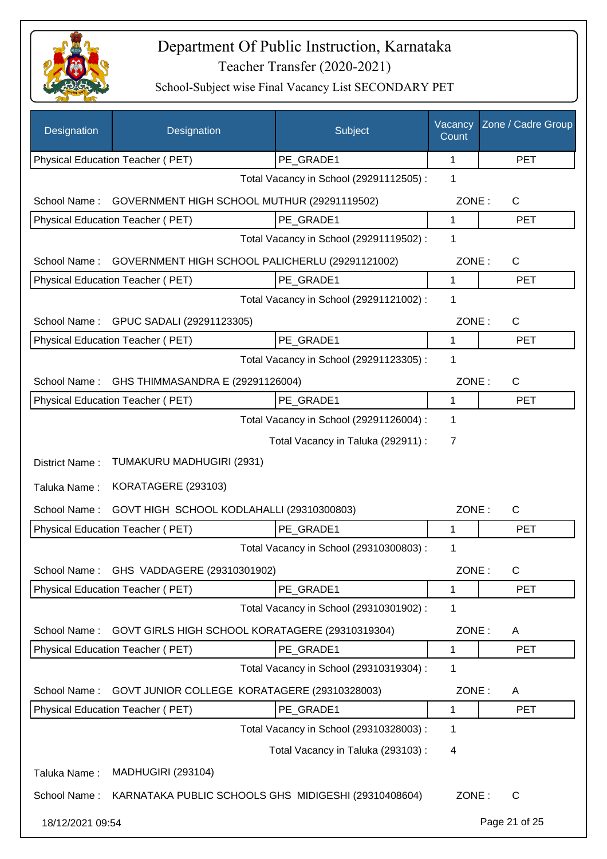

| Designation      | Designation                                          | Subject                                 | Vacancy<br>Count | Zone / Cadre Group |
|------------------|------------------------------------------------------|-----------------------------------------|------------------|--------------------|
|                  | Physical Education Teacher (PET)                     | PE GRADE1                               | 1                | <b>PET</b>         |
|                  |                                                      | Total Vacancy in School (29291112505) : | 1                |                    |
| School Name:     | GOVERNMENT HIGH SCHOOL MUTHUR (29291119502)          |                                         | ZONE:            | $\mathsf{C}$       |
|                  | Physical Education Teacher (PET)                     | PE GRADE1                               | 1                | <b>PET</b>         |
|                  |                                                      | Total Vacancy in School (29291119502) : | 1                |                    |
| School Name:     | GOVERNMENT HIGH SCHOOL PALICHERLU (29291121002)      |                                         | ZONE:            | $\mathsf{C}$       |
|                  | Physical Education Teacher (PET)                     | PE_GRADE1                               | 1                | <b>PET</b>         |
|                  |                                                      | Total Vacancy in School (29291121002) : | 1                |                    |
| School Name:     | GPUC SADALI (29291123305)                            |                                         | ZONE:            | $\mathsf{C}$       |
|                  | Physical Education Teacher (PET)                     | PE GRADE1                               | 1                | <b>PET</b>         |
|                  |                                                      | Total Vacancy in School (29291123305) : | 1                |                    |
| School Name:     | GHS THIMMASANDRA E (29291126004)                     |                                         | ZONE:            | $\mathsf{C}$       |
|                  | <b>Physical Education Teacher (PET)</b>              | PE GRADE1                               | 1                | <b>PET</b>         |
|                  |                                                      | Total Vacancy in School (29291126004) : | 1                |                    |
|                  |                                                      | Total Vacancy in Taluka (292911) :      | 7                |                    |
| District Name:   | TUMAKURU MADHUGIRI (2931)                            |                                         |                  |                    |
| Taluka Name:     | KORATAGERE (293103)                                  |                                         |                  |                    |
| School Name:     | GOVT HIGH SCHOOL KODLAHALLI (29310300803)            |                                         | ZONE:            | C                  |
|                  | Physical Education Teacher (PET)                     | PE GRADE1                               | 1                | <b>PET</b>         |
|                  |                                                      | Total Vacancy in School (29310300803) : | 1                |                    |
| School Name:     | GHS VADDAGERE (29310301902)                          |                                         | ZONE:            | $\mathsf{C}$       |
|                  | Physical Education Teacher (PET)                     | PE_GRADE1                               | 1                | <b>PET</b>         |
|                  |                                                      | Total Vacancy in School (29310301902) : | 1                |                    |
| School Name:     | GOVT GIRLS HIGH SCHOOL KORATAGERE (29310319304)      |                                         | ZONE:            | A                  |
|                  | Physical Education Teacher (PET)                     | PE_GRADE1                               | 1                | <b>PET</b>         |
|                  |                                                      | Total Vacancy in School (29310319304) : | 1                |                    |
| School Name:     | GOVT JUNIOR COLLEGE KORATAGERE (29310328003)         |                                         | ZONE:            | A                  |
|                  | Physical Education Teacher (PET)                     | PE_GRADE1                               | 1                | <b>PET</b>         |
|                  |                                                      | Total Vacancy in School (29310328003) : | 1                |                    |
|                  |                                                      | Total Vacancy in Taluka (293103):       | 4                |                    |
| Taluka Name:     | <b>MADHUGIRI (293104)</b>                            |                                         |                  |                    |
| School Name:     | KARNATAKA PUBLIC SCHOOLS GHS MIDIGESHI (29310408604) |                                         | ZONE:            | C                  |
| 18/12/2021 09:54 |                                                      |                                         |                  | Page 21 of 25      |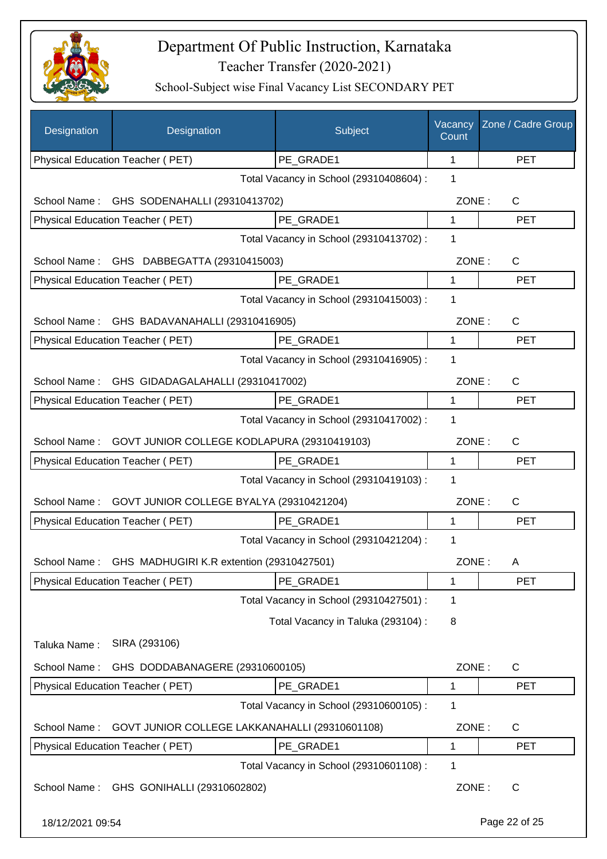

| Designation                                     | Designation                                            | Subject                                 | Vacancy<br>Count | Zone / Cadre Group |
|-------------------------------------------------|--------------------------------------------------------|-----------------------------------------|------------------|--------------------|
|                                                 | Physical Education Teacher (PET)                       | PE GRADE1                               | 1                | <b>PET</b>         |
|                                                 |                                                        | Total Vacancy in School (29310408604) : | 1                |                    |
| School Name:                                    | GHS SODENAHALLI (29310413702)                          |                                         | ZONE:            | C                  |
|                                                 | Physical Education Teacher (PET)                       | PE_GRADE1                               | 1                | <b>PET</b>         |
|                                                 |                                                        | Total Vacancy in School (29310413702) : | 1                |                    |
| School Name:                                    | GHS DABBEGATTA (29310415003)                           |                                         | ZONE:            | C                  |
|                                                 | Physical Education Teacher (PET)                       | PE_GRADE1                               | 1                | <b>PET</b>         |
|                                                 |                                                        | Total Vacancy in School (29310415003) : | 1                |                    |
| School Name:<br>GHS BADAVANAHALLI (29310416905) |                                                        |                                         | ZONE:            | C                  |
|                                                 | Physical Education Teacher (PET)                       | PE GRADE1                               | 1                | <b>PET</b>         |
|                                                 |                                                        | Total Vacancy in School (29310416905) : | 1                |                    |
| School Name:                                    | GHS GIDADAGALAHALLI (29310417002)                      |                                         | ZONE:            | $\mathsf{C}$       |
|                                                 | Physical Education Teacher (PET)                       | PE GRADE1                               | 1                | <b>PET</b>         |
|                                                 |                                                        | Total Vacancy in School (29310417002) : | 1                |                    |
| School Name:                                    | GOVT JUNIOR COLLEGE KODLAPURA (29310419103)            |                                         | ZONE:            | C                  |
|                                                 | Physical Education Teacher (PET)                       | PE_GRADE1                               | 1                | <b>PET</b>         |
|                                                 |                                                        | Total Vacancy in School (29310419103) : | 1                |                    |
| School Name:                                    | GOVT JUNIOR COLLEGE BYALYA (29310421204)               |                                         | ZONE:            | $\mathsf{C}$       |
|                                                 | Physical Education Teacher (PET)                       | PE GRADE1                               | 1                | <b>PET</b>         |
|                                                 |                                                        | Total Vacancy in School (29310421204) : | 1                |                    |
|                                                 | School Name: GHS MADHUGIRI K.R extention (29310427501) |                                         | ZONE:            | A                  |
|                                                 | Physical Education Teacher (PET)                       | PE_GRADE1                               | 1                | <b>PET</b>         |
|                                                 |                                                        | Total Vacancy in School (29310427501) : | 1                |                    |
|                                                 |                                                        | Total Vacancy in Taluka (293104) :      | 8                |                    |
| Taluka Name:                                    | SIRA (293106)                                          |                                         |                  |                    |
| School Name:                                    | GHS DODDABANAGERE (29310600105)                        |                                         | ZONE:            | C                  |
|                                                 | Physical Education Teacher (PET)                       | PE_GRADE1                               | $\mathbf 1$      | <b>PET</b>         |
|                                                 |                                                        | Total Vacancy in School (29310600105) : | 1                |                    |
|                                                 |                                                        |                                         | ZONE:            | C                  |
| School Name:                                    | GOVT JUNIOR COLLEGE LAKKANAHALLI (29310601108)         | PE_GRADE1                               | 1                | <b>PET</b>         |
|                                                 | Physical Education Teacher (PET)                       | Total Vacancy in School (29310601108) : | 1                |                    |
| School Name:                                    | GHS GONIHALLI (29310602802)                            |                                         | ZONE:            | $\mathsf{C}$       |
|                                                 |                                                        |                                         |                  |                    |
| 18/12/2021 09:54                                |                                                        |                                         |                  | Page 22 of 25      |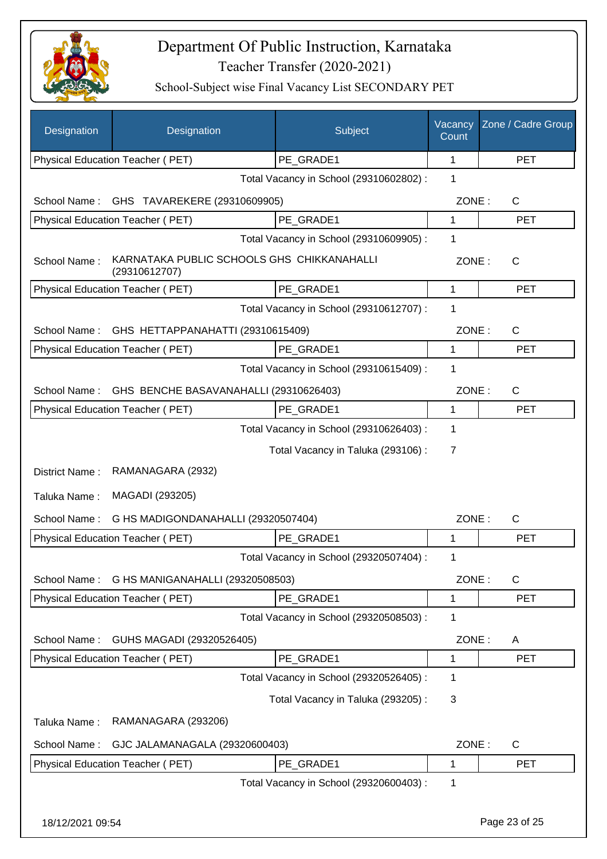

| Designation      | Designation                                                 | Subject                                 | Vacancy<br>Count | Zone / Cadre Group |
|------------------|-------------------------------------------------------------|-----------------------------------------|------------------|--------------------|
|                  | Physical Education Teacher (PET)                            | PE GRADE1                               | 1                | <b>PET</b>         |
|                  |                                                             | Total Vacancy in School (29310602802) : | 1                |                    |
| School Name:     | GHS TAVAREKERE (29310609905)                                |                                         | ZONE:            | $\mathsf{C}$       |
|                  | Physical Education Teacher (PET)                            | PE GRADE1                               | 1                | <b>PET</b>         |
|                  |                                                             | Total Vacancy in School (29310609905) : | 1                |                    |
| School Name:     | KARNATAKA PUBLIC SCHOOLS GHS CHIKKANAHALLI<br>(29310612707) |                                         | ZONE:            | C                  |
|                  | Physical Education Teacher (PET)                            | PE GRADE1                               | $\mathbf{1}$     | <b>PET</b>         |
|                  |                                                             | Total Vacancy in School (29310612707) : | 1                |                    |
| School Name:     | GHS HETTAPPANAHATTI (29310615409)                           |                                         | ZONE:            | $\mathsf{C}$       |
|                  | Physical Education Teacher (PET)                            | PE GRADE1                               | $\mathbf 1$      | <b>PET</b>         |
|                  |                                                             | Total Vacancy in School (29310615409) : | 1                |                    |
| School Name:     | GHS BENCHE BASAVANAHALLI (29310626403)                      |                                         | ZONE:            | $\mathsf{C}$       |
|                  | Physical Education Teacher (PET)                            | PE_GRADE1                               | 1                | <b>PET</b>         |
|                  |                                                             | Total Vacancy in School (29310626403) : | 1                |                    |
|                  |                                                             | Total Vacancy in Taluka (293106):       | $\overline{7}$   |                    |
| District Name:   | RAMANAGARA (2932)                                           |                                         |                  |                    |
| Taluka Name:     | MAGADI (293205)                                             |                                         |                  |                    |
| School Name:     | G HS MADIGONDANAHALLI (29320507404)                         |                                         | ZONE:            | $\mathsf{C}$       |
|                  | Physical Education Teacher (PET)                            | PE_GRADE1                               | 1                | <b>PET</b>         |
|                  |                                                             | Total Vacancy in School (29320507404) : | $\mathbf{1}$     |                    |
| School Name:     | G HS MANIGANAHALLI (29320508503)                            |                                         | ZONE:            | $\mathsf C$        |
|                  | Physical Education Teacher (PET)                            | PE_GRADE1                               | 1                | <b>PET</b>         |
|                  |                                                             | Total Vacancy in School (29320508503) : | $\mathbf 1$      |                    |
| School Name:     | GUHS MAGADI (29320526405)                                   |                                         | ZONE:            | A                  |
|                  | Physical Education Teacher (PET)                            | PE_GRADE1                               | 1                | <b>PET</b>         |
|                  |                                                             | Total Vacancy in School (29320526405) : | $\mathbf 1$      |                    |
|                  |                                                             | Total Vacancy in Taluka (293205):       | 3                |                    |
| Taluka Name:     | RAMANAGARA (293206)                                         |                                         |                  |                    |
| School Name:     | GJC JALAMANAGALA (29320600403)                              |                                         | ZONE:            | C                  |
|                  | Physical Education Teacher (PET)                            | PE_GRADE1                               | 1                | <b>PET</b>         |
|                  |                                                             | Total Vacancy in School (29320600403) : | 1                |                    |
| 18/12/2021 09:54 |                                                             |                                         |                  | Page 23 of 25      |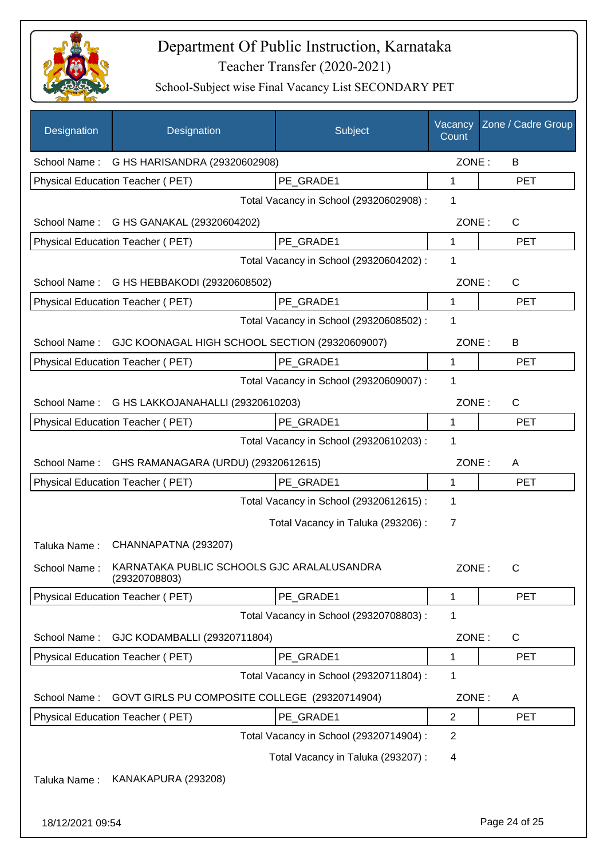

| Designation      | Designation                                                 | Subject                                 | Vacancy<br>Count | Zone / Cadre Group |
|------------------|-------------------------------------------------------------|-----------------------------------------|------------------|--------------------|
|                  | School Name: G HS HARISANDRA (29320602908)                  |                                         | ZONE:            | B                  |
|                  | Physical Education Teacher (PET)                            | PE_GRADE1                               | 1                | <b>PET</b>         |
|                  |                                                             | Total Vacancy in School (29320602908) : | 1                |                    |
| School Name:     | G HS GANAKAL (29320604202)                                  |                                         | ZONE:            | C                  |
|                  | Physical Education Teacher (PET)                            | PE GRADE1                               | 1                | <b>PET</b>         |
|                  |                                                             | Total Vacancy in School (29320604202) : | 1                |                    |
| School Name:     | G HS HEBBAKODI (29320608502)                                |                                         | ZONE:            | $\mathsf{C}$       |
|                  | Physical Education Teacher (PET)                            | PE GRADE1                               | 1                | <b>PET</b>         |
|                  |                                                             | Total Vacancy in School (29320608502) : | 1                |                    |
| School Name:     | GJC KOONAGAL HIGH SCHOOL SECTION (29320609007)              |                                         | ZONE:            | B                  |
|                  | Physical Education Teacher (PET)                            | PE_GRADE1                               | 1                | <b>PET</b>         |
|                  |                                                             | Total Vacancy in School (29320609007) : | 1                |                    |
| School Name:     | G HS LAKKOJANAHALLI (29320610203)                           |                                         | ZONE:            | $\mathsf{C}$       |
|                  | Physical Education Teacher (PET)                            | PE_GRADE1                               | 1                | <b>PET</b>         |
|                  |                                                             | Total Vacancy in School (29320610203) : | 1                |                    |
| School Name:     | GHS RAMANAGARA (URDU) (29320612615)                         |                                         | ZONE:            | A                  |
|                  | Physical Education Teacher (PET)                            | PE_GRADE1                               | 1                | <b>PET</b>         |
|                  |                                                             | Total Vacancy in School (29320612615) : | 1                |                    |
|                  |                                                             | Total Vacancy in Taluka (293206) :      | 7                |                    |
| Taluka Name:     | CHANNAPATNA (293207)                                        |                                         |                  |                    |
| School Name:     | KARNATAKA PUBLIC SCHOOLS GJC ARALALUSANDRA<br>(29320708803) |                                         | ZONE:            | C                  |
|                  | Physical Education Teacher (PET)                            | PE_GRADE1                               | 1                | <b>PET</b>         |
|                  |                                                             | Total Vacancy in School (29320708803) : | 1                |                    |
| School Name:     | GJC KODAMBALLI (29320711804)                                |                                         | ZONE:            | $\mathsf{C}$       |
|                  | <b>Physical Education Teacher (PET)</b>                     | PE GRADE1                               | 1                | <b>PET</b>         |
|                  |                                                             | Total Vacancy in School (29320711804) : | 1                |                    |
| School Name:     | GOVT GIRLS PU COMPOSITE COLLEGE (29320714904)               |                                         | ZONE:            | A                  |
|                  | Physical Education Teacher (PET)                            | PE_GRADE1                               | $\overline{2}$   | <b>PET</b>         |
|                  |                                                             | Total Vacancy in School (29320714904) : | $\overline{2}$   |                    |
|                  |                                                             | Total Vacancy in Taluka (293207) :      | 4                |                    |
| Taluka Name:     | KANAKAPURA (293208)                                         |                                         |                  |                    |
| 18/12/2021 09:54 |                                                             |                                         |                  | Page 24 of 25      |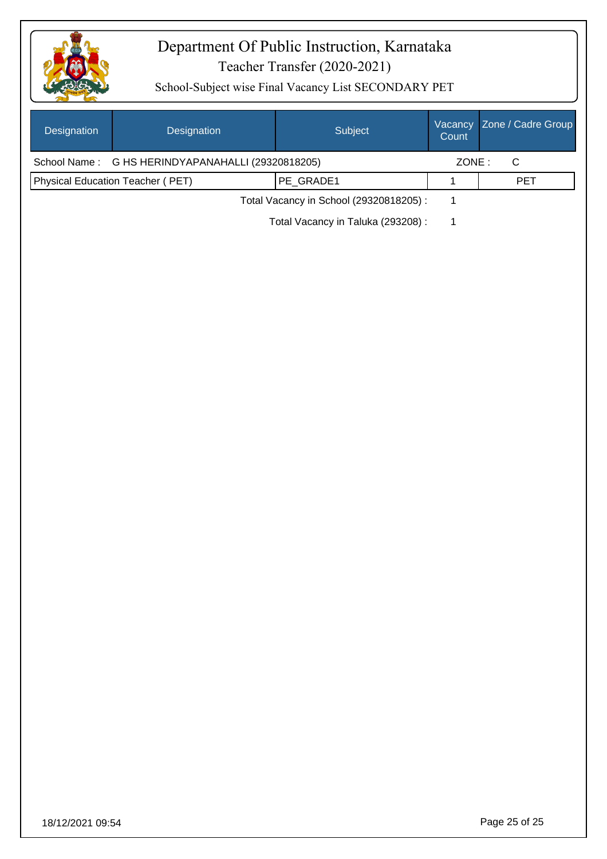

| Designation  | Designation                          | Subject                                 | Vacancy<br>Count | Zone / Cadre Group |
|--------------|--------------------------------------|-----------------------------------------|------------------|--------------------|
| School Name: | G HS HERINDYAPANAHALLI (29320818205) |                                         | ZONE:            | $\mathsf C$        |
|              | Physical Education Teacher (PET)     | PE_GRADE1                               | $\mathbf 1$      | PET                |
|              |                                      | Total Vacancy in School (29320818205) : | $\mathbf{1}$     |                    |
|              |                                      | Total Vacancy in Taluka (293208) :      | $\mathbf{1}$     |                    |
|              |                                      |                                         |                  |                    |
|              |                                      |                                         |                  |                    |
|              |                                      |                                         |                  |                    |
|              |                                      |                                         |                  |                    |
|              |                                      |                                         |                  |                    |
|              |                                      |                                         |                  |                    |
|              |                                      |                                         |                  |                    |
|              |                                      |                                         |                  |                    |
|              |                                      |                                         |                  |                    |
|              |                                      |                                         |                  |                    |
|              |                                      |                                         |                  |                    |
|              |                                      |                                         |                  |                    |
|              |                                      |                                         |                  |                    |
|              |                                      |                                         |                  |                    |
|              |                                      |                                         |                  |                    |
|              |                                      |                                         |                  |                    |
|              |                                      |                                         |                  |                    |
|              |                                      |                                         |                  |                    |
|              |                                      |                                         |                  |                    |
|              |                                      |                                         |                  |                    |
|              |                                      |                                         |                  |                    |
|              |                                      |                                         |                  |                    |
|              |                                      |                                         |                  |                    |
|              |                                      |                                         |                  |                    |
|              |                                      |                                         |                  |                    |
|              |                                      |                                         |                  |                    |
|              |                                      |                                         |                  |                    |
|              |                                      |                                         |                  |                    |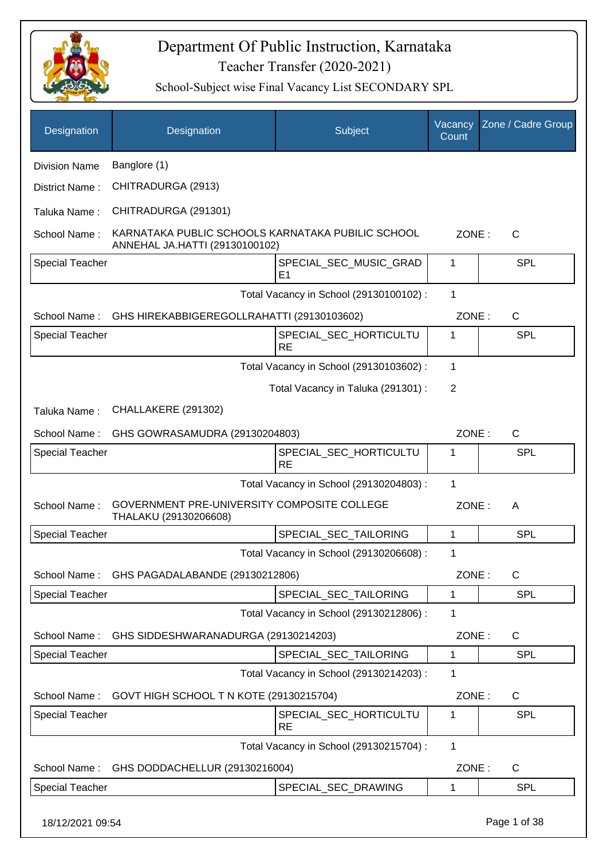

| Designation            | Designation                                                                         | Subject                                  | Vacancy<br>Count | Zone / Cadre Group |
|------------------------|-------------------------------------------------------------------------------------|------------------------------------------|------------------|--------------------|
| <b>Division Name</b>   | Banglore (1)                                                                        |                                          |                  |                    |
| District Name:         | CHITRADURGA (2913)                                                                  |                                          |                  |                    |
| Taluka Name:           | CHITRADURGA (291301)                                                                |                                          |                  |                    |
| School Name:           | KARNATAKA PUBLIC SCHOOLS KARNATAKA PUBILIC SCHOOL<br>ANNEHAL JA.HATTI (29130100102) |                                          | ZONE:            | $\mathsf{C}$       |
| <b>Special Teacher</b> |                                                                                     | SPECIAL_SEC_MUSIC_GRAD<br>E <sub>1</sub> | 1                | <b>SPL</b>         |
|                        |                                                                                     | Total Vacancy in School (29130100102) :  | $\mathbf{1}$     |                    |
| School Name:           | GHS HIREKABBIGEREGOLLRAHATTI (29130103602)                                          |                                          | ZONE:            | $\mathsf{C}$       |
| Special Teacher        |                                                                                     | SPECIAL_SEC_HORTICULTU<br><b>RE</b>      | 1                | <b>SPL</b>         |
|                        |                                                                                     | Total Vacancy in School (29130103602) :  | 1                |                    |
|                        |                                                                                     | Total Vacancy in Taluka (291301) :       | $\overline{2}$   |                    |
| Taluka Name:           | CHALLAKERE (291302)                                                                 |                                          |                  |                    |
| School Name:           | GHS GOWRASAMUDRA (29130204803)                                                      |                                          | ZONE:            | C                  |
| <b>Special Teacher</b> |                                                                                     | SPECIAL_SEC_HORTICULTU<br><b>RE</b>      | 1                | SPL                |
|                        |                                                                                     | Total Vacancy in School (29130204803) :  | 1                |                    |
| School Name:           | GOVERNMENT PRE-UNIVERSITY COMPOSITE COLLEGE<br>THALAKU (29130206608)                |                                          | ZONE:            | A                  |
| <b>Special Teacher</b> |                                                                                     | SPECIAL_SEC_TAILORING                    | 1                | <b>SPL</b>         |
|                        |                                                                                     | Total Vacancy in School (29130206608) :  | 1                |                    |
| School Name:           | GHS PAGADALABANDE (29130212806)                                                     |                                          | ZONE:            | C                  |
| Special Teacher        |                                                                                     | SPECIAL_SEC_TAILORING                    | 1                | <b>SPL</b>         |
|                        |                                                                                     | Total Vacancy in School (29130212806) :  | 1                |                    |
| School Name:           | GHS SIDDESHWARANADURGA (29130214203)                                                |                                          | ZONE:            | C                  |
| Special Teacher        |                                                                                     | SPECIAL_SEC_TAILORING                    | 1                | SPL                |
|                        |                                                                                     | Total Vacancy in School (29130214203) :  | 1                |                    |
| School Name:           | GOVT HIGH SCHOOL T N KOTE (29130215704)                                             |                                          | ZONE:            | C                  |
| <b>Special Teacher</b> |                                                                                     | SPECIAL_SEC_HORTICULTU<br><b>RE</b>      | 1                | <b>SPL</b>         |
|                        |                                                                                     | Total Vacancy in School (29130215704) :  | 1                |                    |
| School Name:           | GHS DODDACHELLUR (29130216004)                                                      |                                          | ZONE:            | C                  |
| <b>Special Teacher</b> |                                                                                     | SPECIAL_SEC_DRAWING                      | 1                | <b>SPL</b>         |
| 18/12/2021 09:54       |                                                                                     |                                          |                  | Page 1 of 38       |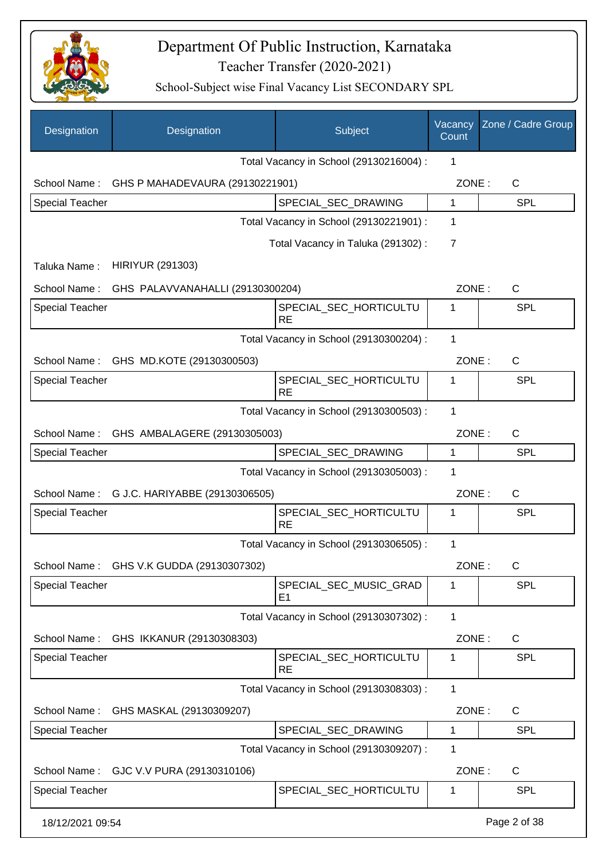

| Designation            | Designation                                   | Subject                                  | Vacancy<br>Count | Zone / Cadre Group |
|------------------------|-----------------------------------------------|------------------------------------------|------------------|--------------------|
|                        |                                               | Total Vacancy in School (29130216004) :  | 1                |                    |
|                        | School Name: GHS P MAHADEVAURA (29130221901)  |                                          | ZONE:            | C                  |
| <b>Special Teacher</b> |                                               | SPECIAL_SEC_DRAWING                      | 1                | <b>SPL</b>         |
|                        |                                               | Total Vacancy in School (29130221901) :  | 1                |                    |
|                        |                                               | Total Vacancy in Taluka (291302):        | 7                |                    |
| Taluka Name:           | <b>HIRIYUR (291303)</b>                       |                                          |                  |                    |
|                        | School Name: GHS PALAVVANAHALLI (29130300204) |                                          | ZONE:            | $\mathsf{C}$       |
| <b>Special Teacher</b> |                                               | SPECIAL SEC HORTICULTU                   | 1                | <b>SPL</b>         |
|                        |                                               | <b>RE</b>                                |                  |                    |
|                        |                                               | Total Vacancy in School (29130300204) :  | 1                |                    |
|                        | School Name: GHS MD.KOTE (29130300503)        |                                          | ZONE:            | $\mathsf{C}$       |
| <b>Special Teacher</b> |                                               | SPECIAL SEC HORTICULTU<br><b>RE</b>      | 1                | <b>SPL</b>         |
|                        |                                               | Total Vacancy in School (29130300503) :  | 1                |                    |
|                        | School Name: GHS AMBALAGERE (29130305003)     |                                          | ZONE:            | $\mathsf{C}$       |
| <b>Special Teacher</b> |                                               | SPECIAL_SEC_DRAWING                      | 1                | <b>SPL</b>         |
|                        |                                               | Total Vacancy in School (29130305003) :  | 1                |                    |
|                        | School Name: G J.C. HARIYABBE (29130306505)   |                                          | ZONE:            | $\mathsf{C}$       |
| <b>Special Teacher</b> |                                               | SPECIAL_SEC_HORTICULTU<br><b>RE</b>      | 1                | <b>SPL</b>         |
|                        |                                               | Total Vacancy in School (29130306505) :  | 1                |                    |
|                        | School Name: GHS V.K GUDDA (29130307302)      |                                          | ZONE:            | C                  |
| <b>Special Teacher</b> |                                               | SPECIAL_SEC_MUSIC_GRAD<br>E <sub>1</sub> | 1                | <b>SPL</b>         |
|                        |                                               | Total Vacancy in School (29130307302) :  | 1                |                    |
| School Name:           | GHS IKKANUR (29130308303)                     |                                          | ZONE:            | C                  |
| Special Teacher        |                                               | SPECIAL_SEC_HORTICULTU<br><b>RE</b>      | $\mathbf{1}$     | <b>SPL</b>         |
|                        |                                               | Total Vacancy in School (29130308303) :  | 1                |                    |
| School Name:           | GHS MASKAL (29130309207)                      |                                          | ZONE:            | C                  |
| Special Teacher        |                                               | SPECIAL_SEC_DRAWING                      | 1                | <b>SPL</b>         |
|                        |                                               | Total Vacancy in School (29130309207) :  | 1                |                    |
| School Name:           | GJC V.V PURA (29130310106)                    |                                          | ZONE:            | $\mathsf{C}$       |
| <b>Special Teacher</b> |                                               | SPECIAL_SEC_HORTICULTU                   | 1                | <b>SPL</b>         |
| 18/12/2021 09:54       |                                               |                                          |                  | Page 2 of 38       |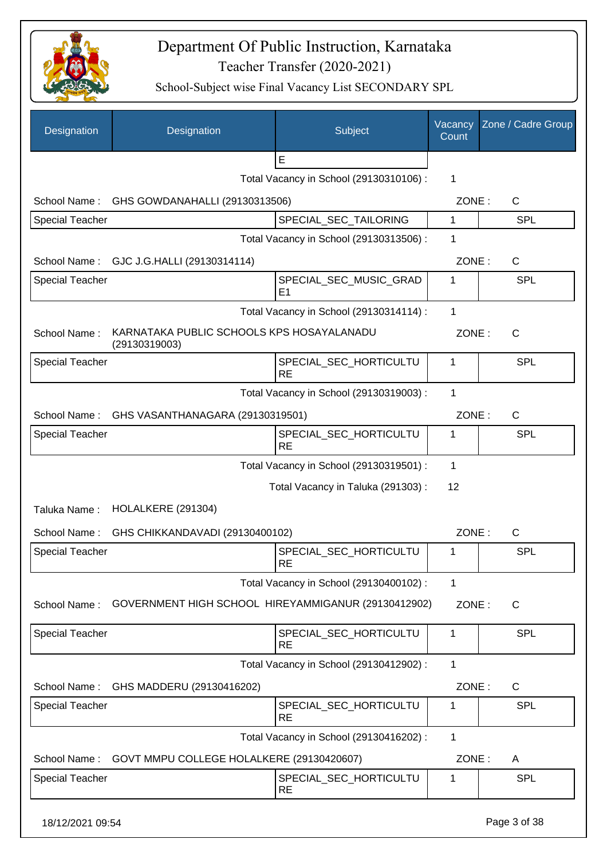

| Designation            | Designation                                                | Subject                                  | Vacancy<br>Count | Zone / Cadre Group |
|------------------------|------------------------------------------------------------|------------------------------------------|------------------|--------------------|
|                        |                                                            | E                                        |                  |                    |
|                        |                                                            | Total Vacancy in School (29130310106) :  | 1                |                    |
| School Name:           | GHS GOWDANAHALLI (29130313506)                             |                                          | ZONE:            | $\mathsf{C}$       |
| Special Teacher        |                                                            | SPECIAL_SEC_TAILORING                    | 1                | <b>SPL</b>         |
|                        |                                                            | Total Vacancy in School (29130313506) :  | 1                |                    |
| School Name:           | GJC J.G.HALLI (29130314114)                                |                                          | ZONE:            | C                  |
| <b>Special Teacher</b> |                                                            | SPECIAL_SEC_MUSIC_GRAD<br>E <sub>1</sub> | 1                | SPL                |
|                        |                                                            | Total Vacancy in School (29130314114) :  | $\mathbf{1}$     |                    |
| School Name:           | KARNATAKA PUBLIC SCHOOLS KPS HOSAYALANADU<br>(29130319003) |                                          | ZONE:            | C                  |
| Special Teacher        |                                                            | SPECIAL_SEC_HORTICULTU<br><b>RE</b>      | 1                | <b>SPL</b>         |
|                        |                                                            | Total Vacancy in School (29130319003) :  | 1                |                    |
|                        | School Name: GHS VASANTHANAGARA (29130319501)              |                                          | ZONE:            | $\mathsf{C}$       |
| <b>Special Teacher</b> |                                                            | SPECIAL_SEC_HORTICULTU<br><b>RE</b>      | 1                | SPL                |
|                        |                                                            | Total Vacancy in School (29130319501) :  | 1                |                    |
|                        |                                                            | Total Vacancy in Taluka (291303):        | 12               |                    |
| Taluka Name:           | HOLALKERE (291304)                                         |                                          |                  |                    |
| School Name:           | GHS CHIKKANDAVADI (29130400102)                            |                                          | ZONE:            | $\mathsf{C}$       |
| <b>Special Teacher</b> |                                                            | SPECIAL_SEC_HORTICULTU<br><b>RE</b>      | 1                | SPL                |
|                        |                                                            | Total Vacancy in School (29130400102) :  | 1                |                    |
| School Name:           | GOVERNMENT HIGH SCHOOL HIREYAMMIGANUR (29130412902)        |                                          | ZONE:            | $\mathsf{C}$       |
| <b>Special Teacher</b> |                                                            | SPECIAL_SEC_HORTICULTU<br><b>RE</b>      | 1                | <b>SPL</b>         |
|                        |                                                            | Total Vacancy in School (29130412902) :  | 1                |                    |
| School Name:           | GHS MADDERU (29130416202)                                  |                                          | ZONE:            | $\mathsf{C}$       |
| <b>Special Teacher</b> |                                                            | SPECIAL_SEC_HORTICULTU<br><b>RE</b>      | 1                | <b>SPL</b>         |
|                        |                                                            | Total Vacancy in School (29130416202) :  | 1                |                    |
| School Name:           | GOVT MMPU COLLEGE HOLALKERE (29130420607)                  |                                          | ZONE:            | A                  |
| <b>Special Teacher</b> |                                                            | SPECIAL_SEC_HORTICULTU<br><b>RE</b>      | 1                | <b>SPL</b>         |
| 18/12/2021 09:54       |                                                            |                                          |                  | Page 3 of 38       |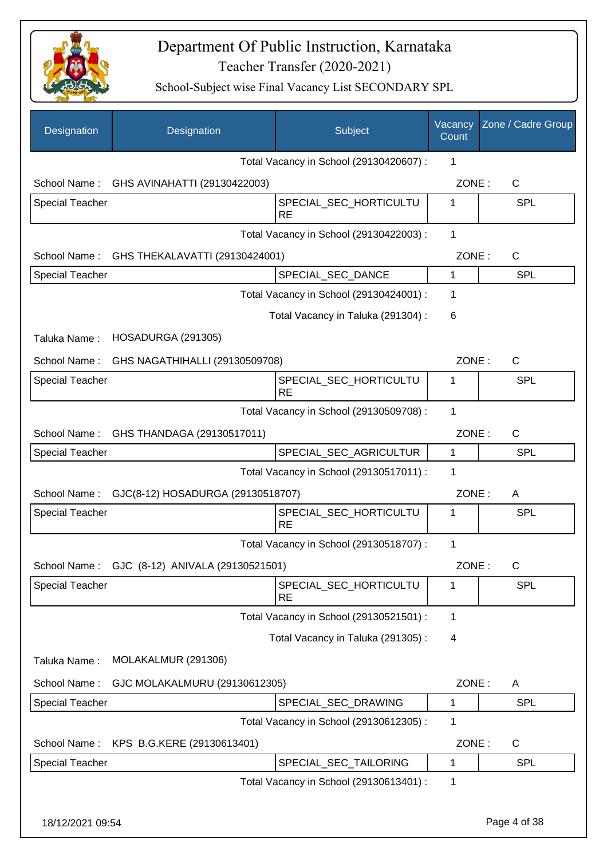

| Designation            | Designation                       | Subject                                 | Vacancy<br>Count | Zone / Cadre Group |
|------------------------|-----------------------------------|-----------------------------------------|------------------|--------------------|
|                        |                                   | Total Vacancy in School (29130420607) : | 1                |                    |
| School Name:           | GHS AVINAHATTI (29130422003)      |                                         | ZONE:            | C                  |
| <b>Special Teacher</b> |                                   | SPECIAL_SEC_HORTICULTU<br><b>RE</b>     | 1                | <b>SPL</b>         |
|                        |                                   | Total Vacancy in School (29130422003) : | 1                |                    |
| School Name:           | GHS THEKALAVATTI (29130424001)    |                                         | ZONE:            | $\mathsf{C}$       |
| <b>Special Teacher</b> |                                   | SPECIAL_SEC_DANCE                       | $\mathbf{1}$     | <b>SPL</b>         |
|                        |                                   | Total Vacancy in School (29130424001) : | 1                |                    |
|                        |                                   | Total Vacancy in Taluka (291304) :      | 6                |                    |
| Taluka Name:           | HOSADURGA (291305)                |                                         |                  |                    |
| School Name:           | GHS NAGATHIHALLI (29130509708)    |                                         | ZONE:            | $\mathsf{C}$       |
| <b>Special Teacher</b> |                                   | SPECIAL_SEC_HORTICULTU<br><b>RE</b>     | 1                | <b>SPL</b>         |
|                        |                                   | Total Vacancy in School (29130509708) : | 1                |                    |
| School Name:           | GHS THANDAGA (29130517011)        |                                         | ZONE:            | $\mathsf{C}$       |
| <b>Special Teacher</b> |                                   | SPECIAL_SEC_AGRICULTUR                  | $\mathbf{1}$     | <b>SPL</b>         |
|                        |                                   | Total Vacancy in School (29130517011) : | 1                |                    |
| School Name:           | GJC(8-12) HOSADURGA (29130518707) |                                         | ZONE:            | A                  |
| <b>Special Teacher</b> |                                   | SPECIAL_SEC_HORTICULTU<br><b>RE</b>     | 1                | <b>SPL</b>         |
|                        |                                   | Total Vacancy in School (29130518707) : | 1                |                    |
| School Name:           | GJC (8-12) ANIVALA (29130521501)  |                                         | ZONE:            | $\mathsf C$        |
| <b>Special Teacher</b> |                                   | SPECIAL_SEC_HORTICULTU<br><b>RE</b>     | 1                | <b>SPL</b>         |
|                        |                                   | Total Vacancy in School (29130521501) : | 1                |                    |
|                        |                                   | Total Vacancy in Taluka (291305):       | 4                |                    |
| Taluka Name:           | MOLAKALMUR (291306)               |                                         |                  |                    |
| School Name:           | GJC MOLAKALMURU (29130612305)     |                                         | ZONE:            | A                  |
| <b>Special Teacher</b> |                                   | SPECIAL_SEC_DRAWING                     | 1                | <b>SPL</b>         |
|                        |                                   | Total Vacancy in School (29130612305) : | 1                |                    |
| School Name:           | KPS B.G.KERE (29130613401)        |                                         | ZONE:            | $\mathsf{C}$       |
| Special Teacher        |                                   | SPECIAL_SEC_TAILORING                   | 1                | SPL                |
|                        |                                   | Total Vacancy in School (29130613401) : | 1                |                    |
| 18/12/2021 09:54       |                                   |                                         |                  | Page 4 of 38       |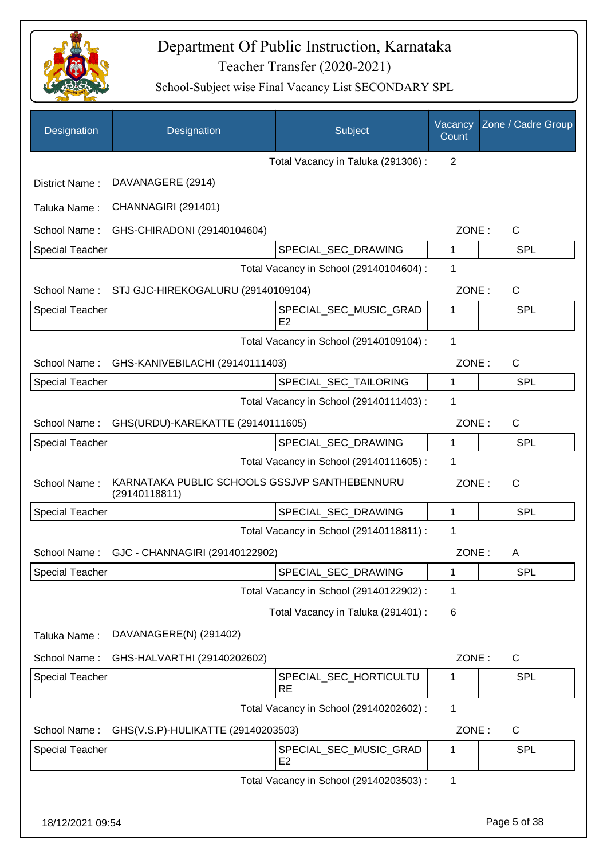

| Designation            | Designation                                                    | Subject                                  | Vacancy<br>Count | Zone / Cadre Group |
|------------------------|----------------------------------------------------------------|------------------------------------------|------------------|--------------------|
|                        |                                                                | Total Vacancy in Taluka (291306) :       | $\overline{2}$   |                    |
| District Name:         | DAVANAGERE (2914)                                              |                                          |                  |                    |
| Taluka Name:           | CHANNAGIRI (291401)                                            |                                          |                  |                    |
| School Name:           | GHS-CHIRADONI (29140104604)                                    |                                          | ZONE:            | $\mathsf{C}$       |
| <b>Special Teacher</b> |                                                                | SPECIAL_SEC_DRAWING                      | 1                | <b>SPL</b>         |
|                        |                                                                | Total Vacancy in School (29140104604) :  | 1                |                    |
|                        | School Name: STJ GJC-HIREKOGALURU (29140109104)                |                                          | ZONE:            | $\mathsf{C}$       |
| <b>Special Teacher</b> |                                                                | SPECIAL_SEC_MUSIC_GRAD<br>E2             | 1                | <b>SPL</b>         |
|                        |                                                                | Total Vacancy in School (29140109104) :  | 1                |                    |
| School Name:           | GHS-KANIVEBILACHI (29140111403)                                |                                          | ZONE:            | $\mathsf{C}$       |
| <b>Special Teacher</b> |                                                                | SPECIAL_SEC_TAILORING                    | 1                | <b>SPL</b>         |
|                        |                                                                | Total Vacancy in School (29140111403) :  | 1                |                    |
| School Name:           | GHS(URDU)-KAREKATTE (29140111605)                              |                                          | ZONE:            | C                  |
| <b>Special Teacher</b> |                                                                | SPECIAL_SEC_DRAWING                      | 1                | <b>SPL</b>         |
|                        |                                                                | Total Vacancy in School (29140111605) :  | 1                |                    |
| School Name:           | KARNATAKA PUBLIC SCHOOLS GSSJVP SANTHEBENNURU<br>(29140118811) |                                          | ZONE:            | $\mathsf{C}$       |
| <b>Special Teacher</b> |                                                                | SPECIAL_SEC_DRAWING                      | 1                | <b>SPL</b>         |
|                        |                                                                | Total Vacancy in School (29140118811) :  | 1                |                    |
| School Name:           | GJC - CHANNAGIRI (29140122902)                                 |                                          | ZONE:            | A                  |
| <b>Special Teacher</b> |                                                                | SPECIAL_SEC_DRAWING                      | 1                | <b>SPL</b>         |
|                        |                                                                | Total Vacancy in School (29140122902) :  | 1                |                    |
|                        |                                                                | Total Vacancy in Taluka (291401) :       | 6                |                    |
| Taluka Name:           | DAVANAGERE(N) (291402)                                         |                                          |                  |                    |
| School Name:           | GHS-HALVARTHI (29140202602)                                    |                                          | ZONE:            | C                  |
| <b>Special Teacher</b> |                                                                | SPECIAL_SEC_HORTICULTU<br><b>RE</b>      | 1                | <b>SPL</b>         |
|                        |                                                                | Total Vacancy in School (29140202602) :  | 1                |                    |
| School Name:           | GHS(V.S.P)-HULIKATTE (29140203503)                             |                                          | ZONE:            | C                  |
| <b>Special Teacher</b> |                                                                | SPECIAL_SEC_MUSIC_GRAD<br>E <sub>2</sub> | 1                | <b>SPL</b>         |
|                        |                                                                | Total Vacancy in School (29140203503) :  | 1                |                    |
| 18/12/2021 09:54       |                                                                |                                          |                  | Page 5 of 38       |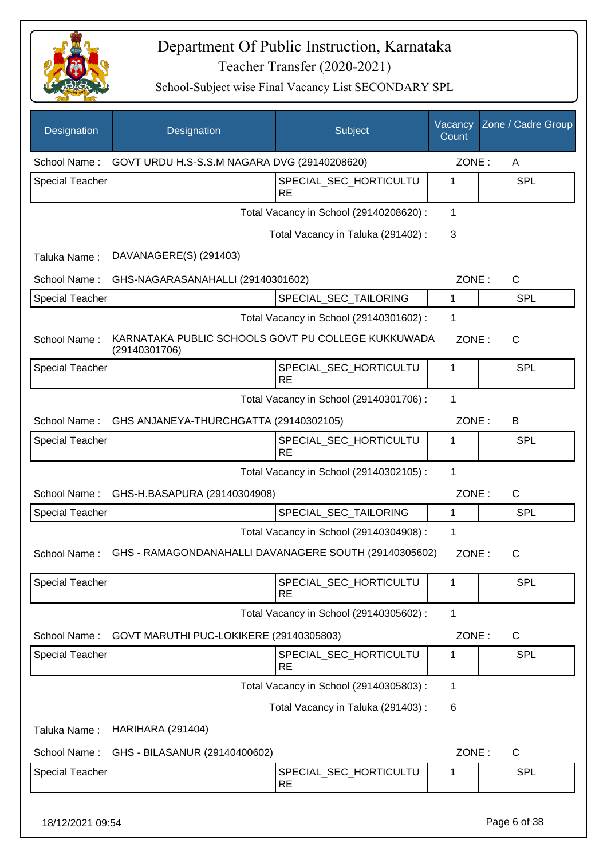

| Designation            | Designation                                                         | Subject                                 | Vacancy<br>Count | Zone / Cadre Group |
|------------------------|---------------------------------------------------------------------|-----------------------------------------|------------------|--------------------|
| School Name:           | GOVT URDU H.S-S.S.M NAGARA DVG (29140208620)                        |                                         | ZONE:            | A                  |
| <b>Special Teacher</b> |                                                                     | SPECIAL SEC HORTICULTU<br><b>RE</b>     | 1                | <b>SPL</b>         |
|                        |                                                                     | Total Vacancy in School (29140208620) : | 1                |                    |
|                        |                                                                     | Total Vacancy in Taluka (291402) :      | 3                |                    |
| Taluka Name:           | DAVANAGERE(S) (291403)                                              |                                         |                  |                    |
| School Name:           | GHS-NAGARASANAHALLI (29140301602)                                   |                                         | ZONE:            | C                  |
| Special Teacher        |                                                                     | SPECIAL_SEC_TAILORING                   | 1                | <b>SPL</b>         |
|                        |                                                                     | Total Vacancy in School (29140301602) : | 1                |                    |
| School Name:           | KARNATAKA PUBLIC SCHOOLS GOVT PU COLLEGE KUKKUWADA<br>(29140301706) |                                         | ZONE:            | $\mathsf{C}$       |
| <b>Special Teacher</b> |                                                                     | SPECIAL_SEC_HORTICULTU<br><b>RE</b>     | 1                | <b>SPL</b>         |
|                        |                                                                     | Total Vacancy in School (29140301706) : | 1                |                    |
| School Name:           | GHS ANJANEYA-THURCHGATTA (29140302105)                              |                                         | ZONE:            | B                  |
| <b>Special Teacher</b> |                                                                     | SPECIAL_SEC_HORTICULTU<br><b>RE</b>     | 1                | SPL                |
|                        |                                                                     | Total Vacancy in School (29140302105) : | $\mathbf{1}$     |                    |
| School Name:           | GHS-H.BASAPURA (29140304908)                                        |                                         | ZONE:            | $\mathsf{C}$       |
| <b>Special Teacher</b> |                                                                     | SPECIAL_SEC_TAILORING                   | 1                | <b>SPL</b>         |
|                        |                                                                     | Total Vacancy in School (29140304908) : | 1                |                    |
| School Name:           | GHS - RAMAGONDANAHALLI DAVANAGERE SOUTH (29140305602)               |                                         | ZONE:            | С                  |
| <b>Special Teacher</b> |                                                                     | SPECIAL_SEC_HORTICULTU<br><b>RE</b>     | 1                | <b>SPL</b>         |
|                        |                                                                     | Total Vacancy in School (29140305602) : | 1                |                    |
| School Name:           | GOVT MARUTHI PUC-LOKIKERE (29140305803)                             |                                         | ZONE:            | C                  |
| <b>Special Teacher</b> |                                                                     | SPECIAL_SEC_HORTICULTU<br><b>RE</b>     | 1                | <b>SPL</b>         |
|                        |                                                                     | Total Vacancy in School (29140305803) : | $\mathbf{1}$     |                    |
|                        |                                                                     | Total Vacancy in Taluka (291403):       | 6                |                    |
| Taluka Name:           | <b>HARIHARA (291404)</b>                                            |                                         |                  |                    |
| School Name:           | GHS - BILASANUR (29140400602)                                       |                                         | ZONE:            | $\mathsf{C}$       |
| Special Teacher        |                                                                     | SPECIAL_SEC_HORTICULTU<br><b>RE</b>     | 1                | <b>SPL</b>         |
| 18/12/2021 09:54       |                                                                     |                                         |                  | Page 6 of 38       |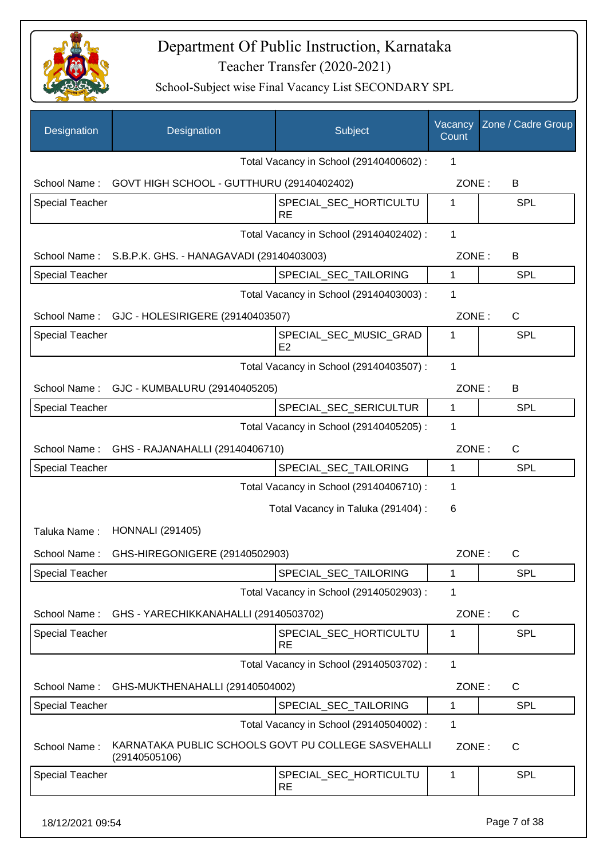

School-Subject wise Final Vacancy List SECONDARY SPL

|                        |                                                                      | Subject                                  | Vacancy<br>Count | Zone / Cadre Group |
|------------------------|----------------------------------------------------------------------|------------------------------------------|------------------|--------------------|
|                        |                                                                      | Total Vacancy in School (29140400602) :  | 1                |                    |
| School Name:           | GOVT HIGH SCHOOL - GUTTHURU (29140402402)                            |                                          | ZONE:            | B                  |
| Special Teacher        |                                                                      | SPECIAL_SEC_HORTICULTU<br><b>RE</b>      | 1                | <b>SPL</b>         |
|                        |                                                                      | Total Vacancy in School (29140402402) :  | 1                |                    |
|                        | School Name: S.B.P.K. GHS. - HANAGAVADI (29140403003)                |                                          | ZONE:            | В                  |
| <b>Special Teacher</b> |                                                                      | SPECIAL_SEC_TAILORING                    | $\mathbf{1}$     | <b>SPL</b>         |
|                        |                                                                      | Total Vacancy in School (29140403003) :  | 1                |                    |
|                        | School Name: GJC - HOLESIRIGERE (29140403507)                        |                                          | ZONE:            | C                  |
| <b>Special Teacher</b> |                                                                      | SPECIAL_SEC_MUSIC_GRAD<br>E <sub>2</sub> | 1                | <b>SPL</b>         |
|                        |                                                                      | Total Vacancy in School (29140403507) :  | 1                |                    |
|                        | School Name: GJC - KUMBALURU (29140405205)                           |                                          | ZONE:            | B                  |
| <b>Special Teacher</b> |                                                                      | SPECIAL_SEC_SERICULTUR                   | $\mathbf{1}$     | <b>SPL</b>         |
|                        |                                                                      | Total Vacancy in School (29140405205) :  | 1                |                    |
|                        | School Name: GHS - RAJANAHALLI (29140406710)                         |                                          | ZONE:            | $\mathsf{C}$       |
| Special Teacher        |                                                                      | SPECIAL_SEC_TAILORING                    | $\mathbf{1}$     | <b>SPL</b>         |
|                        |                                                                      | Total Vacancy in School (29140406710) :  | 1                |                    |
|                        |                                                                      | Total Vacancy in Taluka (291404) :       | 6                |                    |
| Taluka Name:           | <b>HONNALI</b> (291405)                                              |                                          |                  |                    |
| School Name:           | GHS-HIREGONIGERE (29140502903)                                       |                                          | ZONE:            | C                  |
| Special Teacher        |                                                                      | SPECIAL_SEC_TAILORING                    | $\mathbf{1}$     | <b>SPL</b>         |
|                        |                                                                      | Total Vacancy in School (29140502903) :  | 1                |                    |
| School Name:           | GHS - YARECHIKKANAHALLI (29140503702)                                |                                          | ZONE:            | C                  |
| <b>Special Teacher</b> |                                                                      | SPECIAL_SEC_HORTICULTU<br><b>RE</b>      | $\mathbf{1}$     | <b>SPL</b>         |
|                        |                                                                      | Total Vacancy in School (29140503702) :  | $\mathbf{1}$     |                    |
| School Name:           | GHS-MUKTHENAHALLI (29140504002)                                      |                                          | ZONE:            | C                  |
| <b>Special Teacher</b> |                                                                      | SPECIAL_SEC_TAILORING                    | 1                | <b>SPL</b>         |
|                        |                                                                      | Total Vacancy in School (29140504002) :  | 1                |                    |
| School Name:           | KARNATAKA PUBLIC SCHOOLS GOVT PU COLLEGE SASVEHALLI<br>(29140505106) |                                          | ZONE:            | $\mathsf{C}$       |
| <b>Special Teacher</b> |                                                                      | SPECIAL_SEC_HORTICULTU<br><b>RE</b>      | $\mathbf 1$      | <b>SPL</b>         |

18/12/2021 09:54 Page 7 of 38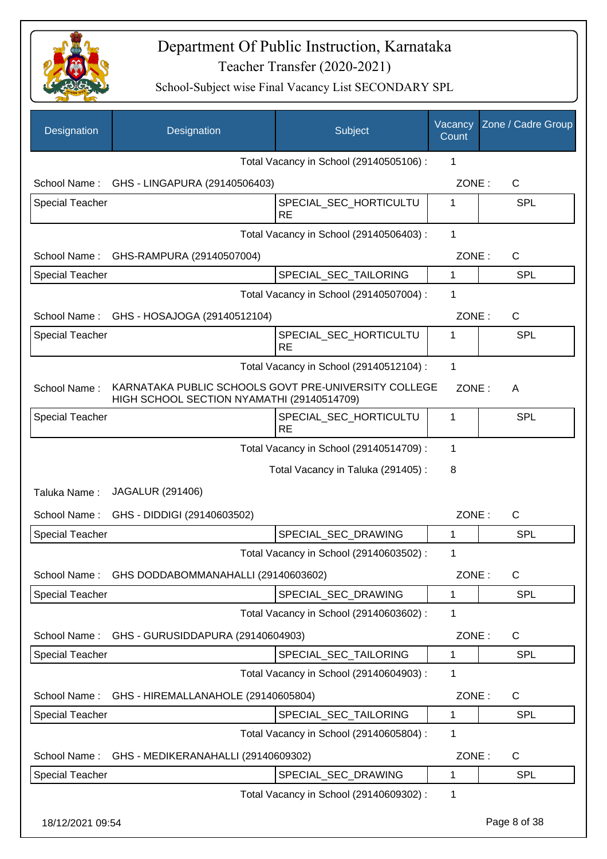

| Designation            | Designation                                                                                        | Subject                                 | Vacancy<br>Count | Zone / Cadre Group |
|------------------------|----------------------------------------------------------------------------------------------------|-----------------------------------------|------------------|--------------------|
|                        |                                                                                                    | Total Vacancy in School (29140505106) : | 1                |                    |
| School Name:           | GHS - LINGAPURA (29140506403)                                                                      |                                         | ZONE:            | $\mathsf{C}$       |
| <b>Special Teacher</b> |                                                                                                    | SPECIAL_SEC_HORTICULTU<br><b>RE</b>     | 1                | <b>SPL</b>         |
|                        |                                                                                                    | Total Vacancy in School (29140506403) : | 1                |                    |
| School Name:           | GHS-RAMPURA (29140507004)                                                                          |                                         | ZONE:            | $\mathsf{C}$       |
| <b>Special Teacher</b> |                                                                                                    | SPECIAL_SEC_TAILORING                   | 1                | <b>SPL</b>         |
|                        |                                                                                                    | Total Vacancy in School (29140507004) : | 1                |                    |
| School Name:           | GHS - HOSAJOGA (29140512104)                                                                       |                                         | ZONE:            | $\mathsf{C}$       |
| <b>Special Teacher</b> |                                                                                                    | SPECIAL_SEC_HORTICULTU<br><b>RE</b>     | 1                | SPL                |
|                        |                                                                                                    | Total Vacancy in School (29140512104) : | $\mathbf{1}$     |                    |
| School Name:           | KARNATAKA PUBLIC SCHOOLS GOVT PRE-UNIVERSITY COLLEGE<br>HIGH SCHOOL SECTION NYAMATHI (29140514709) |                                         | ZONE:            | A                  |
| <b>Special Teacher</b> |                                                                                                    | SPECIAL_SEC_HORTICULTU<br><b>RE</b>     | 1                | <b>SPL</b>         |
|                        |                                                                                                    | Total Vacancy in School (29140514709) : | 1                |                    |
|                        |                                                                                                    | Total Vacancy in Taluka (291405):       | 8                |                    |
| Taluka Name:           | <b>JAGALUR (291406)</b>                                                                            |                                         |                  |                    |
| School Name:           | GHS - DIDDIGI (29140603502)                                                                        |                                         | ZONE:            | $\mathsf{C}$       |
| <b>Special Teacher</b> |                                                                                                    | SPECIAL_SEC_DRAWING                     | 1                | <b>SPL</b>         |
|                        |                                                                                                    | Total Vacancy in School (29140603502) : | $\mathbf 1$      |                    |
| School Name:           | GHS DODDABOMMANAHALLI (29140603602)                                                                |                                         | ZONE:            | C                  |
| <b>Special Teacher</b> |                                                                                                    | SPECIAL_SEC_DRAWING                     | 1                | <b>SPL</b>         |
|                        |                                                                                                    | Total Vacancy in School (29140603602) : | 1                |                    |
| School Name:           | GHS - GURUSIDDAPURA (29140604903)                                                                  |                                         | ZONE:            | $\mathsf{C}$       |
| <b>Special Teacher</b> |                                                                                                    | SPECIAL SEC TAILORING                   | 1                | <b>SPL</b>         |
|                        |                                                                                                    | Total Vacancy in School (29140604903) : | $\mathbf 1$      |                    |
| School Name:           | GHS - HIREMALLANAHOLE (29140605804)                                                                |                                         | ZONE:            | $\mathsf{C}$       |
| <b>Special Teacher</b> |                                                                                                    | SPECIAL_SEC_TAILORING                   | 1                | <b>SPL</b>         |
|                        |                                                                                                    | Total Vacancy in School (29140605804) : | 1                |                    |
| School Name:           | GHS - MEDIKERANAHALLI (29140609302)                                                                |                                         | ZONE:            | C                  |
| <b>Special Teacher</b> |                                                                                                    | SPECIAL_SEC_DRAWING                     | 1                | <b>SPL</b>         |
|                        |                                                                                                    | Total Vacancy in School (29140609302) : | 1                |                    |
| 18/12/2021 09:54       |                                                                                                    |                                         |                  | Page 8 of 38       |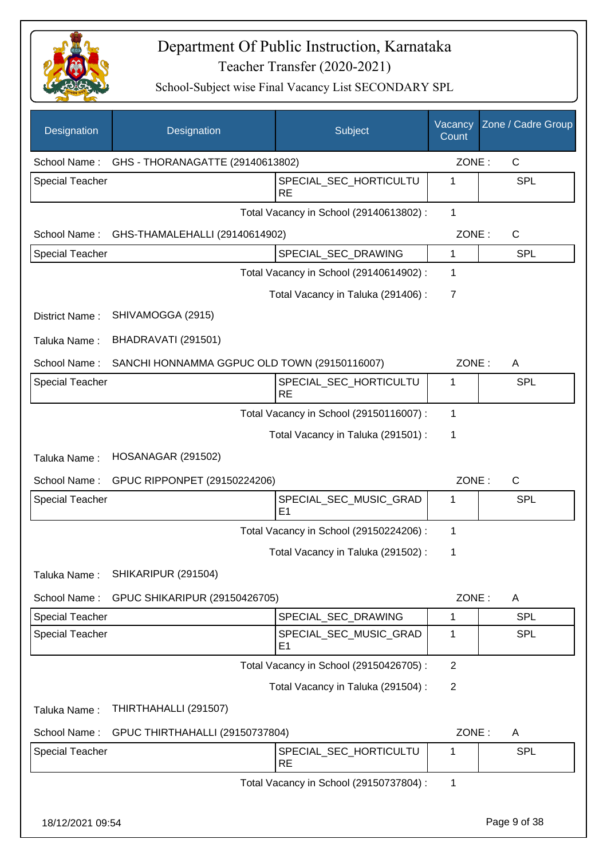

| Designation            | Designation                                  | Subject                                  | Vacancy<br>Count | Zone / Cadre Group |
|------------------------|----------------------------------------------|------------------------------------------|------------------|--------------------|
| School Name:           | GHS - THORANAGATTE (29140613802)             |                                          | ZONE:            | $\mathsf{C}$       |
| <b>Special Teacher</b> |                                              | SPECIAL_SEC_HORTICULTU<br><b>RE</b>      | 1                | <b>SPL</b>         |
|                        |                                              | Total Vacancy in School (29140613802) :  | $\mathbf{1}$     |                    |
| School Name:           | GHS-THAMALEHALLI (29140614902)               |                                          | ZONE:            | C                  |
| Special Teacher        |                                              | SPECIAL SEC DRAWING                      | 1                | <b>SPL</b>         |
|                        |                                              | Total Vacancy in School (29140614902) :  | 1                |                    |
|                        |                                              | Total Vacancy in Taluka (291406) :       | $\overline{7}$   |                    |
| District Name:         | SHIVAMOGGA (2915)                            |                                          |                  |                    |
| Taluka Name:           | BHADRAVATI (291501)                          |                                          |                  |                    |
| School Name:           | SANCHI HONNAMMA GGPUC OLD TOWN (29150116007) |                                          | ZONE:            | Α                  |
| <b>Special Teacher</b> |                                              | SPECIAL_SEC_HORTICULTU<br><b>RE</b>      | 1                | <b>SPL</b>         |
|                        |                                              | Total Vacancy in School (29150116007) :  | 1                |                    |
|                        |                                              | Total Vacancy in Taluka (291501) :       | 1                |                    |
| Taluka Name:           | <b>HOSANAGAR (291502)</b>                    |                                          |                  |                    |
| School Name:           | GPUC RIPPONPET (29150224206)                 |                                          | ZONE:            | $\mathsf{C}$       |
| <b>Special Teacher</b> |                                              | SPECIAL_SEC_MUSIC_GRAD<br>E <sub>1</sub> | 1                | <b>SPL</b>         |
|                        |                                              | Total Vacancy in School (29150224206) :  | 1                |                    |
|                        |                                              | Total Vacancy in Taluka (291502) :       | 1                |                    |
| Taluka Name:           | SHIKARIPUR (291504)                          |                                          |                  |                    |
| School Name:           | GPUC SHIKARIPUR (29150426705)                |                                          | ZONE:            | A                  |
| <b>Special Teacher</b> |                                              | SPECIAL_SEC_DRAWING                      | 1                | <b>SPL</b>         |
| <b>Special Teacher</b> |                                              | SPECIAL_SEC_MUSIC_GRAD<br>E <sub>1</sub> | $\mathbf 1$      | <b>SPL</b>         |
|                        |                                              | Total Vacancy in School (29150426705) :  | $\overline{2}$   |                    |
|                        |                                              | Total Vacancy in Taluka (291504) :       | $\overline{2}$   |                    |
| Taluka Name:           | THIRTHAHALLI (291507)                        |                                          |                  |                    |
| School Name:           | GPUC THIRTHAHALLI (29150737804)              |                                          | ZONE:            | A                  |
| <b>Special Teacher</b> |                                              | SPECIAL_SEC_HORTICULTU<br><b>RE</b>      | 1                | <b>SPL</b>         |
|                        |                                              | Total Vacancy in School (29150737804) :  | 1                |                    |
| 18/12/2021 09:54       |                                              |                                          |                  | Page 9 of 38       |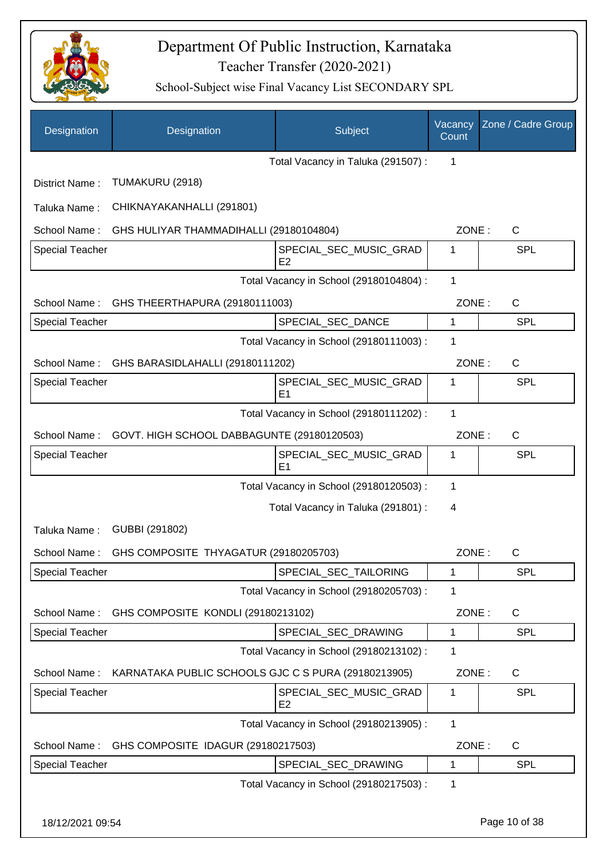

| <b>Designation</b>     | Designation                                                      | Subject                                  | Vacancy<br>Count | Zone / Cadre Group |
|------------------------|------------------------------------------------------------------|------------------------------------------|------------------|--------------------|
|                        |                                                                  | Total Vacancy in Taluka (291507):        | 1                |                    |
| District Name:         | TUMAKURU (2918)                                                  |                                          |                  |                    |
| Taluka Name:           | CHIKNAYAKANHALLI (291801)                                        |                                          |                  |                    |
| School Name:           | GHS HULIYAR THAMMADIHALLI (29180104804)                          |                                          | ZONE:            | $\mathsf{C}$       |
| <b>Special Teacher</b> |                                                                  | SPECIAL_SEC_MUSIC_GRAD<br>E <sub>2</sub> | 1                | <b>SPL</b>         |
|                        |                                                                  | Total Vacancy in School (29180104804) :  | 1                |                    |
| School Name:           | GHS THEERTHAPURA (29180111003)                                   |                                          | ZONE:            | $\mathsf{C}$       |
| <b>Special Teacher</b> |                                                                  | SPECIAL_SEC_DANCE                        | $\mathbf{1}$     | <b>SPL</b>         |
|                        |                                                                  | Total Vacancy in School (29180111003) :  | 1                |                    |
|                        | School Name: GHS BARASIDLAHALLI (29180111202)                    |                                          | ZONE:            | $\mathsf C$        |
| <b>Special Teacher</b> |                                                                  | SPECIAL_SEC_MUSIC_GRAD<br>E <sub>1</sub> | 1                | <b>SPL</b>         |
|                        |                                                                  | Total Vacancy in School (29180111202) :  | 1                |                    |
| School Name:           | GOVT. HIGH SCHOOL DABBAGUNTE (29180120503)                       |                                          | ZONE:            | C                  |
| <b>Special Teacher</b> |                                                                  | SPECIAL_SEC_MUSIC_GRAD<br>E1             | 1                | <b>SPL</b>         |
|                        |                                                                  | Total Vacancy in School (29180120503) :  | 1                |                    |
|                        |                                                                  | Total Vacancy in Taluka (291801) :       | 4                |                    |
| Taluka Name:           | GUBBI (291802)                                                   |                                          |                  |                    |
| School Name:           | GHS COMPOSITE THYAGATUR (29180205703)                            |                                          | ZONE:            | $\mathsf{C}$       |
| <b>Special Teacher</b> |                                                                  | SPECIAL_SEC_TAILORING                    | 1                | <b>SPL</b>         |
|                        |                                                                  | Total Vacancy in School (29180205703) :  | 1                |                    |
| School Name:           | GHS COMPOSITE KONDLI (29180213102)                               |                                          | ZONE:            | C                  |
| <b>Special Teacher</b> |                                                                  | SPECIAL_SEC_DRAWING                      | $\mathbf 1$      | <b>SPL</b>         |
|                        |                                                                  | Total Vacancy in School (29180213102) :  | 1                |                    |
|                        | School Name: KARNATAKA PUBLIC SCHOOLS GJC C S PURA (29180213905) |                                          | ZONE:            | C                  |
| Special Teacher        |                                                                  | SPECIAL_SEC_MUSIC_GRAD<br>E <sub>2</sub> | 1                | <b>SPL</b>         |
|                        |                                                                  | Total Vacancy in School (29180213905) :  | 1                |                    |
| School Name:           | GHS COMPOSITE IDAGUR (29180217503)                               |                                          | ZONE:            | C                  |
| Special Teacher        |                                                                  | SPECIAL_SEC_DRAWING                      | 1                | <b>SPL</b>         |
|                        |                                                                  | Total Vacancy in School (29180217503) :  | 1                |                    |
| 18/12/2021 09:54       |                                                                  |                                          |                  | Page 10 of 38      |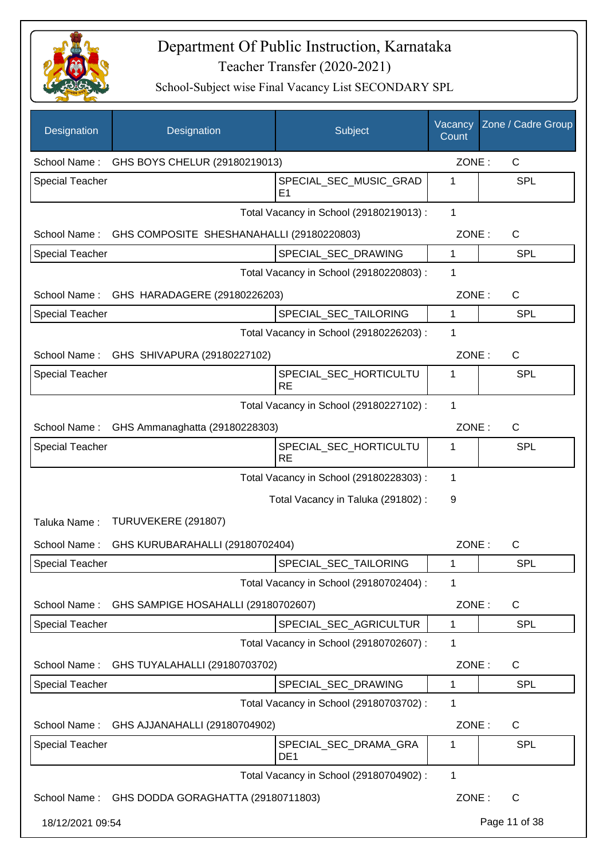

| Designation            | Designation                               | Subject                                  | Vacancy<br>Count | Zone / Cadre Group |
|------------------------|-------------------------------------------|------------------------------------------|------------------|--------------------|
| School Name:           | GHS BOYS CHELUR (29180219013)             |                                          | ZONE:            | C                  |
| <b>Special Teacher</b> |                                           | SPECIAL_SEC_MUSIC_GRAD<br>E <sub>1</sub> | 1                | <b>SPL</b>         |
|                        |                                           | Total Vacancy in School (29180219013) :  | 1                |                    |
| School Name:           | GHS COMPOSITE SHESHANAHALLI (29180220803) |                                          | ZONE:            | C                  |
| <b>Special Teacher</b> |                                           | SPECIAL_SEC_DRAWING                      | 1                | <b>SPL</b>         |
|                        |                                           | Total Vacancy in School (29180220803) :  | 1                |                    |
| School Name:           | GHS HARADAGERE (29180226203)              |                                          | ZONE:            | C                  |
| <b>Special Teacher</b> |                                           | SPECIAL_SEC_TAILORING                    | 1                | <b>SPL</b>         |
|                        |                                           | Total Vacancy in School (29180226203) :  | 1                |                    |
|                        | School Name: GHS SHIVAPURA (29180227102)  |                                          | ZONE:            | C                  |
| <b>Special Teacher</b> |                                           | SPECIAL_SEC_HORTICULTU<br><b>RE</b>      | 1                | <b>SPL</b>         |
|                        |                                           | Total Vacancy in School (29180227102) :  | 1                |                    |
| School Name:           | GHS Ammanaghatta (29180228303)            |                                          | ZONE:            | C                  |
| <b>Special Teacher</b> |                                           | SPECIAL_SEC_HORTICULTU<br><b>RE</b>      | 1                | <b>SPL</b>         |
|                        |                                           | Total Vacancy in School (29180228303) :  | $\mathbf{1}$     |                    |
|                        |                                           | Total Vacancy in Taluka (291802):        | 9                |                    |
| Taluka Name:           | TURUVEKERE (291807)                       |                                          |                  |                    |
| School Name:           | GHS KURUBARAHALLI (29180702404)           |                                          | ZONE:            | $\mathsf{C}$       |
| Special Teacher        |                                           | SPECIAL_SEC_TAILORING                    | 1                | SPL                |
|                        |                                           | Total Vacancy in School (29180702404) :  | 1                |                    |
| School Name:           | GHS SAMPIGE HOSAHALLI (29180702607)       |                                          | ZONE:            | C                  |
| Special Teacher        |                                           | SPECIAL_SEC_AGRICULTUR                   | 1                | <b>SPL</b>         |
|                        |                                           | Total Vacancy in School (29180702607) :  | 1                |                    |
| School Name:           | GHS TUYALAHALLI (29180703702)             |                                          | ZONE:            | C                  |
| <b>Special Teacher</b> |                                           | SPECIAL_SEC_DRAWING                      | 1                | <b>SPL</b>         |
|                        |                                           | Total Vacancy in School (29180703702) :  | 1                |                    |
| School Name:           | GHS AJJANAHALLI (29180704902)             |                                          | ZONE:            | C                  |
| <b>Special Teacher</b> |                                           | SPECIAL_SEC_DRAMA_GRA<br>DE <sub>1</sub> | 1                | <b>SPL</b>         |
|                        |                                           | Total Vacancy in School (29180704902) :  | 1                |                    |
| School Name:           | GHS DODDA GORAGHATTA (29180711803)        |                                          | ZONE:            | $\mathsf{C}$       |
| 18/12/2021 09:54       |                                           |                                          |                  | Page 11 of 38      |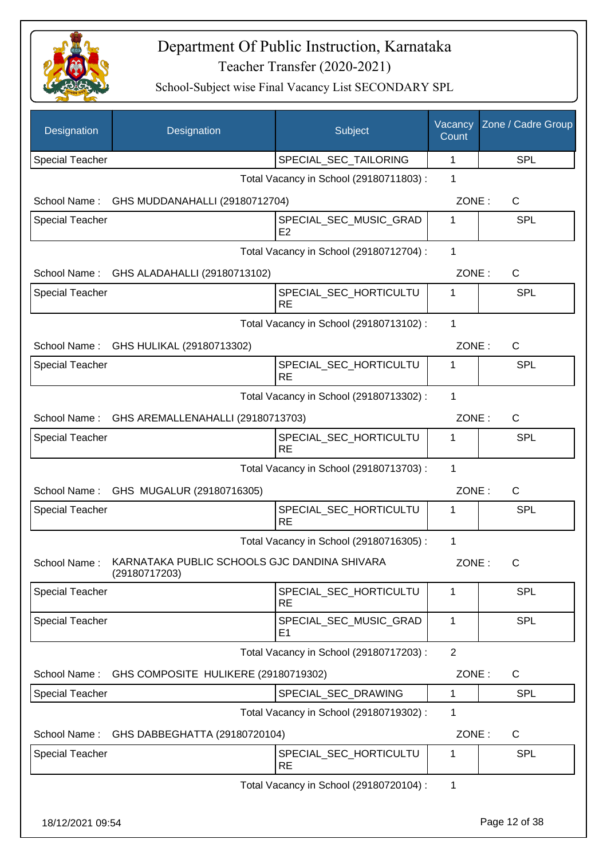

| Designation            | Designation                                                   | Subject                                 | Vacancy<br>Count | Zone / Cadre Group |
|------------------------|---------------------------------------------------------------|-----------------------------------------|------------------|--------------------|
| <b>Special Teacher</b> |                                                               | SPECIAL_SEC_TAILORING                   | 1                | <b>SPL</b>         |
|                        |                                                               | Total Vacancy in School (29180711803) : | 1                |                    |
| School Name:           | GHS MUDDANAHALLI (29180712704)                                |                                         | ZONE:            | C                  |
| <b>Special Teacher</b> |                                                               | SPECIAL_SEC_MUSIC_GRAD<br>E2            | 1                | SPL                |
|                        |                                                               | Total Vacancy in School (29180712704) : | $\mathbf{1}$     |                    |
| School Name:           | GHS ALADAHALLI (29180713102)                                  |                                         | ZONE:            | C                  |
| <b>Special Teacher</b> |                                                               | SPECIAL_SEC_HORTICULTU<br><b>RE</b>     | 1                | <b>SPL</b>         |
|                        |                                                               | Total Vacancy in School (29180713102) : | 1                |                    |
|                        | School Name: GHS HULIKAL (29180713302)                        |                                         | ZONE:            | $\mathsf C$        |
| <b>Special Teacher</b> |                                                               | SPECIAL_SEC_HORTICULTU<br><b>RE</b>     | 1                | SPL                |
|                        |                                                               | Total Vacancy in School (29180713302) : | 1                |                    |
| School Name:           | GHS AREMALLENAHALLI (29180713703)                             |                                         | ZONE:            | C                  |
| <b>Special Teacher</b> |                                                               | SPECIAL_SEC_HORTICULTU<br><b>RE</b>     | 1                | SPL                |
|                        |                                                               | Total Vacancy in School (29180713703) : | 1                |                    |
|                        | School Name: GHS MUGALUR (29180716305)                        |                                         | ZONE:            | $\mathsf{C}$       |
| <b>Special Teacher</b> |                                                               | SPECIAL_SEC_HORTICULTU<br><b>RE</b>     | 1                | SPL                |
|                        |                                                               | Total Vacancy in School (29180716305) : | 1                |                    |
| School Name:           | KARNATAKA PUBLIC SCHOOLS GJC DANDINA SHIVARA<br>(29180717203) |                                         | ZONE:            | C                  |
| <b>Special Teacher</b> |                                                               | SPECIAL_SEC_HORTICULTU<br><b>RE</b>     | 1                | <b>SPL</b>         |
| <b>Special Teacher</b> |                                                               | SPECIAL_SEC_MUSIC_GRAD<br>E1            | 1                | <b>SPL</b>         |
|                        |                                                               | Total Vacancy in School (29180717203) : | $\overline{2}$   |                    |
| School Name:           | GHS COMPOSITE HULIKERE (29180719302)                          |                                         | ZONE:            | $\mathsf{C}$       |
| <b>Special Teacher</b> |                                                               | SPECIAL_SEC_DRAWING                     | 1                | <b>SPL</b>         |
|                        |                                                               | Total Vacancy in School (29180719302) : | 1                |                    |
| School Name:           | GHS DABBEGHATTA (29180720104)                                 |                                         | ZONE:            | $\mathsf{C}$       |
| <b>Special Teacher</b> |                                                               | SPECIAL_SEC_HORTICULTU<br><b>RE</b>     | 1                | <b>SPL</b>         |
|                        |                                                               | Total Vacancy in School (29180720104) : | $\mathbf 1$      |                    |
| 18/12/2021 09:54       |                                                               |                                         |                  | Page 12 of 38      |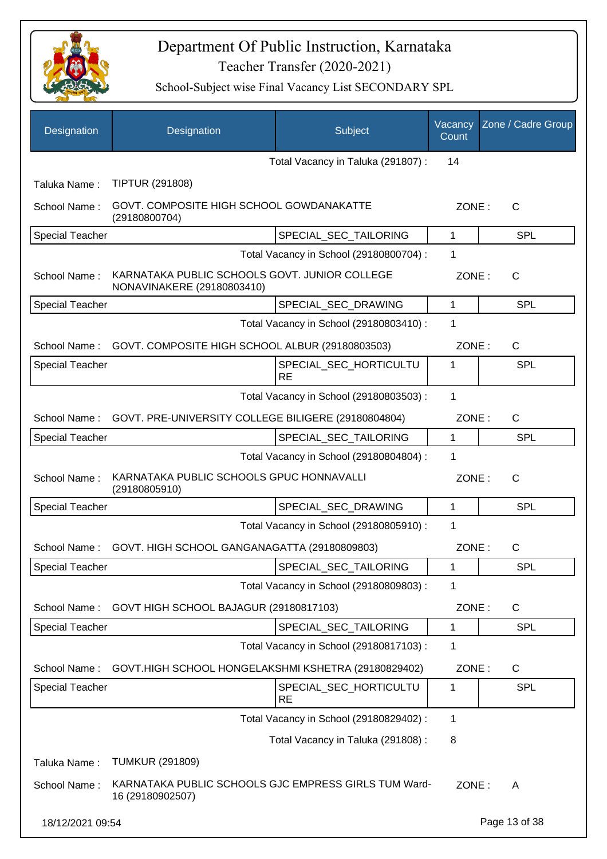

| Designation            | Designation                                                                 | Subject                                 | Vacancy<br>Count | Zone / Cadre Group |
|------------------------|-----------------------------------------------------------------------------|-----------------------------------------|------------------|--------------------|
|                        |                                                                             | Total Vacancy in Taluka (291807) :      | 14               |                    |
| Taluka Name:           | <b>TIPTUR (291808)</b>                                                      |                                         |                  |                    |
| School Name:           | GOVT. COMPOSITE HIGH SCHOOL GOWDANAKATTE<br>(29180800704)                   |                                         | ZONE:            | C                  |
| <b>Special Teacher</b> |                                                                             | SPECIAL_SEC_TAILORING                   | 1                | <b>SPL</b>         |
|                        |                                                                             | Total Vacancy in School (29180800704) : | 1                |                    |
| School Name:           | KARNATAKA PUBLIC SCHOOLS GOVT. JUNIOR COLLEGE<br>NONAVINAKERE (29180803410) |                                         | ZONE:            | $\mathsf{C}$       |
| <b>Special Teacher</b> |                                                                             | SPECIAL_SEC_DRAWING                     | $\mathbf{1}$     | SPL                |
|                        |                                                                             | Total Vacancy in School (29180803410) : | 1                |                    |
| School Name:           | GOVT. COMPOSITE HIGH SCHOOL ALBUR (29180803503)                             |                                         | ZONE:            | $\mathsf{C}$       |
| <b>Special Teacher</b> |                                                                             | SPECIAL_SEC_HORTICULTU<br><b>RE</b>     | 1                | <b>SPL</b>         |
|                        |                                                                             | Total Vacancy in School (29180803503) : | $\mathbf{1}$     |                    |
| School Name:           | GOVT. PRE-UNIVERSITY COLLEGE BILIGERE (29180804804)                         |                                         | ZONE:            | $\mathsf{C}$       |
| <b>Special Teacher</b> |                                                                             | SPECIAL_SEC_TAILORING                   | 1                | <b>SPL</b>         |
|                        |                                                                             | Total Vacancy in School (29180804804) : | 1                |                    |
| School Name:           | KARNATAKA PUBLIC SCHOOLS GPUC HONNAVALLI<br>(29180805910)                   |                                         | ZONE:            | $\mathsf{C}$       |
| <b>Special Teacher</b> |                                                                             | SPECIAL SEC DRAWING                     | $\mathbf{1}$     | SPL                |
|                        |                                                                             | Total Vacancy in School (29180805910) : | 1                |                    |
| School Name:           | GOVT. HIGH SCHOOL GANGANAGATTA (29180809803)                                |                                         | ZONE:            | $\mathsf{C}$       |
| <b>Special Teacher</b> |                                                                             | SPECIAL_SEC_TAILORING                   | 1                | <b>SPL</b>         |
|                        |                                                                             | Total Vacancy in School (29180809803) : | 1                |                    |
| School Name:           | GOVT HIGH SCHOOL BAJAGUR (29180817103)                                      |                                         | ZONE:            | C                  |
| <b>Special Teacher</b> |                                                                             | SPECIAL_SEC_TAILORING                   | 1                | <b>SPL</b>         |
|                        |                                                                             | Total Vacancy in School (29180817103) : | 1                |                    |
| School Name:           | GOVT.HIGH SCHOOL HONGELAKSHMI KSHETRA (29180829402)                         |                                         | ZONE:            | C                  |
| Special Teacher        |                                                                             | SPECIAL_SEC_HORTICULTU<br><b>RE</b>     | 1                | <b>SPL</b>         |
|                        |                                                                             | Total Vacancy in School (29180829402) : | 1                |                    |
|                        |                                                                             | Total Vacancy in Taluka (291808) :      | 8                |                    |
| Taluka Name:           | <b>TUMKUR (291809)</b>                                                      |                                         |                  |                    |
| School Name:           | KARNATAKA PUBLIC SCHOOLS GJC EMPRESS GIRLS TUM Ward-<br>16 (29180902507)    |                                         | ZONE:            | A                  |
| 18/12/2021 09:54       |                                                                             |                                         |                  | Page 13 of 38      |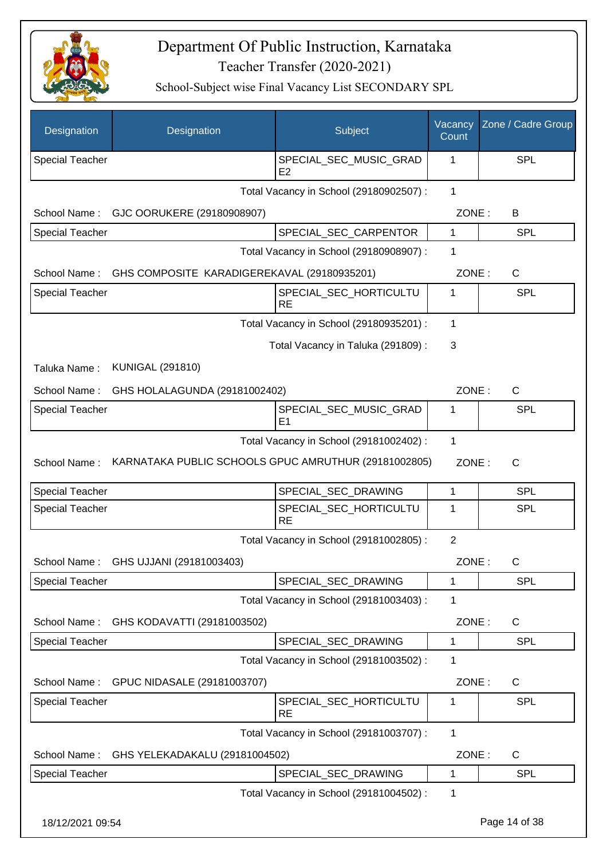

| Designation            | Designation                                          | Subject                                  | Vacancy<br>Count | Zone / Cadre Group |
|------------------------|------------------------------------------------------|------------------------------------------|------------------|--------------------|
| <b>Special Teacher</b> |                                                      | SPECIAL_SEC_MUSIC_GRAD<br>E <sub>2</sub> | 1                | SPL                |
|                        |                                                      | Total Vacancy in School (29180902507) :  | $\mathbf{1}$     |                    |
| School Name:           | GJC OORUKERE (29180908907)                           |                                          | ZONE:            | B                  |
| <b>Special Teacher</b> |                                                      | SPECIAL_SEC_CARPENTOR                    | 1                | <b>SPL</b>         |
|                        |                                                      | Total Vacancy in School (29180908907) :  | 1                |                    |
| School Name:           | GHS COMPOSITE KARADIGEREKAVAL (29180935201)          |                                          | ZONE:            | C                  |
| <b>Special Teacher</b> |                                                      | SPECIAL_SEC_HORTICULTU<br><b>RE</b>      | 1                | <b>SPL</b>         |
|                        |                                                      | Total Vacancy in School (29180935201) :  | 1                |                    |
|                        |                                                      | Total Vacancy in Taluka (291809) :       | 3                |                    |
| Taluka Name:           | <b>KUNIGAL (291810)</b>                              |                                          |                  |                    |
| School Name:           | GHS HOLALAGUNDA (29181002402)                        |                                          | ZONE:            | C                  |
| Special Teacher        |                                                      | SPECIAL_SEC_MUSIC_GRAD<br>E <sub>1</sub> | 1                | <b>SPL</b>         |
|                        |                                                      | Total Vacancy in School (29181002402) :  | 1                |                    |
| School Name:           | KARNATAKA PUBLIC SCHOOLS GPUC AMRUTHUR (29181002805) |                                          | ZONE:            | $\mathsf{C}$       |
| <b>Special Teacher</b> |                                                      | SPECIAL_SEC_DRAWING                      | $\mathbf{1}$     | <b>SPL</b>         |
| Special Teacher        |                                                      | SPECIAL_SEC_HORTICULTU<br><b>RE</b>      | 1                | <b>SPL</b>         |
|                        |                                                      | Total Vacancy in School (29181002805) :  | $\overline{2}$   |                    |
|                        | School Name: GHS UJJANI (29181003403)                |                                          | ZONE:            | C.                 |
| Special Teacher        |                                                      | SPECIAL SEC DRAWING                      | 1                | <b>SPL</b>         |
|                        |                                                      | Total Vacancy in School (29181003403) :  | 1                |                    |
| School Name:           | GHS KODAVATTI (29181003502)                          |                                          | ZONE:            | C                  |
| <b>Special Teacher</b> |                                                      | SPECIAL_SEC_DRAWING                      | 1                | SPL                |
|                        |                                                      | Total Vacancy in School (29181003502) :  | 1                |                    |
| School Name:           | GPUC NIDASALE (29181003707)                          |                                          | ZONE:            | C                  |
| <b>Special Teacher</b> |                                                      | SPECIAL_SEC_HORTICULTU<br><b>RE</b>      | 1                | SPL                |
|                        |                                                      | Total Vacancy in School (29181003707) :  | 1                |                    |
| School Name:           | GHS YELEKADAKALU (29181004502)                       |                                          | ZONE:            | C                  |
| <b>Special Teacher</b> |                                                      | SPECIAL_SEC_DRAWING                      | 1                | SPL                |
|                        |                                                      | Total Vacancy in School (29181004502) :  | 1                |                    |
| 18/12/2021 09:54       |                                                      |                                          |                  | Page 14 of 38      |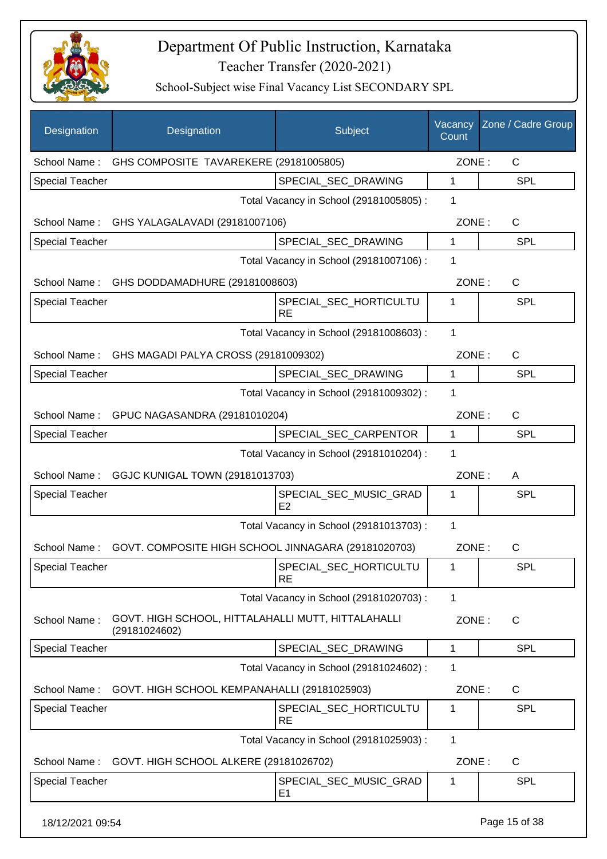

| Designation            | Designation                                                         | Subject                                  | Vacancy<br>Count | Zone / Cadre Group |
|------------------------|---------------------------------------------------------------------|------------------------------------------|------------------|--------------------|
| School Name:           | GHS COMPOSITE TAVAREKERE (29181005805)                              |                                          | ZONE:            | $\mathsf{C}$       |
| Special Teacher        |                                                                     | SPECIAL_SEC_DRAWING                      | 1                | <b>SPL</b>         |
|                        |                                                                     | Total Vacancy in School (29181005805) :  | 1                |                    |
|                        | School Name: GHS YALAGALAVADI (29181007106)                         |                                          | ZONE:            | C                  |
| <b>Special Teacher</b> |                                                                     | SPECIAL_SEC_DRAWING                      | 1                | <b>SPL</b>         |
|                        |                                                                     | Total Vacancy in School (29181007106) :  | 1                |                    |
|                        | School Name: GHS DODDAMADHURE (29181008603)                         |                                          | ZONE:            | $\mathsf{C}$       |
| <b>Special Teacher</b> |                                                                     | SPECIAL_SEC_HORTICULTU<br><b>RE</b>      | 1                | <b>SPL</b>         |
|                        |                                                                     | Total Vacancy in School (29181008603) :  | 1                |                    |
|                        | School Name: GHS MAGADI PALYA CROSS (29181009302)                   |                                          | ZONE:            | $\mathsf{C}$       |
| <b>Special Teacher</b> |                                                                     | SPECIAL_SEC_DRAWING                      | 1                | <b>SPL</b>         |
|                        |                                                                     | Total Vacancy in School (29181009302) :  | 1                |                    |
|                        | School Name: GPUC NAGASANDRA (29181010204)                          |                                          | ZONE:            | $\mathsf{C}$       |
| <b>Special Teacher</b> |                                                                     | SPECIAL_SEC_CARPENTOR                    | $\mathbf{1}$     | <b>SPL</b>         |
|                        |                                                                     | Total Vacancy in School (29181010204) :  | 1                |                    |
|                        | School Name: GGJC KUNIGAL TOWN (29181013703)                        |                                          | ZONE:            | A                  |
| <b>Special Teacher</b> |                                                                     | SPECIAL_SEC_MUSIC_GRAD<br>E <sub>2</sub> | 1                | <b>SPL</b>         |
|                        |                                                                     | Total Vacancy in School (29181013703) :  | 1                |                    |
| School Name:           | GOVT. COMPOSITE HIGH SCHOOL JINNAGARA (29181020703)                 |                                          | ZONE:            | C                  |
| <b>Special Teacher</b> |                                                                     | SPECIAL_SEC_HORTICULTU<br>RE             | 1                | <b>SPL</b>         |
|                        |                                                                     | Total Vacancy in School (29181020703) :  | 1                |                    |
| School Name:           | GOVT. HIGH SCHOOL, HITTALAHALLI MUTT, HITTALAHALLI<br>(29181024602) |                                          | ZONE:            | C                  |
| <b>Special Teacher</b> |                                                                     | SPECIAL_SEC_DRAWING                      | 1                | <b>SPL</b>         |
|                        |                                                                     | Total Vacancy in School (29181024602) :  | 1                |                    |
| School Name:           | GOVT. HIGH SCHOOL KEMPANAHALLI (29181025903)                        |                                          | ZONE:            | $\mathsf{C}$       |
| <b>Special Teacher</b> |                                                                     | SPECIAL_SEC_HORTICULTU<br><b>RE</b>      | 1                | <b>SPL</b>         |
|                        |                                                                     | Total Vacancy in School (29181025903) :  | 1                |                    |
| School Name:           | GOVT. HIGH SCHOOL ALKERE (29181026702)                              |                                          | ZONE:            | C                  |
| Special Teacher        |                                                                     | SPECIAL_SEC_MUSIC_GRAD<br>E <sub>1</sub> | 1                | <b>SPL</b>         |
| 18/12/2021 09:54       |                                                                     |                                          |                  | Page 15 of 38      |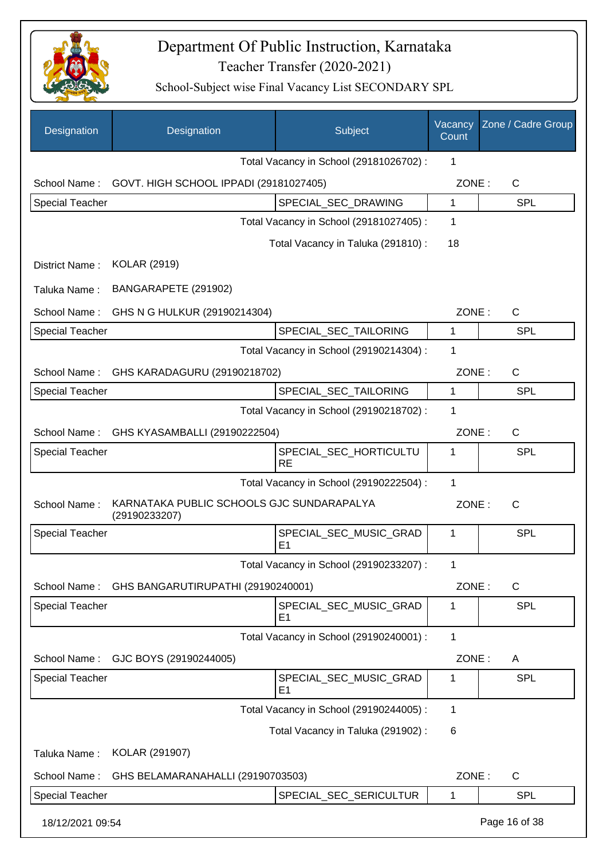

| Designation            | Designation                                                | Subject                                  | Vacancy<br>Count | Zone / Cadre Group |
|------------------------|------------------------------------------------------------|------------------------------------------|------------------|--------------------|
|                        |                                                            | Total Vacancy in School (29181026702) :  | 1                |                    |
| School Name:           | GOVT. HIGH SCHOOL IPPADI (29181027405)                     |                                          | ZONE:            | $\mathsf{C}$       |
| <b>Special Teacher</b> |                                                            | SPECIAL_SEC_DRAWING                      | $\mathbf{1}$     | <b>SPL</b>         |
|                        |                                                            | Total Vacancy in School (29181027405) :  | 1                |                    |
|                        |                                                            | Total Vacancy in Taluka (291810) :       | 18               |                    |
| District Name:         | <b>KOLAR (2919)</b>                                        |                                          |                  |                    |
| Taluka Name:           | BANGARAPETE (291902)                                       |                                          |                  |                    |
| School Name:           | GHS N G HULKUR (29190214304)                               |                                          | ZONE:            | C                  |
| <b>Special Teacher</b> |                                                            | SPECIAL_SEC_TAILORING                    | 1                | <b>SPL</b>         |
|                        |                                                            | Total Vacancy in School (29190214304) :  | 1                |                    |
|                        | School Name: GHS KARADAGURU (29190218702)                  |                                          | ZONE:            | C                  |
| <b>Special Teacher</b> |                                                            | SPECIAL_SEC_TAILORING                    | 1                | <b>SPL</b>         |
|                        |                                                            | Total Vacancy in School (29190218702) :  | 1                |                    |
| School Name:           | GHS KYASAMBALLI (29190222504)                              |                                          | ZONE:            | C                  |
| Special Teacher        |                                                            | SPECIAL_SEC_HORTICULTU<br><b>RE</b>      | 1                | SPL                |
|                        |                                                            | Total Vacancy in School (29190222504) :  | 1                |                    |
| School Name:           | KARNATAKA PUBLIC SCHOOLS GJC SUNDARAPALYA<br>(29190233207) |                                          | ZONE:            | $\mathsf{C}$       |
| <b>Special Teacher</b> |                                                            | SPECIAL_SEC_MUSIC_GRAD<br>E1             | 1                | SPL                |
|                        |                                                            | Total Vacancy in School (29190233207) :  | 1                |                    |
| School Name:           | GHS BANGARUTIRUPATHI (29190240001)                         |                                          | ZONE:            | $\mathsf C$        |
| <b>Special Teacher</b> |                                                            | SPECIAL_SEC_MUSIC_GRAD<br>E <sub>1</sub> | 1                | <b>SPL</b>         |
|                        |                                                            | Total Vacancy in School (29190240001) :  | $\mathbf{1}$     |                    |
| School Name:           | GJC BOYS (29190244005)                                     |                                          | ZONE:            | A                  |
| <b>Special Teacher</b> |                                                            | SPECIAL_SEC_MUSIC_GRAD<br>E1             | 1                | <b>SPL</b>         |
|                        |                                                            | Total Vacancy in School (29190244005) :  | 1                |                    |
|                        |                                                            | Total Vacancy in Taluka (291902) :       | 6                |                    |
| Taluka Name:           | KOLAR (291907)                                             |                                          |                  |                    |
| School Name:           | GHS BELAMARANAHALLI (29190703503)                          |                                          | ZONE:            | $\mathsf C$        |
| <b>Special Teacher</b> |                                                            | SPECIAL_SEC_SERICULTUR                   | $\mathbf{1}$     | <b>SPL</b>         |
| 18/12/2021 09:54       |                                                            |                                          |                  | Page 16 of 38      |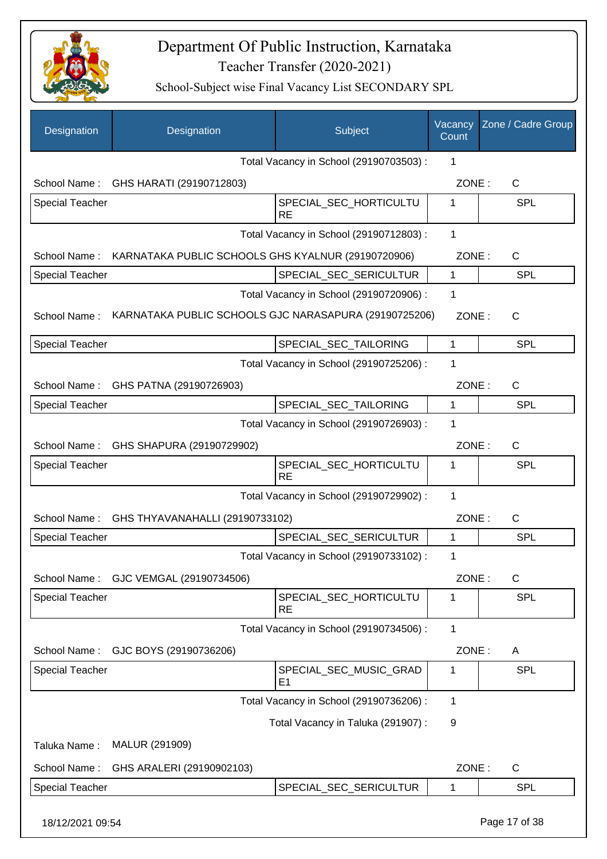

| Designation            | Designation                                                     | Subject                                               | Vacancy<br>Count | Zone / Cadre Group |
|------------------------|-----------------------------------------------------------------|-------------------------------------------------------|------------------|--------------------|
|                        |                                                                 | Total Vacancy in School (29190703503) :               | 1                |                    |
|                        | School Name: GHS HARATI (29190712803)                           |                                                       | ZONE:            | C                  |
| Special Teacher        |                                                                 | SPECIAL_SEC_HORTICULTU<br><b>RE</b>                   | 1                | <b>SPL</b>         |
|                        |                                                                 | Total Vacancy in School (29190712803) :               | $\mathbf{1}$     |                    |
|                        | School Name: KARNATAKA PUBLIC SCHOOLS GHS KYALNUR (29190720906) |                                                       | ZONE:            | C                  |
| <b>Special Teacher</b> |                                                                 | SPECIAL_SEC_SERICULTUR                                | $\mathbf{1}$     | <b>SPL</b>         |
|                        |                                                                 | Total Vacancy in School (29190720906) :               | 1                |                    |
| School Name:           |                                                                 | KARNATAKA PUBLIC SCHOOLS GJC NARASAPURA (29190725206) | ZONE:            | $\mathsf{C}$       |
| <b>Special Teacher</b> |                                                                 | SPECIAL_SEC_TAILORING                                 | 1                | <b>SPL</b>         |
|                        |                                                                 | Total Vacancy in School (29190725206) :               | 1                |                    |
|                        | School Name: GHS PATNA (29190726903)                            |                                                       | ZONE:            | $\mathsf{C}$       |
| <b>Special Teacher</b> |                                                                 | SPECIAL_SEC_TAILORING                                 | 1                | <b>SPL</b>         |
|                        |                                                                 | Total Vacancy in School (29190726903) :               | 1                |                    |
|                        | School Name: GHS SHAPURA (29190729902)                          |                                                       | ZONE:            | C                  |
| <b>Special Teacher</b> |                                                                 | SPECIAL_SEC_HORTICULTU<br><b>RE</b>                   | 1                | <b>SPL</b>         |
|                        |                                                                 | Total Vacancy in School (29190729902) :               | $\mathbf{1}$     |                    |
| School Name:           | GHS THYAVANAHALLI (29190733102)                                 |                                                       | ZONE:            | C                  |
| <b>Special Teacher</b> |                                                                 | SPECIAL_SEC_SERICULTUR                                | 1                | <b>SPL</b>         |
|                        |                                                                 | Total Vacancy in School (29190733102) :               | 1                |                    |
| School Name:           | GJC VEMGAL (29190734506)                                        |                                                       | ZONE:            | C                  |
| Special Teacher        |                                                                 | SPECIAL_SEC_HORTICULTU<br><b>RE</b>                   | 1                | <b>SPL</b>         |
|                        |                                                                 | Total Vacancy in School (29190734506) :               | 1                |                    |
| School Name:           | GJC BOYS (29190736206)                                          |                                                       | ZONE:            | A                  |
| <b>Special Teacher</b> |                                                                 | SPECIAL_SEC_MUSIC_GRAD<br>E <sub>1</sub>              | 1                | SPL                |
|                        |                                                                 | Total Vacancy in School (29190736206) :               | 1                |                    |
|                        |                                                                 | Total Vacancy in Taluka (291907) :                    | 9                |                    |
| Taluka Name:           | MALUR (291909)                                                  |                                                       |                  |                    |
| School Name:           | GHS ARALERI (29190902103)                                       |                                                       | ZONE:            | C                  |
| Special Teacher        |                                                                 | SPECIAL_SEC_SERICULTUR                                | 1                | <b>SPL</b>         |
| 18/12/2021 09:54       |                                                                 |                                                       |                  | Page 17 of 38      |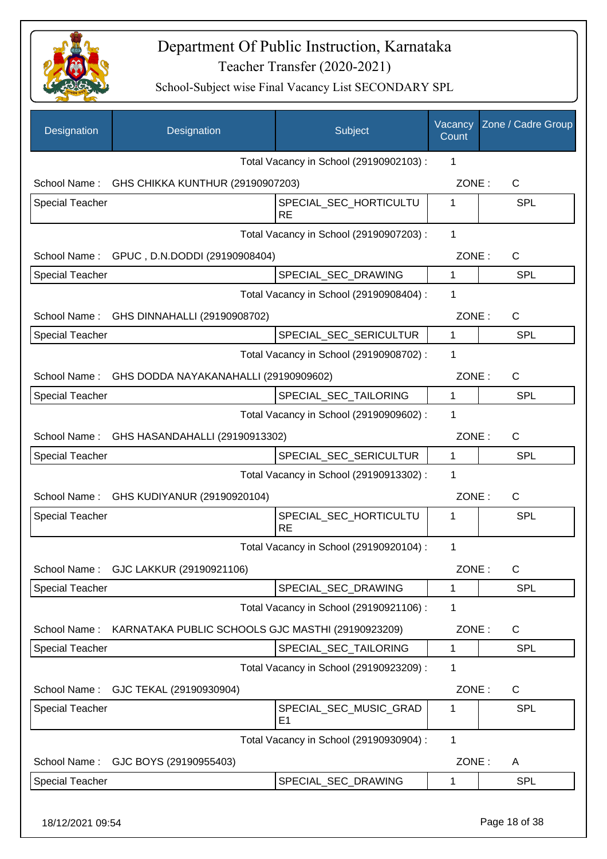

| Designation            | Designation                                        | Subject                                 | Vacancy<br>Count | Zone / Cadre Group |
|------------------------|----------------------------------------------------|-----------------------------------------|------------------|--------------------|
|                        |                                                    | Total Vacancy in School (29190902103) : | 1                |                    |
|                        | School Name: GHS CHIKKA KUNTHUR (29190907203)      |                                         | ZONE:            | C                  |
| <b>Special Teacher</b> |                                                    | SPECIAL_SEC_HORTICULTU<br><b>RE</b>     | 1                | <b>SPL</b>         |
|                        |                                                    | Total Vacancy in School (29190907203) : | 1                |                    |
|                        | School Name: GPUC, D.N.DODDI (29190908404)         |                                         | ZONE:            | C                  |
| <b>Special Teacher</b> |                                                    | SPECIAL_SEC_DRAWING                     | 1                | <b>SPL</b>         |
|                        |                                                    | Total Vacancy in School (29190908404) : | 1                |                    |
|                        | School Name: GHS DINNAHALLI (29190908702)          |                                         | ZONE:            | C                  |
| <b>Special Teacher</b> |                                                    | SPECIAL_SEC_SERICULTUR                  | $\mathbf{1}$     | SPL                |
|                        |                                                    | Total Vacancy in School (29190908702) : | 1                |                    |
|                        | School Name: GHS DODDA NAYAKANAHALLI (29190909602) |                                         | ZONE:            | C                  |
| Special Teacher        |                                                    | SPECIAL SEC TAILORING                   | $\mathbf{1}$     | <b>SPL</b>         |
|                        |                                                    | Total Vacancy in School (29190909602) : | 1                |                    |
|                        | School Name: GHS HASANDAHALLI (29190913302)        |                                         | ZONE:            | C                  |
| Special Teacher        |                                                    | SPECIAL_SEC_SERICULTUR                  | 1                | SPL                |
|                        |                                                    | Total Vacancy in School (29190913302) : | 1                |                    |
| School Name:           | GHS KUDIYANUR (29190920104)                        |                                         | ZONE:            | C                  |
| Special Teacher        |                                                    | SPECIAL_SEC_HORTICULTU<br><b>RE</b>     | 1                | <b>SPL</b>         |
|                        |                                                    | Total Vacancy in School (29190920104) : | 1                |                    |
| School Name:           | GJC LAKKUR (29190921106)                           |                                         | ZONE:            | C                  |
| <b>Special Teacher</b> |                                                    | SPECIAL_SEC_DRAWING                     | 1                | <b>SPL</b>         |
|                        |                                                    | Total Vacancy in School (29190921106) : | 1                |                    |
| School Name:           | KARNATAKA PUBLIC SCHOOLS GJC MASTHI (29190923209)  |                                         | ZONE:            | $\mathsf{C}$       |
| <b>Special Teacher</b> |                                                    | SPECIAL_SEC_TAILORING                   | 1                | <b>SPL</b>         |
|                        |                                                    | Total Vacancy in School (29190923209) : | 1                |                    |
| School Name:           | GJC TEKAL (29190930904)                            |                                         | ZONE:            | $\mathsf{C}$       |
| <b>Special Teacher</b> |                                                    | SPECIAL_SEC_MUSIC_GRAD<br>E1            | 1                | <b>SPL</b>         |
|                        |                                                    | Total Vacancy in School (29190930904) : | $\mathbf{1}$     |                    |
| School Name:           | GJC BOYS (29190955403)                             |                                         | ZONE:            | A                  |
| Special Teacher        |                                                    | SPECIAL_SEC_DRAWING                     | 1                | <b>SPL</b>         |
| 18/12/2021 09:54       |                                                    |                                         |                  | Page 18 of 38      |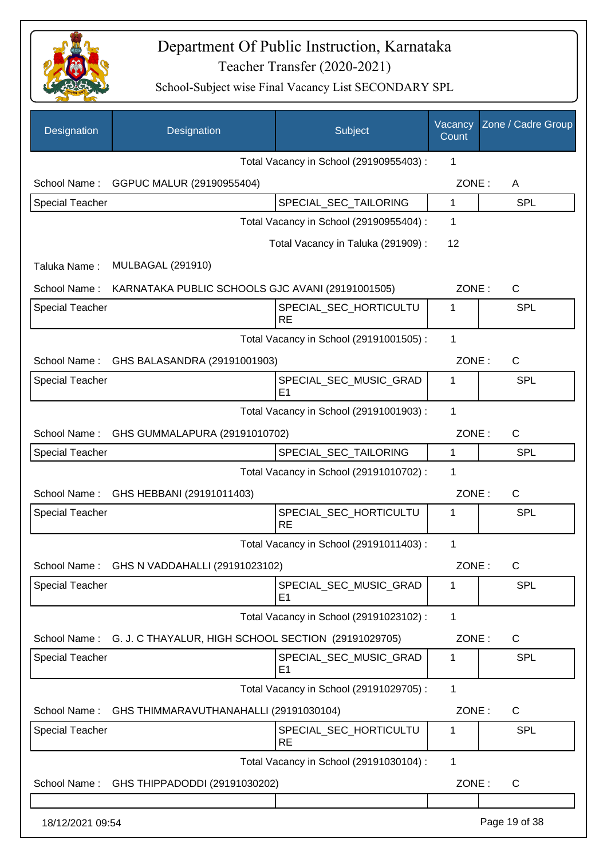

| Designation            | Designation                                                      | Subject                                  | Vacancy<br>Count | Zone / Cadre Group |
|------------------------|------------------------------------------------------------------|------------------------------------------|------------------|--------------------|
|                        |                                                                  | Total Vacancy in School (29190955403):   | 1                |                    |
| School Name:           | GGPUC MALUR (29190955404)                                        |                                          | ZONE:            | A                  |
| <b>Special Teacher</b> |                                                                  | SPECIAL_SEC_TAILORING                    | 1                | <b>SPL</b>         |
|                        |                                                                  | Total Vacancy in School (29190955404) :  | 1                |                    |
|                        |                                                                  | Total Vacancy in Taluka (291909):        | 12               |                    |
| Taluka Name:           | <b>MULBAGAL (291910)</b>                                         |                                          |                  |                    |
| School Name:           | KARNATAKA PUBLIC SCHOOLS GJC AVANI (29191001505)                 |                                          | ZONE:            | $\mathsf{C}$       |
| <b>Special Teacher</b> |                                                                  | SPECIAL_SEC_HORTICULTU<br><b>RE</b>      | 1                | <b>SPL</b>         |
|                        |                                                                  | Total Vacancy in School (29191001505) :  | 1                |                    |
| School Name:           | GHS BALASANDRA (29191001903)                                     |                                          | ZONE:            | $\mathsf{C}$       |
| <b>Special Teacher</b> |                                                                  | SPECIAL_SEC_MUSIC_GRAD<br>E <sub>1</sub> | 1                | <b>SPL</b>         |
|                        |                                                                  | Total Vacancy in School (29191001903) :  | 1                |                    |
| School Name:           | GHS GUMMALAPURA (29191010702)                                    |                                          | ZONE:            | $\mathsf{C}$       |
| <b>Special Teacher</b> |                                                                  | SPECIAL_SEC_TAILORING                    | 1                | <b>SPL</b>         |
|                        |                                                                  | Total Vacancy in School (29191010702) :  | 1                |                    |
|                        | School Name: GHS HEBBANI (29191011403)                           |                                          | ZONE:            | $\mathsf{C}$       |
| <b>Special Teacher</b> |                                                                  | SPECIAL_SEC_HORTICULTU<br><b>RE</b>      | 1                | <b>SPL</b>         |
|                        |                                                                  | Total Vacancy in School (29191011403) :  | $\mathbf 1$      |                    |
|                        | School Name: GHS N VADDAHALLI (29191023102)                      |                                          | ZONE:            | $\mathsf{C}$       |
| <b>Special Teacher</b> |                                                                  | SPECIAL SEC MUSIC GRAD<br>E <sub>1</sub> | 1                | <b>SPL</b>         |
|                        |                                                                  | Total Vacancy in School (29191023102) :  | 1                |                    |
|                        | School Name: G. J. C THAYALUR, HIGH SCHOOL SECTION (29191029705) |                                          | ZONE:            | C                  |
| <b>Special Teacher</b> |                                                                  | SPECIAL_SEC_MUSIC_GRAD<br>E <sub>1</sub> | 1                | <b>SPL</b>         |
|                        |                                                                  | Total Vacancy in School (29191029705) :  | 1                |                    |
| School Name:           | GHS THIMMARAVUTHANAHALLI (29191030104)                           |                                          | ZONE:            | $\mathsf{C}$       |
| Special Teacher        |                                                                  | SPECIAL_SEC_HORTICULTU<br><b>RE</b>      | 1                | <b>SPL</b>         |
|                        |                                                                  | Total Vacancy in School (29191030104) :  | 1                |                    |
| School Name:           | GHS THIPPADODDI (29191030202)                                    |                                          | ZONE:            | C                  |
|                        |                                                                  |                                          |                  |                    |
| 18/12/2021 09:54       |                                                                  |                                          |                  | Page 19 of 38      |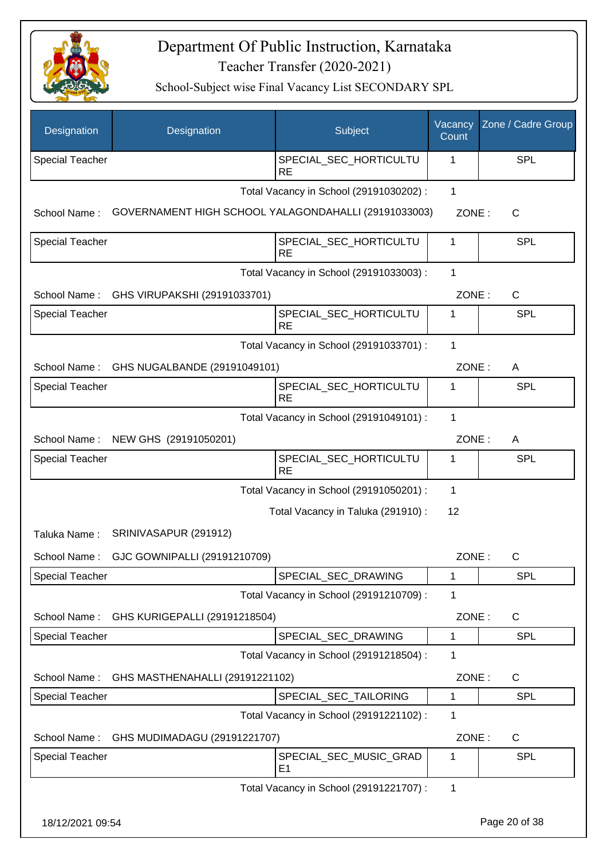

| Designation            | Designation                                          | Subject                                  | Vacancy<br>Count | Zone / Cadre Group |
|------------------------|------------------------------------------------------|------------------------------------------|------------------|--------------------|
| <b>Special Teacher</b> |                                                      | SPECIAL_SEC_HORTICULTU<br><b>RE</b>      | 1                | SPL                |
|                        |                                                      | Total Vacancy in School (29191030202) :  | $\mathbf{1}$     |                    |
| School Name:           | GOVERNAMENT HIGH SCHOOL YALAGONDAHALLI (29191033003) |                                          | ZONE:            | C                  |
| <b>Special Teacher</b> |                                                      | SPECIAL_SEC_HORTICULTU<br><b>RE</b>      | 1                | <b>SPL</b>         |
|                        |                                                      | Total Vacancy in School (29191033003) :  | 1                |                    |
| School Name:           | GHS VIRUPAKSHI (29191033701)                         |                                          | ZONE:            | $\mathsf{C}$       |
| <b>Special Teacher</b> |                                                      | SPECIAL_SEC_HORTICULTU<br><b>RE</b>      | 1                | SPL                |
|                        |                                                      | Total Vacancy in School (29191033701) :  | 1                |                    |
| School Name:           | GHS NUGALBANDE (29191049101)                         |                                          | ZONE:            | A                  |
| <b>Special Teacher</b> |                                                      | SPECIAL_SEC_HORTICULTU<br><b>RE</b>      | 1                | SPL                |
|                        |                                                      | Total Vacancy in School (29191049101) :  | 1                |                    |
| School Name:           | NEW GHS (29191050201)                                |                                          | ZONE:            | A                  |
| <b>Special Teacher</b> |                                                      | SPECIAL_SEC_HORTICULTU<br><b>RE</b>      | 1                | <b>SPL</b>         |
|                        |                                                      | Total Vacancy in School (29191050201) :  | 1                |                    |
|                        |                                                      | Total Vacancy in Taluka (291910) :       | 12               |                    |
| Taluka Name:           | SRINIVASAPUR (291912)                                |                                          |                  |                    |
| School Name:           | GJC GOWNIPALLI (29191210709)                         |                                          | ZONE:            | C                  |
| <b>Special Teacher</b> |                                                      | SPECIAL_SEC_DRAWING                      | 1                | SPL                |
|                        |                                                      | Total Vacancy in School (29191210709) :  | 1                |                    |
| School Name:           | GHS KURIGEPALLI (29191218504)                        |                                          | ZONE:            | C                  |
| Special Teacher        |                                                      | SPECIAL_SEC_DRAWING                      | 1                | <b>SPL</b>         |
|                        |                                                      | Total Vacancy in School (29191218504) :  | 1                |                    |
| School Name:           | GHS MASTHENAHALLI (29191221102)                      |                                          | ZONE:            | C                  |
| <b>Special Teacher</b> |                                                      | SPECIAL_SEC_TAILORING                    | 1                | SPL                |
|                        |                                                      | Total Vacancy in School (29191221102) :  | 1                |                    |
| School Name:           | GHS MUDIMADAGU (29191221707)                         |                                          | ZONE:            | C                  |
| <b>Special Teacher</b> |                                                      | SPECIAL_SEC_MUSIC_GRAD<br>E <sub>1</sub> | 1                | SPL                |
|                        |                                                      | Total Vacancy in School (29191221707) :  | 1                |                    |
| 18/12/2021 09:54       |                                                      |                                          |                  | Page 20 of 38      |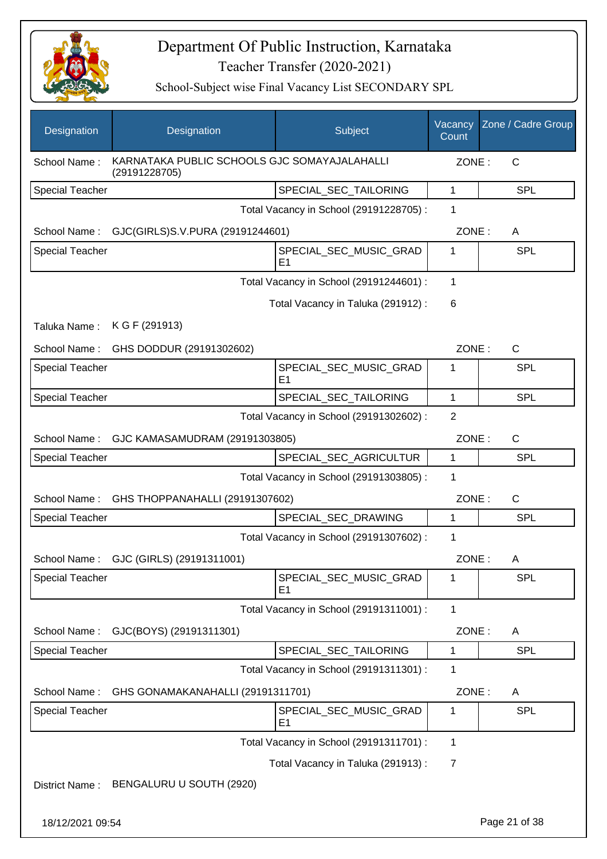

| Designation            | Designation                                                   | Subject                                  | Vacancy<br>Count | Zone / Cadre Group |
|------------------------|---------------------------------------------------------------|------------------------------------------|------------------|--------------------|
| School Name:           | KARNATAKA PUBLIC SCHOOLS GJC SOMAYAJALAHALLI<br>(29191228705) |                                          | ZONE:            | $\mathsf{C}$       |
| <b>Special Teacher</b> |                                                               | SPECIAL_SEC_TAILORING                    | 1                | <b>SPL</b>         |
|                        |                                                               | Total Vacancy in School (29191228705) :  | 1                |                    |
| School Name:           | GJC(GIRLS)S.V.PURA (29191244601)                              |                                          | ZONE:            | A                  |
| <b>Special Teacher</b> |                                                               | SPECIAL_SEC_MUSIC_GRAD<br>E <sub>1</sub> | 1                | <b>SPL</b>         |
|                        |                                                               | Total Vacancy in School (29191244601) :  | 1                |                    |
|                        |                                                               | Total Vacancy in Taluka (291912):        | 6                |                    |
| Taluka Name:           | K G F (291913)                                                |                                          |                  |                    |
| School Name:           | GHS DODDUR (29191302602)                                      |                                          | ZONE:            | C                  |
| Special Teacher        |                                                               | SPECIAL_SEC_MUSIC_GRAD<br>E <sub>1</sub> | 1                | <b>SPL</b>         |
| Special Teacher        |                                                               | SPECIAL_SEC_TAILORING                    | $\mathbf{1}$     | SPL                |
|                        |                                                               | Total Vacancy in School (29191302602) :  | 2                |                    |
| School Name:           | GJC KAMASAMUDRAM (29191303805)                                |                                          | ZONE:            | C                  |
| Special Teacher        |                                                               | SPECIAL_SEC_AGRICULTUR                   | 1                | <b>SPL</b>         |
|                        |                                                               | Total Vacancy in School (29191303805) :  | $\mathbf{1}$     |                    |
| School Name:           | GHS THOPPANAHALLI (29191307602)                               |                                          | ZONE:            | C                  |
| <b>Special Teacher</b> |                                                               | SPECIAL_SEC_DRAWING                      | $\mathbf{1}$     | SPL                |
|                        |                                                               | Total Vacancy in School (29191307602) :  | 1                |                    |
|                        | School Name: GJC (GIRLS) (29191311001)                        |                                          | ZONE:            | A                  |
| <b>Special Teacher</b> |                                                               | SPECIAL_SEC_MUSIC_GRAD<br>E <sub>1</sub> | 1                | <b>SPL</b>         |
|                        |                                                               | Total Vacancy in School (29191311001) :  | 1                |                    |
| School Name:           | GJC(BOYS) (29191311301)                                       |                                          | ZONE:            | A                  |
| <b>Special Teacher</b> |                                                               | SPECIAL SEC TAILORING                    | 1                | <b>SPL</b>         |
|                        |                                                               | Total Vacancy in School (29191311301) :  | 1                |                    |
| School Name:           | GHS GONAMAKANAHALLI (29191311701)                             |                                          | ZONE:            | A                  |
| <b>Special Teacher</b> |                                                               | SPECIAL_SEC_MUSIC_GRAD<br>E <sub>1</sub> | 1                | <b>SPL</b>         |
|                        |                                                               | Total Vacancy in School (29191311701) :  | 1                |                    |
|                        |                                                               | Total Vacancy in Taluka (291913) :       | 7                |                    |
| District Name:         | BENGALURU U SOUTH (2920)                                      |                                          |                  |                    |
| 18/12/2021 09:54       |                                                               |                                          |                  | Page 21 of 38      |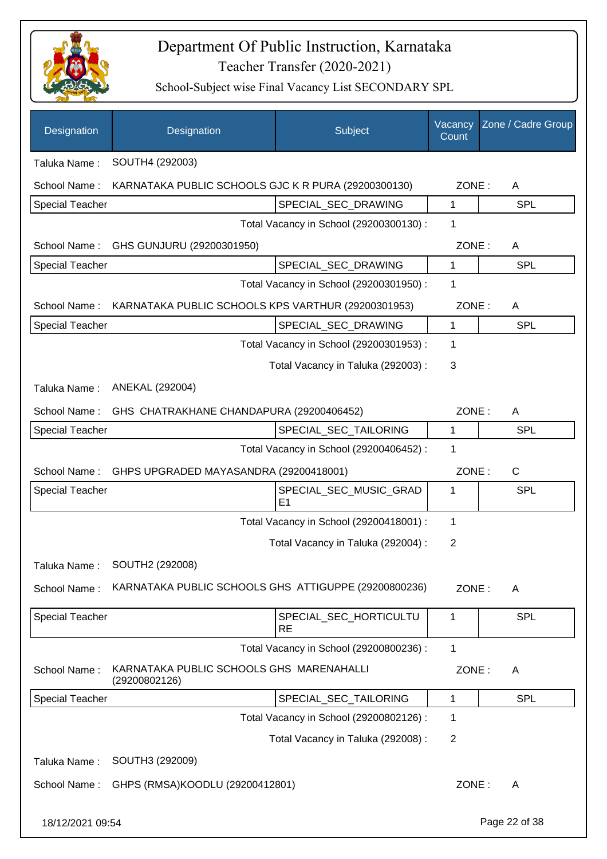

| Designation            | Designation                                                     | Subject                                 | Vacancy<br>Count | Zone / Cadre Group |
|------------------------|-----------------------------------------------------------------|-----------------------------------------|------------------|--------------------|
| Taluka Name:           | SOUTH4 (292003)                                                 |                                         |                  |                    |
| School Name:           | KARNATAKA PUBLIC SCHOOLS GJC K R PURA (29200300130)             |                                         | ZONE:            | A                  |
| Special Teacher        |                                                                 | SPECIAL_SEC_DRAWING                     | 1                | <b>SPL</b>         |
|                        |                                                                 | Total Vacancy in School (29200300130) : | 1                |                    |
| School Name:           | GHS GUNJURU (29200301950)                                       |                                         | ZONE:            | A                  |
| <b>Special Teacher</b> |                                                                 | SPECIAL_SEC_DRAWING                     | 1                | <b>SPL</b>         |
|                        |                                                                 | Total Vacancy in School (29200301950) : | 1                |                    |
|                        | School Name: KARNATAKA PUBLIC SCHOOLS KPS VARTHUR (29200301953) |                                         | ZONE:            | A                  |
| <b>Special Teacher</b> |                                                                 | SPECIAL_SEC_DRAWING                     | $\mathbf{1}$     | <b>SPL</b>         |
|                        |                                                                 | Total Vacancy in School (29200301953) : | 1                |                    |
|                        |                                                                 | Total Vacancy in Taluka (292003) :      | 3                |                    |
| Taluka Name:           | ANEKAL (292004)                                                 |                                         |                  |                    |
| School Name:           | GHS CHATRAKHANE CHANDAPURA (29200406452)                        |                                         | ZONE:            | A                  |
| <b>Special Teacher</b> |                                                                 | SPECIAL_SEC_TAILORING                   | 1                | <b>SPL</b>         |
|                        |                                                                 | Total Vacancy in School (29200406452) : | $\mathbf 1$      |                    |
| School Name:           | GHPS UPGRADED MAYASANDRA (29200418001)                          |                                         | ZONE:            | $\mathsf{C}$       |
| Special Teacher        |                                                                 | SPECIAL_SEC_MUSIC_GRAD                  | 1                | SPL                |
|                        |                                                                 | E1                                      |                  |                    |
|                        |                                                                 | Total Vacancy in School (29200418001) : | 1                |                    |
|                        |                                                                 | Total Vacancy in Taluka (292004) :      | $\overline{2}$   |                    |
| Taluka Name:           | SOUTH2 (292008)                                                 |                                         |                  |                    |
| School Name:           | KARNATAKA PUBLIC SCHOOLS GHS ATTIGUPPE (29200800236)            |                                         | ZONE:            | A                  |
| Special Teacher        |                                                                 | SPECIAL_SEC_HORTICULTU<br>RE            | 1                | <b>SPL</b>         |
|                        |                                                                 | Total Vacancy in School (29200800236) : | 1                |                    |
| School Name:           | KARNATAKA PUBLIC SCHOOLS GHS MARENAHALLI<br>(29200802126)       |                                         | ZONE:            | A                  |
| <b>Special Teacher</b> |                                                                 | SPECIAL_SEC_TAILORING                   | 1                | <b>SPL</b>         |
|                        |                                                                 | Total Vacancy in School (29200802126) : | 1                |                    |
|                        |                                                                 | Total Vacancy in Taluka (292008) :      | $\overline{2}$   |                    |
| Taluka Name:           | SOUTH3 (292009)                                                 |                                         |                  |                    |
| School Name:           | GHPS (RMSA)KOODLU (29200412801)                                 |                                         | ZONE:            | A                  |
| 18/12/2021 09:54       |                                                                 |                                         |                  | Page 22 of 38      |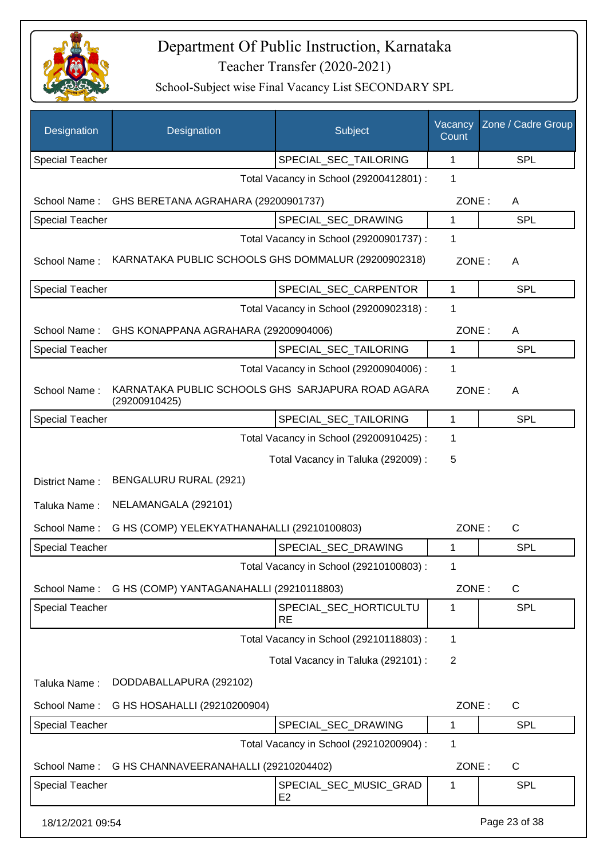

| Designation            | Designation                                                        | Subject                                  | Vacancy<br>Count | Zone / Cadre Group |
|------------------------|--------------------------------------------------------------------|------------------------------------------|------------------|--------------------|
| <b>Special Teacher</b> |                                                                    | SPECIAL SEC TAILORING                    | 1                | <b>SPL</b>         |
|                        |                                                                    | Total Vacancy in School (29200412801) :  | 1                |                    |
| School Name:           | GHS BERETANA AGRAHARA (29200901737)                                |                                          | ZONE:            | A                  |
| <b>Special Teacher</b> |                                                                    | SPECIAL_SEC_DRAWING                      | 1                | <b>SPL</b>         |
|                        |                                                                    | Total Vacancy in School (29200901737) :  | 1                |                    |
| School Name:           | KARNATAKA PUBLIC SCHOOLS GHS DOMMALUR (29200902318)                |                                          | ZONE:            | A                  |
| <b>Special Teacher</b> |                                                                    | SPECIAL_SEC_CARPENTOR                    | $\mathbf{1}$     | SPL                |
|                        |                                                                    | Total Vacancy in School (29200902318) :  | 1                |                    |
| School Name:           | GHS KONAPPANA AGRAHARA (29200904006)                               |                                          | ZONE:            | Α                  |
| <b>Special Teacher</b> |                                                                    | SPECIAL_SEC_TAILORING                    | 1                | SPL                |
|                        |                                                                    | Total Vacancy in School (29200904006) :  | 1                |                    |
| School Name:           | KARNATAKA PUBLIC SCHOOLS GHS SARJAPURA ROAD AGARA<br>(29200910425) |                                          | ZONE:            | Α                  |
| <b>Special Teacher</b> |                                                                    | SPECIAL_SEC_TAILORING                    | 1                | <b>SPL</b>         |
|                        |                                                                    | Total Vacancy in School (29200910425) :  | 1                |                    |
|                        |                                                                    | Total Vacancy in Taluka (292009) :       | 5                |                    |
| District Name:         | BENGALURU RURAL (2921)                                             |                                          |                  |                    |
| Taluka Name:           | NELAMANGALA (292101)                                               |                                          |                  |                    |
| School Name:           | G HS (COMP) YELEKYATHANAHALLI (29210100803)                        |                                          | ZONE:            | C                  |
| <b>Special Teacher</b> |                                                                    | SPECIAL_SEC_DRAWING                      | 1                | <b>SPL</b>         |
|                        |                                                                    | Total Vacancy in School (29210100803):   | 1                |                    |
| School Name:           | G HS (COMP) YANTAGANAHALLI (29210118803)                           |                                          | ZONE:            | $\mathsf C$        |
| <b>Special Teacher</b> |                                                                    | SPECIAL_SEC_HORTICULTU<br><b>RE</b>      | 1                | <b>SPL</b>         |
|                        |                                                                    | Total Vacancy in School (29210118803) :  | $\mathbf 1$      |                    |
|                        |                                                                    | Total Vacancy in Taluka (292101) :       | $\overline{2}$   |                    |
| Taluka Name:           | DODDABALLAPURA (292102)                                            |                                          |                  |                    |
| School Name:           | G HS HOSAHALLI (29210200904)                                       |                                          | ZONE:            | $\mathsf C$        |
| <b>Special Teacher</b> |                                                                    | SPECIAL_SEC_DRAWING                      | 1                | <b>SPL</b>         |
|                        |                                                                    | Total Vacancy in School (29210200904) :  | 1                |                    |
| School Name:           | G HS CHANNAVEERANAHALLI (29210204402)                              |                                          | ZONE:            | $\mathsf C$        |
| <b>Special Teacher</b> |                                                                    | SPECIAL_SEC_MUSIC_GRAD<br>E <sub>2</sub> | 1                | <b>SPL</b>         |
| 18/12/2021 09:54       |                                                                    |                                          |                  | Page 23 of 38      |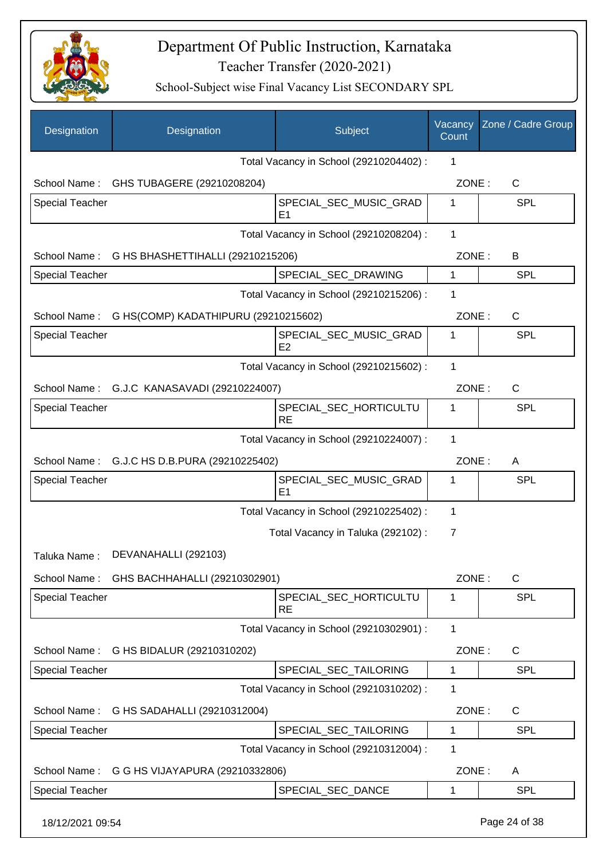

| Designation            | Designation                                    | Subject                                  | Vacancy<br>Count | Zone / Cadre Group |
|------------------------|------------------------------------------------|------------------------------------------|------------------|--------------------|
|                        |                                                | Total Vacancy in School (29210204402) :  | 1                |                    |
| School Name:           | GHS TUBAGERE (29210208204)                     |                                          | ZONE:            | C                  |
| <b>Special Teacher</b> |                                                | SPECIAL_SEC_MUSIC_GRAD<br>E <sub>1</sub> | 1                | <b>SPL</b>         |
|                        |                                                | Total Vacancy in School (29210208204) :  | 1                |                    |
|                        | School Name: G HS BHASHETTIHALLI (29210215206) |                                          | ZONE:            | В                  |
| <b>Special Teacher</b> |                                                | SPECIAL_SEC_DRAWING                      | $\mathbf{1}$     | <b>SPL</b>         |
|                        |                                                | Total Vacancy in School (29210215206) :  | 1                |                    |
| School Name:           | G HS(COMP) KADATHIPURU (29210215602)           |                                          | ZONE:            | $\mathsf{C}$       |
| <b>Special Teacher</b> |                                                | SPECIAL SEC MUSIC GRAD<br>E2             | 1                | SPL                |
|                        |                                                | Total Vacancy in School (29210215602) :  | 1                |                    |
|                        | School Name: G.J.C KANASAVADI (29210224007)    |                                          | ZONE:            | $\mathsf C$        |
| <b>Special Teacher</b> |                                                | SPECIAL_SEC_HORTICULTU<br><b>RE</b>      | 1                | SPL                |
|                        |                                                | Total Vacancy in School (29210224007) :  | 1                |                    |
|                        | School Name: G.J.C HS D.B.PURA (29210225402)   |                                          | ZONE:            | Α                  |
| <b>Special Teacher</b> |                                                | SPECIAL_SEC_MUSIC_GRAD<br>E1             | 1                | SPL                |
|                        |                                                | Total Vacancy in School (29210225402) :  | 1                |                    |
|                        |                                                | Total Vacancy in Taluka (292102):        | $\overline{7}$   |                    |
| Taluka Name:           | DEVANAHALLI (292103)                           |                                          |                  |                    |
|                        | School Name: GHS BACHHAHALLI (29210302901)     |                                          | ZONE:            | C                  |
| Special Teacher        |                                                | SPECIAL_SEC_HORTICULTU<br><b>RE</b>      | 1                | <b>SPL</b>         |
|                        |                                                | Total Vacancy in School (29210302901) :  | 1                |                    |
|                        | School Name: G HS BIDALUR (29210310202)        |                                          | ZONE:            | C                  |
| <b>Special Teacher</b> |                                                | SPECIAL_SEC_TAILORING                    | $\mathbf{1}$     | <b>SPL</b>         |
|                        |                                                | Total Vacancy in School (29210310202) :  | 1                |                    |
|                        | School Name: G HS SADAHALLI (29210312004)      |                                          | ZONE:            | $\mathsf C$        |
| Special Teacher        |                                                | SPECIAL_SEC_TAILORING                    | 1                | SPL                |
|                        |                                                | Total Vacancy in School (29210312004) :  | 1                |                    |
| School Name:           | G G HS VIJAYAPURA (29210332806)                |                                          | ZONE:            | A                  |
| <b>Special Teacher</b> |                                                | SPECIAL_SEC_DANCE                        | 1                | <b>SPL</b>         |
| 18/12/2021 09:54       |                                                |                                          |                  | Page 24 of 38      |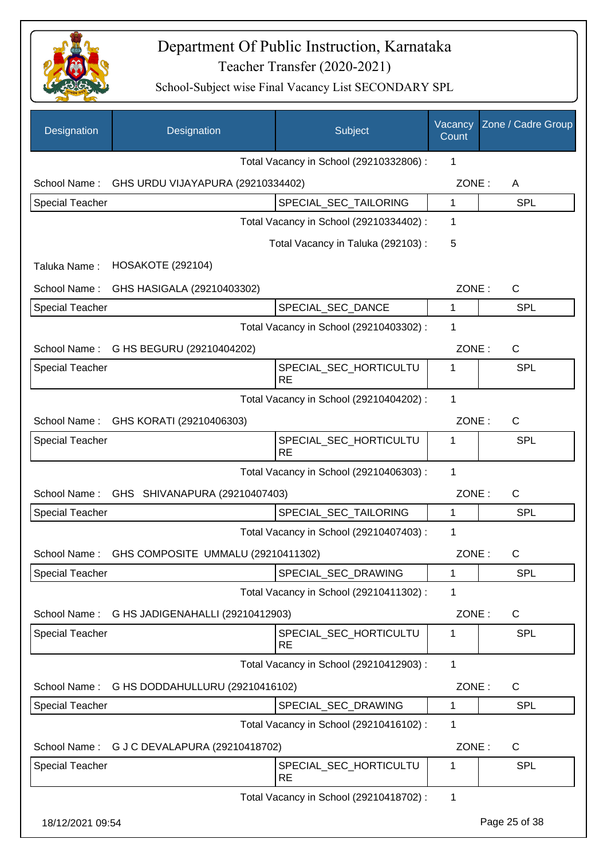

| Designation            | Designation                                   | Subject                                 | Vacancy<br>Count | Zone / Cadre Group |
|------------------------|-----------------------------------------------|-----------------------------------------|------------------|--------------------|
|                        |                                               | Total Vacancy in School (29210332806) : | 1                |                    |
| School Name:           | GHS URDU VIJAYAPURA (29210334402)             |                                         | ZONE:            | A                  |
| <b>Special Teacher</b> |                                               | SPECIAL_SEC_TAILORING                   | $\mathbf{1}$     | <b>SPL</b>         |
|                        |                                               | Total Vacancy in School (29210334402) : | 1                |                    |
|                        |                                               | Total Vacancy in Taluka (292103):       | 5                |                    |
| Taluka Name:           | <b>HOSAKOTE (292104)</b>                      |                                         |                  |                    |
| School Name:           | GHS HASIGALA (29210403302)                    |                                         | ZONE:            | $\mathsf{C}$       |
| <b>Special Teacher</b> |                                               | SPECIAL_SEC_DANCE                       | 1                | <b>SPL</b>         |
|                        |                                               | Total Vacancy in School (29210403302) : | 1                |                    |
| School Name:           | G HS BEGURU (29210404202)                     |                                         | ZONE:            | $\mathsf{C}$       |
| <b>Special Teacher</b> |                                               | SPECIAL_SEC_HORTICULTU<br><b>RE</b>     | 1                | <b>SPL</b>         |
|                        |                                               | Total Vacancy in School (29210404202) : | 1                |                    |
| School Name:           | GHS KORATI (29210406303)                      |                                         | ZONE:            | $\mathsf{C}$       |
| <b>Special Teacher</b> |                                               | SPECIAL_SEC_HORTICULTU<br><b>RE</b>     | 1                | <b>SPL</b>         |
|                        |                                               | Total Vacancy in School (29210406303) : | 1                |                    |
| School Name:           | GHS SHIVANAPURA (29210407403)                 |                                         | ZONE:            | $\mathsf{C}$       |
| Special Teacher        |                                               | SPECIAL_SEC_TAILORING                   | 1                | <b>SPL</b>         |
|                        |                                               | Total Vacancy in School (29210407403) : | $\mathbf 1$      |                    |
| School Name:           | GHS COMPOSITE UMMALU (29210411302)            |                                         | ZONE:            | C                  |
| <b>Special Teacher</b> |                                               | SPECIAL SEC DRAWING                     | 1                | <b>SPL</b>         |
|                        |                                               | Total Vacancy in School (29210411302) : | 1                |                    |
|                        | School Name: G HS JADIGENAHALLI (29210412903) |                                         | ZONE:            | $\mathsf{C}$       |
| <b>Special Teacher</b> |                                               | SPECIAL_SEC_HORTICULTU<br><b>RE</b>     | 1                | <b>SPL</b>         |
|                        |                                               | Total Vacancy in School (29210412903) : | 1                |                    |
| School Name:           | G HS DODDAHULLURU (29210416102)               |                                         | ZONE:            | C                  |
| Special Teacher        |                                               | SPECIAL_SEC_DRAWING                     | $\mathbf{1}$     | <b>SPL</b>         |
|                        |                                               | Total Vacancy in School (29210416102) : | 1                |                    |
| School Name:           | G J C DEVALAPURA (29210418702)                |                                         | ZONE:            | C                  |
| <b>Special Teacher</b> |                                               | SPECIAL_SEC_HORTICULTU<br><b>RE</b>     | 1                | <b>SPL</b>         |
|                        |                                               | Total Vacancy in School (29210418702) : | 1                |                    |
|                        |                                               |                                         |                  |                    |
| 18/12/2021 09:54       |                                               |                                         |                  | Page 25 of 38      |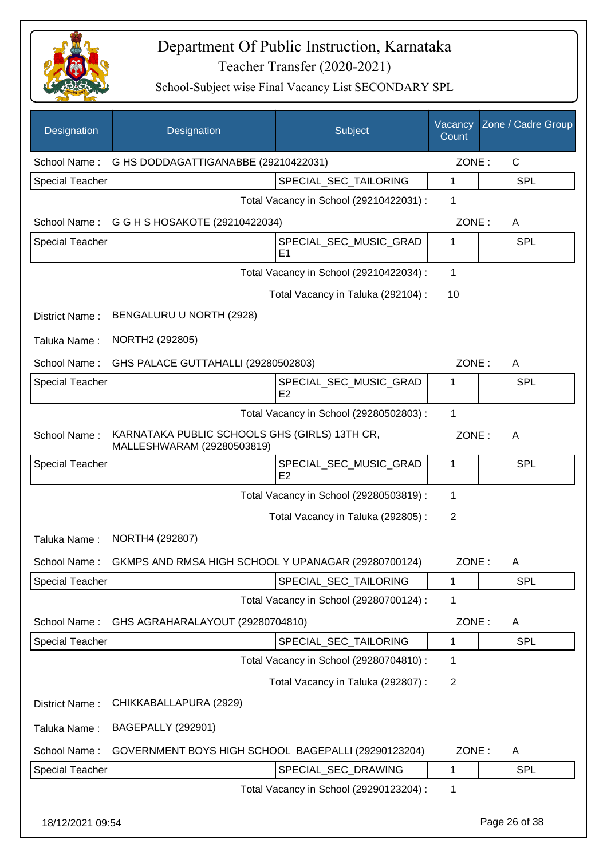

| Designation            | Designation                                                                 | Subject                                  | Vacancy<br>Count | Zone / Cadre Group |
|------------------------|-----------------------------------------------------------------------------|------------------------------------------|------------------|--------------------|
| School Name:           | G HS DODDAGATTIGANABBE (29210422031)                                        |                                          | ZONE:            | $\mathsf{C}$       |
| <b>Special Teacher</b> |                                                                             | SPECIAL_SEC_TAILORING                    | 1                | <b>SPL</b>         |
|                        |                                                                             | Total Vacancy in School (29210422031) :  | 1                |                    |
|                        | School Name: G G H S HOSAKOTE (29210422034)                                 |                                          | ZONE:            | A                  |
| <b>Special Teacher</b> |                                                                             | SPECIAL_SEC_MUSIC_GRAD<br>E <sub>1</sub> | 1                | <b>SPL</b>         |
|                        |                                                                             | Total Vacancy in School (29210422034) :  | 1                |                    |
|                        |                                                                             | Total Vacancy in Taluka (292104) :       | 10               |                    |
| District Name:         | BENGALURU U NORTH (2928)                                                    |                                          |                  |                    |
| Taluka Name:           | NORTH2 (292805)                                                             |                                          |                  |                    |
| School Name:           | GHS PALACE GUTTAHALLI (29280502803)                                         |                                          | ZONE:            | A                  |
| <b>Special Teacher</b> |                                                                             | SPECIAL_SEC_MUSIC_GRAD<br>E <sub>2</sub> | 1                | <b>SPL</b>         |
|                        |                                                                             | Total Vacancy in School (29280502803) :  | 1                |                    |
| School Name:           | KARNATAKA PUBLIC SCHOOLS GHS (GIRLS) 13TH CR,<br>MALLESHWARAM (29280503819) |                                          | ZONE:            | A                  |
| <b>Special Teacher</b> |                                                                             | SPECIAL_SEC_MUSIC_GRAD<br>E <sub>2</sub> | 1                | <b>SPL</b>         |
|                        |                                                                             | Total Vacancy in School (29280503819) :  | 1                |                    |
|                        |                                                                             | Total Vacancy in Taluka (292805) :       | $\overline{2}$   |                    |
| Taluka Name:           | NORTH4 (292807)                                                             |                                          |                  |                    |
|                        | School Name: GKMPS AND RMSA HIGH SCHOOL Y UPANAGAR (29280700124)            |                                          | ZONE:            | $\mathsf{A}$       |
| <b>Special Teacher</b> |                                                                             | SPECIAL SEC TAILORING                    | 1                | <b>SPL</b>         |
|                        |                                                                             | Total Vacancy in School (29280700124) :  | 1                |                    |
| School Name:           | GHS AGRAHARALAYOUT (29280704810)                                            |                                          | ZONE:            | A                  |
| <b>Special Teacher</b> |                                                                             | SPECIAL SEC TAILORING                    | 1                | <b>SPL</b>         |
|                        |                                                                             | Total Vacancy in School (29280704810) :  | 1                |                    |
|                        |                                                                             | Total Vacancy in Taluka (292807) :       | $\overline{2}$   |                    |
| District Name:         | CHIKKABALLAPURA (2929)                                                      |                                          |                  |                    |
| Taluka Name:           | <b>BAGEPALLY (292901)</b>                                                   |                                          |                  |                    |
| School Name:           | GOVERNMENT BOYS HIGH SCHOOL BAGEPALLI (29290123204)                         |                                          | ZONE:            | A                  |
| <b>Special Teacher</b> |                                                                             | SPECIAL_SEC_DRAWING                      | 1                | <b>SPL</b>         |
|                        |                                                                             | Total Vacancy in School (29290123204) :  | 1                |                    |
| 18/12/2021 09:54       |                                                                             |                                          |                  | Page 26 of 38      |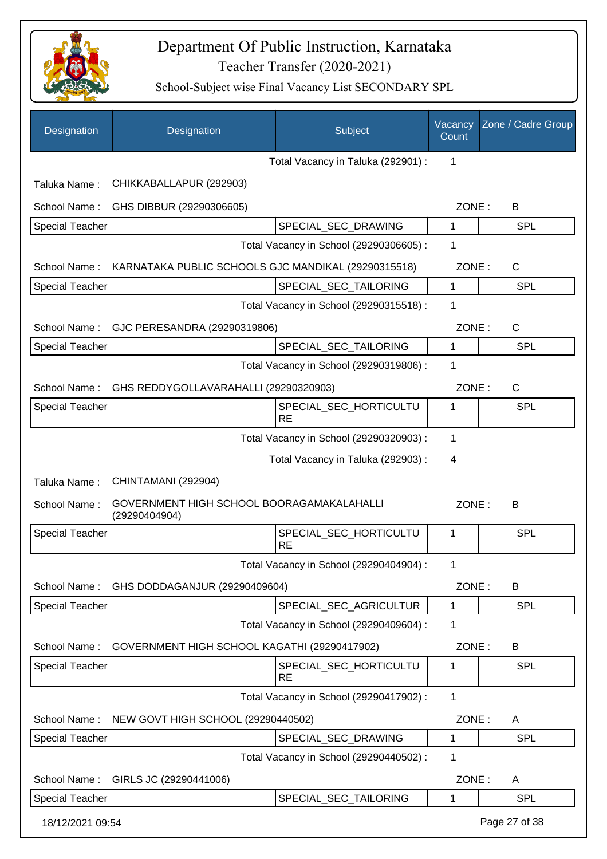

| Designation            | Designation                                                      | Subject                                 | Vacancy<br>Count | Zone / Cadre Group |
|------------------------|------------------------------------------------------------------|-----------------------------------------|------------------|--------------------|
|                        |                                                                  | Total Vacancy in Taluka (292901) :      | 1                |                    |
| Taluka Name:           | CHIKKABALLAPUR (292903)                                          |                                         |                  |                    |
| School Name:           | GHS DIBBUR (29290306605)                                         |                                         | ZONE:            | B                  |
| <b>Special Teacher</b> |                                                                  | SPECIAL_SEC_DRAWING                     | 1                | <b>SPL</b>         |
|                        |                                                                  | Total Vacancy in School (29290306605) : | 1                |                    |
|                        | School Name: KARNATAKA PUBLIC SCHOOLS GJC MANDIKAL (29290315518) |                                         | ZONE:            | $\mathsf{C}$       |
| <b>Special Teacher</b> |                                                                  | SPECIAL_SEC_TAILORING                   | $\mathbf 1$      | <b>SPL</b>         |
|                        |                                                                  | Total Vacancy in School (29290315518) : | 1                |                    |
|                        | School Name: GJC PERESANDRA (29290319806)                        |                                         | ZONE:            | $\mathsf{C}$       |
| <b>Special Teacher</b> |                                                                  | SPECIAL_SEC_TAILORING                   | 1                | SPL                |
|                        |                                                                  | Total Vacancy in School (29290319806) : | 1                |                    |
| School Name:           | GHS REDDYGOLLAVARAHALLI (29290320903)                            |                                         | ZONE:            | $\mathsf{C}$       |
| <b>Special Teacher</b> |                                                                  | SPECIAL_SEC_HORTICULTU<br><b>RE</b>     | 1                | <b>SPL</b>         |
|                        |                                                                  | Total Vacancy in School (29290320903) : | 1                |                    |
|                        |                                                                  | Total Vacancy in Taluka (292903) :      | 4                |                    |
| Taluka Name:           | CHINTAMANI (292904)                                              |                                         |                  |                    |
| School Name:           | GOVERNMENT HIGH SCHOOL BOORAGAMAKALAHALLI<br>(29290404904)       |                                         | ZONE:            | B                  |
| <b>Special Teacher</b> |                                                                  | SPECIAL_SEC_HORTICULTU<br><b>RE</b>     | $\mathbf{1}$     | SPL                |
|                        |                                                                  | Total Vacancy in School (29290404904) : | 1                |                    |
| School Name:           | GHS DODDAGANJUR (29290409604)                                    |                                         | ZONE:            | B                  |
| Special Teacher        |                                                                  | SPECIAL_SEC_AGRICULTUR                  | 1                | <b>SPL</b>         |
|                        |                                                                  | Total Vacancy in School (29290409604) : | 1                |                    |
| School Name:           | GOVERNMENT HIGH SCHOOL KAGATHI (29290417902)                     |                                         | ZONE:            | B                  |
| <b>Special Teacher</b> |                                                                  | SPECIAL SEC HORTICULTU<br><b>RE</b>     | 1                | <b>SPL</b>         |
|                        |                                                                  | Total Vacancy in School (29290417902) : | $\mathbf{1}$     |                    |
| School Name:           | NEW GOVT HIGH SCHOOL (29290440502)                               |                                         | ZONE:            | A                  |
| Special Teacher        |                                                                  | SPECIAL_SEC_DRAWING                     | 1                | SPL                |
|                        |                                                                  | Total Vacancy in School (29290440502) : | 1                |                    |
| School Name:           | GIRLS JC (29290441006)                                           |                                         | ZONE:            | A                  |
| <b>Special Teacher</b> |                                                                  | SPECIAL_SEC_TAILORING                   | 1                | <b>SPL</b>         |
| 18/12/2021 09:54       |                                                                  |                                         |                  | Page 27 of 38      |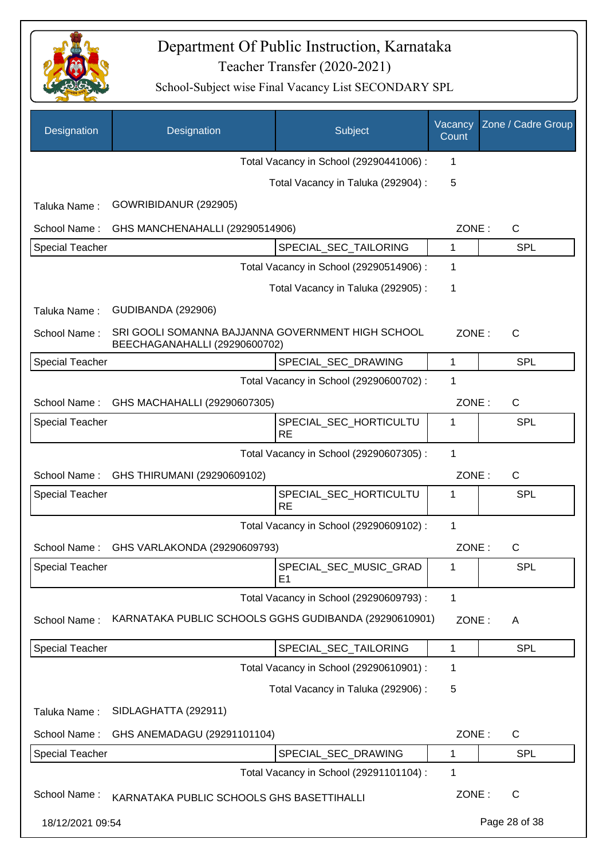

| Designation            | Designation                                                                        | Subject                                  | Vacancy<br>Count | Zone / Cadre Group |
|------------------------|------------------------------------------------------------------------------------|------------------------------------------|------------------|--------------------|
|                        |                                                                                    | Total Vacancy in School (29290441006) :  | 1                |                    |
|                        |                                                                                    | Total Vacancy in Taluka (292904) :       | 5                |                    |
| Taluka Name:           | GOWRIBIDANUR (292905)                                                              |                                          |                  |                    |
| School Name:           | GHS MANCHENAHALLI (29290514906)                                                    |                                          | ZONE:            | C                  |
| Special Teacher        |                                                                                    | SPECIAL_SEC_TAILORING                    | 1                | <b>SPL</b>         |
|                        |                                                                                    | Total Vacancy in School (29290514906) :  | 1                |                    |
|                        |                                                                                    | Total Vacancy in Taluka (292905):        | 1                |                    |
| Taluka Name:           | <b>GUDIBANDA (292906)</b>                                                          |                                          |                  |                    |
| School Name:           | SRI GOOLI SOMANNA BAJJANNA GOVERNMENT HIGH SCHOOL<br>BEECHAGANAHALLI (29290600702) |                                          | ZONE:            | C                  |
| <b>Special Teacher</b> |                                                                                    | SPECIAL_SEC_DRAWING                      | 1                | <b>SPL</b>         |
|                        |                                                                                    | Total Vacancy in School (29290600702) :  | 1                |                    |
| School Name:           | GHS MACHAHALLI (29290607305)                                                       |                                          | ZONE:            | $\mathsf C$        |
| <b>Special Teacher</b> |                                                                                    | SPECIAL_SEC_HORTICULTU<br><b>RE</b>      | 1                | SPL                |
|                        |                                                                                    | Total Vacancy in School (29290607305) :  | $\mathbf{1}$     |                    |
| School Name:           | GHS THIRUMANI (29290609102)                                                        |                                          | ZONE:            | C                  |
| <b>Special Teacher</b> |                                                                                    | SPECIAL_SEC_HORTICULTU<br><b>RE</b>      | 1                | SPL                |
|                        |                                                                                    | Total Vacancy in School (29290609102) :  | 1                |                    |
| School Name:           | GHS VARLAKONDA (29290609793)                                                       |                                          | ZONE:            | C                  |
| <b>Special Teacher</b> |                                                                                    | SPECIAL_SEC_MUSIC_GRAD<br>E <sub>1</sub> | 1                | <b>SPL</b>         |
|                        |                                                                                    | Total Vacancy in School (29290609793) :  | 1                |                    |
| School Name:           | KARNATAKA PUBLIC SCHOOLS GGHS GUDIBANDA (29290610901)                              |                                          | ZONE:            | A                  |
| Special Teacher        |                                                                                    | SPECIAL SEC TAILORING                    | 1                | SPL                |
|                        |                                                                                    | Total Vacancy in School (29290610901) :  | 1                |                    |
|                        |                                                                                    | Total Vacancy in Taluka (292906) :       | 5                |                    |
| Taluka Name:           | SIDLAGHATTA (292911)                                                               |                                          |                  |                    |
| School Name:           | GHS ANEMADAGU (29291101104)                                                        |                                          | ZONE:            | $\mathsf{C}$       |
| <b>Special Teacher</b> |                                                                                    | SPECIAL_SEC_DRAWING                      | 1                | <b>SPL</b>         |
|                        |                                                                                    | Total Vacancy in School (29291101104) :  | 1                |                    |
| School Name:           | KARNATAKA PUBLIC SCHOOLS GHS BASETTIHALLI                                          |                                          | ZONE:            | $\mathsf{C}$       |
| 18/12/2021 09:54       |                                                                                    |                                          |                  | Page 28 of 38      |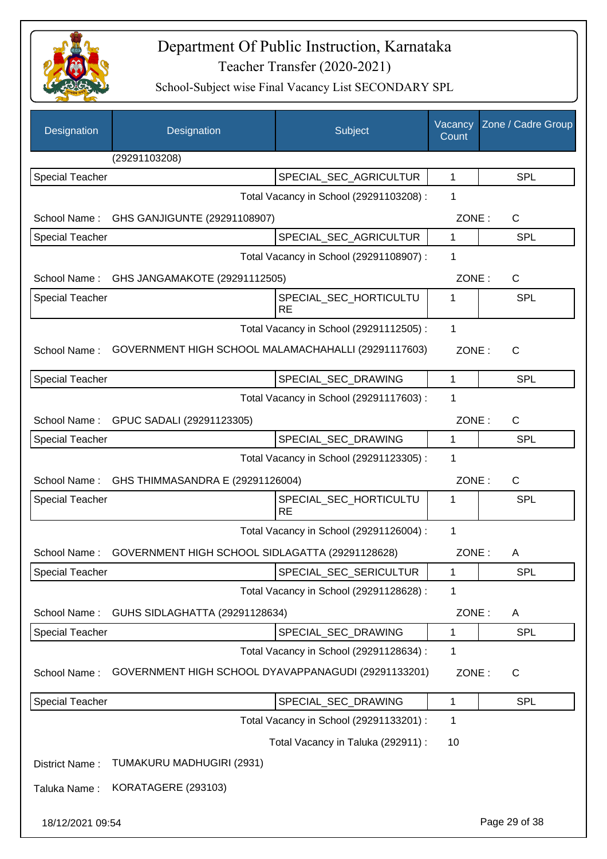

| Designation            | Designation                                         | Subject                                 | Vacancy<br>Count | Zone / Cadre Group |
|------------------------|-----------------------------------------------------|-----------------------------------------|------------------|--------------------|
|                        | (29291103208)                                       |                                         |                  |                    |
| <b>Special Teacher</b> |                                                     | SPECIAL_SEC_AGRICULTUR                  | 1                | <b>SPL</b>         |
|                        |                                                     | Total Vacancy in School (29291103208) : | 1                |                    |
| School Name:           | GHS GANJIGUNTE (29291108907)                        |                                         | ZONE:            | C                  |
| Special Teacher        |                                                     | SPECIAL_SEC_AGRICULTUR                  | $\mathbf{1}$     | <b>SPL</b>         |
|                        |                                                     | Total Vacancy in School (29291108907) : | 1                |                    |
|                        | School Name: GHS JANGAMAKOTE (29291112505)          |                                         | ZONE:            | $\mathsf{C}$       |
| Special Teacher        |                                                     | SPECIAL_SEC_HORTICULTU<br><b>RE</b>     | 1                | SPL                |
|                        |                                                     | Total Vacancy in School (29291112505) : | 1                |                    |
| School Name:           | GOVERNMENT HIGH SCHOOL MALAMACHAHALLI (29291117603) |                                         | ZONE:            | $\mathsf{C}$       |
| Special Teacher        |                                                     | SPECIAL SEC DRAWING                     | $\mathbf{1}$     | <b>SPL</b>         |
|                        |                                                     | Total Vacancy in School (29291117603) : | 1                |                    |
| School Name:           | GPUC SADALI (29291123305)                           |                                         | ZONE:            | $\mathsf{C}$       |
| <b>Special Teacher</b> |                                                     | SPECIAL_SEC_DRAWING                     | $\mathbf{1}$     | <b>SPL</b>         |
|                        |                                                     | Total Vacancy in School (29291123305) : | 1                |                    |
| School Name:           | GHS THIMMASANDRA E (29291126004)                    |                                         | ZONE:            | C                  |
| <b>Special Teacher</b> |                                                     | SPECIAL_SEC_HORTICULTU<br><b>RE</b>     | 1                | SPL                |
|                        |                                                     | Total Vacancy in School (29291126004) : | $\mathbf{1}$     |                    |
| School Name:           | GOVERNMENT HIGH SCHOOL SIDLAGATTA (29291128628)     |                                         | ZONE:            | A                  |
| <b>Special Teacher</b> |                                                     | SPECIAL_SEC_SERICULTUR                  | 1                | <b>SPL</b>         |
|                        |                                                     | Total Vacancy in School (29291128628) : | 1                |                    |
| School Name:           | GUHS SIDLAGHATTA (29291128634)                      |                                         | ZONE:            | A                  |
| Special Teacher        |                                                     | SPECIAL_SEC_DRAWING                     | 1                | <b>SPL</b>         |
|                        |                                                     | Total Vacancy in School (29291128634) : | 1                |                    |
| School Name:           | GOVERNMENT HIGH SCHOOL DYAVAPPANAGUDI (29291133201) |                                         | ZONE:            | $\mathsf{C}$       |
| Special Teacher        |                                                     | SPECIAL_SEC_DRAWING                     | $\mathbf 1$      | SPL                |
|                        |                                                     | Total Vacancy in School (29291133201) : | 1                |                    |
|                        |                                                     | Total Vacancy in Taluka (292911) :      | 10               |                    |
| District Name:         | TUMAKURU MADHUGIRI (2931)                           |                                         |                  |                    |
| Taluka Name:           | KORATAGERE (293103)                                 |                                         |                  |                    |
| 18/12/2021 09:54       |                                                     |                                         |                  | Page 29 of 38      |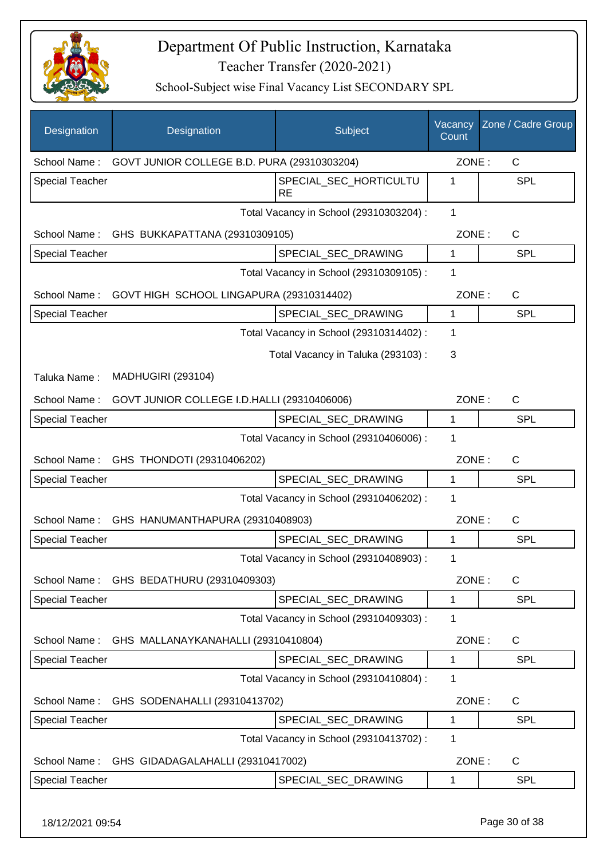

| Designation            | Designation                                 | Subject                                 | Vacancy<br>Count | Zone / Cadre Group |
|------------------------|---------------------------------------------|-----------------------------------------|------------------|--------------------|
| School Name:           | GOVT JUNIOR COLLEGE B.D. PURA (29310303204) |                                         | ZONE:            | $\mathsf{C}$       |
| Special Teacher        |                                             | SPECIAL SEC HORTICULTU<br><b>RE</b>     | 1                | <b>SPL</b>         |
|                        |                                             | Total Vacancy in School (29310303204) : | 1                |                    |
| School Name:           | GHS BUKKAPATTANA (29310309105)              |                                         | ZONE:            | C                  |
| <b>Special Teacher</b> |                                             | SPECIAL_SEC_DRAWING                     | 1                | <b>SPL</b>         |
|                        |                                             | Total Vacancy in School (29310309105) : | 1                |                    |
| School Name:           | GOVT HIGH SCHOOL LINGAPURA (29310314402)    |                                         | ZONE:            | C                  |
| <b>Special Teacher</b> |                                             | SPECIAL_SEC_DRAWING                     | 1                | <b>SPL</b>         |
|                        |                                             | Total Vacancy in School (29310314402) : | 1                |                    |
|                        |                                             | Total Vacancy in Taluka (293103):       | 3                |                    |
| Taluka Name:           | <b>MADHUGIRI (293104)</b>                   |                                         |                  |                    |
| School Name:           | GOVT JUNIOR COLLEGE I.D.HALLI (29310406006) |                                         | ZONE:            | C                  |
| Special Teacher        |                                             | SPECIAL_SEC_DRAWING                     | 1                | <b>SPL</b>         |
|                        |                                             | Total Vacancy in School (29310406006) : | 1                |                    |
| School Name:           | GHS THONDOTI (29310406202)                  |                                         | ZONE:            | $\mathsf{C}$       |
| <b>Special Teacher</b> |                                             | SPECIAL_SEC_DRAWING                     | $\mathbf{1}$     | <b>SPL</b>         |
|                        |                                             | Total Vacancy in School (29310406202) : | 1                |                    |
| School Name:           | GHS HANUMANTHAPURA (29310408903)            |                                         | ZONE:            | $\mathsf{C}$       |
| <b>Special Teacher</b> |                                             | SPECIAL SEC DRAWING                     | 1                | <b>SPL</b>         |
|                        |                                             | Total Vacancy in School (29310408903) : | 1                |                    |
| School Name:           | GHS BEDATHURU (29310409303)                 |                                         | ZONE:            | C                  |
| <b>Special Teacher</b> |                                             | SPECIAL_SEC_DRAWING                     | 1                | <b>SPL</b>         |
|                        |                                             | Total Vacancy in School (29310409303) : | 1                |                    |
| School Name:           | GHS MALLANAYKANAHALLI (29310410804)         |                                         | ZONE:            | C                  |
| <b>Special Teacher</b> |                                             | SPECIAL_SEC_DRAWING                     | 1                | <b>SPL</b>         |
|                        |                                             | Total Vacancy in School (29310410804) : | 1                |                    |
| School Name:           | GHS SODENAHALLI (29310413702)               |                                         | ZONE:            | C                  |
| Special Teacher        |                                             | SPECIAL_SEC_DRAWING                     | 1                | <b>SPL</b>         |
|                        |                                             | Total Vacancy in School (29310413702) : | 1                |                    |
| School Name:           | GHS GIDADAGALAHALLI (29310417002)           |                                         | ZONE:            | C                  |
| Special Teacher        |                                             | SPECIAL_SEC_DRAWING                     | 1                | <b>SPL</b>         |
| 18/12/2021 09:54       |                                             |                                         |                  | Page 30 of 38      |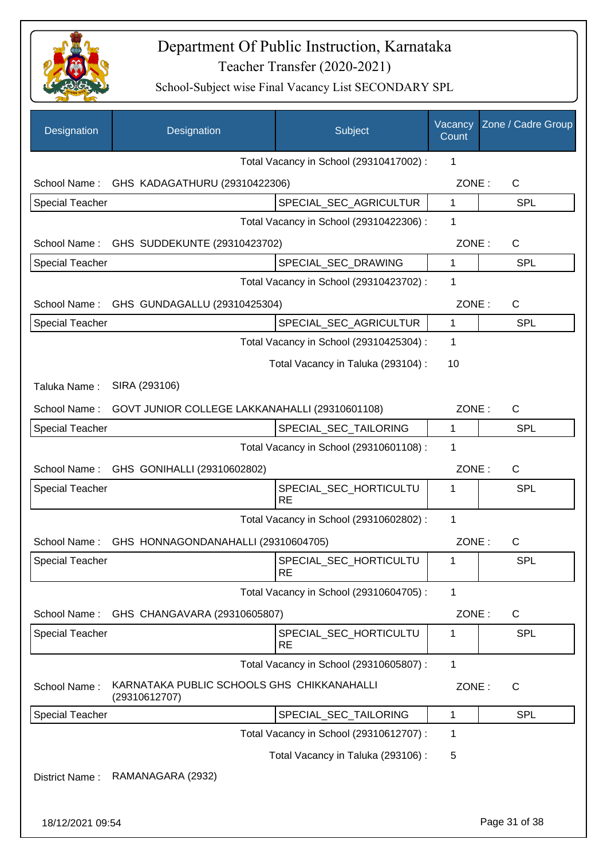

| Designation            | Designation                                                 | Subject                                 | Vacancy<br>Count | Zone / Cadre Group |
|------------------------|-------------------------------------------------------------|-----------------------------------------|------------------|--------------------|
|                        |                                                             | Total Vacancy in School (29310417002) : | 1                |                    |
| School Name:           | GHS KADAGATHURU (29310422306)                               |                                         | ZONE:            | $\mathsf C$        |
| <b>Special Teacher</b> |                                                             | SPECIAL_SEC_AGRICULTUR                  | 1                | <b>SPL</b>         |
|                        |                                                             | Total Vacancy in School (29310422306) : | 1                |                    |
| School Name:           | GHS SUDDEKUNTE (29310423702)                                |                                         | ZONE:            | $\mathsf C$        |
| Special Teacher        |                                                             | SPECIAL_SEC_DRAWING                     | 1                | SPL                |
|                        |                                                             | Total Vacancy in School (29310423702) : | 1                |                    |
| School Name:           | GHS GUNDAGALLU (29310425304)                                |                                         | ZONE:            | C                  |
| <b>Special Teacher</b> |                                                             | SPECIAL_SEC_AGRICULTUR                  | 1                | <b>SPL</b>         |
|                        |                                                             | Total Vacancy in School (29310425304) : | 1                |                    |
|                        |                                                             | Total Vacancy in Taluka (293104) :      | 10               |                    |
| Taluka Name:           | SIRA (293106)                                               |                                         |                  |                    |
| School Name:           | GOVT JUNIOR COLLEGE LAKKANAHALLI (29310601108)              |                                         | ZONE:            | $\mathsf C$        |
| <b>Special Teacher</b> |                                                             | SPECIAL_SEC_TAILORING                   | 1                | <b>SPL</b>         |
|                        |                                                             | Total Vacancy in School (29310601108) : | 1                |                    |
| School Name:           | GHS GONIHALLI (29310602802)                                 |                                         | ZONE:            | C                  |
| <b>Special Teacher</b> |                                                             | SPECIAL_SEC_HORTICULTU                  | 1                | SPL                |
|                        |                                                             | <b>RE</b>                               |                  |                    |
|                        |                                                             | Total Vacancy in School (29310602802) : | 1                |                    |
| School Name:           | GHS HONNAGONDANAHALLI (29310604705)                         |                                         | ZONE:            | С                  |
| Special Teacher        |                                                             | SPECIAL_SEC_HORTICULTU<br><b>RE</b>     | 1                | <b>SPL</b>         |
|                        |                                                             | Total Vacancy in School (29310604705) : | 1                |                    |
| School Name:           | GHS CHANGAVARA (29310605807)                                |                                         | ZONE:            | C                  |
| <b>Special Teacher</b> |                                                             | SPECIAL SEC HORTICULTU<br><b>RE</b>     | 1                | SPL                |
|                        |                                                             | Total Vacancy in School (29310605807) : | 1                |                    |
| School Name:           | KARNATAKA PUBLIC SCHOOLS GHS CHIKKANAHALLI<br>(29310612707) |                                         | ZONE:            | $\mathsf{C}$       |
| <b>Special Teacher</b> |                                                             | SPECIAL_SEC_TAILORING                   | 1                | <b>SPL</b>         |
|                        |                                                             | Total Vacancy in School (29310612707) : | 1                |                    |
|                        |                                                             | Total Vacancy in Taluka (293106) :      | 5                |                    |
| District Name:         | RAMANAGARA (2932)                                           |                                         |                  |                    |
| 18/12/2021 09:54       |                                                             |                                         |                  | Page 31 of 38      |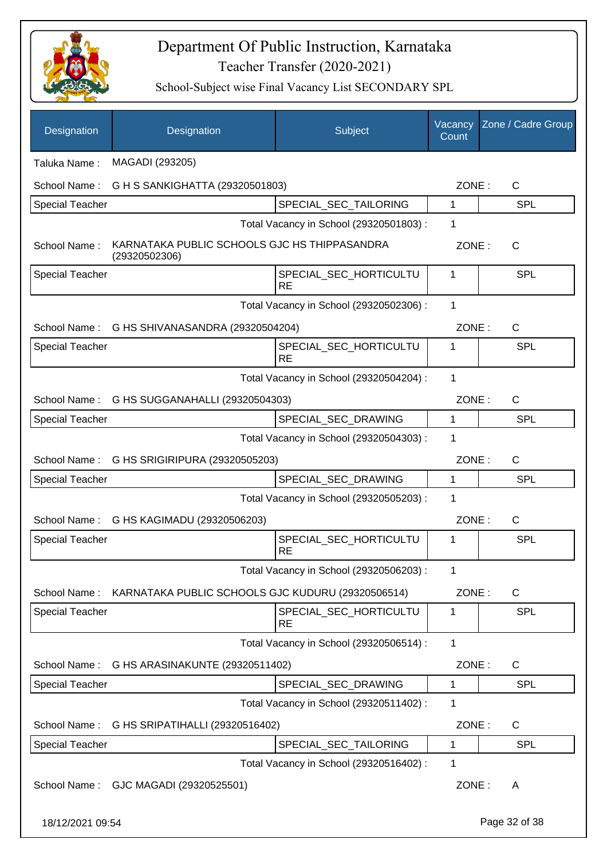

| Designation            | Designation                                                   | Subject                                 | Vacancy<br>Count | Zone / Cadre Group |
|------------------------|---------------------------------------------------------------|-----------------------------------------|------------------|--------------------|
| Taluka Name:           | MAGADI (293205)                                               |                                         |                  |                    |
| School Name:           | G H S SANKIGHATTA (29320501803)                               |                                         | ZONE:            | C                  |
| <b>Special Teacher</b> |                                                               | SPECIAL_SEC_TAILORING                   | 1                | <b>SPL</b>         |
|                        |                                                               | Total Vacancy in School (29320501803) : | 1                |                    |
| School Name:           | KARNATAKA PUBLIC SCHOOLS GJC HS THIPPASANDRA<br>(29320502306) |                                         | ZONE:            | $\mathsf{C}$       |
| <b>Special Teacher</b> |                                                               | SPECIAL_SEC_HORTICULTU<br><b>RE</b>     | 1                | <b>SPL</b>         |
|                        |                                                               | Total Vacancy in School (29320502306) : | 1                |                    |
|                        | School Name: G HS SHIVANASANDRA (29320504204)                 |                                         | ZONE:            | $\mathsf{C}$       |
| <b>Special Teacher</b> |                                                               | SPECIAL_SEC_HORTICULTU<br><b>RE</b>     | 1                | <b>SPL</b>         |
|                        |                                                               | Total Vacancy in School (29320504204) : | 1                |                    |
|                        | School Name: G HS SUGGANAHALLI (29320504303)                  |                                         | ZONE:            | $\mathsf{C}$       |
| <b>Special Teacher</b> |                                                               | SPECIAL_SEC_DRAWING                     | 1                | <b>SPL</b>         |
|                        |                                                               | Total Vacancy in School (29320504303) : | 1                |                    |
|                        | School Name: G HS SRIGIRIPURA (29320505203)                   |                                         | ZONE:            | $\mathsf{C}$       |
| <b>Special Teacher</b> |                                                               | SPECIAL_SEC_DRAWING                     | 1                | <b>SPL</b>         |
|                        |                                                               | Total Vacancy in School (29320505203) : | 1                |                    |
| School Name:           | G HS KAGIMADU (29320506203)                                   |                                         | ZONE:            | $\mathsf{C}$       |
| <b>Special Teacher</b> |                                                               | SPECIAL_SEC_HORTICULTU<br><b>RE</b>     | 1                | <b>SPL</b>         |
|                        |                                                               | Total Vacancy in School (29320506203) : | 1                |                    |
| School Name:           | KARNATAKA PUBLIC SCHOOLS GJC KUDURU (29320506514)             |                                         | ZONE:            | C                  |
| <b>Special Teacher</b> |                                                               | SPECIAL_SEC_HORTICULTU<br><b>RE</b>     | 1                | <b>SPL</b>         |
|                        |                                                               | Total Vacancy in School (29320506514) : | 1                |                    |
| School Name:           | G HS ARASINAKUNTE (29320511402)                               |                                         | ZONE:            | C                  |
| Special Teacher        |                                                               | SPECIAL_SEC_DRAWING                     | 1                | <b>SPL</b>         |
|                        |                                                               | Total Vacancy in School (29320511402) : | 1                |                    |
| School Name:           | G HS SRIPATIHALLI (29320516402)                               |                                         | ZONE:            | C                  |
| Special Teacher        |                                                               | SPECIAL_SEC_TAILORING                   | 1                | <b>SPL</b>         |
|                        |                                                               | Total Vacancy in School (29320516402) : | 1                |                    |
| School Name:           | GJC MAGADI (29320525501)                                      |                                         | ZONE:            | A                  |
| 18/12/2021 09:54       |                                                               |                                         |                  | Page 32 of 38      |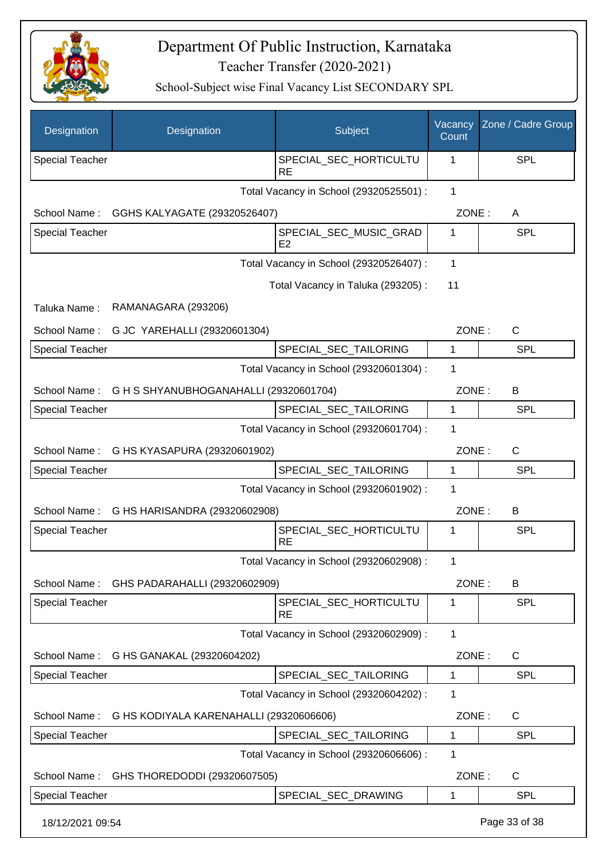

| Designation            | Designation                                         | Subject                                 | Vacancy<br>Count | Zone / Cadre Group |
|------------------------|-----------------------------------------------------|-----------------------------------------|------------------|--------------------|
| <b>Special Teacher</b> |                                                     | SPECIAL_SEC_HORTICULTU<br><b>RE</b>     | 1                | <b>SPL</b>         |
|                        |                                                     | Total Vacancy in School (29320525501) : | $\mathbf{1}$     |                    |
|                        | School Name: GGHS KALYAGATE (29320526407)           |                                         | ZONE:            | A                  |
| <b>Special Teacher</b> |                                                     | SPECIAL_SEC_MUSIC_GRAD<br>E2            | 1                | <b>SPL</b>         |
|                        |                                                     | Total Vacancy in School (29320526407) : | $\mathbf 1$      |                    |
|                        |                                                     | Total Vacancy in Taluka (293205):       | 11               |                    |
| Taluka Name:           | RAMANAGARA (293206)                                 |                                         |                  |                    |
| School Name:           | G JC YAREHALLI (29320601304)                        |                                         | ZONE:            | $\mathsf{C}$       |
| <b>Special Teacher</b> |                                                     | SPECIAL_SEC_TAILORING                   | 1                | <b>SPL</b>         |
|                        |                                                     | Total Vacancy in School (29320601304) : | 1                |                    |
|                        | School Name: G H S SHYANUBHOGANAHALLI (29320601704) |                                         | ZONE:            | B                  |
| <b>Special Teacher</b> |                                                     | SPECIAL_SEC_TAILORING                   | 1                | <b>SPL</b>         |
|                        |                                                     | Total Vacancy in School (29320601704) : | 1                |                    |
| School Name:           | G HS KYASAPURA (29320601902)                        |                                         | ZONE:            | $\mathsf{C}$       |
| <b>Special Teacher</b> |                                                     | SPECIAL_SEC_TAILORING                   | 1                | <b>SPL</b>         |
|                        |                                                     | Total Vacancy in School (29320601902) : | 1                |                    |
| School Name:           | G HS HARISANDRA (29320602908)                       |                                         | ZONE:            | B                  |
| <b>Special Teacher</b> |                                                     | SPECIAL_SEC_HORTICULTU<br><b>RE</b>     | 1                | <b>SPL</b>         |
|                        |                                                     | Total Vacancy in School (29320602908) : | 1.               |                    |
| School Name:           | GHS PADARAHALLI (29320602909)                       |                                         | ZONE:            | B                  |
| <b>Special Teacher</b> |                                                     | SPECIAL_SEC_HORTICULTU<br><b>RE</b>     | 1                | <b>SPL</b>         |
|                        |                                                     | Total Vacancy in School (29320602909) : | 1                |                    |
| School Name:           | G HS GANAKAL (29320604202)                          |                                         | ZONE:            | $\mathsf{C}$       |
| <b>Special Teacher</b> |                                                     | SPECIAL SEC TAILORING                   | 1                | <b>SPL</b>         |
|                        |                                                     | Total Vacancy in School (29320604202) : | 1                |                    |
| School Name:           | G HS KODIYALA KARENAHALLI (29320606606)             |                                         | ZONE:            | $\mathsf{C}$       |
| <b>Special Teacher</b> |                                                     | SPECIAL_SEC_TAILORING                   | 1                | <b>SPL</b>         |
|                        |                                                     | Total Vacancy in School (29320606606) : | 1                |                    |
| School Name:           | GHS THOREDODDI (29320607505)                        |                                         | ZONE:            | $\mathsf{C}$       |
| <b>Special Teacher</b> |                                                     | SPECIAL_SEC_DRAWING                     | 1                | <b>SPL</b>         |
| 18/12/2021 09:54       |                                                     |                                         |                  | Page 33 of 38      |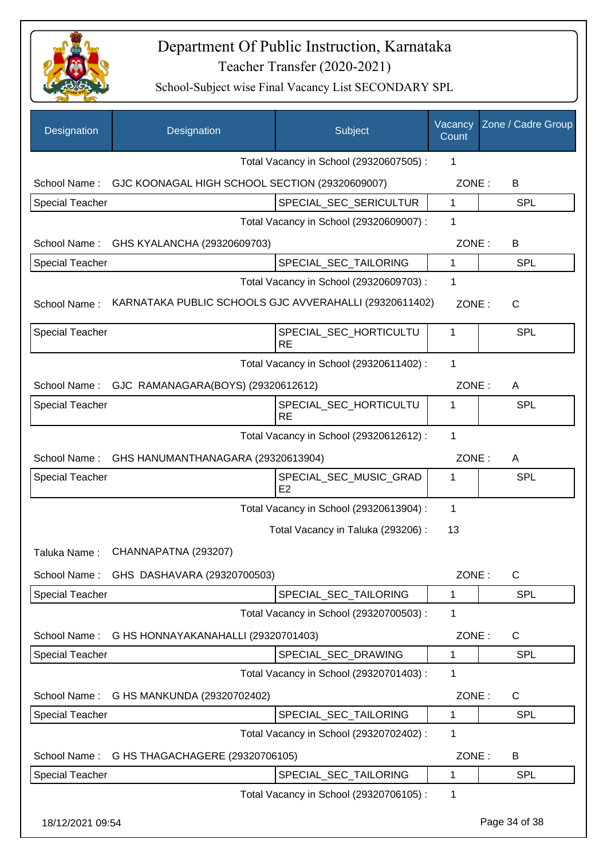

| Designation            | Designation                                            | Subject                                  | Vacancy<br>Count | Zone / Cadre Group |
|------------------------|--------------------------------------------------------|------------------------------------------|------------------|--------------------|
|                        |                                                        | Total Vacancy in School (29320607505) :  | 1                |                    |
| School Name:           | GJC KOONAGAL HIGH SCHOOL SECTION (29320609007)         |                                          | ZONE:            | В                  |
| Special Teacher        |                                                        | SPECIAL_SEC_SERICULTUR                   | $\mathbf 1$      | <b>SPL</b>         |
|                        |                                                        | Total Vacancy in School (29320609007) :  | 1                |                    |
| School Name:           | GHS KYALANCHA (29320609703)                            |                                          | ZONE:            | В                  |
| <b>Special Teacher</b> |                                                        | SPECIAL_SEC_TAILORING                    | $\mathbf 1$      | <b>SPL</b>         |
|                        |                                                        | Total Vacancy in School (29320609703) :  | 1                |                    |
| School Name:           | KARNATAKA PUBLIC SCHOOLS GJC AVVERAHALLI (29320611402) |                                          | ZONE:            | $\mathsf{C}$       |
| <b>Special Teacher</b> |                                                        | SPECIAL_SEC_HORTICULTU<br><b>RE</b>      | 1                | <b>SPL</b>         |
|                        |                                                        | Total Vacancy in School (29320611402) :  | 1                |                    |
| School Name:           | GJC RAMANAGARA(BOYS) (29320612612)                     |                                          | ZONE:            | A                  |
| <b>Special Teacher</b> |                                                        | SPECIAL_SEC_HORTICULTU<br><b>RE</b>      | 1                | <b>SPL</b>         |
|                        |                                                        | Total Vacancy in School (29320612612) :  | $\mathbf 1$      |                    |
| School Name:           | GHS HANUMANTHANAGARA (29320613904)                     |                                          | ZONE:            | A                  |
| <b>Special Teacher</b> |                                                        | SPECIAL_SEC_MUSIC_GRAD<br>E <sub>2</sub> | 1                | <b>SPL</b>         |
|                        |                                                        | Total Vacancy in School (29320613904) :  | 1                |                    |
|                        |                                                        | Total Vacancy in Taluka (293206) :       | 13               |                    |
| Taluka Name:           | CHANNAPATNA (293207)                                   |                                          |                  |                    |
| School Name:           | GHS DASHAVARA (29320700503)                            |                                          | ZONE:            | $\mathsf{C}$       |
| <b>Special Teacher</b> |                                                        | SPECIAL_SEC_TAILORING                    | 1                | <b>SPL</b>         |
|                        |                                                        | Total Vacancy in School (29320700503) :  | 1                |                    |
| School Name:           | G HS HONNAYAKANAHALLI (29320701403)                    |                                          | ZONE:            | C                  |
| Special Teacher        |                                                        | SPECIAL_SEC_DRAWING                      | 1                | <b>SPL</b>         |
|                        |                                                        | Total Vacancy in School (29320701403) :  | 1                |                    |
| School Name:           | G HS MANKUNDA (29320702402)                            |                                          | ZONE:            | C                  |
| Special Teacher        |                                                        | SPECIAL_SEC_TAILORING                    | 1                | <b>SPL</b>         |
|                        |                                                        | Total Vacancy in School (29320702402) :  | 1                |                    |
| School Name:           | G HS THAGACHAGERE (29320706105)                        |                                          | ZONE:            | B                  |
| <b>Special Teacher</b> |                                                        | SPECIAL_SEC_TAILORING                    | 1                | <b>SPL</b>         |
|                        |                                                        | Total Vacancy in School (29320706105) :  | 1                |                    |
| 18/12/2021 09:54       |                                                        |                                          |                  | Page 34 of 38      |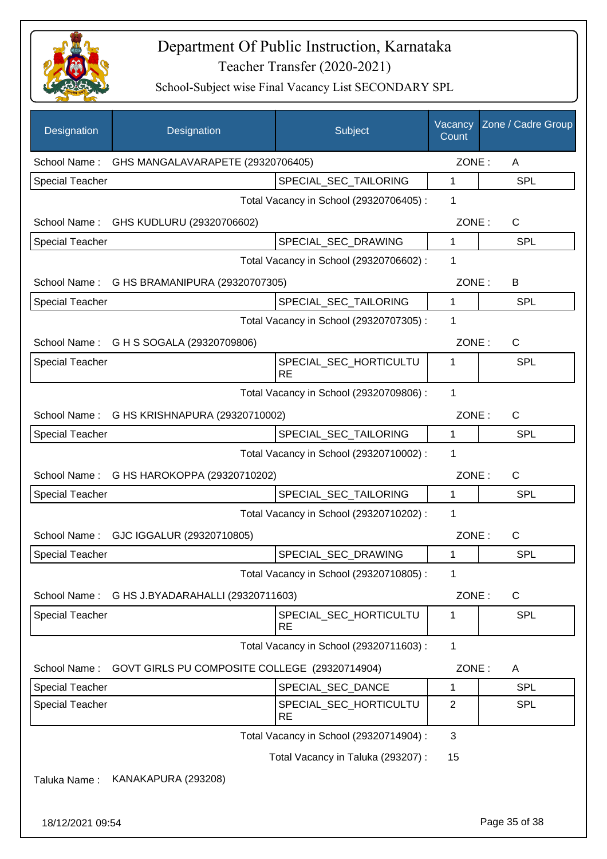

| Designation            | Designation                                   | Subject                                 | Vacancy<br>Count | Zone / Cadre Group |
|------------------------|-----------------------------------------------|-----------------------------------------|------------------|--------------------|
| School Name:           | GHS MANGALAVARAPETE (29320706405)             |                                         |                  | ZONE:<br>A         |
| <b>Special Teacher</b> |                                               | SPECIAL SEC TAILORING                   | 1                | <b>SPL</b>         |
|                        |                                               | Total Vacancy in School (29320706405) : | 1                |                    |
| School Name:           | GHS KUDLURU (29320706602)                     |                                         | ZONE:            | $\mathsf{C}$       |
| <b>Special Teacher</b> |                                               | SPECIAL_SEC_DRAWING                     | 1                | <b>SPL</b>         |
|                        |                                               | Total Vacancy in School (29320706602) : | 1                |                    |
|                        | School Name: G HS BRAMANIPURA (29320707305)   |                                         | ZONE:            | B                  |
| <b>Special Teacher</b> |                                               | SPECIAL_SEC_TAILORING                   | 1                | <b>SPL</b>         |
|                        |                                               | Total Vacancy in School (29320707305) : | 1                |                    |
|                        | School Name: G H S SOGALA (29320709806)       |                                         | ZONE:            | C                  |
| <b>Special Teacher</b> |                                               | SPECIAL_SEC_HORTICULTU<br><b>RE</b>     | 1                | <b>SPL</b>         |
|                        |                                               | Total Vacancy in School (29320709806) : | $\mathbf{1}$     |                    |
|                        | School Name: G HS KRISHNAPURA (29320710002)   |                                         | ZONE:            | C                  |
| <b>Special Teacher</b> |                                               | SPECIAL_SEC_TAILORING                   | 1                | SPL                |
|                        |                                               | Total Vacancy in School (29320710002) : | 1                |                    |
|                        | School Name: G HS HAROKOPPA (29320710202)     |                                         | ZONE:            | $\mathsf{C}$       |
| <b>Special Teacher</b> |                                               | SPECIAL_SEC_TAILORING                   | 1                | <b>SPL</b>         |
|                        |                                               | Total Vacancy in School (29320710202) : | 1                |                    |
| School Name:           | GJC IGGALUR (29320710805)                     |                                         | ZONE:            | $\mathsf{C}$       |
| <b>Special Teacher</b> |                                               | SPECIAL_SEC_DRAWING                     | 1                | <b>SPL</b>         |
|                        |                                               | Total Vacancy in School (29320710805) : | 1                |                    |
| School Name:           | G HS J.BYADARAHALLI (29320711603)             |                                         | ZONE:            | $\mathsf{C}$       |
| <b>Special Teacher</b> |                                               | SPECIAL_SEC_HORTICULTU<br><b>RE</b>     | 1                | <b>SPL</b>         |
|                        |                                               | Total Vacancy in School (29320711603) : | 1                |                    |
| School Name:           | GOVT GIRLS PU COMPOSITE COLLEGE (29320714904) |                                         | ZONE:            | A                  |
| <b>Special Teacher</b> |                                               | SPECIAL SEC DANCE                       | 1                | <b>SPL</b>         |
| <b>Special Teacher</b> |                                               | SPECIAL_SEC_HORTICULTU<br><b>RE</b>     | $\overline{2}$   | <b>SPL</b>         |
|                        |                                               | Total Vacancy in School (29320714904) : | 3                |                    |
|                        |                                               | Total Vacancy in Taluka (293207) :      | 15               |                    |
| Taluka Name:           | KANAKAPURA (293208)                           |                                         |                  |                    |
| 18/12/2021 09:54       |                                               |                                         |                  | Page 35 of 38      |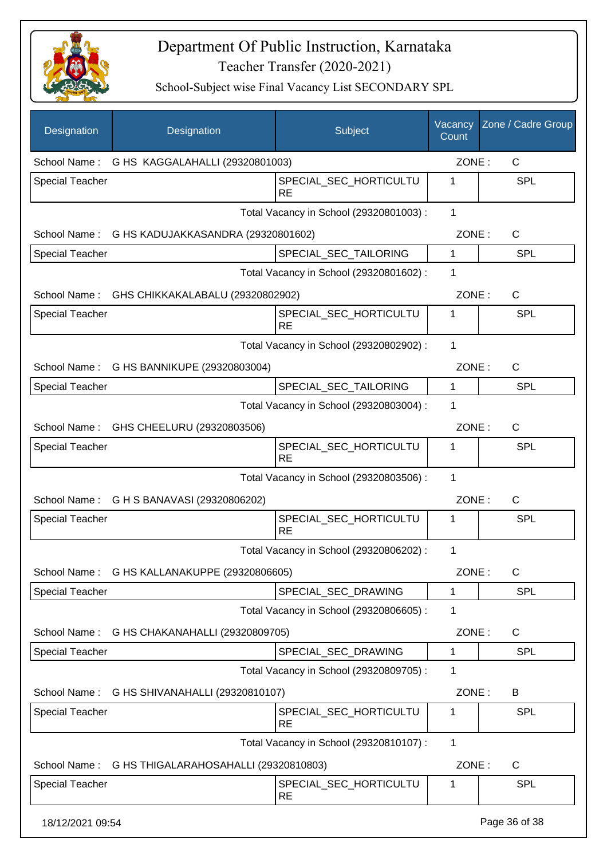

| Designation            | Designation                                        | Subject                                 | Vacancy<br>Count | Zone / Cadre Group |
|------------------------|----------------------------------------------------|-----------------------------------------|------------------|--------------------|
|                        | School Name: G HS KAGGALAHALLI (29320801003)       |                                         | ZONE:            | C                  |
| <b>Special Teacher</b> |                                                    | SPECIAL_SEC_HORTICULTU<br><b>RE</b>     | 1                | SPL                |
|                        |                                                    | Total Vacancy in School (29320801003) : | $\mathbf{1}$     |                    |
|                        | School Name: G HS KADUJAKKASANDRA (29320801602)    |                                         | ZONE:            | $\mathsf{C}$       |
| <b>Special Teacher</b> |                                                    | SPECIAL_SEC_TAILORING                   | 1                | <b>SPL</b>         |
|                        |                                                    | Total Vacancy in School (29320801602) : | 1                |                    |
|                        | School Name: GHS CHIKKAKALABALU (29320802902)      |                                         | ZONE:            | $\mathsf{C}$       |
| <b>Special Teacher</b> |                                                    | SPECIAL SEC HORTICULTU<br><b>RE</b>     | 1                | <b>SPL</b>         |
|                        |                                                    | Total Vacancy in School (29320802902) : | $\mathbf{1}$     |                    |
|                        | School Name: G HS BANNIKUPE (29320803004)          |                                         | ZONE:            | $\mathsf{C}$       |
| <b>Special Teacher</b> |                                                    | SPECIAL_SEC_TAILORING                   | 1                | <b>SPL</b>         |
|                        |                                                    | Total Vacancy in School (29320803004) : | 1                |                    |
|                        | School Name: GHS CHEELURU (29320803506)            |                                         | ZONE:            | $\mathsf{C}$       |
| <b>Special Teacher</b> |                                                    | SPECIAL_SEC_HORTICULTU<br><b>RE</b>     | 1                | <b>SPL</b>         |
|                        |                                                    | Total Vacancy in School (29320803506) : | 1                |                    |
|                        | School Name: G H S BANAVASI (29320806202)          |                                         | ZONE:            | $\mathsf{C}$       |
| Special Teacher        |                                                    | SPECIAL_SEC_HORTICULTU<br><b>RE</b>     | 1                | SPL                |
|                        |                                                    | Total Vacancy in School (29320806202) : | 1                |                    |
| School Name:           | G HS KALLANAKUPPE (29320806605)                    |                                         | ZONE:            | $\mathsf{C}$       |
| <b>Special Teacher</b> |                                                    | SPECIAL_SEC_DRAWING                     | 1                | <b>SPL</b>         |
|                        |                                                    | Total Vacancy in School (29320806605) : | 1                |                    |
| School Name:           | G HS CHAKANAHALLI (29320809705)                    |                                         | ZONE:            | C                  |
| Special Teacher        |                                                    | SPECIAL_SEC_DRAWING                     | 1                | <b>SPL</b>         |
|                        |                                                    | Total Vacancy in School (29320809705) : | 1                |                    |
| School Name:           | G HS SHIVANAHALLI (29320810107)                    |                                         | ZONE:            | B                  |
| <b>Special Teacher</b> |                                                    | SPECIAL_SEC_HORTICULTU<br><b>RE</b>     | 1                | <b>SPL</b>         |
|                        |                                                    | Total Vacancy in School (29320810107) : | 1                |                    |
|                        | School Name: G HS THIGALARAHOSAHALLI (29320810803) |                                         | ZONE:            | C                  |
| <b>Special Teacher</b> |                                                    | SPECIAL_SEC_HORTICULTU<br><b>RE</b>     | 1                | <b>SPL</b>         |
| 18/12/2021 09:54       |                                                    |                                         |                  | Page 36 of 38      |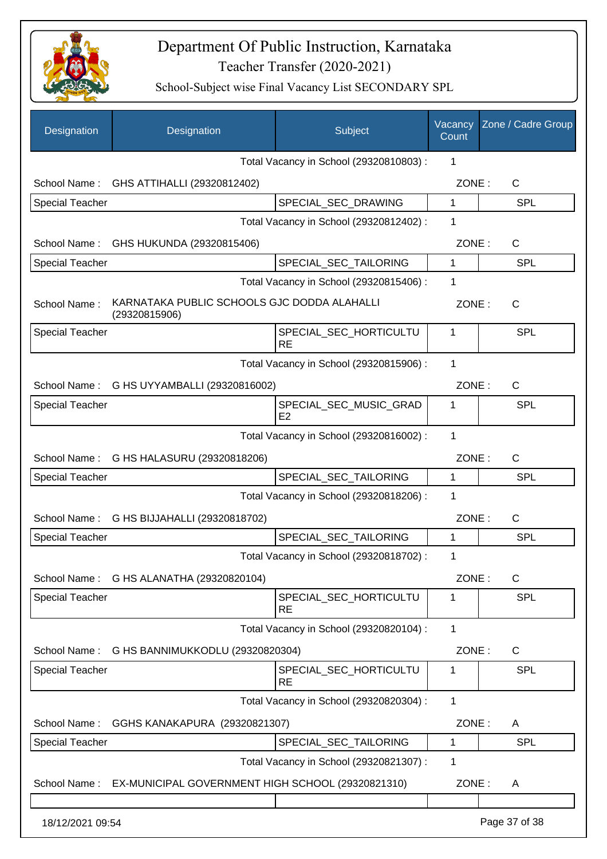

| Designation            | Designation                                                    | Subject                                 | Vacancy<br>Count | Zone / Cadre Group |
|------------------------|----------------------------------------------------------------|-----------------------------------------|------------------|--------------------|
|                        |                                                                | Total Vacancy in School (29320810803) : | 1                |                    |
|                        | School Name: GHS ATTIHALLI (29320812402)                       |                                         | ZONE:            | C                  |
| <b>Special Teacher</b> |                                                                | SPECIAL_SEC_DRAWING                     | 1                | <b>SPL</b>         |
|                        |                                                                | Total Vacancy in School (29320812402) : | 1                |                    |
|                        | School Name: GHS HUKUNDA (29320815406)                         |                                         | ZONE:            | C                  |
| <b>Special Teacher</b> |                                                                | SPECIAL_SEC_TAILORING                   | 1                | SPL                |
|                        |                                                                | Total Vacancy in School (29320815406) : | 1                |                    |
| School Name:           | KARNATAKA PUBLIC SCHOOLS GJC DODDA ALAHALLI<br>(29320815906)   |                                         | ZONE:            | C                  |
| <b>Special Teacher</b> |                                                                | SPECIAL SEC HORTICULTU<br><b>RE</b>     | 1                | <b>SPL</b>         |
|                        |                                                                | Total Vacancy in School (29320815906) : | 1                |                    |
| School Name:           | G HS UYYAMBALLI (29320816002)                                  |                                         | ZONE:            | $\mathsf{C}$       |
| <b>Special Teacher</b> |                                                                | SPECIAL_SEC_MUSIC_GRAD<br>E2            | 1                | <b>SPL</b>         |
|                        |                                                                | Total Vacancy in School (29320816002) : | 1                |                    |
|                        | School Name: G HS HALASURU (29320818206)                       |                                         | ZONE:            | $\mathsf{C}$       |
| <b>Special Teacher</b> |                                                                | SPECIAL_SEC_TAILORING                   | 1                | <b>SPL</b>         |
|                        |                                                                | Total Vacancy in School (29320818206) : | 1                |                    |
|                        | School Name: G HS BIJJAHALLI (29320818702)                     |                                         | ZONE:            | C                  |
| <b>Special Teacher</b> |                                                                | SPECIAL_SEC_TAILORING                   | 1                | <b>SPL</b>         |
|                        |                                                                | Total Vacancy in School (29320818702) : | 1                |                    |
|                        | School Name: G HS ALANATHA (29320820104)                       |                                         | ZONE:            | C                  |
| <b>Special Teacher</b> |                                                                | SPECIAL SEC HORTICULTU<br><b>RE</b>     | 1                | SPL                |
|                        |                                                                | Total Vacancy in School (29320820104) : | 1                |                    |
| School Name:           | G HS BANNIMUKKODLU (29320820304)                               |                                         | ZONE:            | C                  |
| <b>Special Teacher</b> |                                                                | SPECIAL SEC HORTICULTU<br><b>RE</b>     | 1                | <b>SPL</b>         |
|                        |                                                                | Total Vacancy in School (29320820304) : | 1                |                    |
| School Name:           | GGHS KANAKAPURA (29320821307)                                  |                                         | ZONE:            | A                  |
| <b>Special Teacher</b> |                                                                | SPECIAL_SEC_TAILORING                   | 1                | <b>SPL</b>         |
|                        |                                                                | Total Vacancy in School (29320821307) : | 1                |                    |
|                        | School Name: EX-MUNICIPAL GOVERNMENT HIGH SCHOOL (29320821310) |                                         | ZONE:            | A                  |
|                        |                                                                |                                         |                  |                    |
| 18/12/2021 09:54       |                                                                |                                         |                  | Page 37 of 38      |